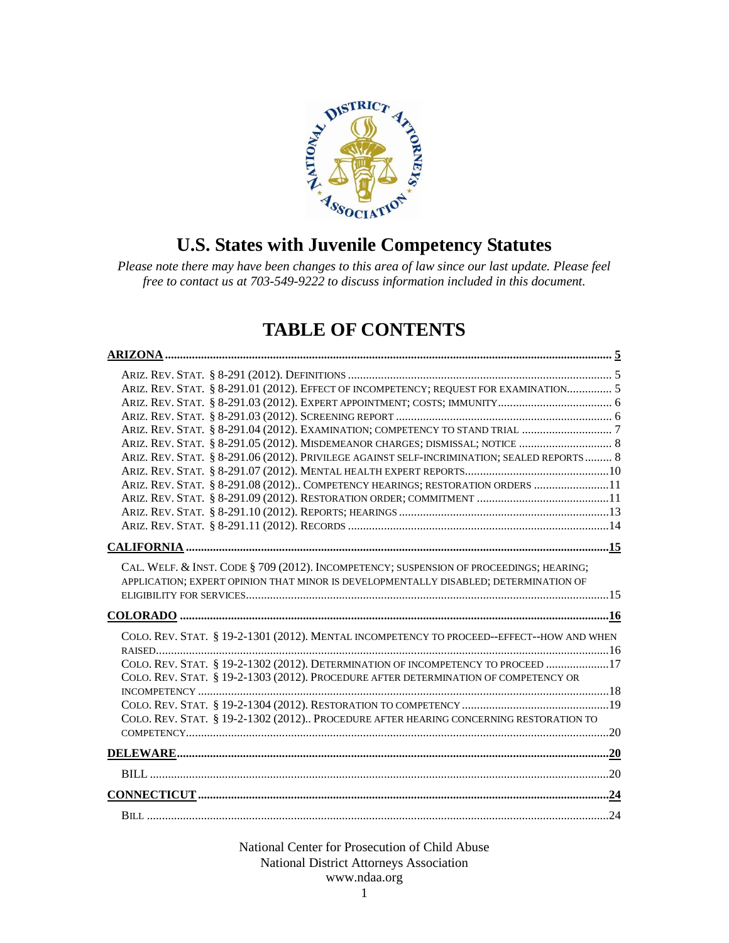

## **U.S. States with Juvenile Competency Statutes**

*Please note there may have been changes to this area of law since our last update. Please feel free to contact us at 703-549-9222 to discuss information included in this document.*

## **TABLE OF CONTENTS**

| ARIZ. REV. STAT. § 8-291.01 (2012). EFFECT OF INCOMPETENCY; REQUEST FOR EXAMINATION 5<br>ARIZ. REV. STAT. § 8-291.04 (2012). EXAMINATION; COMPETENCY TO STAND TRIAL 7<br>ARIZ. REV. STAT. § 8-291.05 (2012). MISDEMEANOR CHARGES; DISMISSAL; NOTICE  8<br>ARIZ. REV. STAT. § 8-291.06 (2012). PRIVILEGE AGAINST SELF-INCRIMINATION; SEALED REPORTS 8<br>ARIZ. REV. STAT. § 8-291.08 (2012) COMPETENCY HEARINGS; RESTORATION ORDERS  11<br>CAL. WELF. & INST. CODE § 709 (2012). INCOMPETENCY; SUSPENSION OF PROCEEDINGS; HEARING;<br>APPLICATION; EXPERT OPINION THAT MINOR IS DEVELOPMENTALLY DISABLED; DETERMINATION OF<br>COLO. REV. STAT. § 19-2-1301 (2012). MENTAL INCOMPETENCY TO PROCEED--EFFECT--HOW AND WHEN<br>COLO. REV. STAT. § 19-2-1302 (2012). DETERMINATION OF INCOMPETENCY TO PROCEED 17<br>COLO. REV. STAT. § 19-2-1303 (2012). PROCEDURE AFTER DETERMINATION OF COMPETENCY OR<br>COLO. REV. STAT. § 19-2-1302 (2012) PROCEDURE AFTER HEARING CONCERNING RESTORATION TO |  |
|--------------------------------------------------------------------------------------------------------------------------------------------------------------------------------------------------------------------------------------------------------------------------------------------------------------------------------------------------------------------------------------------------------------------------------------------------------------------------------------------------------------------------------------------------------------------------------------------------------------------------------------------------------------------------------------------------------------------------------------------------------------------------------------------------------------------------------------------------------------------------------------------------------------------------------------------------------------------------------------------|--|
|                                                                                                                                                                                                                                                                                                                                                                                                                                                                                                                                                                                                                                                                                                                                                                                                                                                                                                                                                                                            |  |
|                                                                                                                                                                                                                                                                                                                                                                                                                                                                                                                                                                                                                                                                                                                                                                                                                                                                                                                                                                                            |  |
|                                                                                                                                                                                                                                                                                                                                                                                                                                                                                                                                                                                                                                                                                                                                                                                                                                                                                                                                                                                            |  |
|                                                                                                                                                                                                                                                                                                                                                                                                                                                                                                                                                                                                                                                                                                                                                                                                                                                                                                                                                                                            |  |
|                                                                                                                                                                                                                                                                                                                                                                                                                                                                                                                                                                                                                                                                                                                                                                                                                                                                                                                                                                                            |  |
|                                                                                                                                                                                                                                                                                                                                                                                                                                                                                                                                                                                                                                                                                                                                                                                                                                                                                                                                                                                            |  |
|                                                                                                                                                                                                                                                                                                                                                                                                                                                                                                                                                                                                                                                                                                                                                                                                                                                                                                                                                                                            |  |
|                                                                                                                                                                                                                                                                                                                                                                                                                                                                                                                                                                                                                                                                                                                                                                                                                                                                                                                                                                                            |  |
|                                                                                                                                                                                                                                                                                                                                                                                                                                                                                                                                                                                                                                                                                                                                                                                                                                                                                                                                                                                            |  |
|                                                                                                                                                                                                                                                                                                                                                                                                                                                                                                                                                                                                                                                                                                                                                                                                                                                                                                                                                                                            |  |
|                                                                                                                                                                                                                                                                                                                                                                                                                                                                                                                                                                                                                                                                                                                                                                                                                                                                                                                                                                                            |  |
|                                                                                                                                                                                                                                                                                                                                                                                                                                                                                                                                                                                                                                                                                                                                                                                                                                                                                                                                                                                            |  |
|                                                                                                                                                                                                                                                                                                                                                                                                                                                                                                                                                                                                                                                                                                                                                                                                                                                                                                                                                                                            |  |
|                                                                                                                                                                                                                                                                                                                                                                                                                                                                                                                                                                                                                                                                                                                                                                                                                                                                                                                                                                                            |  |
|                                                                                                                                                                                                                                                                                                                                                                                                                                                                                                                                                                                                                                                                                                                                                                                                                                                                                                                                                                                            |  |
|                                                                                                                                                                                                                                                                                                                                                                                                                                                                                                                                                                                                                                                                                                                                                                                                                                                                                                                                                                                            |  |
|                                                                                                                                                                                                                                                                                                                                                                                                                                                                                                                                                                                                                                                                                                                                                                                                                                                                                                                                                                                            |  |
|                                                                                                                                                                                                                                                                                                                                                                                                                                                                                                                                                                                                                                                                                                                                                                                                                                                                                                                                                                                            |  |
|                                                                                                                                                                                                                                                                                                                                                                                                                                                                                                                                                                                                                                                                                                                                                                                                                                                                                                                                                                                            |  |
|                                                                                                                                                                                                                                                                                                                                                                                                                                                                                                                                                                                                                                                                                                                                                                                                                                                                                                                                                                                            |  |
|                                                                                                                                                                                                                                                                                                                                                                                                                                                                                                                                                                                                                                                                                                                                                                                                                                                                                                                                                                                            |  |
|                                                                                                                                                                                                                                                                                                                                                                                                                                                                                                                                                                                                                                                                                                                                                                                                                                                                                                                                                                                            |  |
|                                                                                                                                                                                                                                                                                                                                                                                                                                                                                                                                                                                                                                                                                                                                                                                                                                                                                                                                                                                            |  |
|                                                                                                                                                                                                                                                                                                                                                                                                                                                                                                                                                                                                                                                                                                                                                                                                                                                                                                                                                                                            |  |
|                                                                                                                                                                                                                                                                                                                                                                                                                                                                                                                                                                                                                                                                                                                                                                                                                                                                                                                                                                                            |  |
|                                                                                                                                                                                                                                                                                                                                                                                                                                                                                                                                                                                                                                                                                                                                                                                                                                                                                                                                                                                            |  |
|                                                                                                                                                                                                                                                                                                                                                                                                                                                                                                                                                                                                                                                                                                                                                                                                                                                                                                                                                                                            |  |
|                                                                                                                                                                                                                                                                                                                                                                                                                                                                                                                                                                                                                                                                                                                                                                                                                                                                                                                                                                                            |  |
|                                                                                                                                                                                                                                                                                                                                                                                                                                                                                                                                                                                                                                                                                                                                                                                                                                                                                                                                                                                            |  |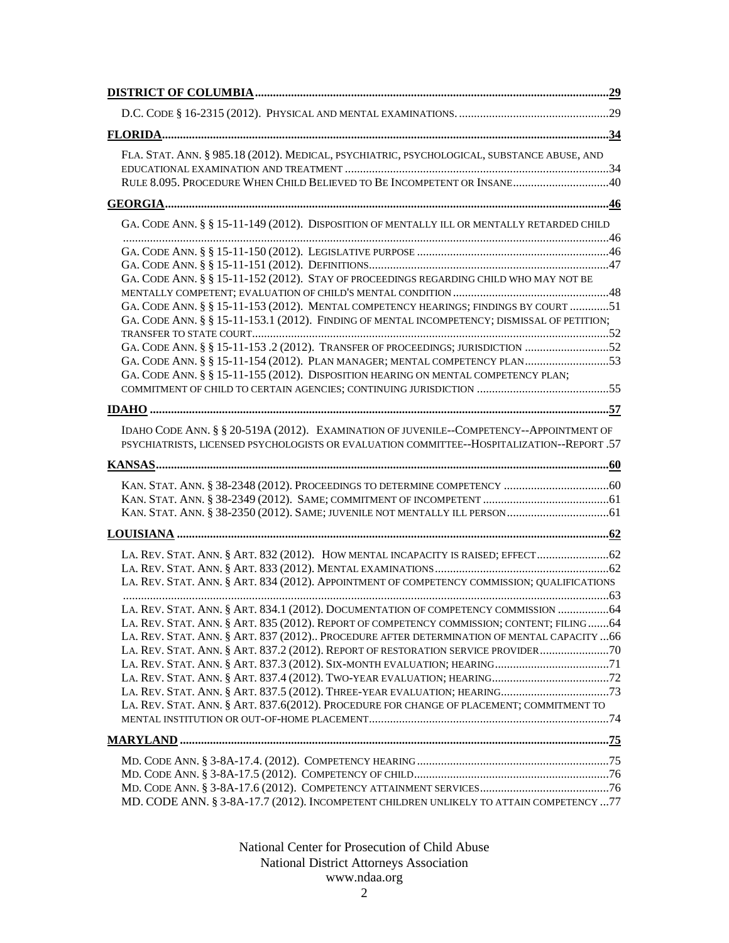| FLA. STAT. ANN. § 985.18 (2012). MEDICAL, PSYCHIATRIC, PSYCHOLOGICAL, SUBSTANCE ABUSE, AND<br>RULE 8.095. PROCEDURE WHEN CHILD BELIEVED TO BE INCOMPETENT OR INSANE 40                                                                                                                                                                                                                           |  |
|--------------------------------------------------------------------------------------------------------------------------------------------------------------------------------------------------------------------------------------------------------------------------------------------------------------------------------------------------------------------------------------------------|--|
|                                                                                                                                                                                                                                                                                                                                                                                                  |  |
| GA. CODE ANN. § § 15-11-149 (2012). DISPOSITION OF MENTALLY ILL OR MENTALLY RETARDED CHILD                                                                                                                                                                                                                                                                                                       |  |
|                                                                                                                                                                                                                                                                                                                                                                                                  |  |
|                                                                                                                                                                                                                                                                                                                                                                                                  |  |
|                                                                                                                                                                                                                                                                                                                                                                                                  |  |
| GA. CODE ANN. § § 15-11-152 (2012). STAY OF PROCEEDINGS REGARDING CHILD WHO MAY NOT BE                                                                                                                                                                                                                                                                                                           |  |
|                                                                                                                                                                                                                                                                                                                                                                                                  |  |
| GA. CODE ANN. § § 15-11-153 (2012). MENTAL COMPETENCY HEARINGS; FINDINGS BY COURT 51<br>GA. CODE ANN. § § 15-11-153.1 (2012). FINDING OF MENTAL INCOMPETENCY; DISMISSAL OF PETITION;                                                                                                                                                                                                             |  |
|                                                                                                                                                                                                                                                                                                                                                                                                  |  |
| GA. CODE ANN. § § 15-11-153.2 (2012). TRANSFER OF PROCEEDINGS; JURISDICTION                                                                                                                                                                                                                                                                                                                      |  |
| GA. CODE ANN. § § 15-11-154 (2012). PLAN MANAGER; MENTAL COMPETENCY PLAN53                                                                                                                                                                                                                                                                                                                       |  |
| GA. CODE ANN. § § 15-11-155 (2012). DISPOSITION HEARING ON MENTAL COMPETENCY PLAN;                                                                                                                                                                                                                                                                                                               |  |
|                                                                                                                                                                                                                                                                                                                                                                                                  |  |
|                                                                                                                                                                                                                                                                                                                                                                                                  |  |
| PSYCHIATRISTS, LICENSED PSYCHOLOGISTS OR EVALUATION COMMITTEE--HOSPITALIZATION--REPORT .57                                                                                                                                                                                                                                                                                                       |  |
|                                                                                                                                                                                                                                                                                                                                                                                                  |  |
|                                                                                                                                                                                                                                                                                                                                                                                                  |  |
|                                                                                                                                                                                                                                                                                                                                                                                                  |  |
|                                                                                                                                                                                                                                                                                                                                                                                                  |  |
| $\underline{\text{LOUISIANA}}\text{}\dots\text{}\dots\text{}\dots\text{}\dots\text{}\dots\text{}\dots\text{}\dots\text{}\dots\text{}\dots\text{}\dots\text{}\dots\text{}\dots\text{}\dots\text{}\dots\text{}\dots\text{}\dots\text{}\dots\text{}\dots\text{}\dots\text{}\dots\text{}\dots\text{}\dots\text{}\dots\text{}\dots\text{}\dots\text{}\dots\text{}\dots\text{}\dots\text{}\dots\text{$ |  |
| LA. REV. STAT. ANN. § ART. 832 (2012). HOW MENTAL INCAPACITY IS RAISED; EFFECT  62                                                                                                                                                                                                                                                                                                               |  |
|                                                                                                                                                                                                                                                                                                                                                                                                  |  |
| LA. REV. STAT. ANN. § ART. 834 (2012). APPOINTMENT OF COMPETENCY COMMISSION; QUALIFICATIONS                                                                                                                                                                                                                                                                                                      |  |
|                                                                                                                                                                                                                                                                                                                                                                                                  |  |
| LA. REV. STAT. ANN. § ART. 834.1 (2012). DOCUMENTATION OF COMPETENCY COMMISSION  64                                                                                                                                                                                                                                                                                                              |  |
| LA. REV. STAT. ANN. § ART. 835 (2012). REPORT OF COMPETENCY COMMISSION; CONTENT; FILING  64<br>LA. REV. STAT. ANN. § ART. 837 (2012) PROCEDURE AFTER DETERMINATION OF MENTAL CAPACITY  66                                                                                                                                                                                                        |  |
| LA. REV. STAT. ANN. § ART. 837.2 (2012). REPORT OF RESTORATION SERVICE PROVIDER                                                                                                                                                                                                                                                                                                                  |  |
|                                                                                                                                                                                                                                                                                                                                                                                                  |  |
|                                                                                                                                                                                                                                                                                                                                                                                                  |  |
|                                                                                                                                                                                                                                                                                                                                                                                                  |  |
| LA. REV. STAT. ANN. § ART. 837.6(2012). PROCEDURE FOR CHANGE OF PLACEMENT; COMMITMENT TO                                                                                                                                                                                                                                                                                                         |  |
|                                                                                                                                                                                                                                                                                                                                                                                                  |  |
|                                                                                                                                                                                                                                                                                                                                                                                                  |  |
|                                                                                                                                                                                                                                                                                                                                                                                                  |  |
|                                                                                                                                                                                                                                                                                                                                                                                                  |  |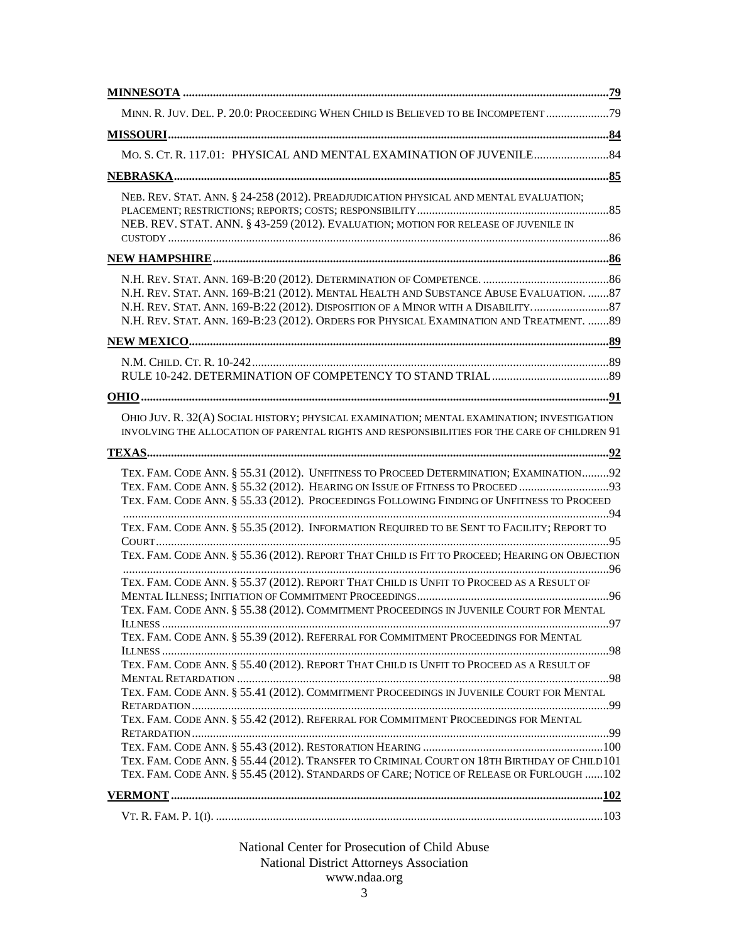| MINN. R. JUV. DEL. P. 20.0: PROCEEDING WHEN CHILD IS BELIEVED TO BE INCOMPETENT  79                                                                                                                                                                                  |  |
|----------------------------------------------------------------------------------------------------------------------------------------------------------------------------------------------------------------------------------------------------------------------|--|
|                                                                                                                                                                                                                                                                      |  |
|                                                                                                                                                                                                                                                                      |  |
|                                                                                                                                                                                                                                                                      |  |
| NEB. REV. STAT. ANN. § 24-258 (2012). PREADJUDICATION PHYSICAL AND MENTAL EVALUATION;<br>NEB. REV. STAT. ANN. § 43-259 (2012). EVALUATION; MOTION FOR RELEASE OF JUVENILE IN                                                                                         |  |
|                                                                                                                                                                                                                                                                      |  |
|                                                                                                                                                                                                                                                                      |  |
| N.H. REV. STAT. ANN. 169-B:21 (2012). MENTAL HEALTH AND SUBSTANCE ABUSE EVALUATION.  87<br>N.H. REV. STAT. ANN. 169-B:22 (2012). DISPOSITION OF A MINOR WITH A DISABILITY<br>N.H. REV. STAT. ANN. 169-B:23 (2012). ORDERS FOR PHYSICAL EXAMINATION AND TREATMENT. 89 |  |
|                                                                                                                                                                                                                                                                      |  |
|                                                                                                                                                                                                                                                                      |  |
|                                                                                                                                                                                                                                                                      |  |
|                                                                                                                                                                                                                                                                      |  |
|                                                                                                                                                                                                                                                                      |  |
| OHIO JUV. R. 32(A) SOCIAL HISTORY; PHYSICAL EXAMINATION; MENTAL EXAMINATION; INVESTIGATION<br>INVOLVING THE ALLOCATION OF PARENTAL RIGHTS AND RESPONSIBILITIES FOR THE CARE OF CHILDREN 91                                                                           |  |
|                                                                                                                                                                                                                                                                      |  |
| TEX. FAM. CODE ANN. § 55.31 (2012). UNFITNESS TO PROCEED DETERMINATION; EXAMINATION92<br>TEX. FAM. CODE ANN. § 55.33 (2012). PROCEEDINGS FOLLOWING FINDING OF UNFITNESS TO PROCEED                                                                                   |  |
| TEX. FAM. CODE ANN. § 55.35 (2012). INFORMATION REQUIRED TO BE SENT TO FACILITY; REPORT TO                                                                                                                                                                           |  |
| TEX. FAM. CODE ANN. § 55.36 (2012). REPORT THAT CHILD IS FIT TO PROCEED; HEARING ON OBJECTION                                                                                                                                                                        |  |
| TEX. FAM. CODE ANN. § 55.37 (2012). REPORT THAT CHILD IS UNFIT TO PROCEED AS A RESULT OF                                                                                                                                                                             |  |
| TEX. FAM. CODE ANN. § 55.38 (2012). COMMITMENT PROCEEDINGS IN JUVENILE COURT FOR MENTAL                                                                                                                                                                              |  |
| TEX. FAM. CODE ANN. § 55.39 (2012). REFERRAL FOR COMMITMENT PROCEEDINGS FOR MENTAL                                                                                                                                                                                   |  |
| TEX. FAM. CODE ANN. § 55.40 (2012). REPORT THAT CHILD IS UNFIT TO PROCEED AS A RESULT OF                                                                                                                                                                             |  |
| TEX. FAM. CODE ANN. § 55.41 (2012). COMMITMENT PROCEEDINGS IN JUVENILE COURT FOR MENTAL                                                                                                                                                                              |  |
| TEX. FAM. CODE ANN. § 55.42 (2012). REFERRAL FOR COMMITMENT PROCEEDINGS FOR MENTAL                                                                                                                                                                                   |  |
|                                                                                                                                                                                                                                                                      |  |
| TEX. FAM. CODE ANN. § 55.44 (2012). TRANSFER TO CRIMINAL COURT ON 18TH BIRTHDAY OF CHILD101                                                                                                                                                                          |  |
| TEX. FAM. CODE ANN. § 55.45 (2012). STANDARDS OF CARE; NOTICE OF RELEASE OR FURLOUGH 102                                                                                                                                                                             |  |
|                                                                                                                                                                                                                                                                      |  |
|                                                                                                                                                                                                                                                                      |  |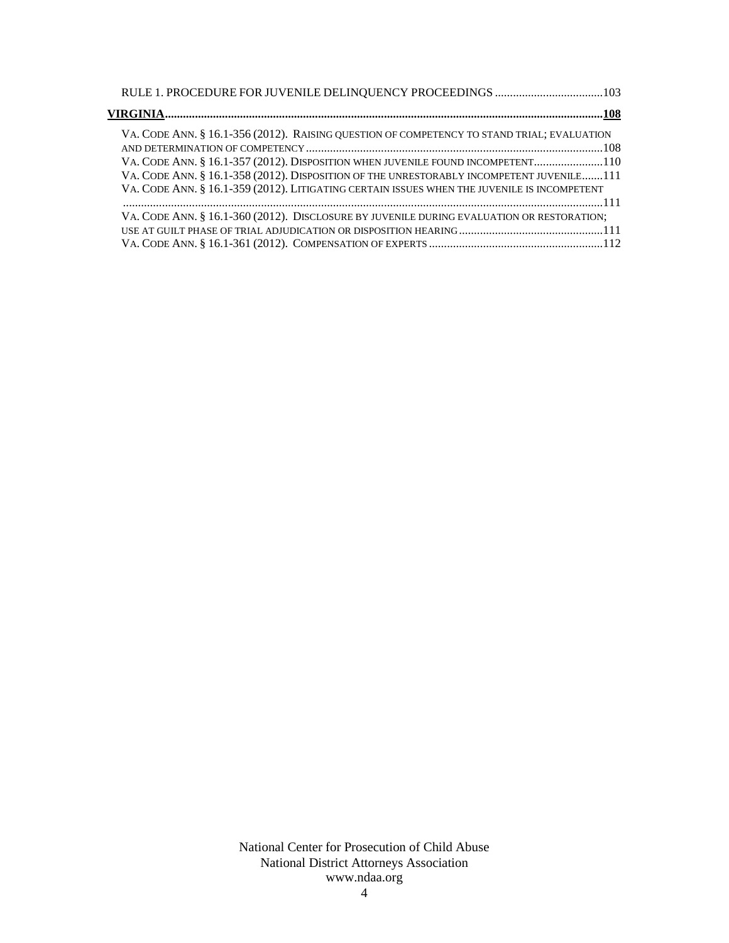| VA. CODE ANN. § 16.1-356 (2012). RAISING QUESTION OF COMPETENCY TO STAND TRIAL; EVALUATION  |  |
|---------------------------------------------------------------------------------------------|--|
|                                                                                             |  |
| VA. CODE ANN. § 16.1-357 (2012). DISPOSITION WHEN JUVENILE FOUND INCOMPETENT110             |  |
| VA. CODE ANN. § 16.1-358 (2012). DISPOSITION OF THE UNRESTORABLY INCOMPETENT JUVENILE111    |  |
| VA. CODE ANN. § 16.1-359 (2012). LITIGATING CERTAIN ISSUES WHEN THE JUVENILE IS INCOMPETENT |  |
|                                                                                             |  |
| VA. CODE ANN. § 16.1-360 (2012). DISCLOSURE BY JUVENILE DURING EVALUATION OR RESTORATION;   |  |
|                                                                                             |  |
|                                                                                             |  |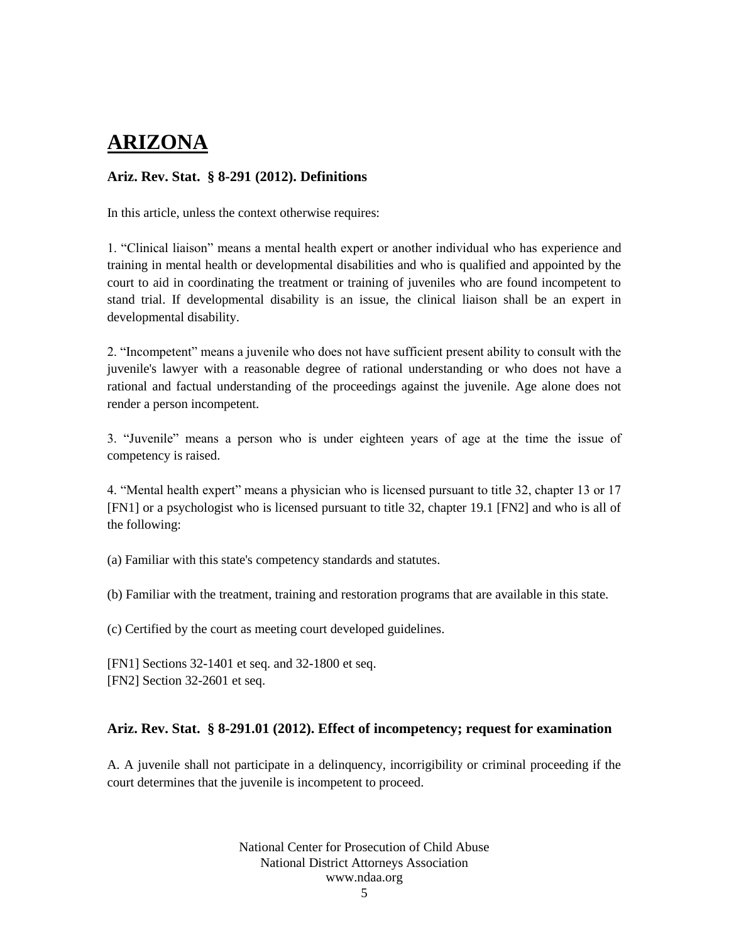# <span id="page-4-0"></span>**ARIZONA**

### <span id="page-4-1"></span>**Ariz. Rev. Stat. § 8-291 (2012). Definitions**

In this article, unless the context otherwise requires:

1. "Clinical liaison" means a mental health expert or another individual who has experience and training in mental health or developmental disabilities and who is qualified and appointed by the court to aid in coordinating the treatment or training of juveniles who are found incompetent to stand trial. If developmental disability is an issue, the clinical liaison shall be an expert in developmental disability.

2. "Incompetent" means a juvenile who does not have sufficient present ability to consult with the juvenile's lawyer with a reasonable degree of rational understanding or who does not have a rational and factual understanding of the proceedings against the juvenile. Age alone does not render a person incompetent.

3. "Juvenile" means a person who is under eighteen years of age at the time the issue of competency is raised.

4. "Mental health expert" means a physician who is licensed pursuant to title 32, chapter 13 or 17 [FN1] or a psychologist who is licensed pursuant to title 32, chapter 19.1 [FN2] and who is all of the following:

(a) Familiar with this state's competency standards and statutes.

(b) Familiar with the treatment, training and restoration programs that are available in this state.

(c) Certified by the court as meeting court developed guidelines.

[FN1] Sections 32-1401 et seq. and 32-1800 et seq. [FN2] Section 32-2601 et seq.

#### <span id="page-4-2"></span>**Ariz. Rev. Stat. § 8-291.01 (2012). Effect of incompetency; request for examination**

A. A juvenile shall not participate in a delinquency, incorrigibility or criminal proceeding if the court determines that the juvenile is incompetent to proceed.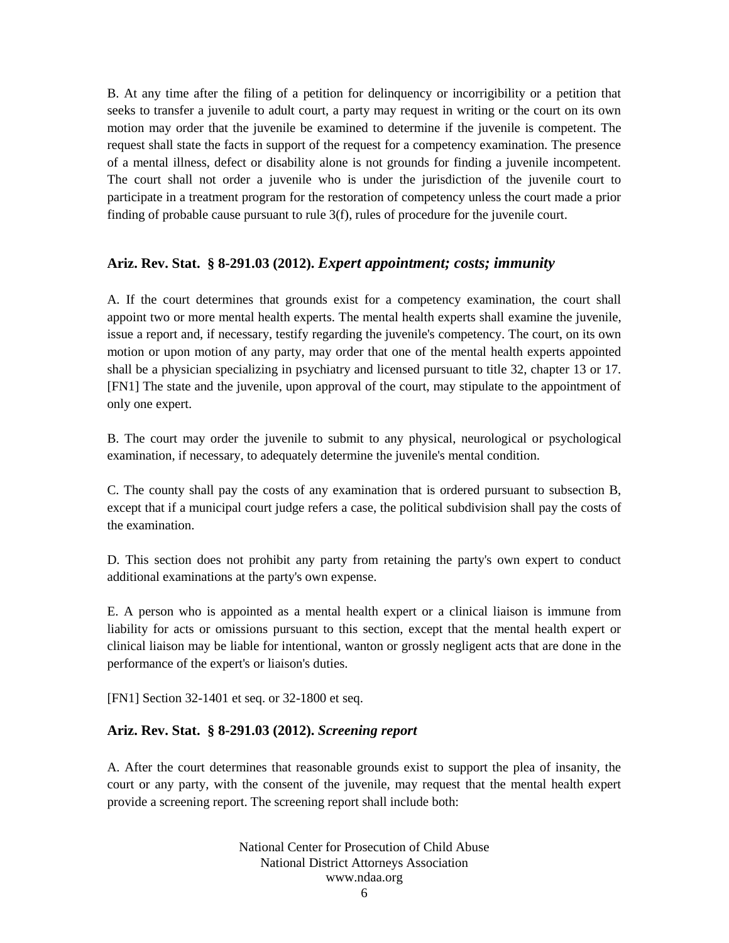B. At any time after the filing of a petition for delinquency or incorrigibility or a petition that seeks to transfer a juvenile to adult court, a party may request in writing or the court on its own motion may order that the juvenile be examined to determine if the juvenile is competent. The request shall state the facts in support of the request for a competency examination. The presence of a mental illness, defect or disability alone is not grounds for finding a juvenile incompetent. The court shall not order a juvenile who is under the jurisdiction of the juvenile court to participate in a treatment program for the restoration of competency unless the court made a prior finding of probable cause pursuant to rule 3(f), rules of procedure for the juvenile court.

#### <span id="page-5-0"></span>**Ariz. Rev. Stat. § 8-291.03 (2012).** *Expert appointment; costs; immunity*

A. If the court determines that grounds exist for a competency examination, the court shall appoint two or more mental health experts. The mental health experts shall examine the juvenile, issue a report and, if necessary, testify regarding the juvenile's competency. The court, on its own motion or upon motion of any party, may order that one of the mental health experts appointed shall be a physician specializing in psychiatry and licensed pursuant to title 32, chapter 13 or 17. [FN1] The state and the juvenile, upon approval of the court, may stipulate to the appointment of only one expert.

B. The court may order the juvenile to submit to any physical, neurological or psychological examination, if necessary, to adequately determine the juvenile's mental condition.

C. The county shall pay the costs of any examination that is ordered pursuant to subsection B, except that if a municipal court judge refers a case, the political subdivision shall pay the costs of the examination.

D. This section does not prohibit any party from retaining the party's own expert to conduct additional examinations at the party's own expense.

E. A person who is appointed as a mental health expert or a clinical liaison is immune from liability for acts or omissions pursuant to this section, except that the mental health expert or clinical liaison may be liable for intentional, wanton or grossly negligent acts that are done in the performance of the expert's or liaison's duties.

<span id="page-5-1"></span>[FN1] Section 32-1401 et seq. or 32-1800 et seq.

#### **Ariz. Rev. Stat. § 8-291.03 (2012).** *Screening report*

A. After the court determines that reasonable grounds exist to support the plea of insanity, the court or any party, with the consent of the juvenile, may request that the mental health expert provide a screening report. The screening report shall include both: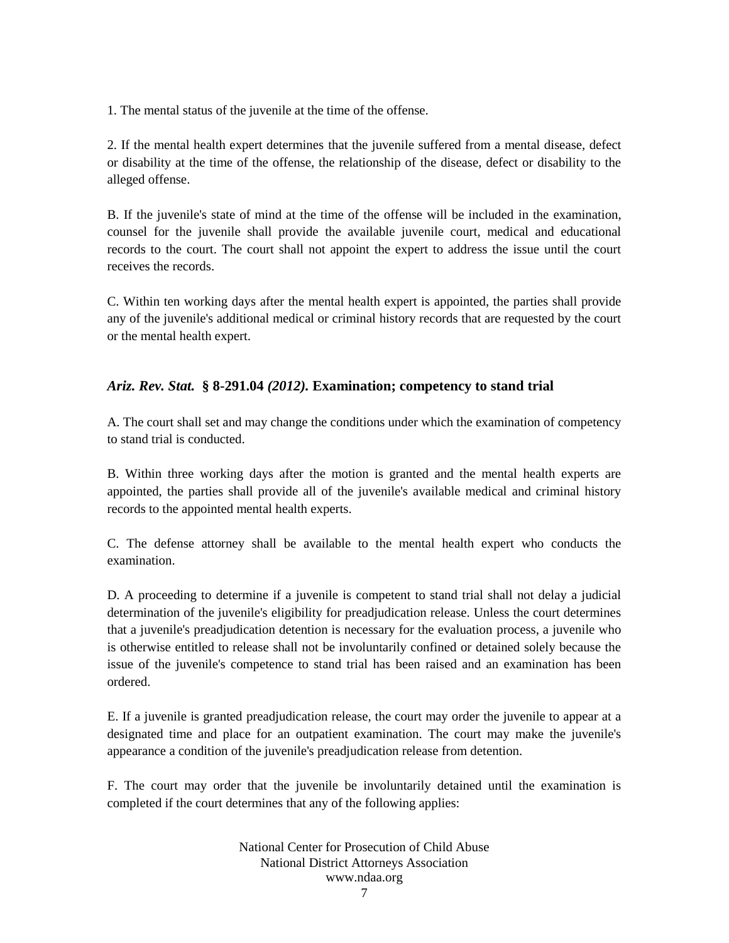1. The mental status of the juvenile at the time of the offense.

2. If the mental health expert determines that the juvenile suffered from a mental disease, defect or disability at the time of the offense, the relationship of the disease, defect or disability to the alleged offense.

B. If the juvenile's state of mind at the time of the offense will be included in the examination, counsel for the juvenile shall provide the available juvenile court, medical and educational records to the court. The court shall not appoint the expert to address the issue until the court receives the records.

C. Within ten working days after the mental health expert is appointed, the parties shall provide any of the juvenile's additional medical or criminal history records that are requested by the court or the mental health expert.

#### <span id="page-6-0"></span>*Ariz. Rev. Stat.* **§ 8-291.04** *(2012).* **Examination; competency to stand trial**

A. The court shall set and may change the conditions under which the examination of competency to stand trial is conducted.

B. Within three working days after the motion is granted and the mental health experts are appointed, the parties shall provide all of the juvenile's available medical and criminal history records to the appointed mental health experts.

C. The defense attorney shall be available to the mental health expert who conducts the examination.

D. A proceeding to determine if a juvenile is competent to stand trial shall not delay a judicial determination of the juvenile's eligibility for preadjudication release. Unless the court determines that a juvenile's preadjudication detention is necessary for the evaluation process, a juvenile who is otherwise entitled to release shall not be involuntarily confined or detained solely because the issue of the juvenile's competence to stand trial has been raised and an examination has been ordered.

E. If a juvenile is granted preadjudication release, the court may order the juvenile to appear at a designated time and place for an outpatient examination. The court may make the juvenile's appearance a condition of the juvenile's preadjudication release from detention.

F. The court may order that the juvenile be involuntarily detained until the examination is completed if the court determines that any of the following applies: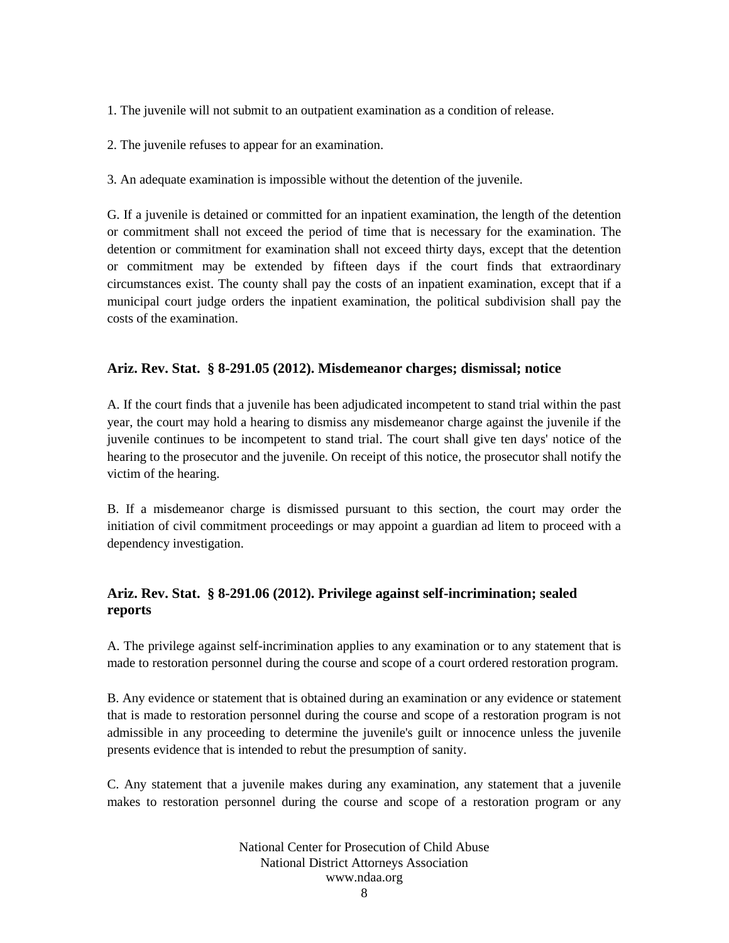1. The juvenile will not submit to an outpatient examination as a condition of release.

2. The juvenile refuses to appear for an examination.

3. An adequate examination is impossible without the detention of the juvenile.

G. If a juvenile is detained or committed for an inpatient examination, the length of the detention or commitment shall not exceed the period of time that is necessary for the examination. The detention or commitment for examination shall not exceed thirty days, except that the detention or commitment may be extended by fifteen days if the court finds that extraordinary circumstances exist. The county shall pay the costs of an inpatient examination, except that if a municipal court judge orders the inpatient examination, the political subdivision shall pay the costs of the examination.

#### <span id="page-7-0"></span>**Ariz. Rev. Stat. § 8-291.05 (2012). Misdemeanor charges; dismissal; notice**

A. If the court finds that a juvenile has been adjudicated incompetent to stand trial within the past year, the court may hold a hearing to dismiss any misdemeanor charge against the juvenile if the juvenile continues to be incompetent to stand trial. The court shall give ten days' notice of the hearing to the prosecutor and the juvenile. On receipt of this notice, the prosecutor shall notify the victim of the hearing.

B. If a misdemeanor charge is dismissed pursuant to this section, the court may order the initiation of civil commitment proceedings or may appoint a guardian ad litem to proceed with a dependency investigation.

#### <span id="page-7-1"></span>**Ariz. Rev. Stat. § 8-291.06 (2012). Privilege against self-incrimination; sealed reports**

A. The privilege against self-incrimination applies to any examination or to any statement that is made to restoration personnel during the course and scope of a court ordered restoration program.

B. Any evidence or statement that is obtained during an examination or any evidence or statement that is made to restoration personnel during the course and scope of a restoration program is not admissible in any proceeding to determine the juvenile's guilt or innocence unless the juvenile presents evidence that is intended to rebut the presumption of sanity.

C. Any statement that a juvenile makes during any examination, any statement that a juvenile makes to restoration personnel during the course and scope of a restoration program or any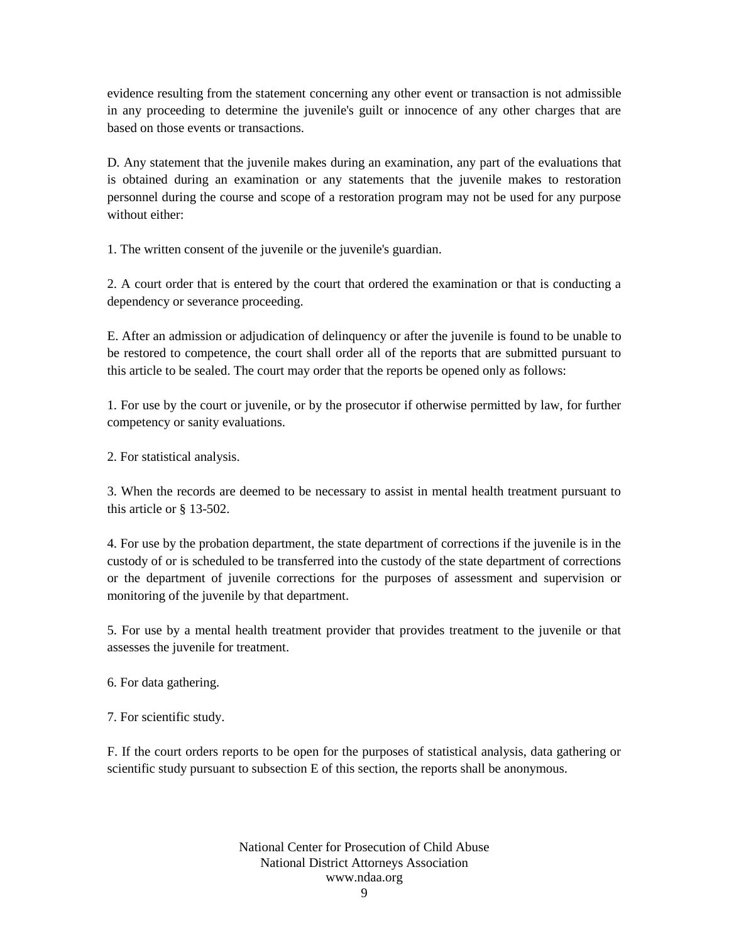evidence resulting from the statement concerning any other event or transaction is not admissible in any proceeding to determine the juvenile's guilt or innocence of any other charges that are based on those events or transactions.

D. Any statement that the juvenile makes during an examination, any part of the evaluations that is obtained during an examination or any statements that the juvenile makes to restoration personnel during the course and scope of a restoration program may not be used for any purpose without either:

1. The written consent of the juvenile or the juvenile's guardian.

2. A court order that is entered by the court that ordered the examination or that is conducting a dependency or severance proceeding.

E. After an admission or adjudication of delinquency or after the juvenile is found to be unable to be restored to competence, the court shall order all of the reports that are submitted pursuant to this article to be sealed. The court may order that the reports be opened only as follows:

1. For use by the court or juvenile, or by the prosecutor if otherwise permitted by law, for further competency or sanity evaluations.

2. For statistical analysis.

3. When the records are deemed to be necessary to assist in mental health treatment pursuant to this article or § 13-502.

4. For use by the probation department, the state department of corrections if the juvenile is in the custody of or is scheduled to be transferred into the custody of the state department of corrections or the department of juvenile corrections for the purposes of assessment and supervision or monitoring of the juvenile by that department.

5. For use by a mental health treatment provider that provides treatment to the juvenile or that assesses the juvenile for treatment.

6. For data gathering.

7. For scientific study.

F. If the court orders reports to be open for the purposes of statistical analysis, data gathering or scientific study pursuant to subsection E of this section, the reports shall be anonymous.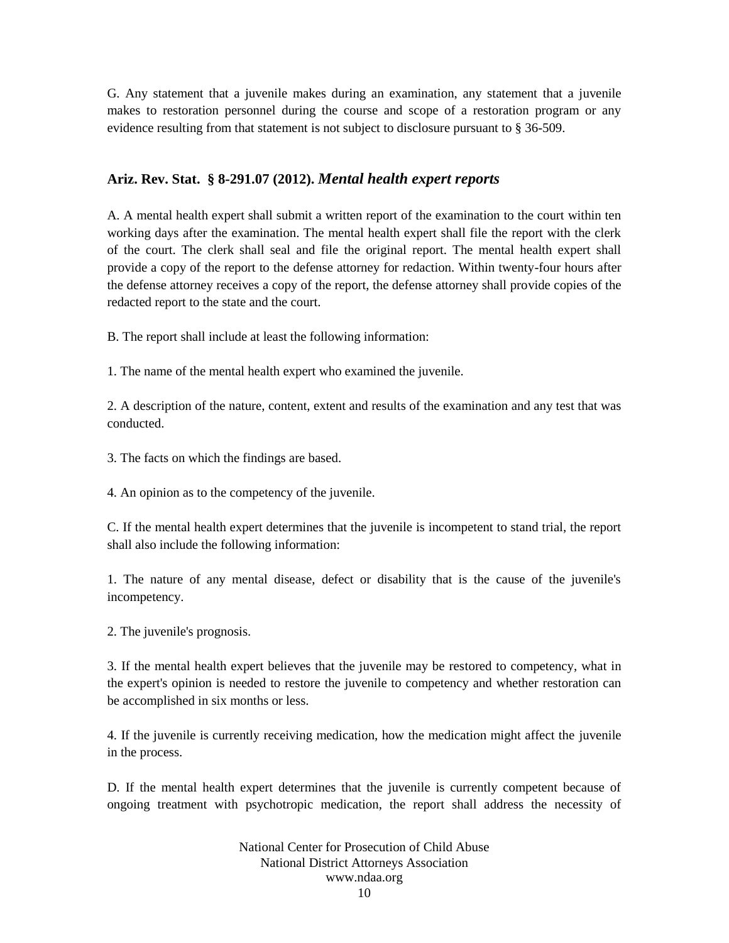G. Any statement that a juvenile makes during an examination, any statement that a juvenile makes to restoration personnel during the course and scope of a restoration program or any evidence resulting from that statement is not subject to disclosure pursuant to § 36-509.

#### <span id="page-9-0"></span>**Ariz. Rev. Stat. § 8-291.07 (2012).** *Mental health expert reports*

A. A mental health expert shall submit a written report of the examination to the court within ten working days after the examination. The mental health expert shall file the report with the clerk of the court. The clerk shall seal and file the original report. The mental health expert shall provide a copy of the report to the defense attorney for redaction. Within twenty-four hours after the defense attorney receives a copy of the report, the defense attorney shall provide copies of the redacted report to the state and the court.

B. The report shall include at least the following information:

1. The name of the mental health expert who examined the juvenile.

2. A description of the nature, content, extent and results of the examination and any test that was conducted.

3. The facts on which the findings are based.

4. An opinion as to the competency of the juvenile.

C. If the mental health expert determines that the juvenile is incompetent to stand trial, the report shall also include the following information:

1. The nature of any mental disease, defect or disability that is the cause of the juvenile's incompetency.

2. The juvenile's prognosis.

3. If the mental health expert believes that the juvenile may be restored to competency, what in the expert's opinion is needed to restore the juvenile to competency and whether restoration can be accomplished in six months or less.

4. If the juvenile is currently receiving medication, how the medication might affect the juvenile in the process.

D. If the mental health expert determines that the juvenile is currently competent because of ongoing treatment with psychotropic medication, the report shall address the necessity of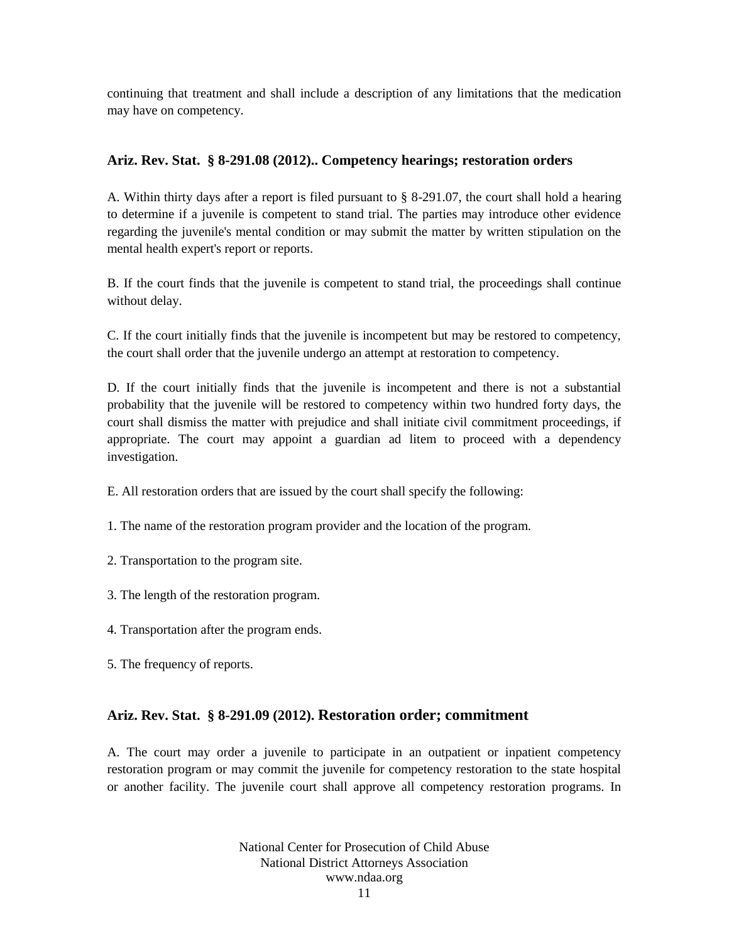continuing that treatment and shall include a description of any limitations that the medication may have on competency.

#### <span id="page-10-0"></span>**Ariz. Rev. Stat. § 8-291.08 (2012).. Competency hearings; restoration orders**

A. Within thirty days after a report is filed pursuant to § 8-291.07, the court shall hold a hearing to determine if a juvenile is competent to stand trial. The parties may introduce other evidence regarding the juvenile's mental condition or may submit the matter by written stipulation on the mental health expert's report or reports.

B. If the court finds that the juvenile is competent to stand trial, the proceedings shall continue without delay.

C. If the court initially finds that the juvenile is incompetent but may be restored to competency, the court shall order that the juvenile undergo an attempt at restoration to competency.

D. If the court initially finds that the juvenile is incompetent and there is not a substantial probability that the juvenile will be restored to competency within two hundred forty days, the court shall dismiss the matter with prejudice and shall initiate civil commitment proceedings, if appropriate. The court may appoint a guardian ad litem to proceed with a dependency investigation.

E. All restoration orders that are issued by the court shall specify the following:

- 1. The name of the restoration program provider and the location of the program.
- 2. Transportation to the program site.
- 3. The length of the restoration program.
- 4. Transportation after the program ends.
- 5. The frequency of reports.

### <span id="page-10-1"></span>**Ariz. Rev. Stat. § 8-291.09 (2012). Restoration order; commitment**

A. The court may order a juvenile to participate in an outpatient or inpatient competency restoration program or may commit the juvenile for competency restoration to the state hospital or another facility. The juvenile court shall approve all competency restoration programs. In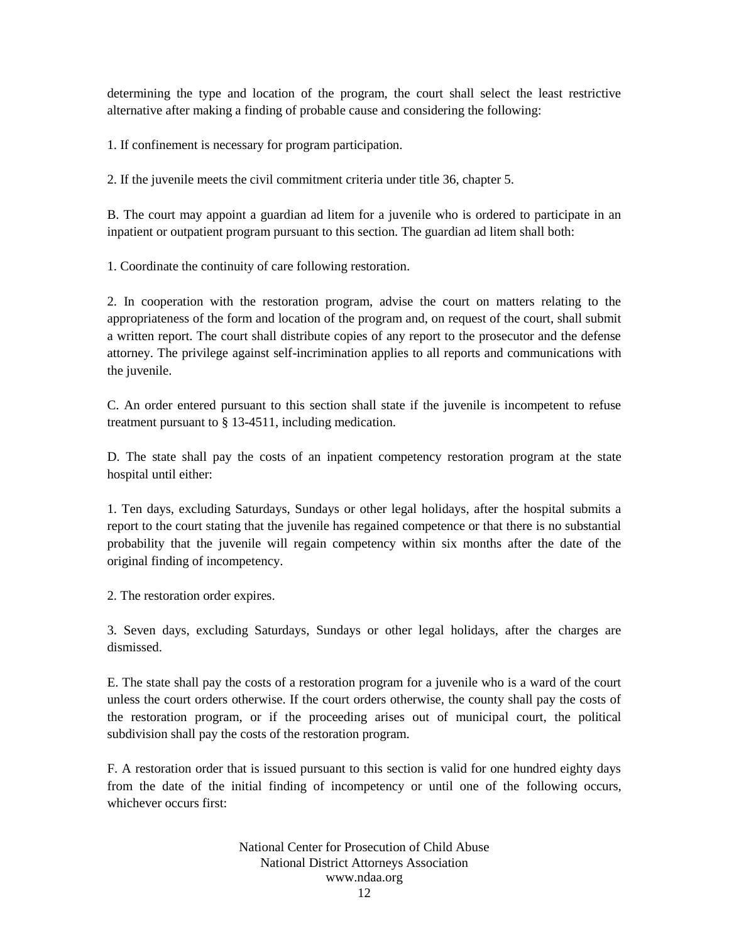determining the type and location of the program, the court shall select the least restrictive alternative after making a finding of probable cause and considering the following:

1. If confinement is necessary for program participation.

2. If the juvenile meets the civil commitment criteria under title 36, chapter 5.

B. The court may appoint a guardian ad litem for a juvenile who is ordered to participate in an inpatient or outpatient program pursuant to this section. The guardian ad litem shall both:

1. Coordinate the continuity of care following restoration.

2. In cooperation with the restoration program, advise the court on matters relating to the appropriateness of the form and location of the program and, on request of the court, shall submit a written report. The court shall distribute copies of any report to the prosecutor and the defense attorney. The privilege against self-incrimination applies to all reports and communications with the juvenile.

C. An order entered pursuant to this section shall state if the juvenile is incompetent to refuse treatment pursuant to § 13-4511, including medication.

D. The state shall pay the costs of an inpatient competency restoration program at the state hospital until either:

1. Ten days, excluding Saturdays, Sundays or other legal holidays, after the hospital submits a report to the court stating that the juvenile has regained competence or that there is no substantial probability that the juvenile will regain competency within six months after the date of the original finding of incompetency.

2. The restoration order expires.

3. Seven days, excluding Saturdays, Sundays or other legal holidays, after the charges are dismissed.

E. The state shall pay the costs of a restoration program for a juvenile who is a ward of the court unless the court orders otherwise. If the court orders otherwise, the county shall pay the costs of the restoration program, or if the proceeding arises out of municipal court, the political subdivision shall pay the costs of the restoration program.

F. A restoration order that is issued pursuant to this section is valid for one hundred eighty days from the date of the initial finding of incompetency or until one of the following occurs, whichever occurs first: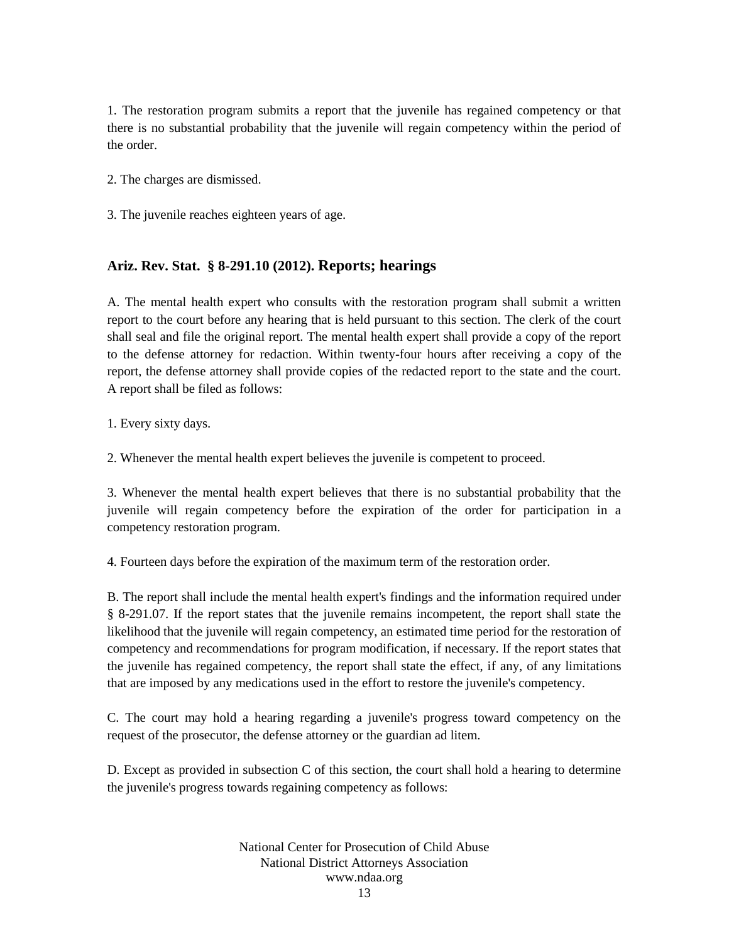1. The restoration program submits a report that the juvenile has regained competency or that there is no substantial probability that the juvenile will regain competency within the period of the order.

2. The charges are dismissed.

3. The juvenile reaches eighteen years of age.

#### <span id="page-12-0"></span>**Ariz. Rev. Stat. § 8-291.10 (2012). Reports; hearings**

A. The mental health expert who consults with the restoration program shall submit a written report to the court before any hearing that is held pursuant to this section. The clerk of the court shall seal and file the original report. The mental health expert shall provide a copy of the report to the defense attorney for redaction. Within twenty-four hours after receiving a copy of the report, the defense attorney shall provide copies of the redacted report to the state and the court. A report shall be filed as follows:

1. Every sixty days.

2. Whenever the mental health expert believes the juvenile is competent to proceed.

3. Whenever the mental health expert believes that there is no substantial probability that the juvenile will regain competency before the expiration of the order for participation in a competency restoration program.

4. Fourteen days before the expiration of the maximum term of the restoration order.

B. The report shall include the mental health expert's findings and the information required under § 8-291.07. If the report states that the juvenile remains incompetent, the report shall state the likelihood that the juvenile will regain competency, an estimated time period for the restoration of competency and recommendations for program modification, if necessary. If the report states that the juvenile has regained competency, the report shall state the effect, if any, of any limitations that are imposed by any medications used in the effort to restore the juvenile's competency.

C. The court may hold a hearing regarding a juvenile's progress toward competency on the request of the prosecutor, the defense attorney or the guardian ad litem.

D. Except as provided in subsection C of this section, the court shall hold a hearing to determine the juvenile's progress towards regaining competency as follows: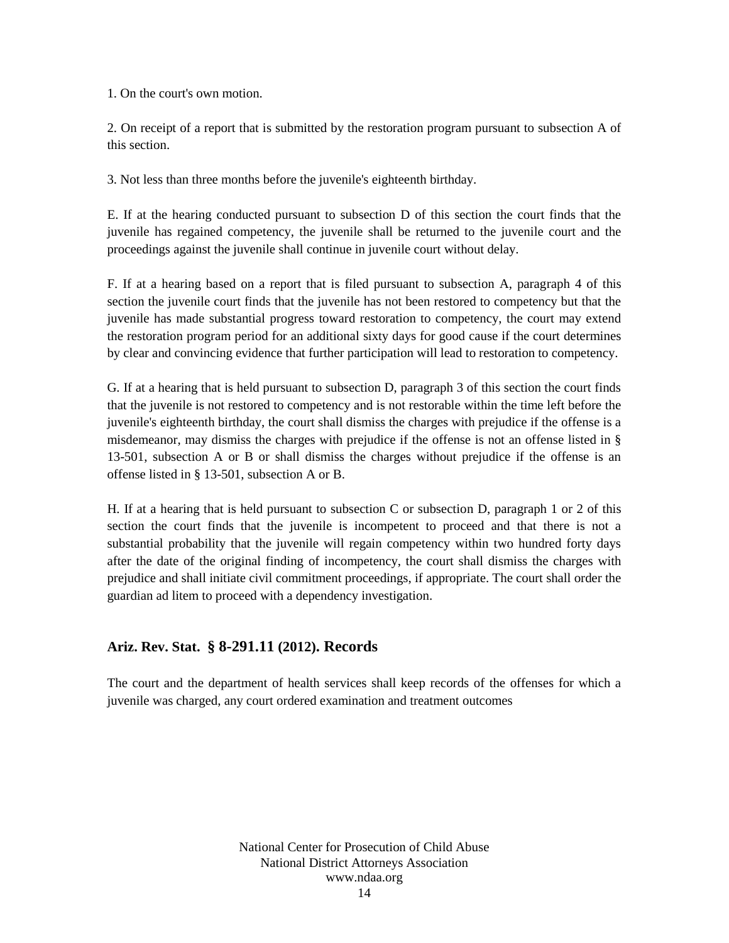1. On the court's own motion.

2. On receipt of a report that is submitted by the restoration program pursuant to subsection A of this section.

3. Not less than three months before the juvenile's eighteenth birthday.

E. If at the hearing conducted pursuant to subsection D of this section the court finds that the juvenile has regained competency, the juvenile shall be returned to the juvenile court and the proceedings against the juvenile shall continue in juvenile court without delay.

F. If at a hearing based on a report that is filed pursuant to subsection A, paragraph 4 of this section the juvenile court finds that the juvenile has not been restored to competency but that the juvenile has made substantial progress toward restoration to competency, the court may extend the restoration program period for an additional sixty days for good cause if the court determines by clear and convincing evidence that further participation will lead to restoration to competency.

G. If at a hearing that is held pursuant to subsection D, paragraph 3 of this section the court finds that the juvenile is not restored to competency and is not restorable within the time left before the juvenile's eighteenth birthday, the court shall dismiss the charges with prejudice if the offense is a misdemeanor, may dismiss the charges with prejudice if the offense is not an offense listed in § 13-501, subsection A or B or shall dismiss the charges without prejudice if the offense is an offense listed in § 13-501, subsection A or B.

H. If at a hearing that is held pursuant to subsection C or subsection D, paragraph 1 or 2 of this section the court finds that the juvenile is incompetent to proceed and that there is not a substantial probability that the juvenile will regain competency within two hundred forty days after the date of the original finding of incompetency, the court shall dismiss the charges with prejudice and shall initiate civil commitment proceedings, if appropriate. The court shall order the guardian ad litem to proceed with a dependency investigation.

### <span id="page-13-0"></span>**Ariz. Rev. Stat.****§ 8-291.11 (2012). Records**

The court and the department of health services shall keep records of the offenses for which a juvenile was charged, any court ordered examination and treatment outcomes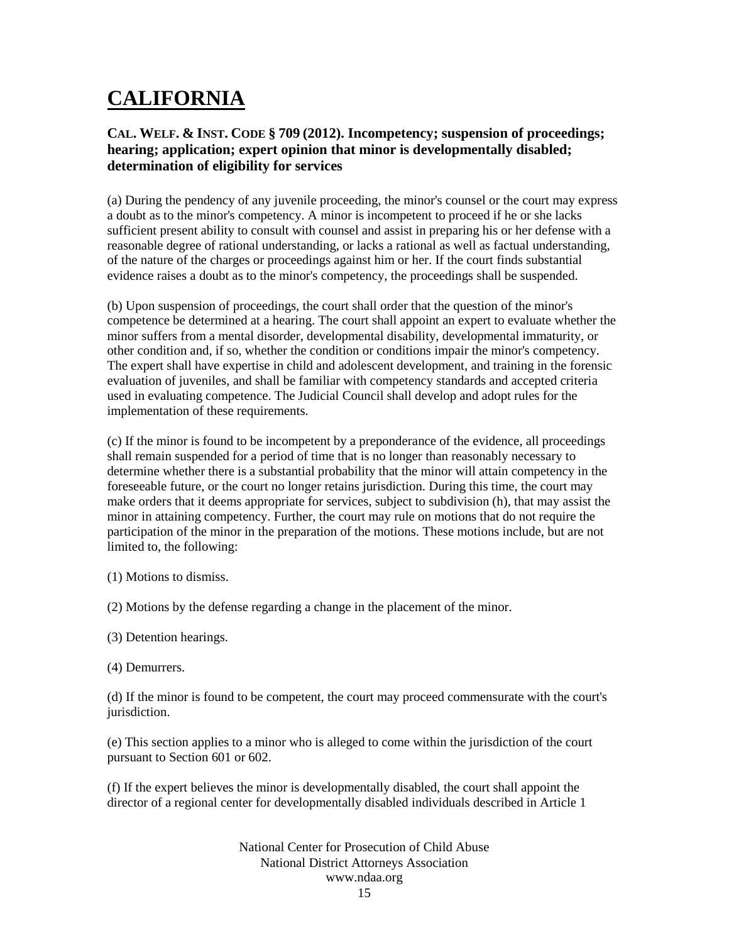# <span id="page-14-0"></span>**CALIFORNIA**

### <span id="page-14-1"></span>**CAL. WELF. & INST. CODE § 709 (2012). Incompetency; suspension of proceedings; hearing; application; expert opinion that minor is developmentally disabled; determination of eligibility for services**

(a) During the pendency of any juvenile proceeding, the minor's counsel or the court may express a doubt as to the minor's competency. A minor is incompetent to proceed if he or she lacks sufficient present ability to consult with counsel and assist in preparing his or her defense with a reasonable degree of rational understanding, or lacks a rational as well as factual understanding, of the nature of the charges or proceedings against him or her. If the court finds substantial evidence raises a doubt as to the minor's competency, the proceedings shall be suspended.

(b) Upon suspension of proceedings, the court shall order that the question of the minor's competence be determined at a hearing. The court shall appoint an expert to evaluate whether the minor suffers from a mental disorder, developmental disability, developmental immaturity, or other condition and, if so, whether the condition or conditions impair the minor's competency. The expert shall have expertise in child and adolescent development, and training in the forensic evaluation of juveniles, and shall be familiar with competency standards and accepted criteria used in evaluating competence. The Judicial Council shall develop and adopt rules for the implementation of these requirements.

(c) If the minor is found to be incompetent by a preponderance of the evidence, all proceedings shall remain suspended for a period of time that is no longer than reasonably necessary to determine whether there is a substantial probability that the minor will attain competency in the foreseeable future, or the court no longer retains jurisdiction. During this time, the court may make orders that it deems appropriate for services, subject to subdivision (h), that may assist the minor in attaining competency. Further, the court may rule on motions that do not require the participation of the minor in the preparation of the motions. These motions include, but are not limited to, the following:

- (1) Motions to dismiss.
- (2) Motions by the defense regarding a change in the placement of the minor.
- (3) Detention hearings.
- (4) Demurrers.

(d) If the minor is found to be competent, the court may proceed commensurate with the court's jurisdiction.

(e) This section applies to a minor who is alleged to come within the jurisdiction of the court pursuant to Section 601 or 602.

(f) If the expert believes the minor is developmentally disabled, the court shall appoint the director of a regional center for developmentally disabled individuals described in Article 1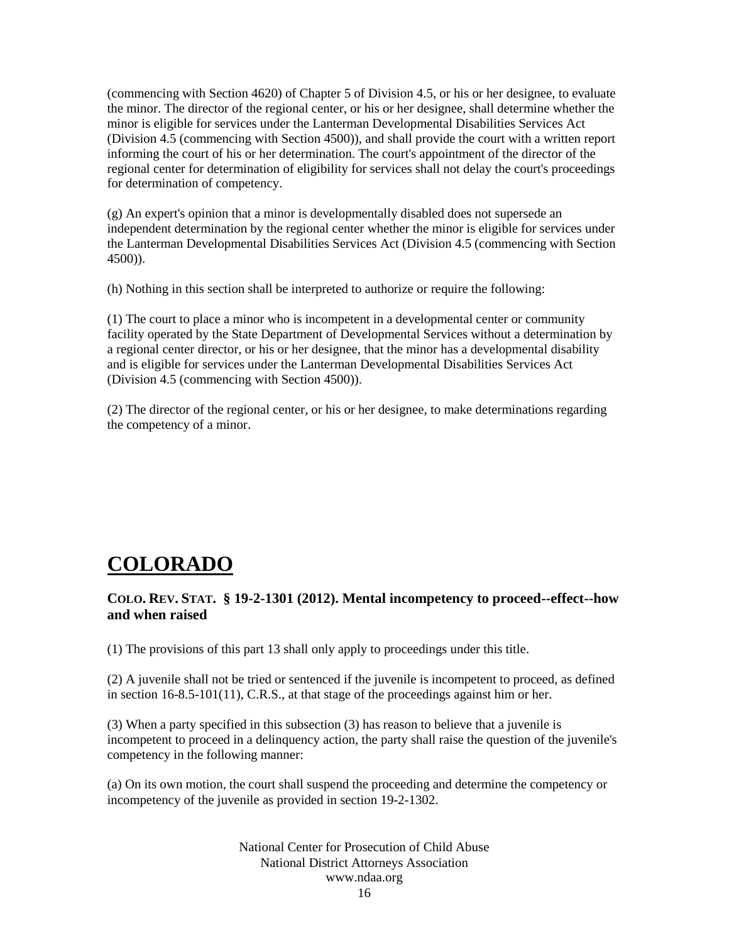(commencing with Section 4620) of Chapter 5 of Division 4.5, or his or her designee, to evaluate the minor. The director of the regional center, or his or her designee, shall determine whether the minor is eligible for services under the Lanterman Developmental Disabilities Services Act (Division 4.5 (commencing with Section 4500)), and shall provide the court with a written report informing the court of his or her determination. The court's appointment of the director of the regional center for determination of eligibility for services shall not delay the court's proceedings for determination of competency.

(g) An expert's opinion that a minor is developmentally disabled does not supersede an independent determination by the regional center whether the minor is eligible for services under the Lanterman Developmental Disabilities Services Act (Division 4.5 (commencing with Section 4500)).

(h) Nothing in this section shall be interpreted to authorize or require the following:

(1) The court to place a minor who is incompetent in a developmental center or community facility operated by the State Department of Developmental Services without a determination by a regional center director, or his or her designee, that the minor has a developmental disability and is eligible for services under the Lanterman Developmental Disabilities Services Act (Division 4.5 (commencing with Section 4500)).

(2) The director of the regional center, or his or her designee, to make determinations regarding the competency of a minor.

## <span id="page-15-0"></span>**COLORADO**

#### <span id="page-15-1"></span>**COLO. REV. STAT. § 19-2-1301 (2012). Mental incompetency to proceed--effect--how and when raised**

(1) The provisions of this part 13 shall only apply to proceedings under this title.

(2) A juvenile shall not be tried or sentenced if the juvenile is incompetent to proceed, as defined in section 16-8.5-101(11), C.R.S., at that stage of the proceedings against him or her.

(3) When a party specified in this subsection (3) has reason to believe that a juvenile is incompetent to proceed in a delinquency action, the party shall raise the question of the juvenile's competency in the following manner:

(a) On its own motion, the court shall suspend the proceeding and determine the competency or incompetency of the juvenile as provided in section 19-2-1302.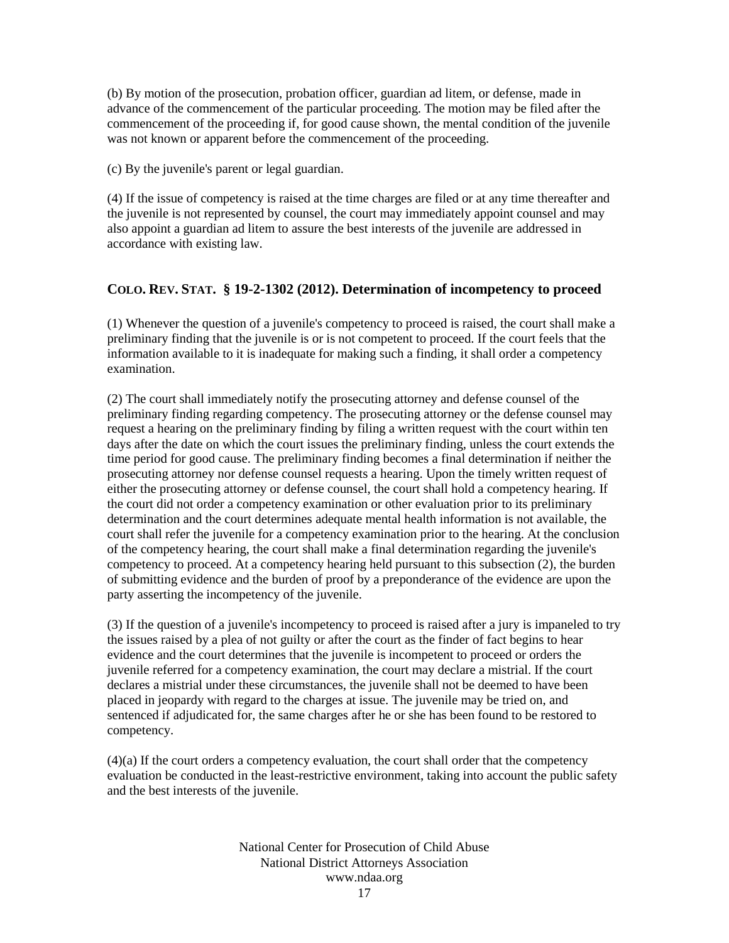(b) By motion of the prosecution, probation officer, guardian ad litem, or defense, made in advance of the commencement of the particular proceeding. The motion may be filed after the commencement of the proceeding if, for good cause shown, the mental condition of the juvenile was not known or apparent before the commencement of the proceeding.

(c) By the juvenile's parent or legal guardian.

(4) If the issue of competency is raised at the time charges are filed or at any time thereafter and the juvenile is not represented by counsel, the court may immediately appoint counsel and may also appoint a guardian ad litem to assure the best interests of the juvenile are addressed in accordance with existing law.

#### <span id="page-16-0"></span>**COLO. REV. STAT. § 19-2-1302 (2012). Determination of incompetency to proceed**

(1) Whenever the question of a juvenile's competency to proceed is raised, the court shall make a preliminary finding that the juvenile is or is not competent to proceed. If the court feels that the information available to it is inadequate for making such a finding, it shall order a competency examination.

(2) The court shall immediately notify the prosecuting attorney and defense counsel of the preliminary finding regarding competency. The prosecuting attorney or the defense counsel may request a hearing on the preliminary finding by filing a written request with the court within ten days after the date on which the court issues the preliminary finding, unless the court extends the time period for good cause. The preliminary finding becomes a final determination if neither the prosecuting attorney nor defense counsel requests a hearing. Upon the timely written request of either the prosecuting attorney or defense counsel, the court shall hold a competency hearing. If the court did not order a competency examination or other evaluation prior to its preliminary determination and the court determines adequate mental health information is not available, the court shall refer the juvenile for a competency examination prior to the hearing. At the conclusion of the competency hearing, the court shall make a final determination regarding the juvenile's competency to proceed. At a competency hearing held pursuant to this subsection (2), the burden of submitting evidence and the burden of proof by a preponderance of the evidence are upon the party asserting the incompetency of the juvenile.

(3) If the question of a juvenile's incompetency to proceed is raised after a jury is impaneled to try the issues raised by a plea of not guilty or after the court as the finder of fact begins to hear evidence and the court determines that the juvenile is incompetent to proceed or orders the juvenile referred for a competency examination, the court may declare a mistrial. If the court declares a mistrial under these circumstances, the juvenile shall not be deemed to have been placed in jeopardy with regard to the charges at issue. The juvenile may be tried on, and sentenced if adjudicated for, the same charges after he or she has been found to be restored to competency.

(4)(a) If the court orders a competency evaluation, the court shall order that the competency evaluation be conducted in the least-restrictive environment, taking into account the public safety and the best interests of the juvenile.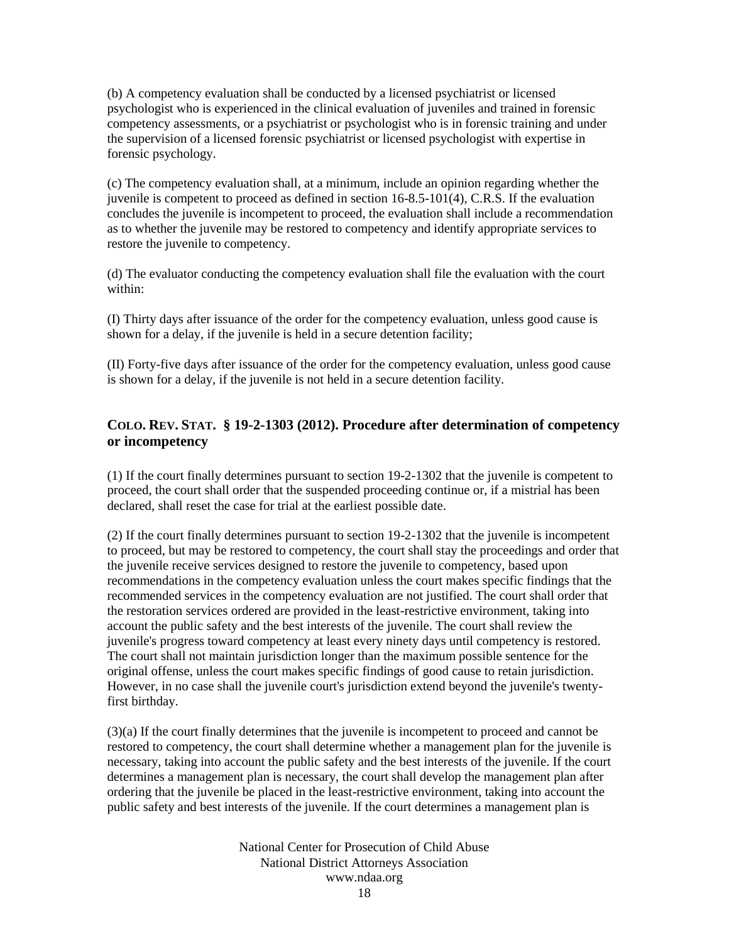(b) A competency evaluation shall be conducted by a licensed psychiatrist or licensed psychologist who is experienced in the clinical evaluation of juveniles and trained in forensic competency assessments, or a psychiatrist or psychologist who is in forensic training and under the supervision of a licensed forensic psychiatrist or licensed psychologist with expertise in forensic psychology.

(c) The competency evaluation shall, at a minimum, include an opinion regarding whether the juvenile is competent to proceed as defined in section 16-8.5-101(4), C.R.S. If the evaluation concludes the juvenile is incompetent to proceed, the evaluation shall include a recommendation as to whether the juvenile may be restored to competency and identify appropriate services to restore the juvenile to competency.

(d) The evaluator conducting the competency evaluation shall file the evaluation with the court within:

(I) Thirty days after issuance of the order for the competency evaluation, unless good cause is shown for a delay, if the juvenile is held in a secure detention facility;

(II) Forty-five days after issuance of the order for the competency evaluation, unless good cause is shown for a delay, if the juvenile is not held in a secure detention facility.

#### <span id="page-17-0"></span>**COLO. REV. STAT. § 19-2-1303 (2012). Procedure after determination of competency or incompetency**

(1) If the court finally determines pursuant to section 19-2-1302 that the juvenile is competent to proceed, the court shall order that the suspended proceeding continue or, if a mistrial has been declared, shall reset the case for trial at the earliest possible date.

(2) If the court finally determines pursuant to section 19-2-1302 that the juvenile is incompetent to proceed, but may be restored to competency, the court shall stay the proceedings and order that the juvenile receive services designed to restore the juvenile to competency, based upon recommendations in the competency evaluation unless the court makes specific findings that the recommended services in the competency evaluation are not justified. The court shall order that the restoration services ordered are provided in the least-restrictive environment, taking into account the public safety and the best interests of the juvenile. The court shall review the juvenile's progress toward competency at least every ninety days until competency is restored. The court shall not maintain jurisdiction longer than the maximum possible sentence for the original offense, unless the court makes specific findings of good cause to retain jurisdiction. However, in no case shall the juvenile court's jurisdiction extend beyond the juvenile's twentyfirst birthday.

(3)(a) If the court finally determines that the juvenile is incompetent to proceed and cannot be restored to competency, the court shall determine whether a management plan for the juvenile is necessary, taking into account the public safety and the best interests of the juvenile. If the court determines a management plan is necessary, the court shall develop the management plan after ordering that the juvenile be placed in the least-restrictive environment, taking into account the public safety and best interests of the juvenile. If the court determines a management plan is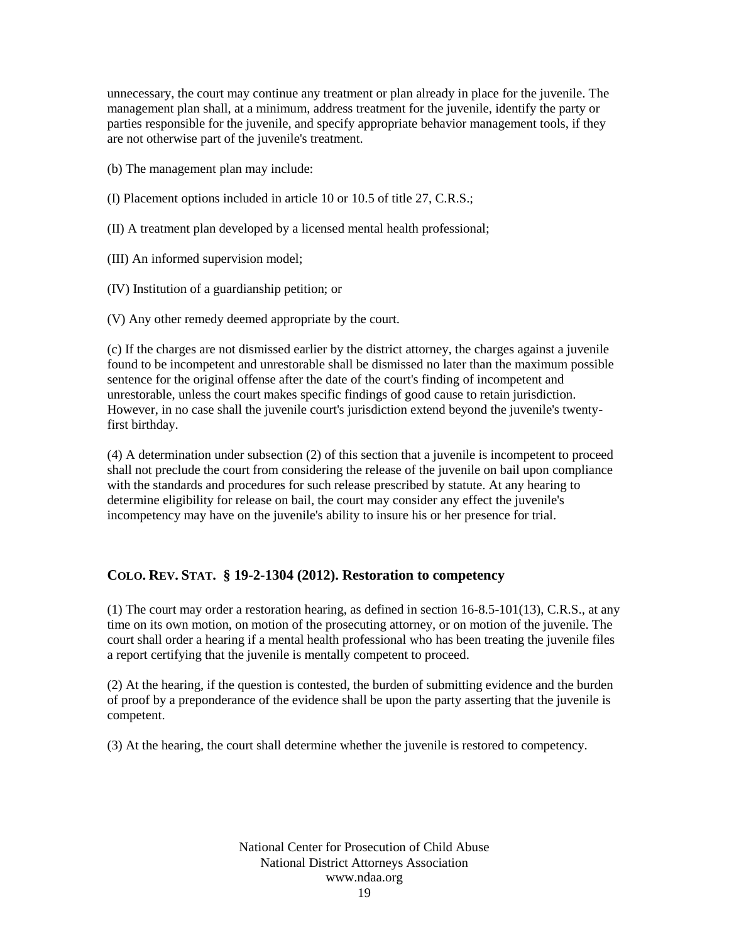unnecessary, the court may continue any treatment or plan already in place for the juvenile. The management plan shall, at a minimum, address treatment for the juvenile, identify the party or parties responsible for the juvenile, and specify appropriate behavior management tools, if they are not otherwise part of the juvenile's treatment.

(b) The management plan may include:

- (I) Placement options included in article 10 or 10.5 of title 27, C.R.S.;
- (II) A treatment plan developed by a licensed mental health professional;
- (III) An informed supervision model;
- (IV) Institution of a guardianship petition; or

(V) Any other remedy deemed appropriate by the court.

(c) If the charges are not dismissed earlier by the district attorney, the charges against a juvenile found to be incompetent and unrestorable shall be dismissed no later than the maximum possible sentence for the original offense after the date of the court's finding of incompetent and unrestorable, unless the court makes specific findings of good cause to retain jurisdiction. However, in no case shall the juvenile court's jurisdiction extend beyond the juvenile's twentyfirst birthday.

(4) A determination under subsection (2) of this section that a juvenile is incompetent to proceed shall not preclude the court from considering the release of the juvenile on bail upon compliance with the standards and procedures for such release prescribed by statute. At any hearing to determine eligibility for release on bail, the court may consider any effect the juvenile's incompetency may have on the juvenile's ability to insure his or her presence for trial.

#### <span id="page-18-0"></span>**COLO. REV. STAT. § 19-2-1304 (2012). Restoration to competency**

(1) The court may order a restoration hearing, as defined in section 16-8.5-101(13), C.R.S., at any time on its own motion, on motion of the prosecuting attorney, or on motion of the juvenile. The court shall order a hearing if a mental health professional who has been treating the juvenile files a report certifying that the juvenile is mentally competent to proceed.

(2) At the hearing, if the question is contested, the burden of submitting evidence and the burden of proof by a preponderance of the evidence shall be upon the party asserting that the juvenile is competent.

(3) At the hearing, the court shall determine whether the juvenile is restored to competency.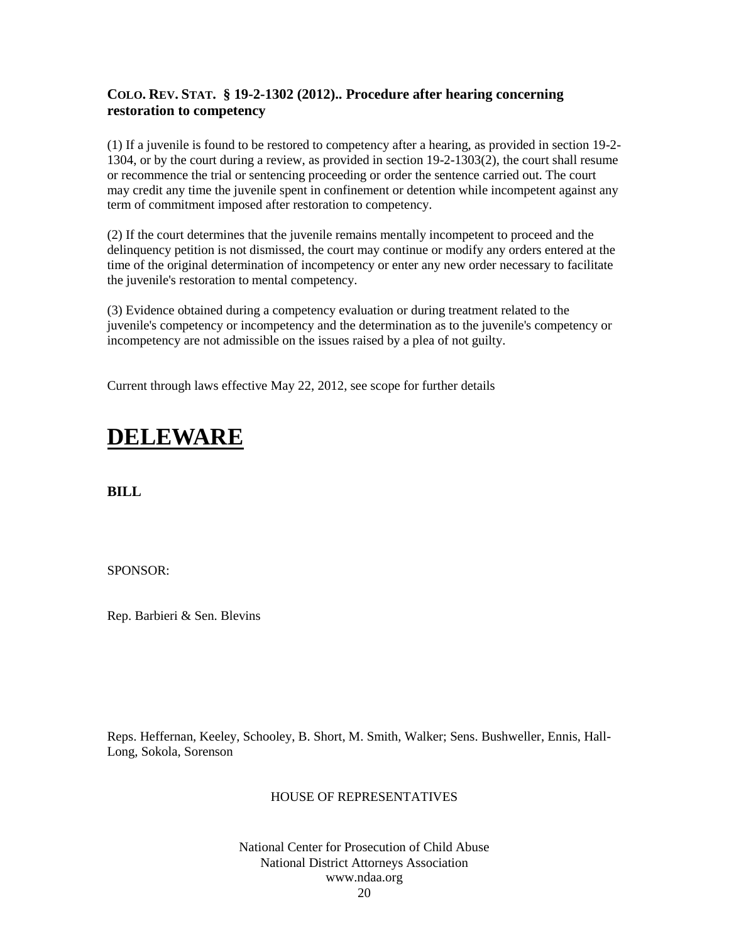#### <span id="page-19-0"></span>**COLO. REV. STAT. § 19-2-1302 (2012).. Procedure after hearing concerning restoration to competency**

(1) If a juvenile is found to be restored to competency after a hearing, as provided in section 19-2- 1304, or by the court during a review, as provided in section 19-2-1303(2), the court shall resume or recommence the trial or sentencing proceeding or order the sentence carried out. The court may credit any time the juvenile spent in confinement or detention while incompetent against any term of commitment imposed after restoration to competency.

(2) If the court determines that the juvenile remains mentally incompetent to proceed and the delinquency petition is not dismissed, the court may continue or modify any orders entered at the time of the original determination of incompetency or enter any new order necessary to facilitate the juvenile's restoration to mental competency.

(3) Evidence obtained during a competency evaluation or during treatment related to the juvenile's competency or incompetency and the determination as to the juvenile's competency or incompetency are not admissible on the issues raised by a plea of not guilty.

Current through laws effective May 22, 2012, see scope for further details

# <span id="page-19-1"></span>**DELEWARE**

<span id="page-19-2"></span>**BILL**

SPONSOR:

Rep. Barbieri & Sen. Blevins

Reps. Heffernan, Keeley, Schooley, B. Short, M. Smith, Walker; Sens. Bushweller, Ennis, Hall-Long, Sokola, Sorenson

#### HOUSE OF REPRESENTATIVES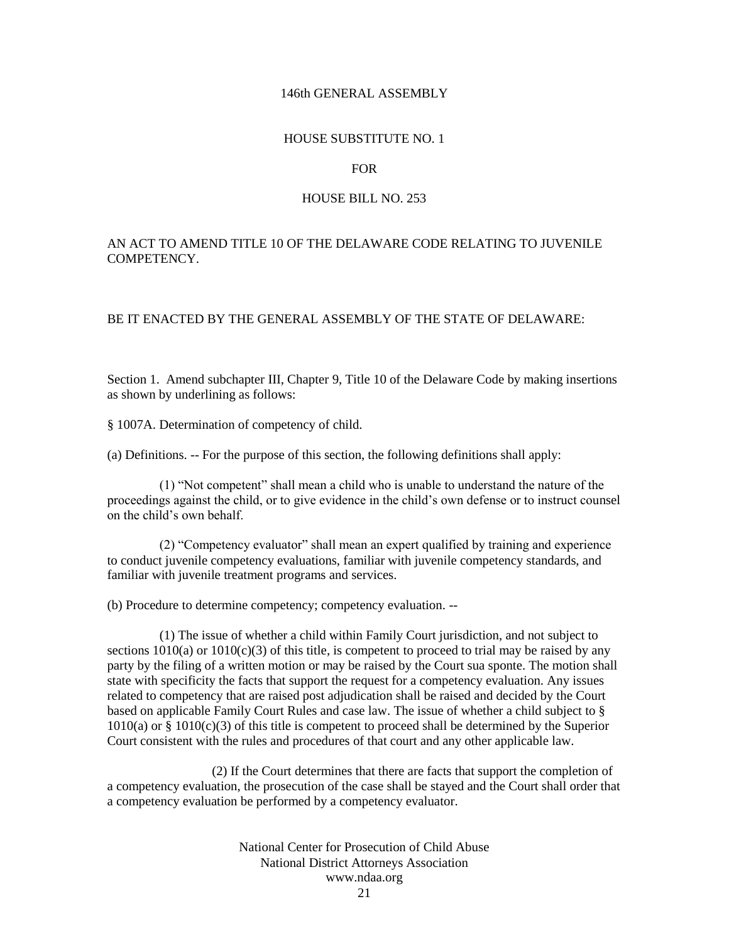#### 146th GENERAL ASSEMBLY

#### HOUSE SUBSTITUTE NO. 1

#### FOR

#### HOUSE BILL NO. 253

#### AN ACT TO AMEND TITLE 10 OF THE DELAWARE CODE RELATING TO JUVENILE COMPETENCY.

BE IT ENACTED BY THE GENERAL ASSEMBLY OF THE STATE OF DELAWARE:

Section 1. Amend subchapter III, Chapter 9, Title 10 of the Delaware Code by making insertions as shown by underlining as follows:

§ 1007A. Determination of competency of child.

(a) Definitions. -- For the purpose of this section, the following definitions shall apply:

 (1) "Not competent" shall mean a child who is unable to understand the nature of the proceedings against the child, or to give evidence in the child's own defense or to instruct counsel on the child's own behalf.

 (2) "Competency evaluator" shall mean an expert qualified by training and experience to conduct juvenile competency evaluations, familiar with juvenile competency standards, and familiar with juvenile treatment programs and services.

(b) Procedure to determine competency; competency evaluation. --

 (1) The issue of whether a child within Family Court jurisdiction, and not subject to sections  $1010(a)$  or  $1010(c)(3)$  of this title, is competent to proceed to trial may be raised by any party by the filing of a written motion or may be raised by the Court sua sponte. The motion shall state with specificity the facts that support the request for a competency evaluation. Any issues related to competency that are raised post adjudication shall be raised and decided by the Court based on applicable Family Court Rules and case law. The issue of whether a child subject to § 1010(a) or § 1010(c)(3) of this title is competent to proceed shall be determined by the Superior Court consistent with the rules and procedures of that court and any other applicable law.

 (2) If the Court determines that there are facts that support the completion of a competency evaluation, the prosecution of the case shall be stayed and the Court shall order that a competency evaluation be performed by a competency evaluator.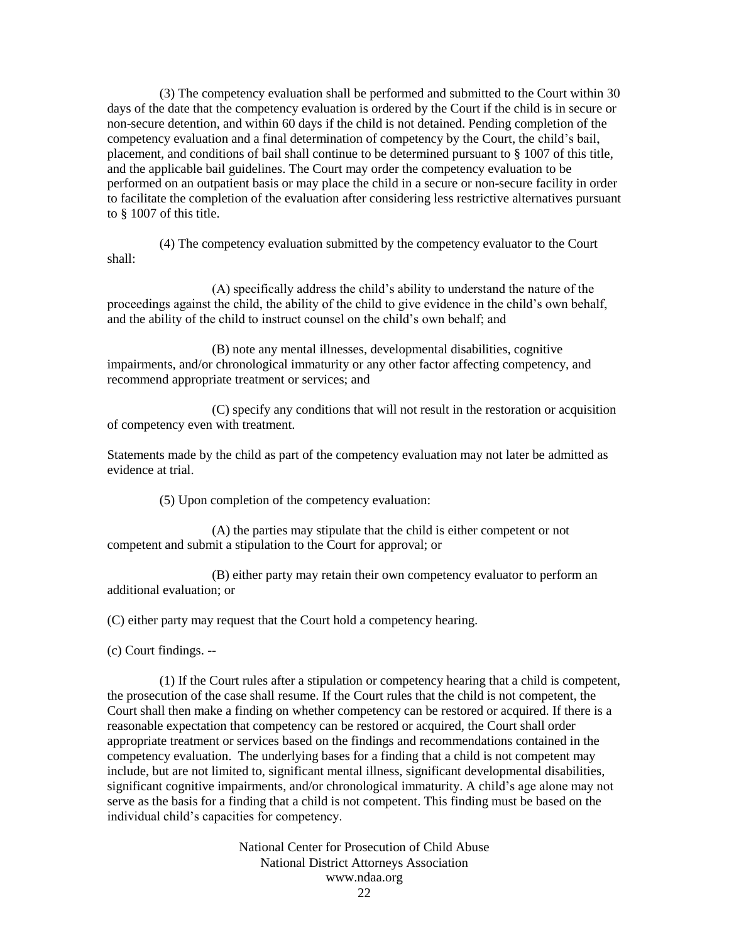(3) The competency evaluation shall be performed and submitted to the Court within 30 days of the date that the competency evaluation is ordered by the Court if the child is in secure or non-secure detention, and within 60 days if the child is not detained. Pending completion of the competency evaluation and a final determination of competency by the Court, the child's bail, placement, and conditions of bail shall continue to be determined pursuant to § 1007 of this title, and the applicable bail guidelines. The Court may order the competency evaluation to be performed on an outpatient basis or may place the child in a secure or non-secure facility in order to facilitate the completion of the evaluation after considering less restrictive alternatives pursuant to § 1007 of this title.

 (4) The competency evaluation submitted by the competency evaluator to the Court shall:

 (A) specifically address the child's ability to understand the nature of the proceedings against the child, the ability of the child to give evidence in the child's own behalf, and the ability of the child to instruct counsel on the child's own behalf; and

 (B) note any mental illnesses, developmental disabilities, cognitive impairments, and/or chronological immaturity or any other factor affecting competency, and recommend appropriate treatment or services; and

 (C) specify any conditions that will not result in the restoration or acquisition of competency even with treatment.

Statements made by the child as part of the competency evaluation may not later be admitted as evidence at trial.

(5) Upon completion of the competency evaluation:

 (A) the parties may stipulate that the child is either competent or not competent and submit a stipulation to the Court for approval; or

 (B) either party may retain their own competency evaluator to perform an additional evaluation; or

(C) either party may request that the Court hold a competency hearing.

(c) Court findings. --

 (1) If the Court rules after a stipulation or competency hearing that a child is competent, the prosecution of the case shall resume. If the Court rules that the child is not competent, the Court shall then make a finding on whether competency can be restored or acquired. If there is a reasonable expectation that competency can be restored or acquired, the Court shall order appropriate treatment or services based on the findings and recommendations contained in the competency evaluation. The underlying bases for a finding that a child is not competent may include, but are not limited to, significant mental illness, significant developmental disabilities, significant cognitive impairments, and/or chronological immaturity. A child's age alone may not serve as the basis for a finding that a child is not competent. This finding must be based on the individual child's capacities for competency.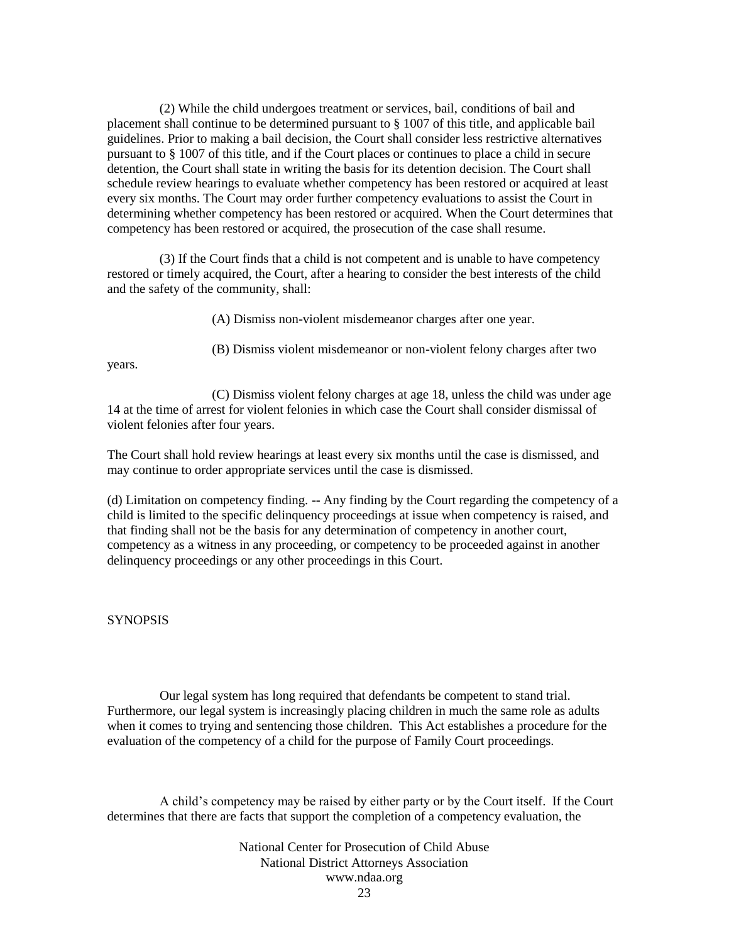(2) While the child undergoes treatment or services, bail, conditions of bail and placement shall continue to be determined pursuant to § 1007 of this title, and applicable bail guidelines. Prior to making a bail decision, the Court shall consider less restrictive alternatives pursuant to § 1007 of this title, and if the Court places or continues to place a child in secure detention, the Court shall state in writing the basis for its detention decision. The Court shall schedule review hearings to evaluate whether competency has been restored or acquired at least every six months. The Court may order further competency evaluations to assist the Court in determining whether competency has been restored or acquired. When the Court determines that competency has been restored or acquired, the prosecution of the case shall resume.

 (3) If the Court finds that a child is not competent and is unable to have competency restored or timely acquired, the Court, after a hearing to consider the best interests of the child and the safety of the community, shall:

(A) Dismiss non-violent misdemeanor charges after one year.

(B) Dismiss violent misdemeanor or non-violent felony charges after two

years.

 (C) Dismiss violent felony charges at age 18, unless the child was under age 14 at the time of arrest for violent felonies in which case the Court shall consider dismissal of violent felonies after four years.

The Court shall hold review hearings at least every six months until the case is dismissed, and may continue to order appropriate services until the case is dismissed.

(d) Limitation on competency finding. -- Any finding by the Court regarding the competency of a child is limited to the specific delinquency proceedings at issue when competency is raised, and that finding shall not be the basis for any determination of competency in another court, competency as a witness in any proceeding, or competency to be proceeded against in another delinquency proceedings or any other proceedings in this Court.

#### **SYNOPSIS**

 Our legal system has long required that defendants be competent to stand trial. Furthermore, our legal system is increasingly placing children in much the same role as adults when it comes to trying and sentencing those children. This Act establishes a procedure for the evaluation of the competency of a child for the purpose of Family Court proceedings.

 A child's competency may be raised by either party or by the Court itself. If the Court determines that there are facts that support the completion of a competency evaluation, the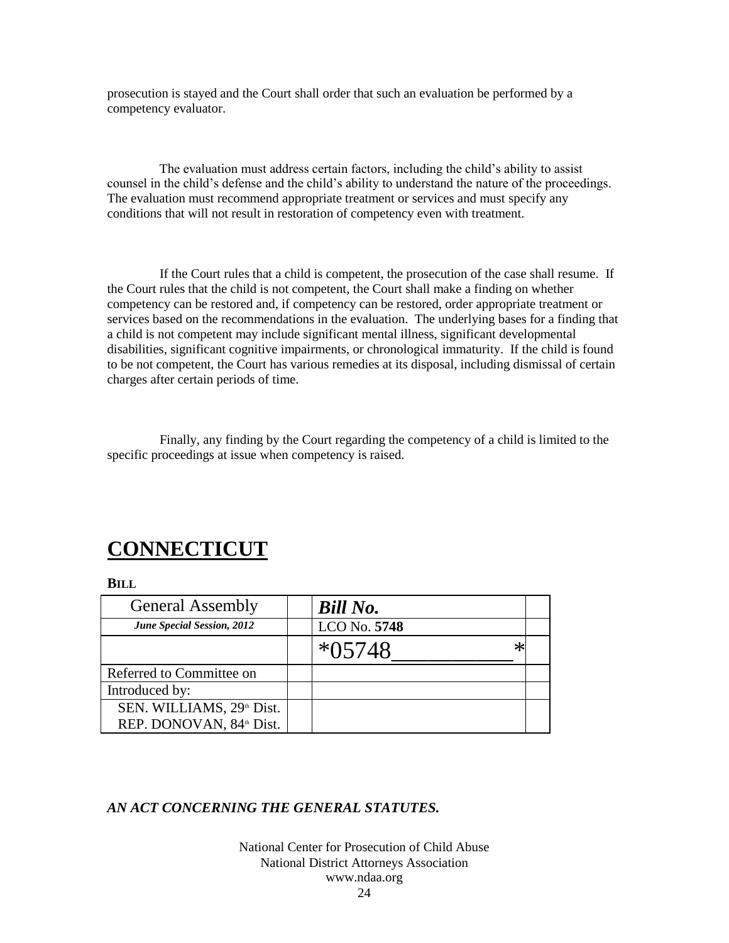prosecution is stayed and the Court shall order that such an evaluation be performed by a competency evaluator.

 The evaluation must address certain factors, including the child's ability to assist counsel in the child's defense and the child's ability to understand the nature of the proceedings. The evaluation must recommend appropriate treatment or services and must specify any conditions that will not result in restoration of competency even with treatment.

 If the Court rules that a child is competent, the prosecution of the case shall resume. If the Court rules that the child is not competent, the Court shall make a finding on whether competency can be restored and, if competency can be restored, order appropriate treatment or services based on the recommendations in the evaluation. The underlying bases for a finding that a child is not competent may include significant mental illness, significant developmental disabilities, significant cognitive impairments, or chronological immaturity. If the child is found to be not competent, the Court has various remedies at its disposal, including dismissal of certain charges after certain periods of time.

 Finally, any finding by the Court regarding the competency of a child is limited to the specific proceedings at issue when competency is raised.

## <span id="page-23-0"></span>**CONNECTICUT**

<span id="page-23-1"></span>**BILL**

| <b>General Assembly</b>    | Bill No.     |  |
|----------------------------|--------------|--|
| June Special Session, 2012 | LCO No. 5748 |  |
|                            | $*05748$     |  |
| Referred to Committee on   |              |  |
| Introduced by:             |              |  |
| SEN. WILLIAMS, 29th Dist.  |              |  |
| REP. DONOVAN, 84th Dist.   |              |  |

#### *AN ACT CONCERNING THE GENERAL STATUTES.*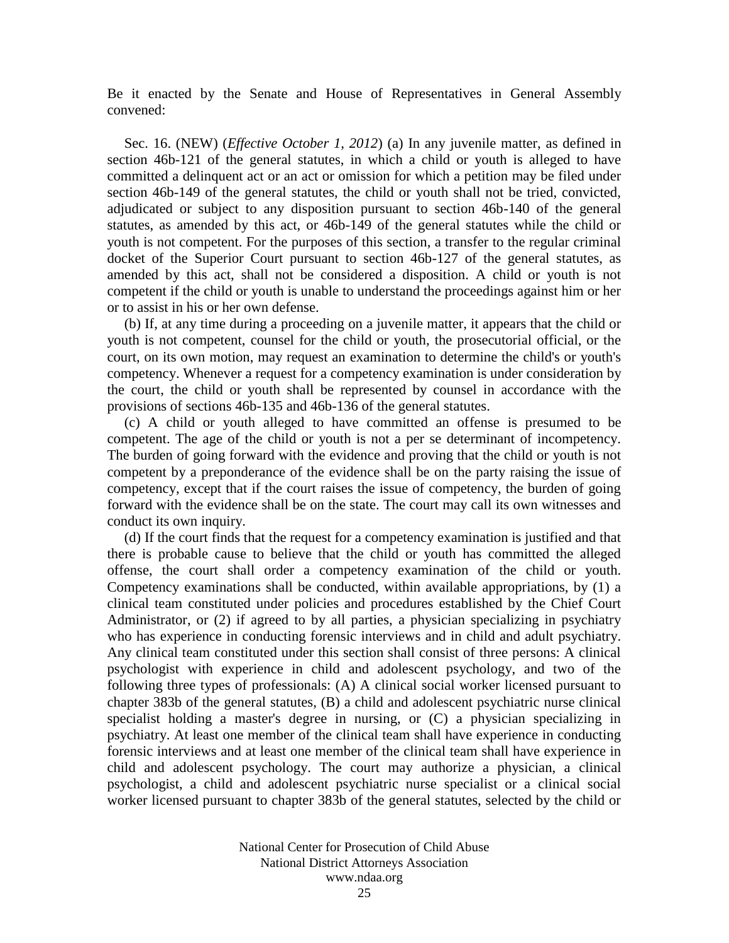Be it enacted by the Senate and House of Representatives in General Assembly convened:

Sec. 16. (NEW) (*Effective October 1, 2012*) (a) In any juvenile matter, as defined in section 46b-121 of the general statutes, in which a child or youth is alleged to have committed a delinquent act or an act or omission for which a petition may be filed under section 46b-149 of the general statutes, the child or youth shall not be tried, convicted, adjudicated or subject to any disposition pursuant to section 46b-140 of the general statutes, as amended by this act, or 46b-149 of the general statutes while the child or youth is not competent. For the purposes of this section, a transfer to the regular criminal docket of the Superior Court pursuant to section 46b-127 of the general statutes, as amended by this act, shall not be considered a disposition. A child or youth is not competent if the child or youth is unable to understand the proceedings against him or her or to assist in his or her own defense.

(b) If, at any time during a proceeding on a juvenile matter, it appears that the child or youth is not competent, counsel for the child or youth, the prosecutorial official, or the court, on its own motion, may request an examination to determine the child's or youth's competency. Whenever a request for a competency examination is under consideration by the court, the child or youth shall be represented by counsel in accordance with the provisions of sections 46b-135 and 46b-136 of the general statutes.

(c) A child or youth alleged to have committed an offense is presumed to be competent. The age of the child or youth is not a per se determinant of incompetency. The burden of going forward with the evidence and proving that the child or youth is not competent by a preponderance of the evidence shall be on the party raising the issue of competency, except that if the court raises the issue of competency, the burden of going forward with the evidence shall be on the state. The court may call its own witnesses and conduct its own inquiry.

(d) If the court finds that the request for a competency examination is justified and that there is probable cause to believe that the child or youth has committed the alleged offense, the court shall order a competency examination of the child or youth. Competency examinations shall be conducted, within available appropriations, by (1) a clinical team constituted under policies and procedures established by the Chief Court Administrator, or (2) if agreed to by all parties, a physician specializing in psychiatry who has experience in conducting forensic interviews and in child and adult psychiatry. Any clinical team constituted under this section shall consist of three persons: A clinical psychologist with experience in child and adolescent psychology, and two of the following three types of professionals: (A) A clinical social worker licensed pursuant to chapter 383b of the general statutes, (B) a child and adolescent psychiatric nurse clinical specialist holding a master's degree in nursing, or (C) a physician specializing in psychiatry. At least one member of the clinical team shall have experience in conducting forensic interviews and at least one member of the clinical team shall have experience in child and adolescent psychology. The court may authorize a physician, a clinical psychologist, a child and adolescent psychiatric nurse specialist or a clinical social worker licensed pursuant to chapter 383b of the general statutes, selected by the child or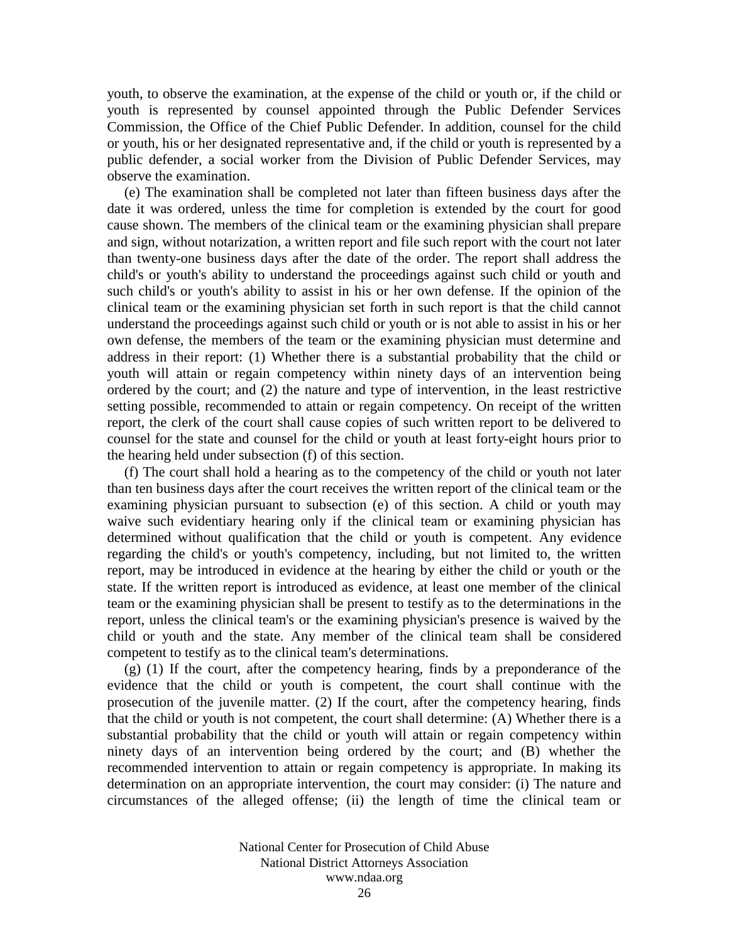youth, to observe the examination, at the expense of the child or youth or, if the child or youth is represented by counsel appointed through the Public Defender Services Commission, the Office of the Chief Public Defender. In addition, counsel for the child or youth, his or her designated representative and, if the child or youth is represented by a public defender, a social worker from the Division of Public Defender Services, may observe the examination.

(e) The examination shall be completed not later than fifteen business days after the date it was ordered, unless the time for completion is extended by the court for good cause shown. The members of the clinical team or the examining physician shall prepare and sign, without notarization, a written report and file such report with the court not later than twenty-one business days after the date of the order. The report shall address the child's or youth's ability to understand the proceedings against such child or youth and such child's or youth's ability to assist in his or her own defense. If the opinion of the clinical team or the examining physician set forth in such report is that the child cannot understand the proceedings against such child or youth or is not able to assist in his or her own defense, the members of the team or the examining physician must determine and address in their report: (1) Whether there is a substantial probability that the child or youth will attain or regain competency within ninety days of an intervention being ordered by the court; and (2) the nature and type of intervention, in the least restrictive setting possible, recommended to attain or regain competency. On receipt of the written report, the clerk of the court shall cause copies of such written report to be delivered to counsel for the state and counsel for the child or youth at least forty-eight hours prior to the hearing held under subsection (f) of this section.

(f) The court shall hold a hearing as to the competency of the child or youth not later than ten business days after the court receives the written report of the clinical team or the examining physician pursuant to subsection (e) of this section. A child or youth may waive such evidentiary hearing only if the clinical team or examining physician has determined without qualification that the child or youth is competent. Any evidence regarding the child's or youth's competency, including, but not limited to, the written report, may be introduced in evidence at the hearing by either the child or youth or the state. If the written report is introduced as evidence, at least one member of the clinical team or the examining physician shall be present to testify as to the determinations in the report, unless the clinical team's or the examining physician's presence is waived by the child or youth and the state. Any member of the clinical team shall be considered competent to testify as to the clinical team's determinations.

(g) (1) If the court, after the competency hearing, finds by a preponderance of the evidence that the child or youth is competent, the court shall continue with the prosecution of the juvenile matter. (2) If the court, after the competency hearing, finds that the child or youth is not competent, the court shall determine: (A) Whether there is a substantial probability that the child or youth will attain or regain competency within ninety days of an intervention being ordered by the court; and (B) whether the recommended intervention to attain or regain competency is appropriate. In making its determination on an appropriate intervention, the court may consider: (i) The nature and circumstances of the alleged offense; (ii) the length of time the clinical team or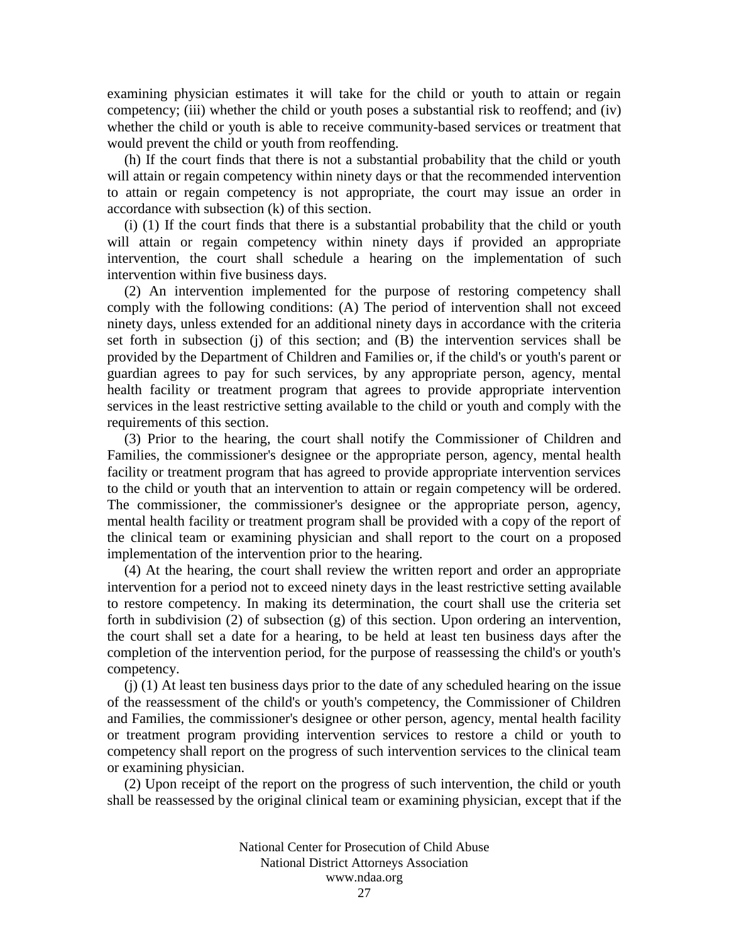examining physician estimates it will take for the child or youth to attain or regain competency; (iii) whether the child or youth poses a substantial risk to reoffend; and (iv) whether the child or youth is able to receive community-based services or treatment that would prevent the child or youth from reoffending.

(h) If the court finds that there is not a substantial probability that the child or youth will attain or regain competency within ninety days or that the recommended intervention to attain or regain competency is not appropriate, the court may issue an order in accordance with subsection (k) of this section.

(i) (1) If the court finds that there is a substantial probability that the child or youth will attain or regain competency within ninety days if provided an appropriate intervention, the court shall schedule a hearing on the implementation of such intervention within five business days.

(2) An intervention implemented for the purpose of restoring competency shall comply with the following conditions: (A) The period of intervention shall not exceed ninety days, unless extended for an additional ninety days in accordance with the criteria set forth in subsection (j) of this section; and (B) the intervention services shall be provided by the Department of Children and Families or, if the child's or youth's parent or guardian agrees to pay for such services, by any appropriate person, agency, mental health facility or treatment program that agrees to provide appropriate intervention services in the least restrictive setting available to the child or youth and comply with the requirements of this section.

(3) Prior to the hearing, the court shall notify the Commissioner of Children and Families, the commissioner's designee or the appropriate person, agency, mental health facility or treatment program that has agreed to provide appropriate intervention services to the child or youth that an intervention to attain or regain competency will be ordered. The commissioner, the commissioner's designee or the appropriate person, agency, mental health facility or treatment program shall be provided with a copy of the report of the clinical team or examining physician and shall report to the court on a proposed implementation of the intervention prior to the hearing.

(4) At the hearing, the court shall review the written report and order an appropriate intervention for a period not to exceed ninety days in the least restrictive setting available to restore competency. In making its determination, the court shall use the criteria set forth in subdivision (2) of subsection (g) of this section. Upon ordering an intervention, the court shall set a date for a hearing, to be held at least ten business days after the completion of the intervention period, for the purpose of reassessing the child's or youth's competency.

(j) (1) At least ten business days prior to the date of any scheduled hearing on the issue of the reassessment of the child's or youth's competency, the Commissioner of Children and Families, the commissioner's designee or other person, agency, mental health facility or treatment program providing intervention services to restore a child or youth to competency shall report on the progress of such intervention services to the clinical team or examining physician.

(2) Upon receipt of the report on the progress of such intervention, the child or youth shall be reassessed by the original clinical team or examining physician, except that if the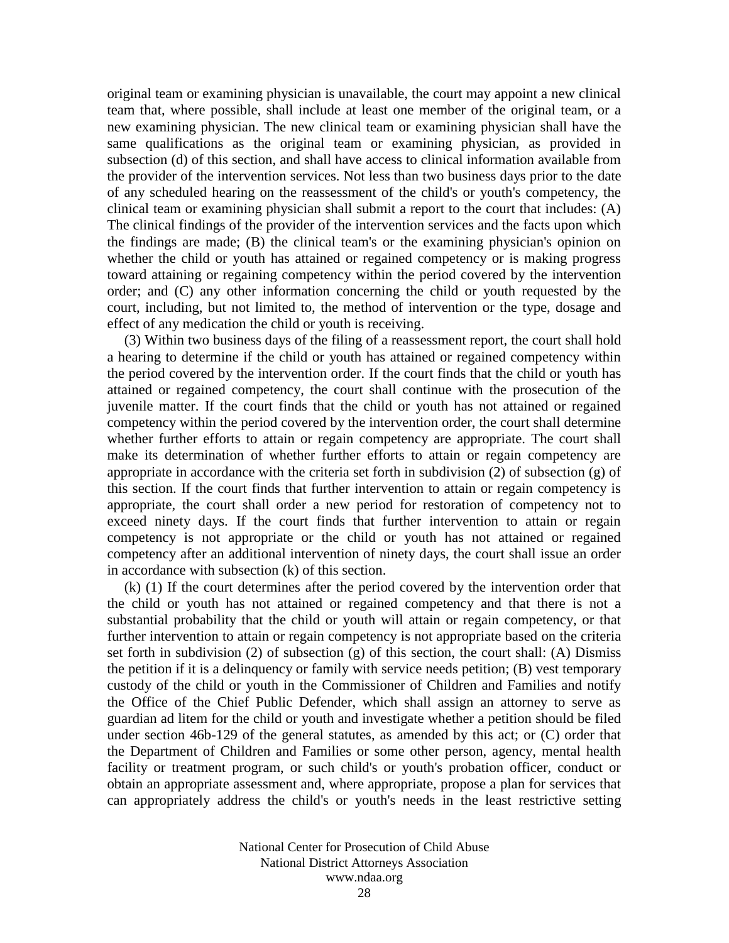original team or examining physician is unavailable, the court may appoint a new clinical team that, where possible, shall include at least one member of the original team, or a new examining physician. The new clinical team or examining physician shall have the same qualifications as the original team or examining physician, as provided in subsection (d) of this section, and shall have access to clinical information available from the provider of the intervention services. Not less than two business days prior to the date of any scheduled hearing on the reassessment of the child's or youth's competency, the clinical team or examining physician shall submit a report to the court that includes: (A) The clinical findings of the provider of the intervention services and the facts upon which the findings are made; (B) the clinical team's or the examining physician's opinion on whether the child or youth has attained or regained competency or is making progress toward attaining or regaining competency within the period covered by the intervention order; and (C) any other information concerning the child or youth requested by the court, including, but not limited to, the method of intervention or the type, dosage and effect of any medication the child or youth is receiving.

(3) Within two business days of the filing of a reassessment report, the court shall hold a hearing to determine if the child or youth has attained or regained competency within the period covered by the intervention order. If the court finds that the child or youth has attained or regained competency, the court shall continue with the prosecution of the juvenile matter. If the court finds that the child or youth has not attained or regained competency within the period covered by the intervention order, the court shall determine whether further efforts to attain or regain competency are appropriate. The court shall make its determination of whether further efforts to attain or regain competency are appropriate in accordance with the criteria set forth in subdivision (2) of subsection (g) of this section. If the court finds that further intervention to attain or regain competency is appropriate, the court shall order a new period for restoration of competency not to exceed ninety days. If the court finds that further intervention to attain or regain competency is not appropriate or the child or youth has not attained or regained competency after an additional intervention of ninety days, the court shall issue an order in accordance with subsection (k) of this section.

(k) (1) If the court determines after the period covered by the intervention order that the child or youth has not attained or regained competency and that there is not a substantial probability that the child or youth will attain or regain competency, or that further intervention to attain or regain competency is not appropriate based on the criteria set forth in subdivision (2) of subsection (g) of this section, the court shall: (A) Dismiss the petition if it is a delinquency or family with service needs petition; (B) vest temporary custody of the child or youth in the Commissioner of Children and Families and notify the Office of the Chief Public Defender, which shall assign an attorney to serve as guardian ad litem for the child or youth and investigate whether a petition should be filed under section 46b-129 of the general statutes, as amended by this act; or (C) order that the Department of Children and Families or some other person, agency, mental health facility or treatment program, or such child's or youth's probation officer, conduct or obtain an appropriate assessment and, where appropriate, propose a plan for services that can appropriately address the child's or youth's needs in the least restrictive setting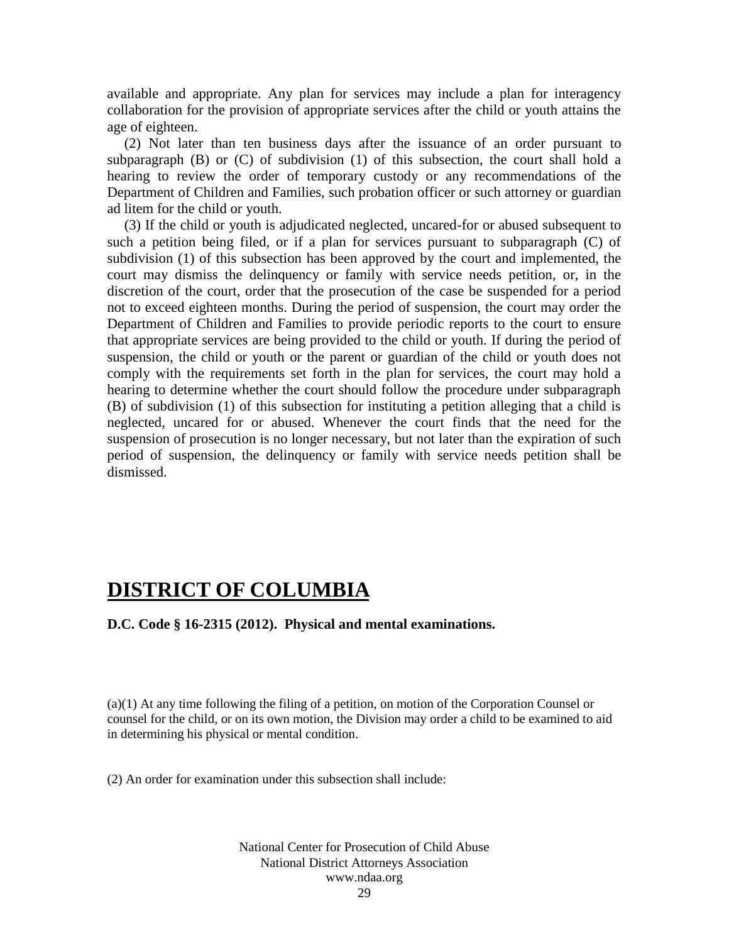available and appropriate. Any plan for services may include a plan for interagency collaboration for the provision of appropriate services after the child or youth attains the age of eighteen.

(2) Not later than ten business days after the issuance of an order pursuant to subparagraph (B) or (C) of subdivision (1) of this subsection, the court shall hold a hearing to review the order of temporary custody or any recommendations of the Department of Children and Families, such probation officer or such attorney or guardian ad litem for the child or youth.

(3) If the child or youth is adjudicated neglected, uncared-for or abused subsequent to such a petition being filed, or if a plan for services pursuant to subparagraph (C) of subdivision (1) of this subsection has been approved by the court and implemented, the court may dismiss the delinquency or family with service needs petition, or, in the discretion of the court, order that the prosecution of the case be suspended for a period not to exceed eighteen months. During the period of suspension, the court may order the Department of Children and Families to provide periodic reports to the court to ensure that appropriate services are being provided to the child or youth. If during the period of suspension, the child or youth or the parent or guardian of the child or youth does not comply with the requirements set forth in the plan for services, the court may hold a hearing to determine whether the court should follow the procedure under subparagraph (B) of subdivision (1) of this subsection for instituting a petition alleging that a child is neglected, uncared for or abused. Whenever the court finds that the need for the suspension of prosecution is no longer necessary, but not later than the expiration of such period of suspension, the delinquency or family with service needs petition shall be dismissed.

## <span id="page-28-0"></span>**DISTRICT OF COLUMBIA**

<span id="page-28-1"></span>**D.C. Code § 16-2315 (2012). Physical and mental examinations.**

(a)(1) At any time following the filing of a petition, on motion of the Corporation Counsel or counsel for the child, or on its own motion, the Division may order a child to be examined to aid in determining his physical or mental condition.

(2) An order for examination under this subsection shall include: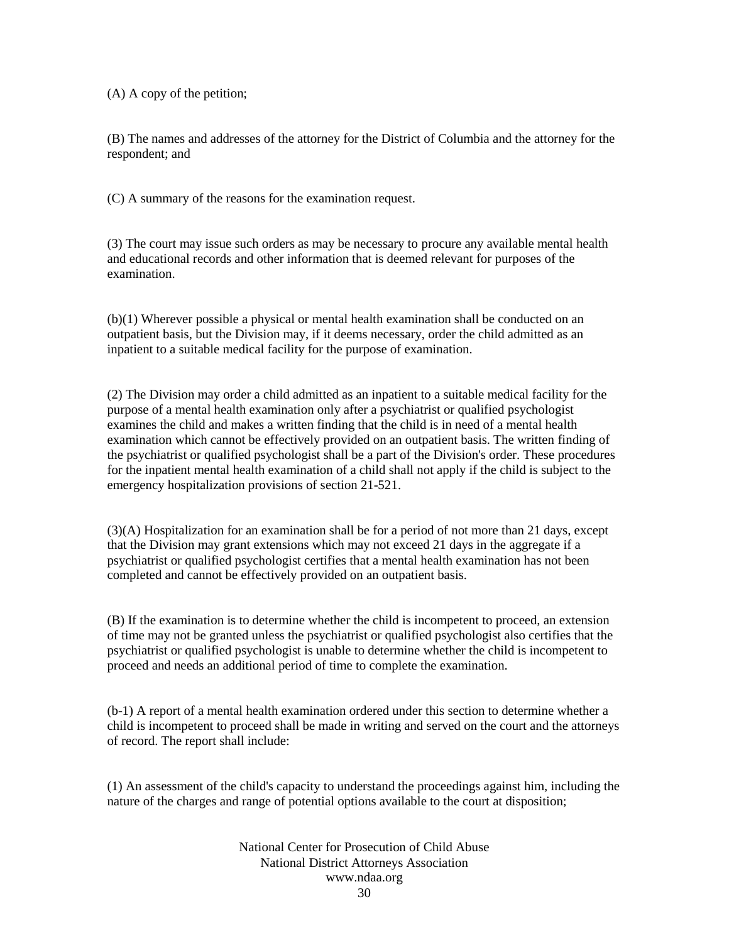(A) A copy of the petition;

(B) The names and addresses of the attorney for the District of Columbia and the attorney for the respondent; and

(C) A summary of the reasons for the examination request.

(3) The court may issue such orders as may be necessary to procure any available mental health and educational records and other information that is deemed relevant for purposes of the examination.

(b)(1) Wherever possible a physical or mental health examination shall be conducted on an outpatient basis, but the Division may, if it deems necessary, order the child admitted as an inpatient to a suitable medical facility for the purpose of examination.

(2) The Division may order a child admitted as an inpatient to a suitable medical facility for the purpose of a mental health examination only after a psychiatrist or qualified psychologist examines the child and makes a written finding that the child is in need of a mental health examination which cannot be effectively provided on an outpatient basis. The written finding of the psychiatrist or qualified psychologist shall be a part of the Division's order. These procedures for the inpatient mental health examination of a child shall not apply if the child is subject to the emergency hospitalization provisions of section 21-521.

(3)(A) Hospitalization for an examination shall be for a period of not more than 21 days, except that the Division may grant extensions which may not exceed 21 days in the aggregate if a psychiatrist or qualified psychologist certifies that a mental health examination has not been completed and cannot be effectively provided on an outpatient basis.

(B) If the examination is to determine whether the child is incompetent to proceed, an extension of time may not be granted unless the psychiatrist or qualified psychologist also certifies that the psychiatrist or qualified psychologist is unable to determine whether the child is incompetent to proceed and needs an additional period of time to complete the examination.

(b-1) A report of a mental health examination ordered under this section to determine whether a child is incompetent to proceed shall be made in writing and served on the court and the attorneys of record. The report shall include:

(1) An assessment of the child's capacity to understand the proceedings against him, including the nature of the charges and range of potential options available to the court at disposition;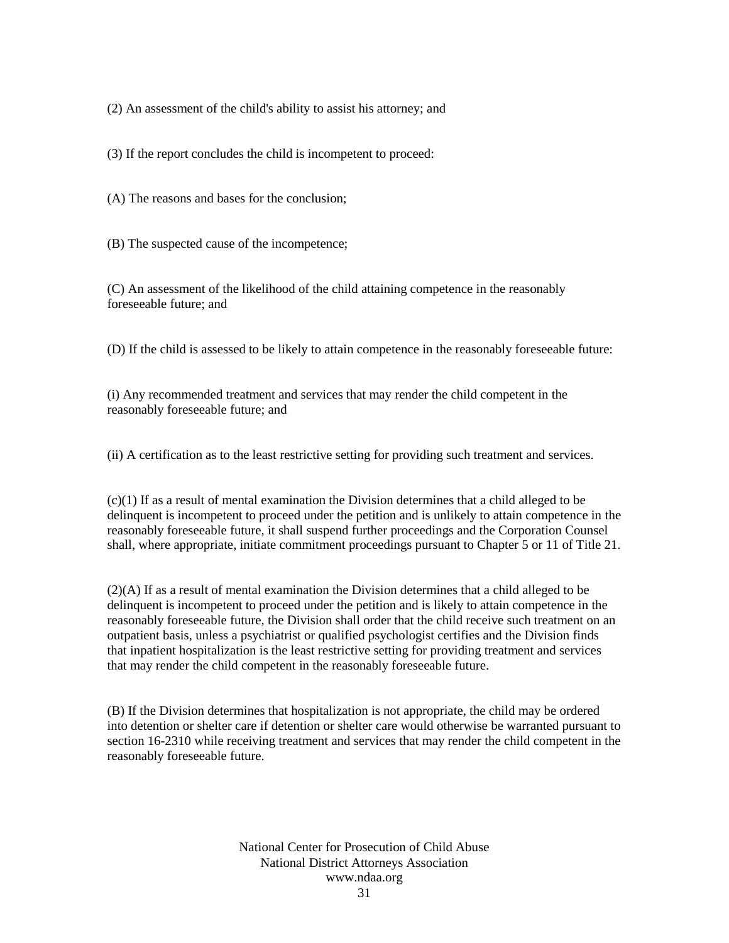(2) An assessment of the child's ability to assist his attorney; and

(3) If the report concludes the child is incompetent to proceed:

(A) The reasons and bases for the conclusion;

(B) The suspected cause of the incompetence;

(C) An assessment of the likelihood of the child attaining competence in the reasonably foreseeable future; and

(D) If the child is assessed to be likely to attain competence in the reasonably foreseeable future:

(i) Any recommended treatment and services that may render the child competent in the reasonably foreseeable future; and

(ii) A certification as to the least restrictive setting for providing such treatment and services.

 $(c)(1)$  If as a result of mental examination the Division determines that a child alleged to be delinquent is incompetent to proceed under the petition and is unlikely to attain competence in the reasonably foreseeable future, it shall suspend further proceedings and the Corporation Counsel shall, where appropriate, initiate commitment proceedings pursuant to Chapter 5 or 11 of Title 21.

(2)(A) If as a result of mental examination the Division determines that a child alleged to be delinquent is incompetent to proceed under the petition and is likely to attain competence in the reasonably foreseeable future, the Division shall order that the child receive such treatment on an outpatient basis, unless a psychiatrist or qualified psychologist certifies and the Division finds that inpatient hospitalization is the least restrictive setting for providing treatment and services that may render the child competent in the reasonably foreseeable future.

(B) If the Division determines that hospitalization is not appropriate, the child may be ordered into detention or shelter care if detention or shelter care would otherwise be warranted pursuant to section 16-2310 while receiving treatment and services that may render the child competent in the reasonably foreseeable future.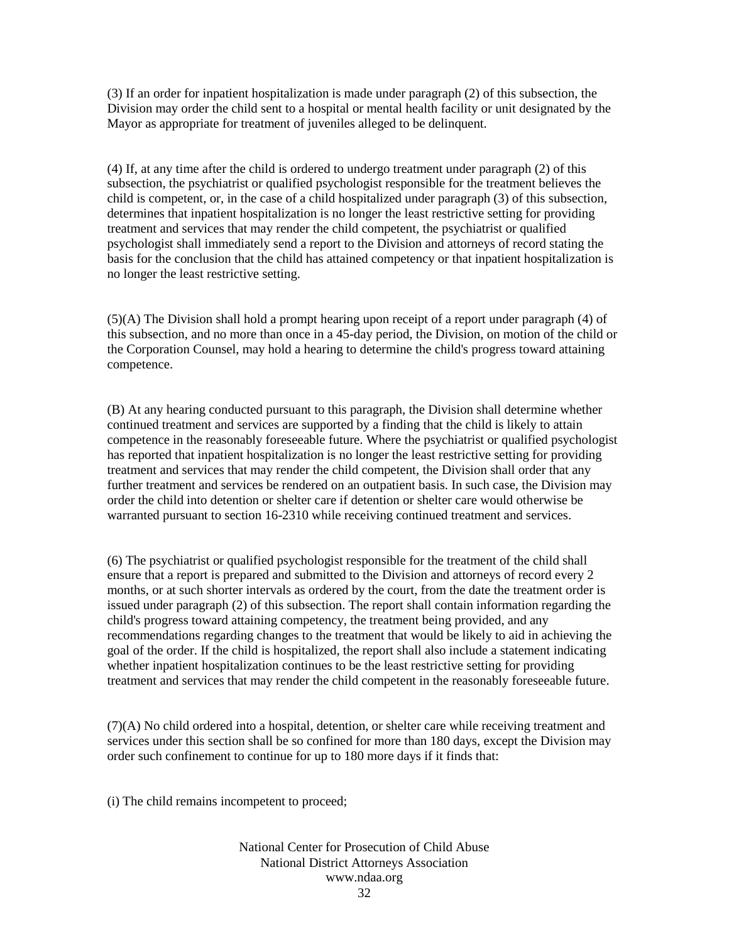(3) If an order for inpatient hospitalization is made under paragraph (2) of this subsection, the Division may order the child sent to a hospital or mental health facility or unit designated by the Mayor as appropriate for treatment of juveniles alleged to be delinquent.

(4) If, at any time after the child is ordered to undergo treatment under paragraph (2) of this subsection, the psychiatrist or qualified psychologist responsible for the treatment believes the child is competent, or, in the case of a child hospitalized under paragraph (3) of this subsection, determines that inpatient hospitalization is no longer the least restrictive setting for providing treatment and services that may render the child competent, the psychiatrist or qualified psychologist shall immediately send a report to the Division and attorneys of record stating the basis for the conclusion that the child has attained competency or that inpatient hospitalization is no longer the least restrictive setting.

(5)(A) The Division shall hold a prompt hearing upon receipt of a report under paragraph (4) of this subsection, and no more than once in a 45-day period, the Division, on motion of the child or the Corporation Counsel, may hold a hearing to determine the child's progress toward attaining competence.

(B) At any hearing conducted pursuant to this paragraph, the Division shall determine whether continued treatment and services are supported by a finding that the child is likely to attain competence in the reasonably foreseeable future. Where the psychiatrist or qualified psychologist has reported that inpatient hospitalization is no longer the least restrictive setting for providing treatment and services that may render the child competent, the Division shall order that any further treatment and services be rendered on an outpatient basis. In such case, the Division may order the child into detention or shelter care if detention or shelter care would otherwise be warranted pursuant to section 16-2310 while receiving continued treatment and services.

(6) The psychiatrist or qualified psychologist responsible for the treatment of the child shall ensure that a report is prepared and submitted to the Division and attorneys of record every 2 months, or at such shorter intervals as ordered by the court, from the date the treatment order is issued under paragraph (2) of this subsection. The report shall contain information regarding the child's progress toward attaining competency, the treatment being provided, and any recommendations regarding changes to the treatment that would be likely to aid in achieving the goal of the order. If the child is hospitalized, the report shall also include a statement indicating whether inpatient hospitalization continues to be the least restrictive setting for providing treatment and services that may render the child competent in the reasonably foreseeable future.

(7)(A) No child ordered into a hospital, detention, or shelter care while receiving treatment and services under this section shall be so confined for more than 180 days, except the Division may order such confinement to continue for up to 180 more days if it finds that:

(i) The child remains incompetent to proceed;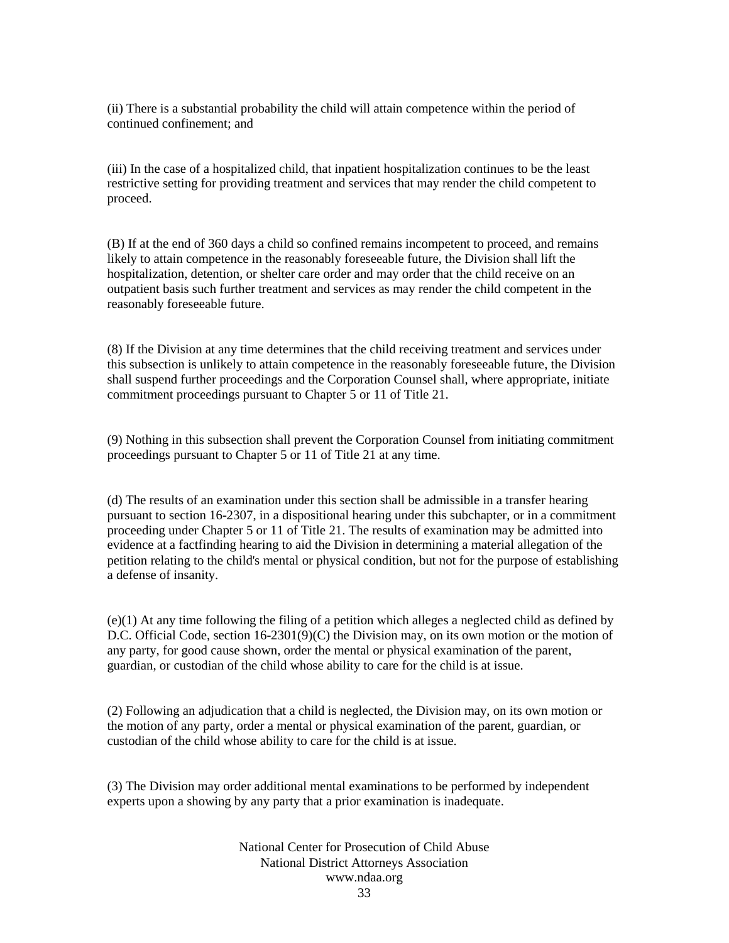(ii) There is a substantial probability the child will attain competence within the period of continued confinement; and

(iii) In the case of a hospitalized child, that inpatient hospitalization continues to be the least restrictive setting for providing treatment and services that may render the child competent to proceed.

(B) If at the end of 360 days a child so confined remains incompetent to proceed, and remains likely to attain competence in the reasonably foreseeable future, the Division shall lift the hospitalization, detention, or shelter care order and may order that the child receive on an outpatient basis such further treatment and services as may render the child competent in the reasonably foreseeable future.

(8) If the Division at any time determines that the child receiving treatment and services under this subsection is unlikely to attain competence in the reasonably foreseeable future, the Division shall suspend further proceedings and the Corporation Counsel shall, where appropriate, initiate commitment proceedings pursuant to Chapter 5 or 11 of Title 21.

(9) Nothing in this subsection shall prevent the Corporation Counsel from initiating commitment proceedings pursuant to Chapter 5 or 11 of Title 21 at any time.

(d) The results of an examination under this section shall be admissible in a transfer hearing pursuant to section 16-2307, in a dispositional hearing under this subchapter, or in a commitment proceeding under Chapter 5 or 11 of Title 21. The results of examination may be admitted into evidence at a factfinding hearing to aid the Division in determining a material allegation of the petition relating to the child's mental or physical condition, but not for the purpose of establishing a defense of insanity.

(e)(1) At any time following the filing of a petition which alleges a neglected child as defined by D.C. Official Code, section 16-2301(9)(C) the Division may, on its own motion or the motion of any party, for good cause shown, order the mental or physical examination of the parent, guardian, or custodian of the child whose ability to care for the child is at issue.

(2) Following an adjudication that a child is neglected, the Division may, on its own motion or the motion of any party, order a mental or physical examination of the parent, guardian, or custodian of the child whose ability to care for the child is at issue.

(3) The Division may order additional mental examinations to be performed by independent experts upon a showing by any party that a prior examination is inadequate.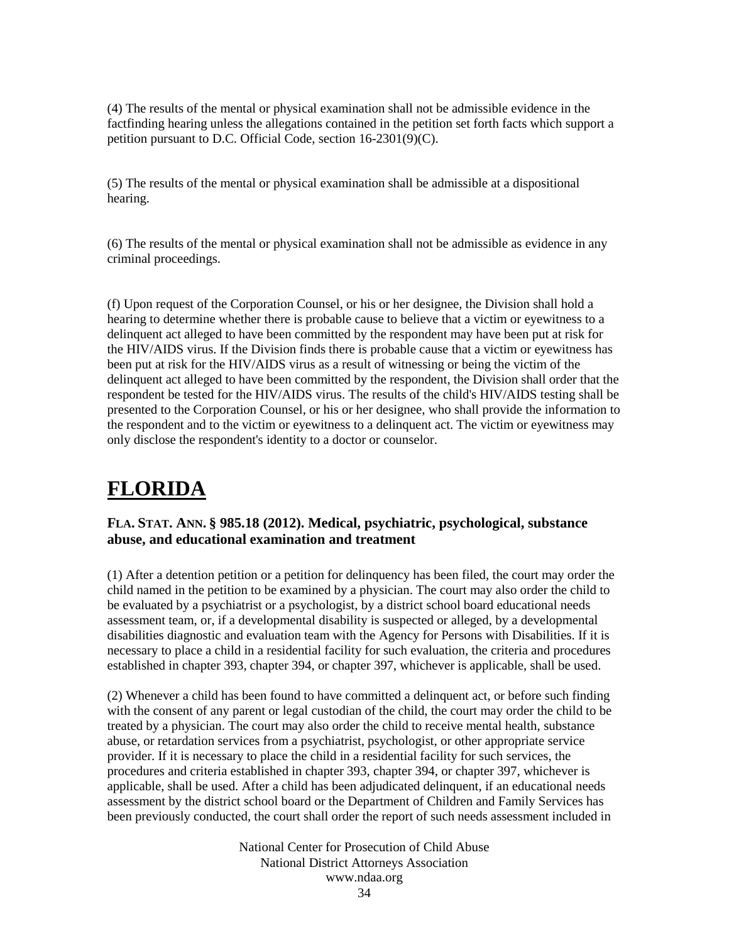(4) The results of the mental or physical examination shall not be admissible evidence in the factfinding hearing unless the allegations contained in the petition set forth facts which support a petition pursuant to D.C. Official Code, section 16-2301(9)(C).

(5) The results of the mental or physical examination shall be admissible at a dispositional hearing.

(6) The results of the mental or physical examination shall not be admissible as evidence in any criminal proceedings.

(f) Upon request of the Corporation Counsel, or his or her designee, the Division shall hold a hearing to determine whether there is probable cause to believe that a victim or eyewitness to a delinquent act alleged to have been committed by the respondent may have been put at risk for the HIV/AIDS virus. If the Division finds there is probable cause that a victim or eyewitness has been put at risk for the HIV/AIDS virus as a result of witnessing or being the victim of the delinquent act alleged to have been committed by the respondent, the Division shall order that the respondent be tested for the HIV/AIDS virus. The results of the child's HIV/AIDS testing shall be presented to the Corporation Counsel, or his or her designee, who shall provide the information to the respondent and to the victim or eyewitness to a delinquent act. The victim or eyewitness may only disclose the respondent's identity to a doctor or counselor.

# <span id="page-33-0"></span>**FLORIDA**

### <span id="page-33-1"></span>**FLA. STAT. ANN. § 985.18 (2012). Medical, psychiatric, psychological, substance abuse, and educational examination and treatment**

(1) After a detention petition or a petition for delinquency has been filed, the court may order the child named in the petition to be examined by a physician. The court may also order the child to be evaluated by a psychiatrist or a psychologist, by a district school board educational needs assessment team, or, if a developmental disability is suspected or alleged, by a developmental disabilities diagnostic and evaluation team with the Agency for Persons with Disabilities. If it is necessary to place a child in a residential facility for such evaluation, the criteria and procedures established in chapter 393, chapter 394, or chapter 397, whichever is applicable, shall be used.

(2) Whenever a child has been found to have committed a delinquent act, or before such finding with the consent of any parent or legal custodian of the child, the court may order the child to be treated by a physician. The court may also order the child to receive mental health, substance abuse, or retardation services from a psychiatrist, psychologist, or other appropriate service provider. If it is necessary to place the child in a residential facility for such services, the procedures and criteria established in chapter 393, chapter 394, or chapter 397, whichever is applicable, shall be used. After a child has been adjudicated delinquent, if an educational needs assessment by the district school board or the Department of Children and Family Services has been previously conducted, the court shall order the report of such needs assessment included in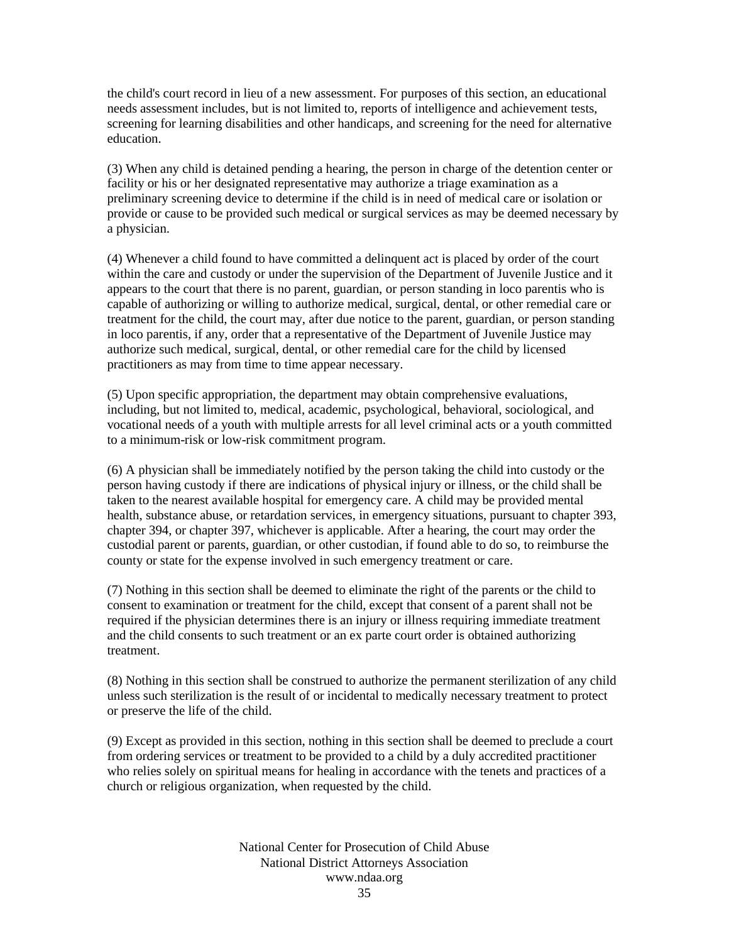the child's court record in lieu of a new assessment. For purposes of this section, an educational needs assessment includes, but is not limited to, reports of intelligence and achievement tests, screening for learning disabilities and other handicaps, and screening for the need for alternative education.

(3) When any child is detained pending a hearing, the person in charge of the detention center or facility or his or her designated representative may authorize a triage examination as a preliminary screening device to determine if the child is in need of medical care or isolation or provide or cause to be provided such medical or surgical services as may be deemed necessary by a physician.

(4) Whenever a child found to have committed a delinquent act is placed by order of the court within the care and custody or under the supervision of the Department of Juvenile Justice and it appears to the court that there is no parent, guardian, or person standing in loco parentis who is capable of authorizing or willing to authorize medical, surgical, dental, or other remedial care or treatment for the child, the court may, after due notice to the parent, guardian, or person standing in loco parentis, if any, order that a representative of the Department of Juvenile Justice may authorize such medical, surgical, dental, or other remedial care for the child by licensed practitioners as may from time to time appear necessary.

(5) Upon specific appropriation, the department may obtain comprehensive evaluations, including, but not limited to, medical, academic, psychological, behavioral, sociological, and vocational needs of a youth with multiple arrests for all level criminal acts or a youth committed to a minimum-risk or low-risk commitment program.

(6) A physician shall be immediately notified by the person taking the child into custody or the person having custody if there are indications of physical injury or illness, or the child shall be taken to the nearest available hospital for emergency care. A child may be provided mental health, substance abuse, or retardation services, in emergency situations, pursuant to chapter 393, chapter 394, or chapter 397, whichever is applicable. After a hearing, the court may order the custodial parent or parents, guardian, or other custodian, if found able to do so, to reimburse the county or state for the expense involved in such emergency treatment or care.

(7) Nothing in this section shall be deemed to eliminate the right of the parents or the child to consent to examination or treatment for the child, except that consent of a parent shall not be required if the physician determines there is an injury or illness requiring immediate treatment and the child consents to such treatment or an ex parte court order is obtained authorizing treatment.

(8) Nothing in this section shall be construed to authorize the permanent sterilization of any child unless such sterilization is the result of or incidental to medically necessary treatment to protect or preserve the life of the child.

(9) Except as provided in this section, nothing in this section shall be deemed to preclude a court from ordering services or treatment to be provided to a child by a duly accredited practitioner who relies solely on spiritual means for healing in accordance with the tenets and practices of a church or religious organization, when requested by the child.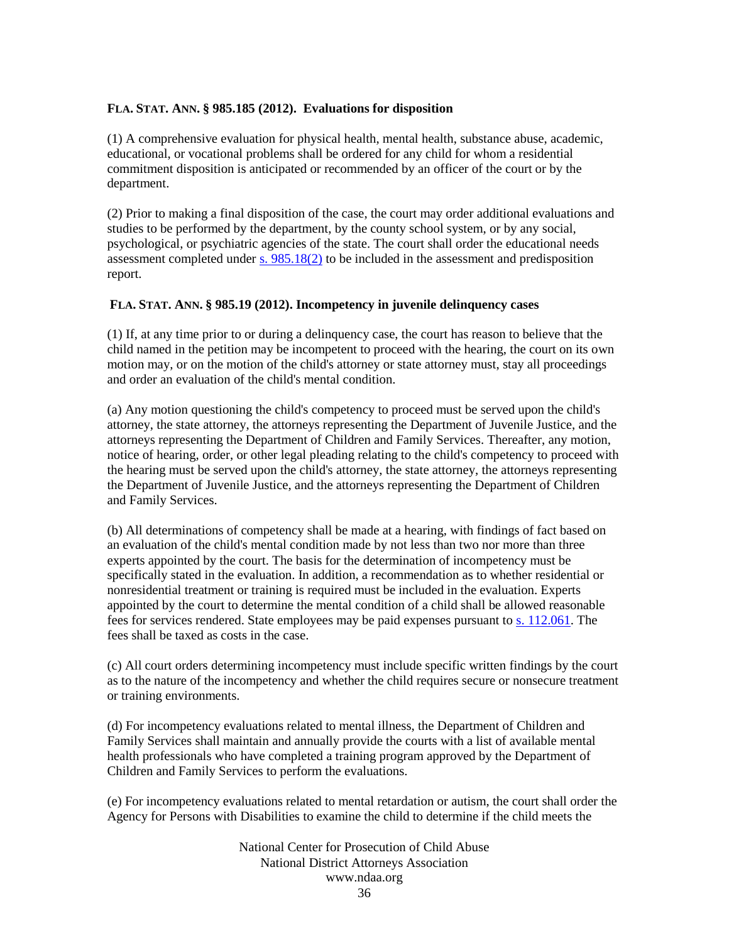#### **FLA. STAT. ANN. § 985.185 (2012). Evaluations for disposition**

(1) A comprehensive evaluation for physical health, mental health, substance abuse, academic, educational, or vocational problems shall be ordered for any child for whom a residential commitment disposition is anticipated or recommended by an officer of the court or by the department.

(2) Prior to making a final disposition of the case, the court may order additional evaluations and studies to be performed by the department, by the county school system, or by any social, psychological, or psychiatric agencies of the state. The court shall order the educational needs assessment completed under [s. 985.18\(2\)](http://web2.westlaw.com/find/default.wl?mt=WestlawGC&db=1000006&rs=WLW12.04&docname=FLSTS985.18&rp=%2ffind%2fdefault.wl&findtype=L&ordoc=N15D3894049B311DB9D35C47C7C8F70A6&tc=-1&vr=2.0&fn=_top&sv=Split&tf=-1&referencepositiontype=T&pbc=ADD2221B&referenceposition=SP%3b58730000872b1&utid=%7bAB3BE2A6-C0DE-477B-8112-82C232E8F57E%7d) to be included in the assessment and predisposition report.

#### **FLA. STAT. ANN. § 985.19 (2012). Incompetency in juvenile delinquency cases**

(1) If, at any time prior to or during a delinquency case, the court has reason to believe that the child named in the petition may be incompetent to proceed with the hearing, the court on its own motion may, or on the motion of the child's attorney or state attorney must, stay all proceedings and order an evaluation of the child's mental condition.

(a) Any motion questioning the child's competency to proceed must be served upon the child's attorney, the state attorney, the attorneys representing the Department of Juvenile Justice, and the attorneys representing the Department of Children and Family Services. Thereafter, any motion, notice of hearing, order, or other legal pleading relating to the child's competency to proceed with the hearing must be served upon the child's attorney, the state attorney, the attorneys representing the Department of Juvenile Justice, and the attorneys representing the Department of Children and Family Services.

(b) All determinations of competency shall be made at a hearing, with findings of fact based on an evaluation of the child's mental condition made by not less than two nor more than three experts appointed by the court. The basis for the determination of incompetency must be specifically stated in the evaluation. In addition, a recommendation as to whether residential or nonresidential treatment or training is required must be included in the evaluation. Experts appointed by the court to determine the mental condition of a child shall be allowed reasonable fees for services rendered. State employees may be paid expenses pursuant to [s. 112.061.](http://web2.westlaw.com/find/default.wl?mt=WestlawGC&db=1000006&rs=WLW12.04&docname=FLSTS112.061&rp=%2ffind%2fdefault.wl&findtype=L&ordoc=N15D3894049B311DB9D35C47C7C8F70A6&tc=-1&vr=2.0&fn=_top&sv=Split&tf=-1&pbc=ADD2221B&utid=%7bAB3BE2A6-C0DE-477B-8112-82C232E8F57E%7d) The fees shall be taxed as costs in the case.

(c) All court orders determining incompetency must include specific written findings by the court as to the nature of the incompetency and whether the child requires secure or nonsecure treatment or training environments.

(d) For incompetency evaluations related to mental illness, the Department of Children and Family Services shall maintain and annually provide the courts with a list of available mental health professionals who have completed a training program approved by the Department of Children and Family Services to perform the evaluations.

(e) For incompetency evaluations related to mental retardation or autism, the court shall order the Agency for Persons with Disabilities to examine the child to determine if the child meets the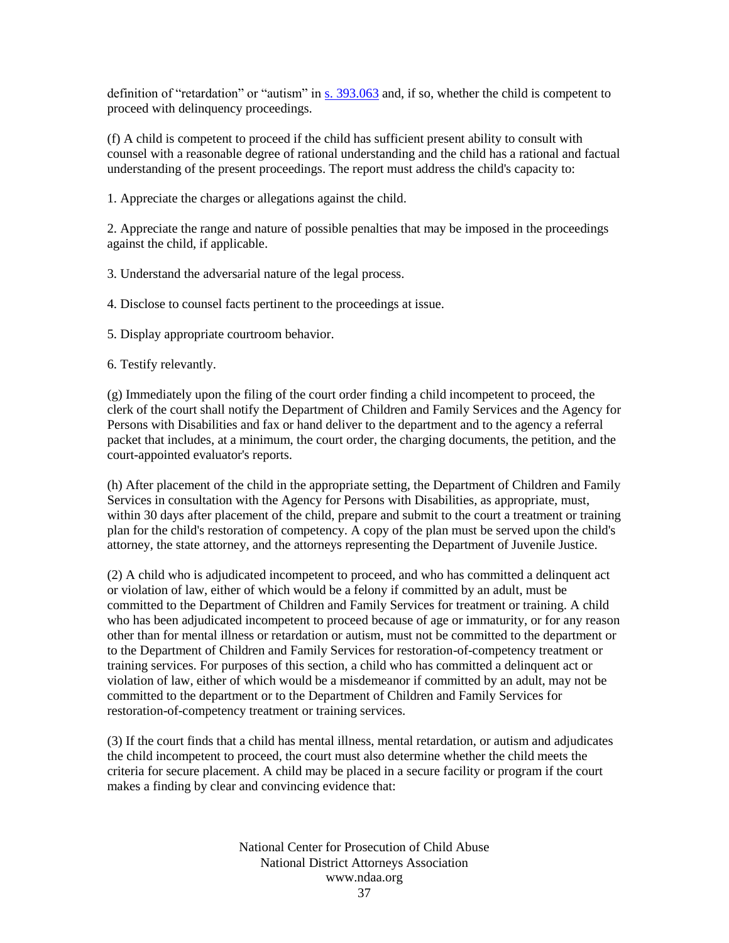definition of "retardation" or "autism" in [s. 393.063](http://web2.westlaw.com/find/default.wl?mt=WestlawGC&db=1000006&rs=WLW12.04&docname=FLSTS393.063&rp=%2ffind%2fdefault.wl&findtype=L&ordoc=N15D3894049B311DB9D35C47C7C8F70A6&tc=-1&vr=2.0&fn=_top&sv=Split&tf=-1&pbc=ADD2221B&utid=%7bAB3BE2A6-C0DE-477B-8112-82C232E8F57E%7d) and, if so, whether the child is competent to proceed with delinquency proceedings.

(f) A child is competent to proceed if the child has sufficient present ability to consult with counsel with a reasonable degree of rational understanding and the child has a rational and factual understanding of the present proceedings. The report must address the child's capacity to:

1. Appreciate the charges or allegations against the child.

2. Appreciate the range and nature of possible penalties that may be imposed in the proceedings against the child, if applicable.

3. Understand the adversarial nature of the legal process.

4. Disclose to counsel facts pertinent to the proceedings at issue.

5. Display appropriate courtroom behavior.

6. Testify relevantly.

(g) Immediately upon the filing of the court order finding a child incompetent to proceed, the clerk of the court shall notify the Department of Children and Family Services and the Agency for Persons with Disabilities and fax or hand deliver to the department and to the agency a referral packet that includes, at a minimum, the court order, the charging documents, the petition, and the court-appointed evaluator's reports.

(h) After placement of the child in the appropriate setting, the Department of Children and Family Services in consultation with the Agency for Persons with Disabilities, as appropriate, must, within 30 days after placement of the child, prepare and submit to the court a treatment or training plan for the child's restoration of competency. A copy of the plan must be served upon the child's attorney, the state attorney, and the attorneys representing the Department of Juvenile Justice.

(2) A child who is adjudicated incompetent to proceed, and who has committed a delinquent act or violation of law, either of which would be a felony if committed by an adult, must be committed to the Department of Children and Family Services for treatment or training. A child who has been adjudicated incompetent to proceed because of age or immaturity, or for any reason other than for mental illness or retardation or autism, must not be committed to the department or to the Department of Children and Family Services for restoration-of-competency treatment or training services. For purposes of this section, a child who has committed a delinquent act or violation of law, either of which would be a misdemeanor if committed by an adult, may not be committed to the department or to the Department of Children and Family Services for restoration-of-competency treatment or training services.

(3) If the court finds that a child has mental illness, mental retardation, or autism and adjudicates the child incompetent to proceed, the court must also determine whether the child meets the criteria for secure placement. A child may be placed in a secure facility or program if the court makes a finding by clear and convincing evidence that: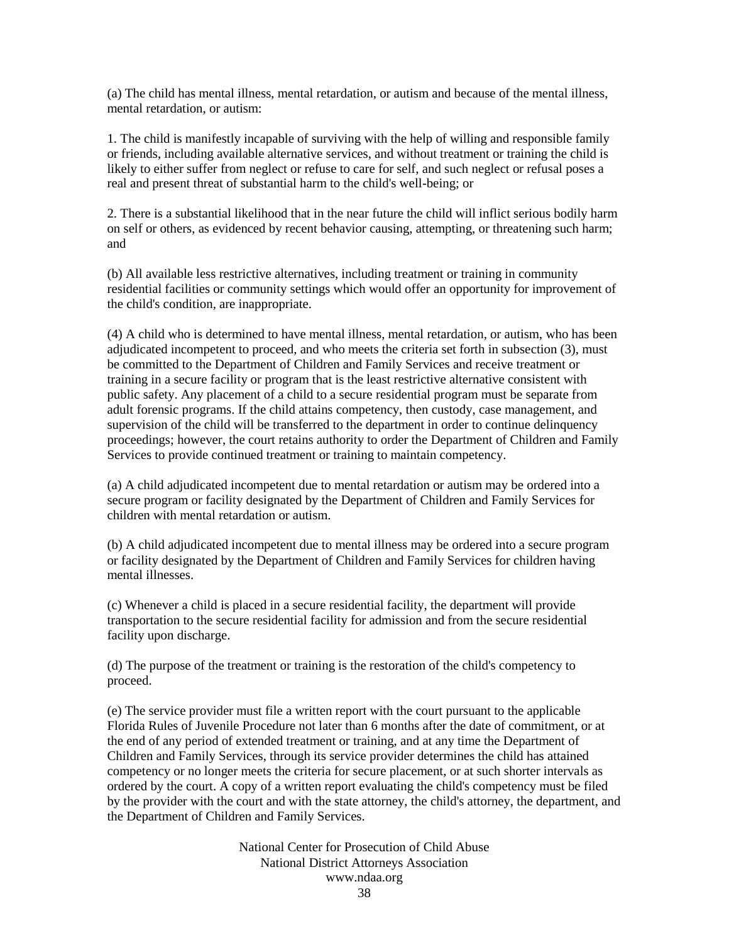(a) The child has mental illness, mental retardation, or autism and because of the mental illness, mental retardation, or autism:

1. The child is manifestly incapable of surviving with the help of willing and responsible family or friends, including available alternative services, and without treatment or training the child is likely to either suffer from neglect or refuse to care for self, and such neglect or refusal poses a real and present threat of substantial harm to the child's well-being; or

2. There is a substantial likelihood that in the near future the child will inflict serious bodily harm on self or others, as evidenced by recent behavior causing, attempting, or threatening such harm; and

(b) All available less restrictive alternatives, including treatment or training in community residential facilities or community settings which would offer an opportunity for improvement of the child's condition, are inappropriate.

(4) A child who is determined to have mental illness, mental retardation, or autism, who has been adjudicated incompetent to proceed, and who meets the criteria set forth in subsection (3), must be committed to the Department of Children and Family Services and receive treatment or training in a secure facility or program that is the least restrictive alternative consistent with public safety. Any placement of a child to a secure residential program must be separate from adult forensic programs. If the child attains competency, then custody, case management, and supervision of the child will be transferred to the department in order to continue delinquency proceedings; however, the court retains authority to order the Department of Children and Family Services to provide continued treatment or training to maintain competency.

(a) A child adjudicated incompetent due to mental retardation or autism may be ordered into a secure program or facility designated by the Department of Children and Family Services for children with mental retardation or autism.

(b) A child adjudicated incompetent due to mental illness may be ordered into a secure program or facility designated by the Department of Children and Family Services for children having mental illnesses.

(c) Whenever a child is placed in a secure residential facility, the department will provide transportation to the secure residential facility for admission and from the secure residential facility upon discharge.

(d) The purpose of the treatment or training is the restoration of the child's competency to proceed.

(e) The service provider must file a written report with the court pursuant to the applicable Florida Rules of Juvenile Procedure not later than 6 months after the date of commitment, or at the end of any period of extended treatment or training, and at any time the Department of Children and Family Services, through its service provider determines the child has attained competency or no longer meets the criteria for secure placement, or at such shorter intervals as ordered by the court. A copy of a written report evaluating the child's competency must be filed by the provider with the court and with the state attorney, the child's attorney, the department, and the Department of Children and Family Services.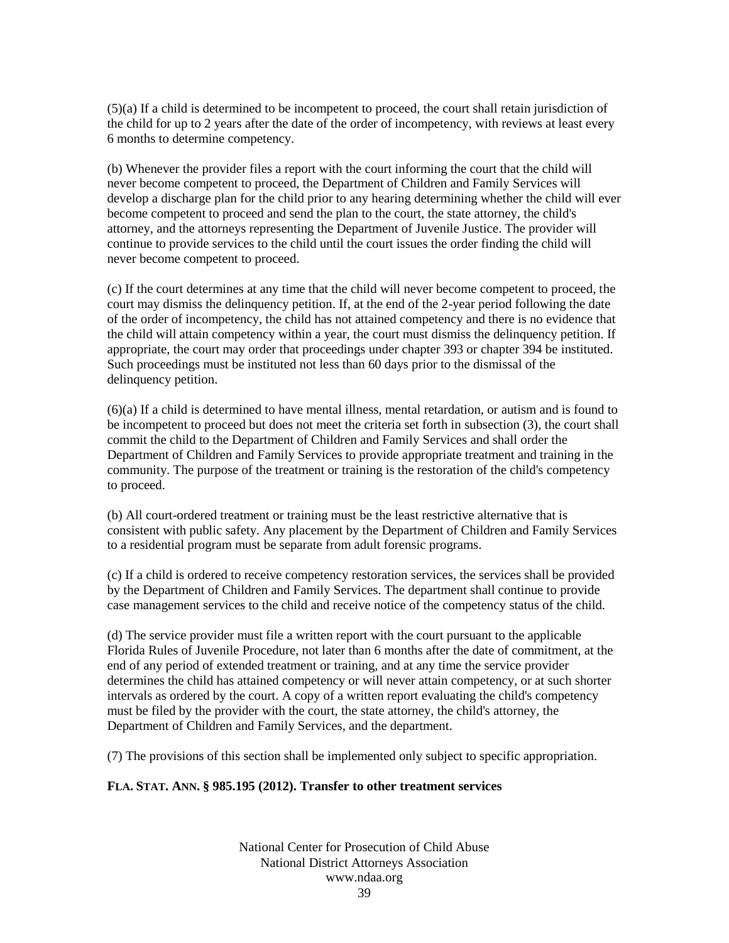(5)(a) If a child is determined to be incompetent to proceed, the court shall retain jurisdiction of the child for up to 2 years after the date of the order of incompetency, with reviews at least every 6 months to determine competency.

(b) Whenever the provider files a report with the court informing the court that the child will never become competent to proceed, the Department of Children and Family Services will develop a discharge plan for the child prior to any hearing determining whether the child will ever become competent to proceed and send the plan to the court, the state attorney, the child's attorney, and the attorneys representing the Department of Juvenile Justice. The provider will continue to provide services to the child until the court issues the order finding the child will never become competent to proceed.

(c) If the court determines at any time that the child will never become competent to proceed, the court may dismiss the delinquency petition. If, at the end of the 2-year period following the date of the order of incompetency, the child has not attained competency and there is no evidence that the child will attain competency within a year, the court must dismiss the delinquency petition. If appropriate, the court may order that proceedings under chapter 393 or chapter 394 be instituted. Such proceedings must be instituted not less than 60 days prior to the dismissal of the delinquency petition.

(6)(a) If a child is determined to have mental illness, mental retardation, or autism and is found to be incompetent to proceed but does not meet the criteria set forth in subsection (3), the court shall commit the child to the Department of Children and Family Services and shall order the Department of Children and Family Services to provide appropriate treatment and training in the community. The purpose of the treatment or training is the restoration of the child's competency to proceed.

(b) All court-ordered treatment or training must be the least restrictive alternative that is consistent with public safety. Any placement by the Department of Children and Family Services to a residential program must be separate from adult forensic programs.

(c) If a child is ordered to receive competency restoration services, the services shall be provided by the Department of Children and Family Services. The department shall continue to provide case management services to the child and receive notice of the competency status of the child.

(d) The service provider must file a written report with the court pursuant to the applicable Florida Rules of Juvenile Procedure, not later than 6 months after the date of commitment, at the end of any period of extended treatment or training, and at any time the service provider determines the child has attained competency or will never attain competency, or at such shorter intervals as ordered by the court. A copy of a written report evaluating the child's competency must be filed by the provider with the court, the state attorney, the child's attorney, the Department of Children and Family Services, and the department.

(7) The provisions of this section shall be implemented only subject to specific appropriation.

#### **FLA. STAT. ANN. § 985.195 (2012). Transfer to other treatment services**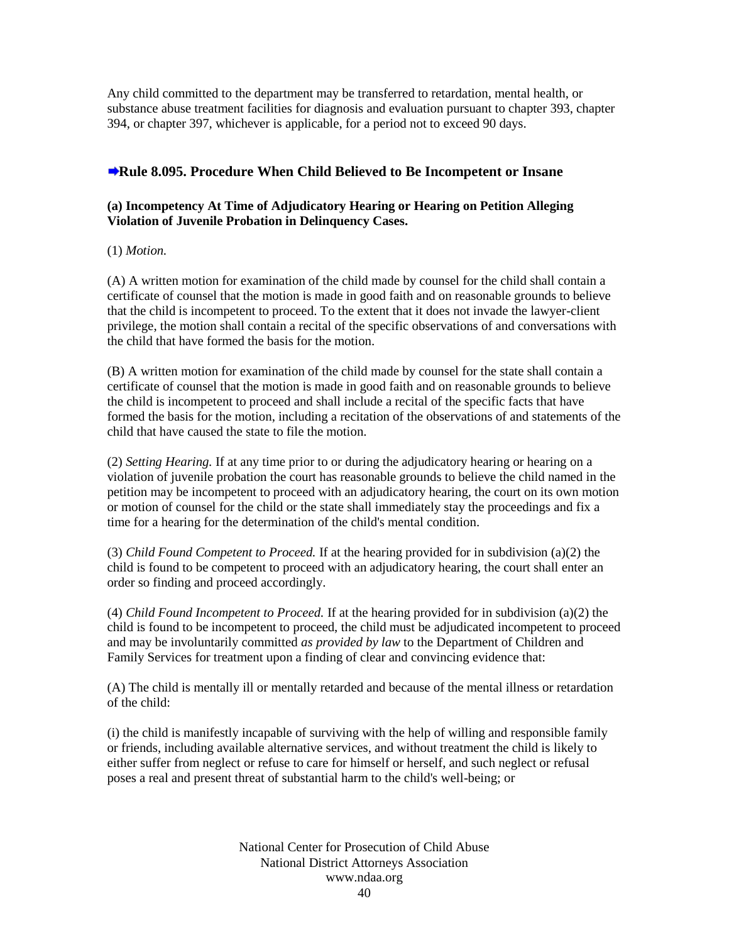Any child committed to the department may be transferred to retardation, mental health, or substance abuse treatment facilities for diagnosis and evaluation pursuant to chapter 393, chapter 394, or chapter 397, whichever is applicable, for a period not to exceed 90 days.

# **Rule 8.095. Procedure When Child Believed to Be Incompetent or Insane**

### **(a) Incompetency At Time of Adjudicatory Hearing or Hearing on Petition Alleging Violation of Juvenile Probation in Delinquency Cases.**

### (1) *Motion.*

(A) A written motion for examination of the child made by counsel for the child shall contain a certificate of counsel that the motion is made in good faith and on reasonable grounds to believe that the child is incompetent to proceed. To the extent that it does not invade the lawyer-client privilege, the motion shall contain a recital of the specific observations of and conversations with the child that have formed the basis for the motion.

(B) A written motion for examination of the child made by counsel for the state shall contain a certificate of counsel that the motion is made in good faith and on reasonable grounds to believe the child is incompetent to proceed and shall include a recital of the specific facts that have formed the basis for the motion, including a recitation of the observations of and statements of the child that have caused the state to file the motion.

(2) *Setting Hearing.* If at any time prior to or during the adjudicatory hearing or hearing on a violation of juvenile probation the court has reasonable grounds to believe the child named in the petition may be incompetent to proceed with an adjudicatory hearing, the court on its own motion or motion of counsel for the child or the state shall immediately stay the proceedings and fix a time for a hearing for the determination of the child's mental condition.

(3) *Child Found Competent to Proceed.* If at the hearing provided for in subdivision (a)(2) the child is found to be competent to proceed with an adjudicatory hearing, the court shall enter an order so finding and proceed accordingly.

(4) *Child Found Incompetent to Proceed.* If at the hearing provided for in subdivision (a)(2) the child is found to be incompetent to proceed, the child must be adjudicated incompetent to proceed and may be involuntarily committed *as provided by law* to the Department of Children and Family Services for treatment upon a finding of clear and convincing evidence that:

(A) The child is mentally ill or mentally retarded and because of the mental illness or retardation of the child:

(i) the child is manifestly incapable of surviving with the help of willing and responsible family or friends, including available alternative services, and without treatment the child is likely to either suffer from neglect or refuse to care for himself or herself, and such neglect or refusal poses a real and present threat of substantial harm to the child's well-being; or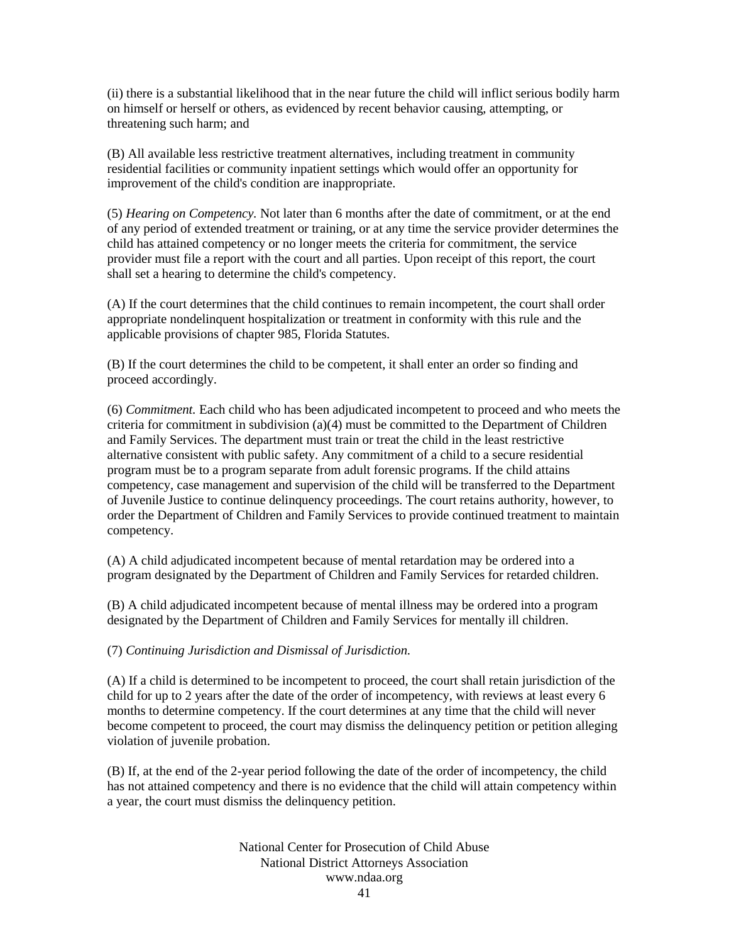(ii) there is a substantial likelihood that in the near future the child will inflict serious bodily harm on himself or herself or others, as evidenced by recent behavior causing, attempting, or threatening such harm; and

(B) All available less restrictive treatment alternatives, including treatment in community residential facilities or community inpatient settings which would offer an opportunity for improvement of the child's condition are inappropriate.

(5) *Hearing on Competency.* Not later than 6 months after the date of commitment, or at the end of any period of extended treatment or training, or at any time the service provider determines the child has attained competency or no longer meets the criteria for commitment, the service provider must file a report with the court and all parties. Upon receipt of this report, the court shall set a hearing to determine the child's competency.

(A) If the court determines that the child continues to remain incompetent, the court shall order appropriate nondelinquent hospitalization or treatment in conformity with this rule and the applicable provisions of chapter 985, Florida Statutes.

(B) If the court determines the child to be competent, it shall enter an order so finding and proceed accordingly.

(6) *Commitment.* Each child who has been adjudicated incompetent to proceed and who meets the criteria for commitment in subdivision (a)(4) must be committed to the Department of Children and Family Services. The department must train or treat the child in the least restrictive alternative consistent with public safety. Any commitment of a child to a secure residential program must be to a program separate from adult forensic programs. If the child attains competency, case management and supervision of the child will be transferred to the Department of Juvenile Justice to continue delinquency proceedings. The court retains authority, however, to order the Department of Children and Family Services to provide continued treatment to maintain competency.

(A) A child adjudicated incompetent because of mental retardation may be ordered into a program designated by the Department of Children and Family Services for retarded children.

(B) A child adjudicated incompetent because of mental illness may be ordered into a program designated by the Department of Children and Family Services for mentally ill children.

(7) *Continuing Jurisdiction and Dismissal of Jurisdiction.*

(A) If a child is determined to be incompetent to proceed, the court shall retain jurisdiction of the child for up to 2 years after the date of the order of incompetency, with reviews at least every 6 months to determine competency. If the court determines at any time that the child will never become competent to proceed, the court may dismiss the delinquency petition or petition alleging violation of juvenile probation.

(B) If, at the end of the 2-year period following the date of the order of incompetency, the child has not attained competency and there is no evidence that the child will attain competency within a year, the court must dismiss the delinquency petition.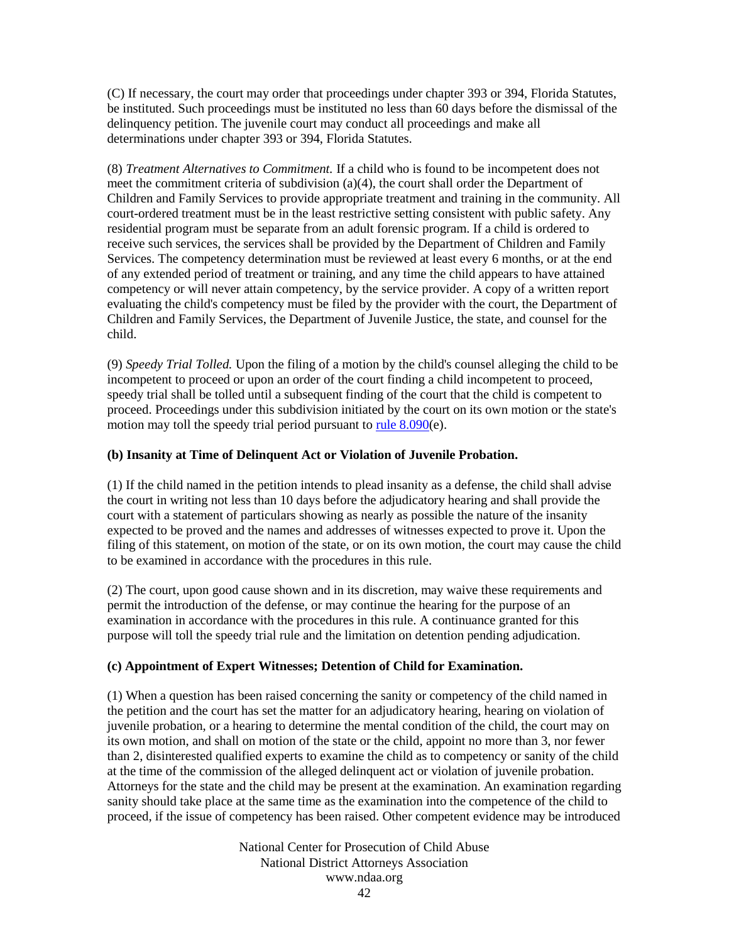(C) If necessary, the court may order that proceedings under chapter 393 or 394, Florida Statutes, be instituted. Such proceedings must be instituted no less than 60 days before the dismissal of the delinquency petition. The juvenile court may conduct all proceedings and make all determinations under chapter 393 or 394, Florida Statutes.

(8) *Treatment Alternatives to Commitment.* If a child who is found to be incompetent does not meet the commitment criteria of subdivision (a)(4), the court shall order the Department of Children and Family Services to provide appropriate treatment and training in the community. All court-ordered treatment must be in the least restrictive setting consistent with public safety. Any residential program must be separate from an adult forensic program. If a child is ordered to receive such services, the services shall be provided by the Department of Children and Family Services. The competency determination must be reviewed at least every 6 months, or at the end of any extended period of treatment or training, and any time the child appears to have attained competency or will never attain competency, by the service provider. A copy of a written report evaluating the child's competency must be filed by the provider with the court, the Department of Children and Family Services, the Department of Juvenile Justice, the state, and counsel for the child.

(9) *Speedy Trial Tolled.* Upon the filing of a motion by the child's counsel alleging the child to be incompetent to proceed or upon an order of the court finding a child incompetent to proceed, speedy trial shall be tolled until a subsequent finding of the court that the child is competent to proceed. Proceedings under this subdivision initiated by the court on its own motion or the state's motion may toll the speedy trial period pursuant to [rule 8.090\(](http://web2.westlaw.com/find/default.wl?mt=WestlawGC&db=1005180&rs=WLW12.04&docname=FLSTJUVPR8.090&rp=%2ffind%2fdefault.wl&findtype=L&ordoc=6884616&tc=-1&vr=2.0&fn=_top&sv=Split&tf=-1&pbc=5F785975&utid=%7bAB3BE2A6-C0DE-477B-8112-82C232E8F57E%7d)e).

#### **(b) Insanity at Time of Delinquent Act or Violation of Juvenile Probation.**

(1) If the child named in the petition intends to plead insanity as a defense, the child shall advise the court in writing not less than 10 days before the adjudicatory hearing and shall provide the court with a statement of particulars showing as nearly as possible the nature of the insanity expected to be proved and the names and addresses of witnesses expected to prove it. Upon the filing of this statement, on motion of the state, or on its own motion, the court may cause the child to be examined in accordance with the procedures in this rule.

(2) The court, upon good cause shown and in its discretion, may waive these requirements and permit the introduction of the defense, or may continue the hearing for the purpose of an examination in accordance with the procedures in this rule. A continuance granted for this purpose will toll the speedy trial rule and the limitation on detention pending adjudication.

#### **(c) Appointment of Expert Witnesses; Detention of Child for Examination.**

(1) When a question has been raised concerning the sanity or competency of the child named in the petition and the court has set the matter for an adjudicatory hearing, hearing on violation of juvenile probation, or a hearing to determine the mental condition of the child, the court may on its own motion, and shall on motion of the state or the child, appoint no more than 3, nor fewer than 2, disinterested qualified experts to examine the child as to competency or sanity of the child at the time of the commission of the alleged delinquent act or violation of juvenile probation. Attorneys for the state and the child may be present at the examination. An examination regarding sanity should take place at the same time as the examination into the competence of the child to proceed, if the issue of competency has been raised. Other competent evidence may be introduced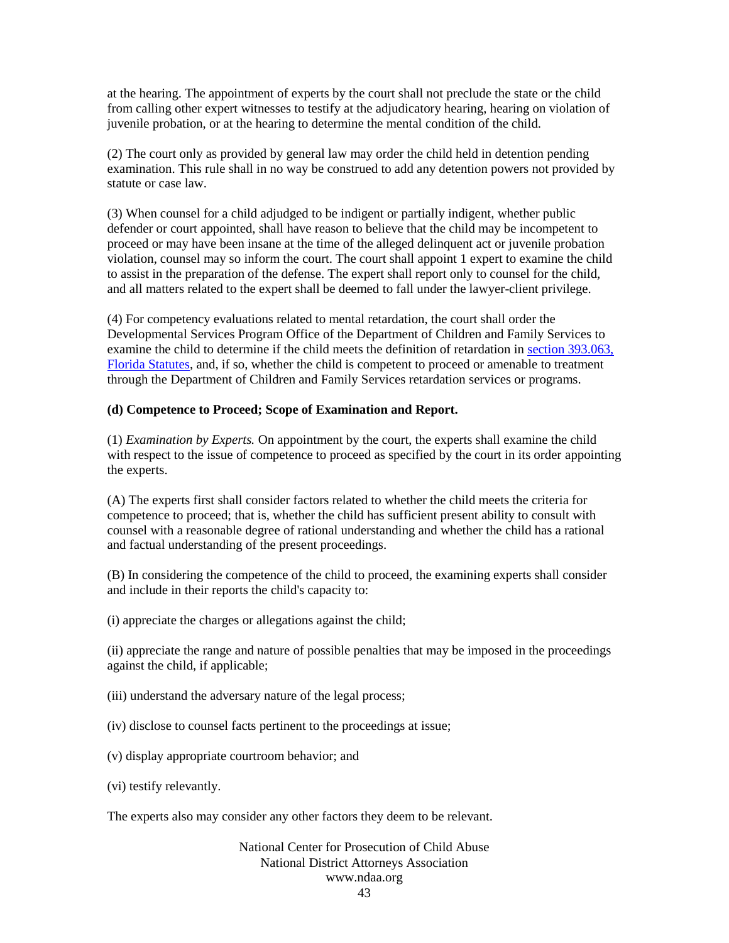at the hearing. The appointment of experts by the court shall not preclude the state or the child from calling other expert witnesses to testify at the adjudicatory hearing, hearing on violation of juvenile probation, or at the hearing to determine the mental condition of the child.

(2) The court only as provided by general law may order the child held in detention pending examination. This rule shall in no way be construed to add any detention powers not provided by statute or case law.

(3) When counsel for a child adjudged to be indigent or partially indigent, whether public defender or court appointed, shall have reason to believe that the child may be incompetent to proceed or may have been insane at the time of the alleged delinquent act or juvenile probation violation, counsel may so inform the court. The court shall appoint 1 expert to examine the child to assist in the preparation of the defense. The expert shall report only to counsel for the child, and all matters related to the expert shall be deemed to fall under the lawyer-client privilege.

(4) For competency evaluations related to mental retardation, the court shall order the Developmental Services Program Office of the Department of Children and Family Services to examine the child to determine if the child meets the definition of retardation in [section 393.063,](http://web2.westlaw.com/find/default.wl?mt=WestlawGC&db=1000006&rs=WLW12.04&docname=FLSTS393.063&rp=%2ffind%2fdefault.wl&findtype=L&ordoc=6884616&tc=-1&vr=2.0&fn=_top&sv=Split&tf=-1&pbc=5F785975&utid=%7bAB3BE2A6-C0DE-477B-8112-82C232E8F57E%7d)  [Florida Statutes,](http://web2.westlaw.com/find/default.wl?mt=WestlawGC&db=1000006&rs=WLW12.04&docname=FLSTS393.063&rp=%2ffind%2fdefault.wl&findtype=L&ordoc=6884616&tc=-1&vr=2.0&fn=_top&sv=Split&tf=-1&pbc=5F785975&utid=%7bAB3BE2A6-C0DE-477B-8112-82C232E8F57E%7d) and, if so, whether the child is competent to proceed or amenable to treatment through the Department of Children and Family Services retardation services or programs.

#### **(d) Competence to Proceed; Scope of Examination and Report.**

(1) *Examination by Experts.* On appointment by the court, the experts shall examine the child with respect to the issue of competence to proceed as specified by the court in its order appointing the experts.

(A) The experts first shall consider factors related to whether the child meets the criteria for competence to proceed; that is, whether the child has sufficient present ability to consult with counsel with a reasonable degree of rational understanding and whether the child has a rational and factual understanding of the present proceedings.

(B) In considering the competence of the child to proceed, the examining experts shall consider and include in their reports the child's capacity to:

(i) appreciate the charges or allegations against the child;

(ii) appreciate the range and nature of possible penalties that may be imposed in the proceedings against the child, if applicable;

- (iii) understand the adversary nature of the legal process;
- (iv) disclose to counsel facts pertinent to the proceedings at issue;
- (v) display appropriate courtroom behavior; and
- (vi) testify relevantly.

The experts also may consider any other factors they deem to be relevant.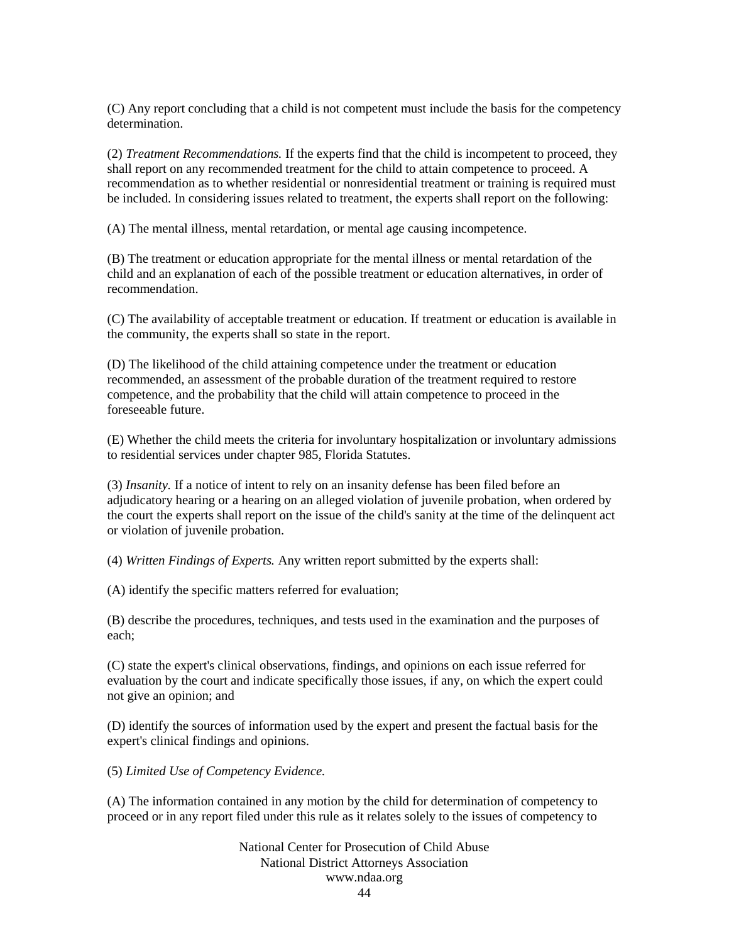(C) Any report concluding that a child is not competent must include the basis for the competency determination.

(2) *Treatment Recommendations.* If the experts find that the child is incompetent to proceed, they shall report on any recommended treatment for the child to attain competence to proceed. A recommendation as to whether residential or nonresidential treatment or training is required must be included. In considering issues related to treatment, the experts shall report on the following:

(A) The mental illness, mental retardation, or mental age causing incompetence.

(B) The treatment or education appropriate for the mental illness or mental retardation of the child and an explanation of each of the possible treatment or education alternatives, in order of recommendation.

(C) The availability of acceptable treatment or education. If treatment or education is available in the community, the experts shall so state in the report.

(D) The likelihood of the child attaining competence under the treatment or education recommended, an assessment of the probable duration of the treatment required to restore competence, and the probability that the child will attain competence to proceed in the foreseeable future.

(E) Whether the child meets the criteria for involuntary hospitalization or involuntary admissions to residential services under chapter 985, Florida Statutes.

(3) *Insanity.* If a notice of intent to rely on an insanity defense has been filed before an adjudicatory hearing or a hearing on an alleged violation of juvenile probation, when ordered by the court the experts shall report on the issue of the child's sanity at the time of the delinquent act or violation of juvenile probation.

(4) *Written Findings of Experts.* Any written report submitted by the experts shall:

(A) identify the specific matters referred for evaluation;

(B) describe the procedures, techniques, and tests used in the examination and the purposes of each;

(C) state the expert's clinical observations, findings, and opinions on each issue referred for evaluation by the court and indicate specifically those issues, if any, on which the expert could not give an opinion; and

(D) identify the sources of information used by the expert and present the factual basis for the expert's clinical findings and opinions.

(5) *Limited Use of Competency Evidence.*

(A) The information contained in any motion by the child for determination of competency to proceed or in any report filed under this rule as it relates solely to the issues of competency to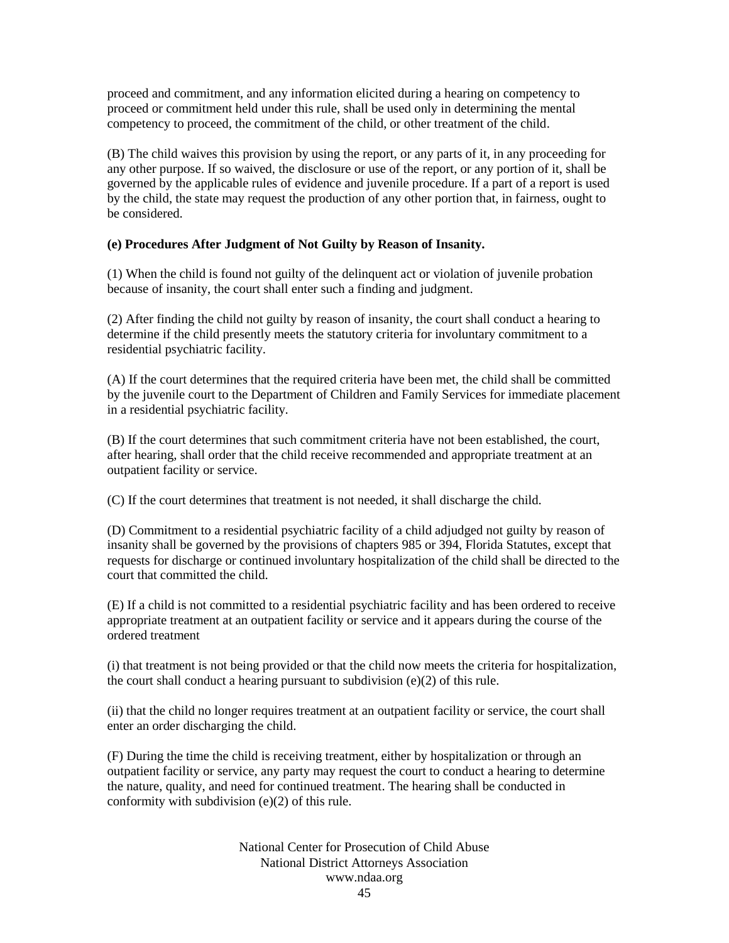proceed and commitment, and any information elicited during a hearing on competency to proceed or commitment held under this rule, shall be used only in determining the mental competency to proceed, the commitment of the child, or other treatment of the child.

(B) The child waives this provision by using the report, or any parts of it, in any proceeding for any other purpose. If so waived, the disclosure or use of the report, or any portion of it, shall be governed by the applicable rules of evidence and juvenile procedure. If a part of a report is used by the child, the state may request the production of any other portion that, in fairness, ought to be considered.

#### **(e) Procedures After Judgment of Not Guilty by Reason of Insanity.**

(1) When the child is found not guilty of the delinquent act or violation of juvenile probation because of insanity, the court shall enter such a finding and judgment.

(2) After finding the child not guilty by reason of insanity, the court shall conduct a hearing to determine if the child presently meets the statutory criteria for involuntary commitment to a residential psychiatric facility.

(A) If the court determines that the required criteria have been met, the child shall be committed by the juvenile court to the Department of Children and Family Services for immediate placement in a residential psychiatric facility.

(B) If the court determines that such commitment criteria have not been established, the court, after hearing, shall order that the child receive recommended and appropriate treatment at an outpatient facility or service.

(C) If the court determines that treatment is not needed, it shall discharge the child.

(D) Commitment to a residential psychiatric facility of a child adjudged not guilty by reason of insanity shall be governed by the provisions of chapters 985 or 394, Florida Statutes, except that requests for discharge or continued involuntary hospitalization of the child shall be directed to the court that committed the child.

(E) If a child is not committed to a residential psychiatric facility and has been ordered to receive appropriate treatment at an outpatient facility or service and it appears during the course of the ordered treatment

(i) that treatment is not being provided or that the child now meets the criteria for hospitalization, the court shall conduct a hearing pursuant to subdivision (e)(2) of this rule.

(ii) that the child no longer requires treatment at an outpatient facility or service, the court shall enter an order discharging the child.

(F) During the time the child is receiving treatment, either by hospitalization or through an outpatient facility or service, any party may request the court to conduct a hearing to determine the nature, quality, and need for continued treatment. The hearing shall be conducted in conformity with subdivision (e)(2) of this rule.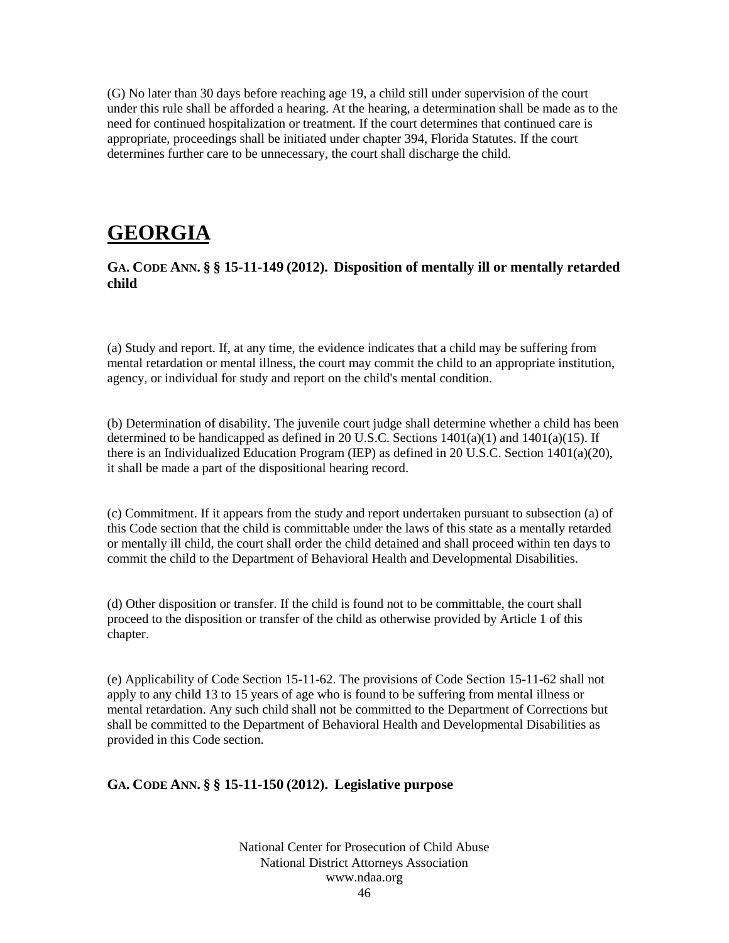(G) No later than 30 days before reaching age 19, a child still under supervision of the court under this rule shall be afforded a hearing. At the hearing, a determination shall be made as to the need for continued hospitalization or treatment. If the court determines that continued care is appropriate, proceedings shall be initiated under chapter 394, Florida Statutes. If the court determines further care to be unnecessary, the court shall discharge the child.

# **GEORGIA**

# **GA. CODE ANN. § § 15-11-149 (2012). Disposition of mentally ill or mentally retarded child**

(a) Study and report. If, at any time, the evidence indicates that a child may be suffering from mental retardation or mental illness, the court may commit the child to an appropriate institution, agency, or individual for study and report on the child's mental condition.

(b) Determination of disability. The juvenile court judge shall determine whether a child has been determined to be handicapped as defined in 20 U.S.C. Sections  $1401(a)(1)$  and  $1401(a)(15)$ . If there is an Individualized Education Program (IEP) as defined in 20 U.S.C. Section 1401(a)(20), it shall be made a part of the dispositional hearing record.

(c) Commitment. If it appears from the study and report undertaken pursuant to subsection (a) of this Code section that the child is committable under the laws of this state as a mentally retarded or mentally ill child, the court shall order the child detained and shall proceed within ten days to commit the child to the Department of Behavioral Health and Developmental Disabilities.

(d) Other disposition or transfer. If the child is found not to be committable, the court shall proceed to the disposition or transfer of the child as otherwise provided by Article 1 of this chapter.

(e) Applicability of Code Section 15-11-62. The provisions of Code Section 15-11-62 shall not apply to any child 13 to 15 years of age who is found to be suffering from mental illness or mental retardation. Any such child shall not be committed to the Department of Corrections but shall be committed to the Department of Behavioral Health and Developmental Disabilities as provided in this Code section.

# **GA. CODE ANN. § § 15-11-150 (2012). Legislative purpose**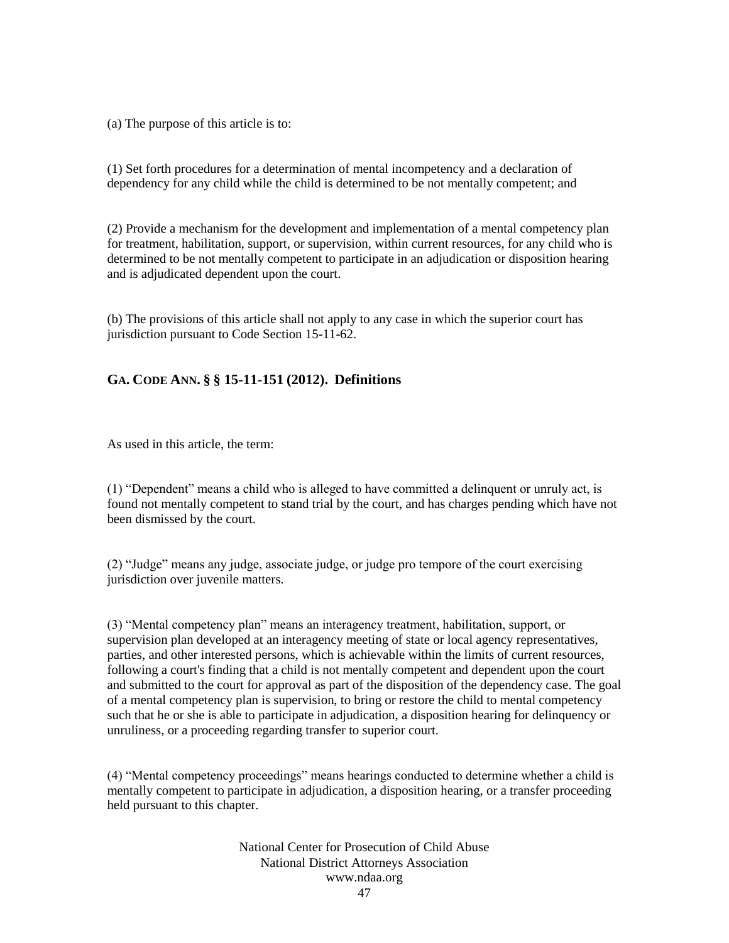(a) The purpose of this article is to:

(1) Set forth procedures for a determination of mental incompetency and a declaration of dependency for any child while the child is determined to be not mentally competent; and

(2) Provide a mechanism for the development and implementation of a mental competency plan for treatment, habilitation, support, or supervision, within current resources, for any child who is determined to be not mentally competent to participate in an adjudication or disposition hearing and is adjudicated dependent upon the court.

(b) The provisions of this article shall not apply to any case in which the superior court has jurisdiction pursuant to Code Section 15-11-62.

### **GA. CODE ANN. § § 15-11-151 (2012). Definitions**

As used in this article, the term:

(1) "Dependent" means a child who is alleged to have committed a delinquent or unruly act, is found not mentally competent to stand trial by the court, and has charges pending which have not been dismissed by the court.

(2) "Judge" means any judge, associate judge, or judge pro tempore of the court exercising jurisdiction over juvenile matters.

(3) "Mental competency plan" means an interagency treatment, habilitation, support, or supervision plan developed at an interagency meeting of state or local agency representatives, parties, and other interested persons, which is achievable within the limits of current resources, following a court's finding that a child is not mentally competent and dependent upon the court and submitted to the court for approval as part of the disposition of the dependency case. The goal of a mental competency plan is supervision, to bring or restore the child to mental competency such that he or she is able to participate in adjudication, a disposition hearing for delinquency or unruliness, or a proceeding regarding transfer to superior court.

(4) "Mental competency proceedings" means hearings conducted to determine whether a child is mentally competent to participate in adjudication, a disposition hearing, or a transfer proceeding held pursuant to this chapter.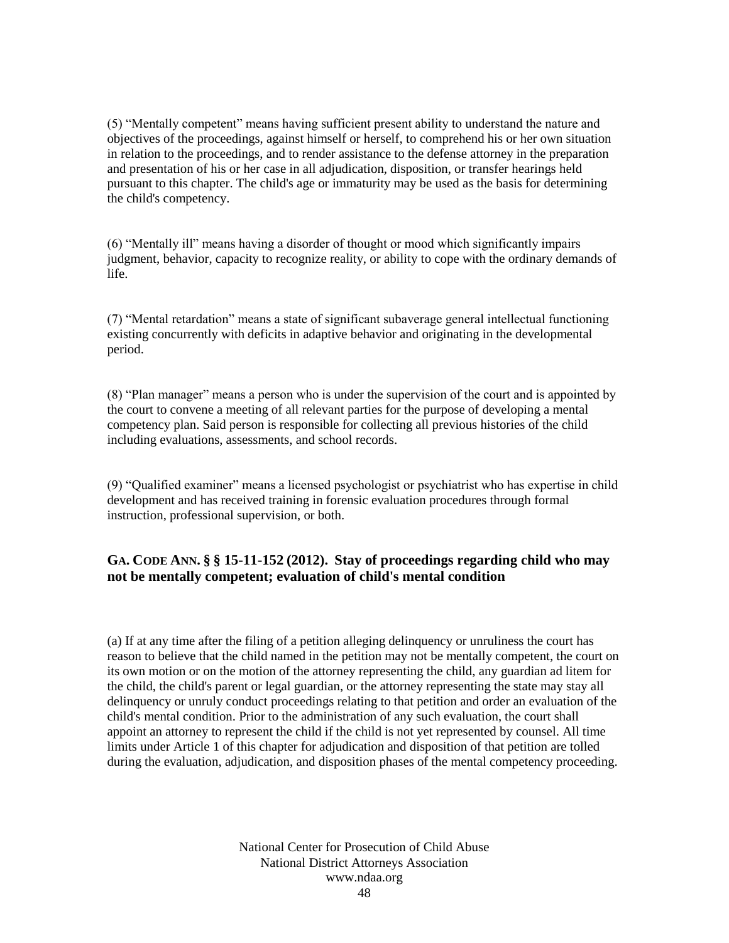(5) "Mentally competent" means having sufficient present ability to understand the nature and objectives of the proceedings, against himself or herself, to comprehend his or her own situation in relation to the proceedings, and to render assistance to the defense attorney in the preparation and presentation of his or her case in all adjudication, disposition, or transfer hearings held pursuant to this chapter. The child's age or immaturity may be used as the basis for determining the child's competency.

(6) "Mentally ill" means having a disorder of thought or mood which significantly impairs judgment, behavior, capacity to recognize reality, or ability to cope with the ordinary demands of life.

(7) "Mental retardation" means a state of significant subaverage general intellectual functioning existing concurrently with deficits in adaptive behavior and originating in the developmental period.

(8) "Plan manager" means a person who is under the supervision of the court and is appointed by the court to convene a meeting of all relevant parties for the purpose of developing a mental competency plan. Said person is responsible for collecting all previous histories of the child including evaluations, assessments, and school records.

(9) "Qualified examiner" means a licensed psychologist or psychiatrist who has expertise in child development and has received training in forensic evaluation procedures through formal instruction, professional supervision, or both.

## **GA. CODE ANN. § § 15-11-152 (2012). Stay of proceedings regarding child who may not be mentally competent; evaluation of child's mental condition**

(a) If at any time after the filing of a petition alleging delinquency or unruliness the court has reason to believe that the child named in the petition may not be mentally competent, the court on its own motion or on the motion of the attorney representing the child, any guardian ad litem for the child, the child's parent or legal guardian, or the attorney representing the state may stay all delinquency or unruly conduct proceedings relating to that petition and order an evaluation of the child's mental condition. Prior to the administration of any such evaluation, the court shall appoint an attorney to represent the child if the child is not yet represented by counsel. All time limits under Article 1 of this chapter for adjudication and disposition of that petition are tolled during the evaluation, adjudication, and disposition phases of the mental competency proceeding.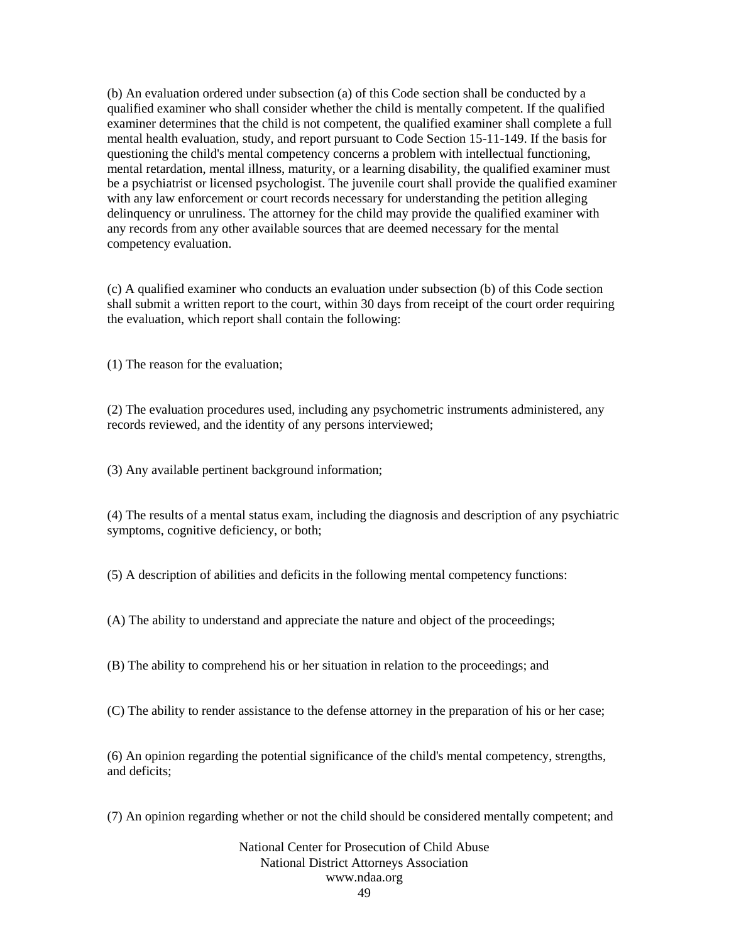(b) An evaluation ordered under subsection (a) of this Code section shall be conducted by a qualified examiner who shall consider whether the child is mentally competent. If the qualified examiner determines that the child is not competent, the qualified examiner shall complete a full mental health evaluation, study, and report pursuant to Code Section 15-11-149. If the basis for questioning the child's mental competency concerns a problem with intellectual functioning, mental retardation, mental illness, maturity, or a learning disability, the qualified examiner must be a psychiatrist or licensed psychologist. The juvenile court shall provide the qualified examiner with any law enforcement or court records necessary for understanding the petition alleging delinquency or unruliness. The attorney for the child may provide the qualified examiner with any records from any other available sources that are deemed necessary for the mental competency evaluation.

(c) A qualified examiner who conducts an evaluation under subsection (b) of this Code section shall submit a written report to the court, within 30 days from receipt of the court order requiring the evaluation, which report shall contain the following:

(1) The reason for the evaluation;

(2) The evaluation procedures used, including any psychometric instruments administered, any records reviewed, and the identity of any persons interviewed;

(3) Any available pertinent background information;

(4) The results of a mental status exam, including the diagnosis and description of any psychiatric symptoms, cognitive deficiency, or both;

(5) A description of abilities and deficits in the following mental competency functions:

(A) The ability to understand and appreciate the nature and object of the proceedings;

(B) The ability to comprehend his or her situation in relation to the proceedings; and

(C) The ability to render assistance to the defense attorney in the preparation of his or her case;

(6) An opinion regarding the potential significance of the child's mental competency, strengths, and deficits;

(7) An opinion regarding whether or not the child should be considered mentally competent; and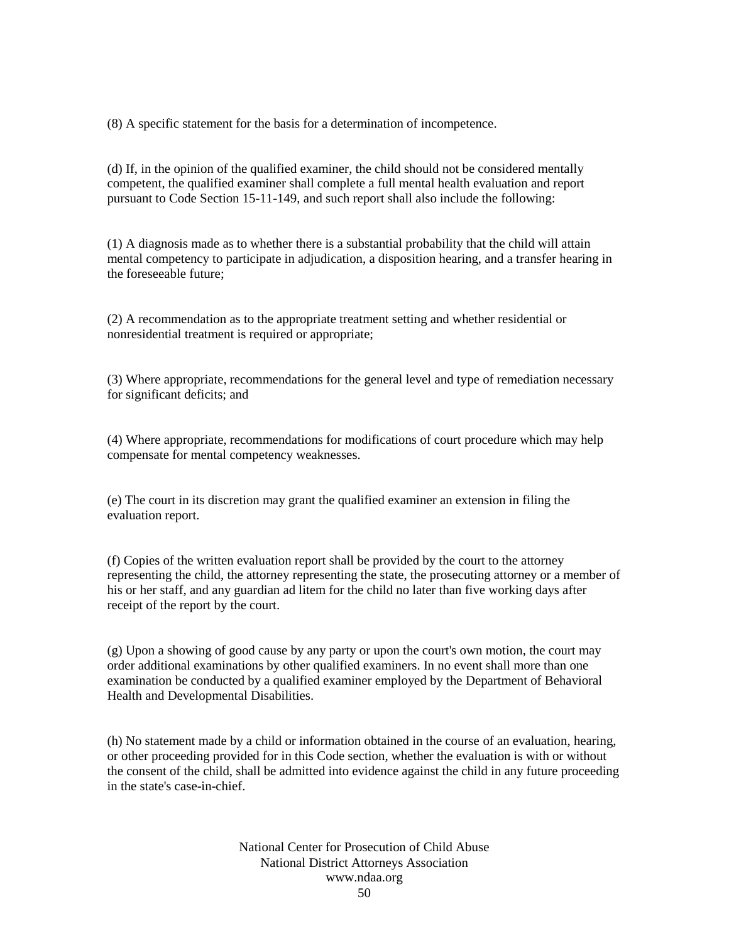(8) A specific statement for the basis for a determination of incompetence.

(d) If, in the opinion of the qualified examiner, the child should not be considered mentally competent, the qualified examiner shall complete a full mental health evaluation and report pursuant to Code Section 15-11-149, and such report shall also include the following:

(1) A diagnosis made as to whether there is a substantial probability that the child will attain mental competency to participate in adjudication, a disposition hearing, and a transfer hearing in the foreseeable future;

(2) A recommendation as to the appropriate treatment setting and whether residential or nonresidential treatment is required or appropriate;

(3) Where appropriate, recommendations for the general level and type of remediation necessary for significant deficits; and

(4) Where appropriate, recommendations for modifications of court procedure which may help compensate for mental competency weaknesses.

(e) The court in its discretion may grant the qualified examiner an extension in filing the evaluation report.

(f) Copies of the written evaluation report shall be provided by the court to the attorney representing the child, the attorney representing the state, the prosecuting attorney or a member of his or her staff, and any guardian ad litem for the child no later than five working days after receipt of the report by the court.

(g) Upon a showing of good cause by any party or upon the court's own motion, the court may order additional examinations by other qualified examiners. In no event shall more than one examination be conducted by a qualified examiner employed by the Department of Behavioral Health and Developmental Disabilities.

(h) No statement made by a child or information obtained in the course of an evaluation, hearing, or other proceeding provided for in this Code section, whether the evaluation is with or without the consent of the child, shall be admitted into evidence against the child in any future proceeding in the state's case-in-chief.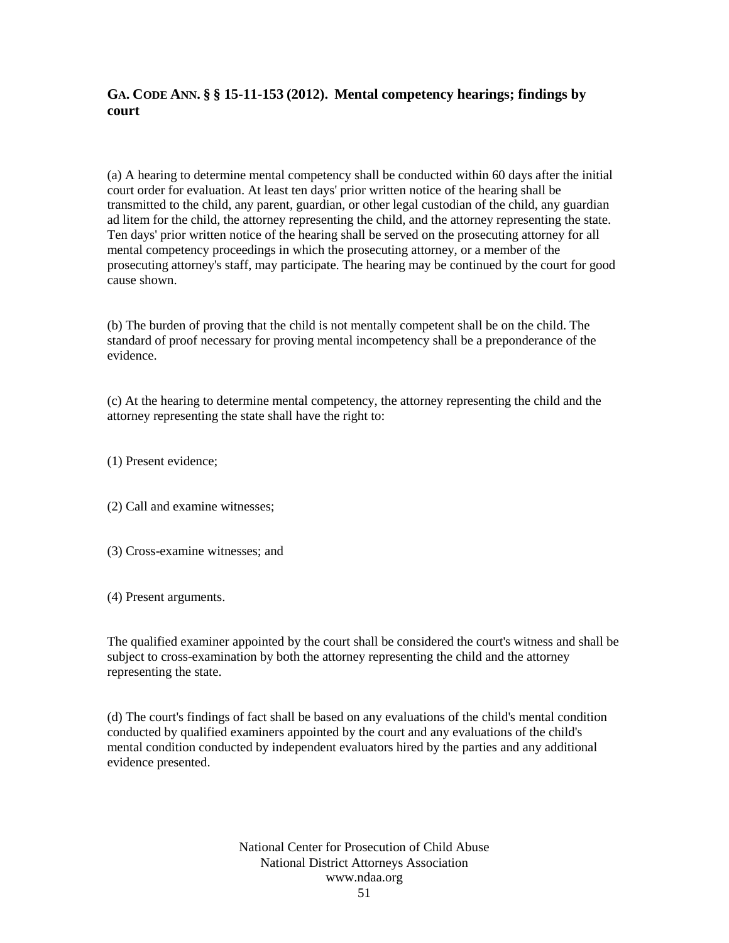# **GA. CODE ANN. § § 15-11-153 (2012). Mental competency hearings; findings by court**

(a) A hearing to determine mental competency shall be conducted within 60 days after the initial court order for evaluation. At least ten days' prior written notice of the hearing shall be transmitted to the child, any parent, guardian, or other legal custodian of the child, any guardian ad litem for the child, the attorney representing the child, and the attorney representing the state. Ten days' prior written notice of the hearing shall be served on the prosecuting attorney for all mental competency proceedings in which the prosecuting attorney, or a member of the prosecuting attorney's staff, may participate. The hearing may be continued by the court for good cause shown.

(b) The burden of proving that the child is not mentally competent shall be on the child. The standard of proof necessary for proving mental incompetency shall be a preponderance of the evidence.

(c) At the hearing to determine mental competency, the attorney representing the child and the attorney representing the state shall have the right to:

(1) Present evidence;

- (2) Call and examine witnesses;
- (3) Cross-examine witnesses; and
- (4) Present arguments.

The qualified examiner appointed by the court shall be considered the court's witness and shall be subject to cross-examination by both the attorney representing the child and the attorney representing the state.

(d) The court's findings of fact shall be based on any evaluations of the child's mental condition conducted by qualified examiners appointed by the court and any evaluations of the child's mental condition conducted by independent evaluators hired by the parties and any additional evidence presented.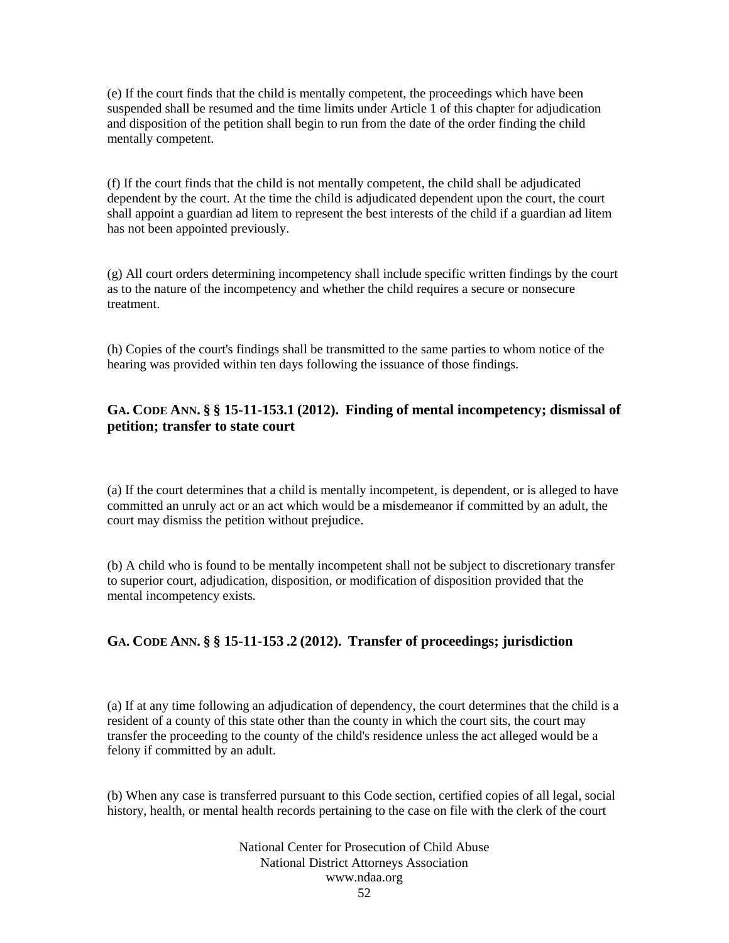(e) If the court finds that the child is mentally competent, the proceedings which have been suspended shall be resumed and the time limits under Article 1 of this chapter for adjudication and disposition of the petition shall begin to run from the date of the order finding the child mentally competent.

(f) If the court finds that the child is not mentally competent, the child shall be adjudicated dependent by the court. At the time the child is adjudicated dependent upon the court, the court shall appoint a guardian ad litem to represent the best interests of the child if a guardian ad litem has not been appointed previously.

(g) All court orders determining incompetency shall include specific written findings by the court as to the nature of the incompetency and whether the child requires a secure or nonsecure treatment.

(h) Copies of the court's findings shall be transmitted to the same parties to whom notice of the hearing was provided within ten days following the issuance of those findings.

# **GA. CODE ANN. § § 15-11-153.1 (2012). Finding of mental incompetency; dismissal of petition; transfer to state court**

(a) If the court determines that a child is mentally incompetent, is dependent, or is alleged to have committed an unruly act or an act which would be a misdemeanor if committed by an adult, the court may dismiss the petition without prejudice.

(b) A child who is found to be mentally incompetent shall not be subject to discretionary transfer to superior court, adjudication, disposition, or modification of disposition provided that the mental incompetency exists.

## **GA. CODE ANN. § § 15-11-153 .2 (2012). Transfer of proceedings; jurisdiction**

(a) If at any time following an adjudication of dependency, the court determines that the child is a resident of a county of this state other than the county in which the court sits, the court may transfer the proceeding to the county of the child's residence unless the act alleged would be a felony if committed by an adult.

(b) When any case is transferred pursuant to this Code section, certified copies of all legal, social history, health, or mental health records pertaining to the case on file with the clerk of the court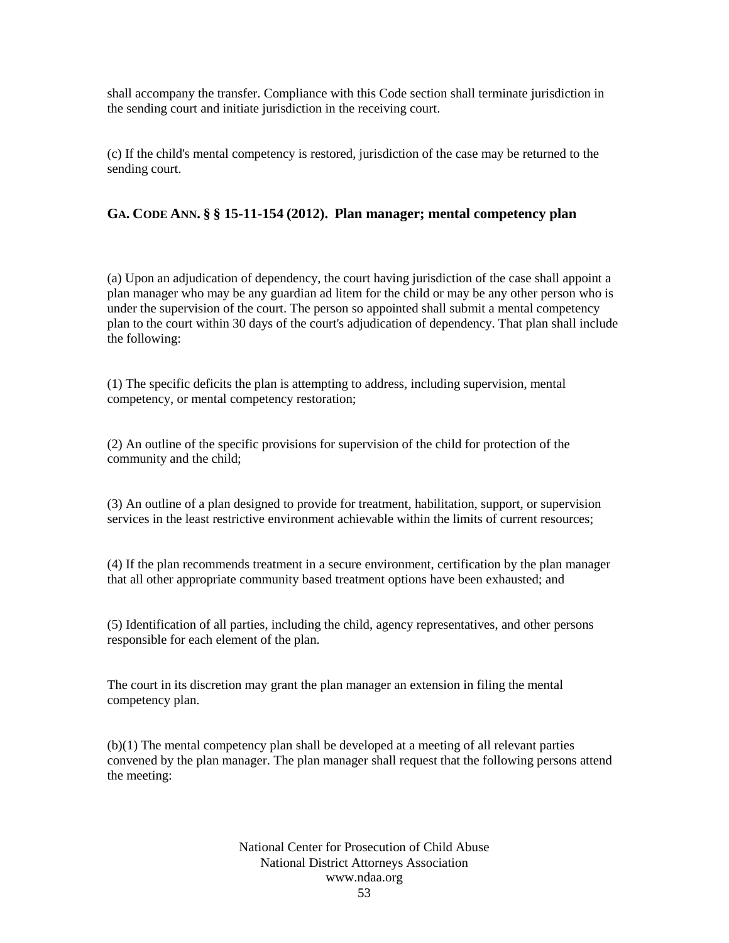shall accompany the transfer. Compliance with this Code section shall terminate jurisdiction in the sending court and initiate jurisdiction in the receiving court.

(c) If the child's mental competency is restored, jurisdiction of the case may be returned to the sending court.

# **GA. CODE ANN. § § 15-11-154 (2012). Plan manager; mental competency plan**

(a) Upon an adjudication of dependency, the court having jurisdiction of the case shall appoint a plan manager who may be any guardian ad litem for the child or may be any other person who is under the supervision of the court. The person so appointed shall submit a mental competency plan to the court within 30 days of the court's adjudication of dependency. That plan shall include the following:

(1) The specific deficits the plan is attempting to address, including supervision, mental competency, or mental competency restoration;

(2) An outline of the specific provisions for supervision of the child for protection of the community and the child;

(3) An outline of a plan designed to provide for treatment, habilitation, support, or supervision services in the least restrictive environment achievable within the limits of current resources;

(4) If the plan recommends treatment in a secure environment, certification by the plan manager that all other appropriate community based treatment options have been exhausted; and

(5) Identification of all parties, including the child, agency representatives, and other persons responsible for each element of the plan.

The court in its discretion may grant the plan manager an extension in filing the mental competency plan.

(b)(1) The mental competency plan shall be developed at a meeting of all relevant parties convened by the plan manager. The plan manager shall request that the following persons attend the meeting: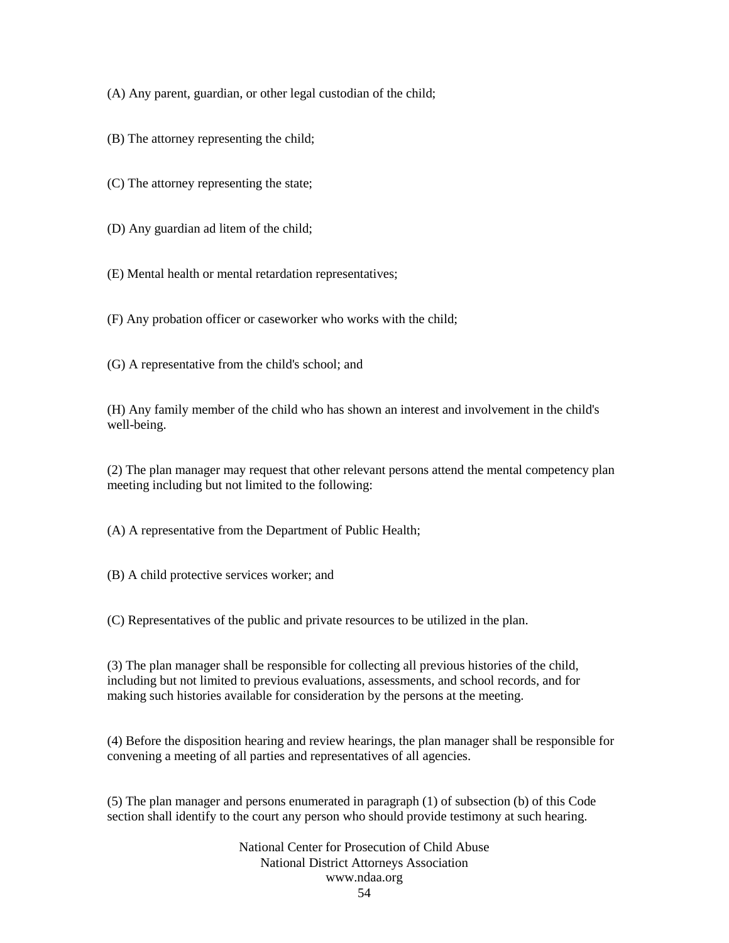- (A) Any parent, guardian, or other legal custodian of the child;
- (B) The attorney representing the child;
- (C) The attorney representing the state;
- (D) Any guardian ad litem of the child;
- (E) Mental health or mental retardation representatives;

(F) Any probation officer or caseworker who works with the child;

(G) A representative from the child's school; and

(H) Any family member of the child who has shown an interest and involvement in the child's well-being.

(2) The plan manager may request that other relevant persons attend the mental competency plan meeting including but not limited to the following:

(A) A representative from the Department of Public Health;

(B) A child protective services worker; and

(C) Representatives of the public and private resources to be utilized in the plan.

(3) The plan manager shall be responsible for collecting all previous histories of the child, including but not limited to previous evaluations, assessments, and school records, and for making such histories available for consideration by the persons at the meeting.

(4) Before the disposition hearing and review hearings, the plan manager shall be responsible for convening a meeting of all parties and representatives of all agencies.

(5) The plan manager and persons enumerated in paragraph (1) of subsection (b) of this Code section shall identify to the court any person who should provide testimony at such hearing.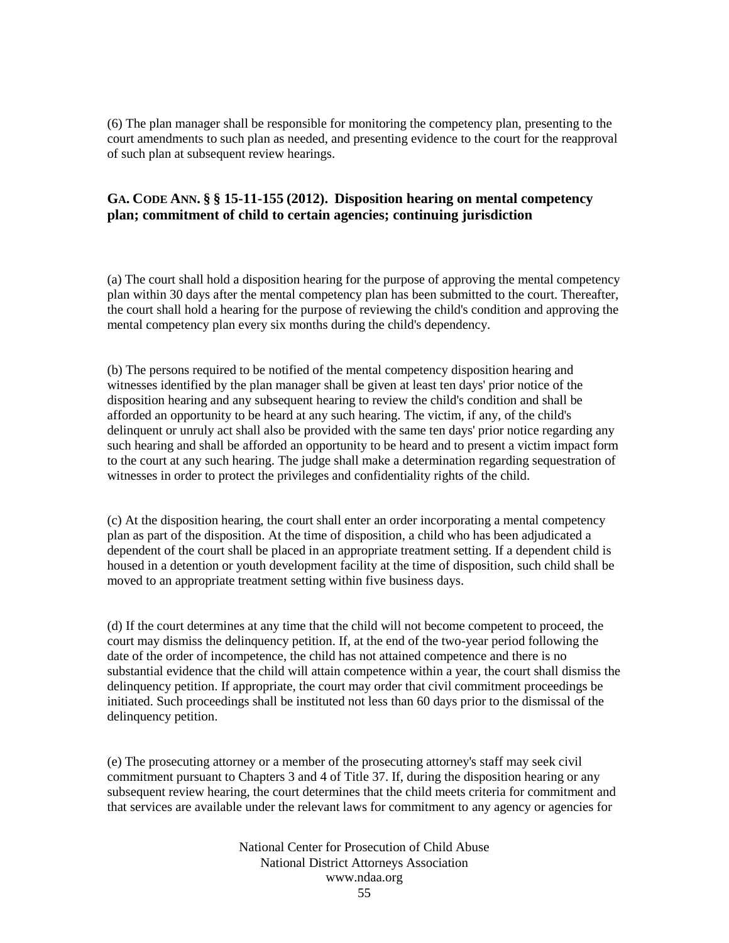(6) The plan manager shall be responsible for monitoring the competency plan, presenting to the court amendments to such plan as needed, and presenting evidence to the court for the reapproval of such plan at subsequent review hearings.

## **GA. CODE ANN. § § 15-11-155 (2012). Disposition hearing on mental competency plan; commitment of child to certain agencies; continuing jurisdiction**

(a) The court shall hold a disposition hearing for the purpose of approving the mental competency plan within 30 days after the mental competency plan has been submitted to the court. Thereafter, the court shall hold a hearing for the purpose of reviewing the child's condition and approving the mental competency plan every six months during the child's dependency.

(b) The persons required to be notified of the mental competency disposition hearing and witnesses identified by the plan manager shall be given at least ten days' prior notice of the disposition hearing and any subsequent hearing to review the child's condition and shall be afforded an opportunity to be heard at any such hearing. The victim, if any, of the child's delinquent or unruly act shall also be provided with the same ten days' prior notice regarding any such hearing and shall be afforded an opportunity to be heard and to present a victim impact form to the court at any such hearing. The judge shall make a determination regarding sequestration of witnesses in order to protect the privileges and confidentiality rights of the child.

(c) At the disposition hearing, the court shall enter an order incorporating a mental competency plan as part of the disposition. At the time of disposition, a child who has been adjudicated a dependent of the court shall be placed in an appropriate treatment setting. If a dependent child is housed in a detention or youth development facility at the time of disposition, such child shall be moved to an appropriate treatment setting within five business days.

(d) If the court determines at any time that the child will not become competent to proceed, the court may dismiss the delinquency petition. If, at the end of the two-year period following the date of the order of incompetence, the child has not attained competence and there is no substantial evidence that the child will attain competence within a year, the court shall dismiss the delinquency petition. If appropriate, the court may order that civil commitment proceedings be initiated. Such proceedings shall be instituted not less than 60 days prior to the dismissal of the delinquency petition.

(e) The prosecuting attorney or a member of the prosecuting attorney's staff may seek civil commitment pursuant to Chapters 3 and 4 of Title 37. If, during the disposition hearing or any subsequent review hearing, the court determines that the child meets criteria for commitment and that services are available under the relevant laws for commitment to any agency or agencies for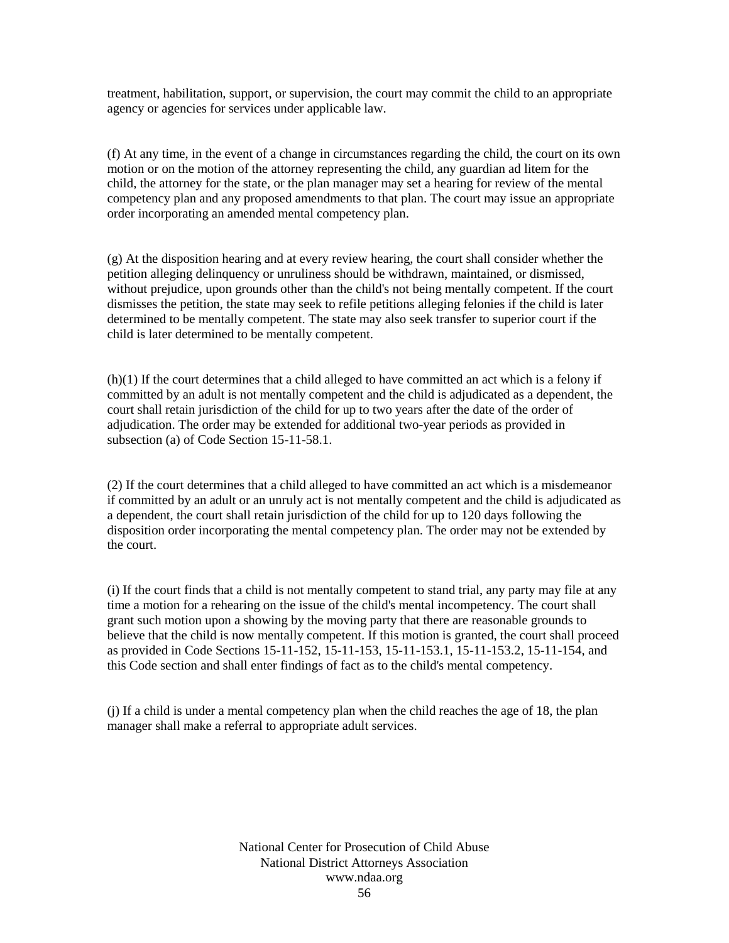treatment, habilitation, support, or supervision, the court may commit the child to an appropriate agency or agencies for services under applicable law.

(f) At any time, in the event of a change in circumstances regarding the child, the court on its own motion or on the motion of the attorney representing the child, any guardian ad litem for the child, the attorney for the state, or the plan manager may set a hearing for review of the mental competency plan and any proposed amendments to that plan. The court may issue an appropriate order incorporating an amended mental competency plan.

(g) At the disposition hearing and at every review hearing, the court shall consider whether the petition alleging delinquency or unruliness should be withdrawn, maintained, or dismissed, without prejudice, upon grounds other than the child's not being mentally competent. If the court dismisses the petition, the state may seek to refile petitions alleging felonies if the child is later determined to be mentally competent. The state may also seek transfer to superior court if the child is later determined to be mentally competent.

(h)(1) If the court determines that a child alleged to have committed an act which is a felony if committed by an adult is not mentally competent and the child is adjudicated as a dependent, the court shall retain jurisdiction of the child for up to two years after the date of the order of adjudication. The order may be extended for additional two-year periods as provided in subsection (a) of Code Section 15-11-58.1.

(2) If the court determines that a child alleged to have committed an act which is a misdemeanor if committed by an adult or an unruly act is not mentally competent and the child is adjudicated as a dependent, the court shall retain jurisdiction of the child for up to 120 days following the disposition order incorporating the mental competency plan. The order may not be extended by the court.

(i) If the court finds that a child is not mentally competent to stand trial, any party may file at any time a motion for a rehearing on the issue of the child's mental incompetency. The court shall grant such motion upon a showing by the moving party that there are reasonable grounds to believe that the child is now mentally competent. If this motion is granted, the court shall proceed as provided in Code Sections 15-11-152, 15-11-153, 15-11-153.1, 15-11-153.2, 15-11-154, and this Code section and shall enter findings of fact as to the child's mental competency.

(j) If a child is under a mental competency plan when the child reaches the age of 18, the plan manager shall make a referral to appropriate adult services.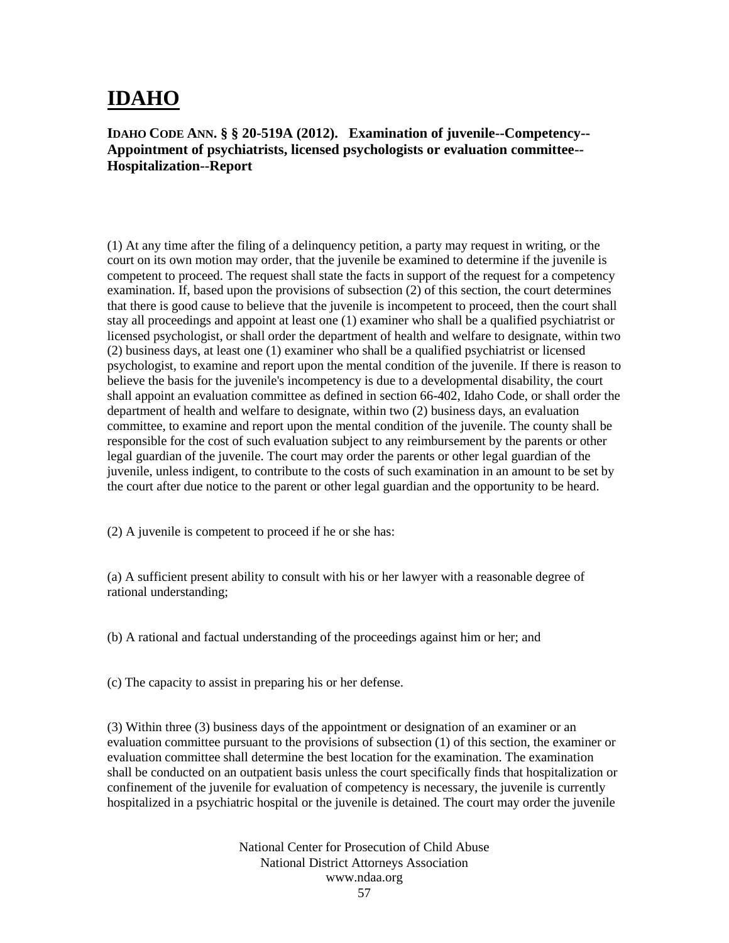# **IDAHO**

# **IDAHO CODE ANN. § § 20-519A (2012). Examination of juvenile--Competency-- Appointment of psychiatrists, licensed psychologists or evaluation committee-- Hospitalization--Report**

(1) At any time after the filing of a delinquency petition, a party may request in writing, or the court on its own motion may order, that the juvenile be examined to determine if the juvenile is competent to proceed. The request shall state the facts in support of the request for a competency examination. If, based upon the provisions of subsection (2) of this section, the court determines that there is good cause to believe that the juvenile is incompetent to proceed, then the court shall stay all proceedings and appoint at least one (1) examiner who shall be a qualified psychiatrist or licensed psychologist, or shall order the department of health and welfare to designate, within two (2) business days, at least one (1) examiner who shall be a qualified psychiatrist or licensed psychologist, to examine and report upon the mental condition of the juvenile. If there is reason to believe the basis for the juvenile's incompetency is due to a developmental disability, the court shall appoint an evaluation committee as defined in section 66-402, Idaho Code, or shall order the department of health and welfare to designate, within two (2) business days, an evaluation committee, to examine and report upon the mental condition of the juvenile. The county shall be responsible for the cost of such evaluation subject to any reimbursement by the parents or other legal guardian of the juvenile. The court may order the parents or other legal guardian of the juvenile, unless indigent, to contribute to the costs of such examination in an amount to be set by the court after due notice to the parent or other legal guardian and the opportunity to be heard.

(2) A juvenile is competent to proceed if he or she has:

(a) A sufficient present ability to consult with his or her lawyer with a reasonable degree of rational understanding;

(b) A rational and factual understanding of the proceedings against him or her; and

(c) The capacity to assist in preparing his or her defense.

(3) Within three (3) business days of the appointment or designation of an examiner or an evaluation committee pursuant to the provisions of subsection (1) of this section, the examiner or evaluation committee shall determine the best location for the examination. The examination shall be conducted on an outpatient basis unless the court specifically finds that hospitalization or confinement of the juvenile for evaluation of competency is necessary, the juvenile is currently hospitalized in a psychiatric hospital or the juvenile is detained. The court may order the juvenile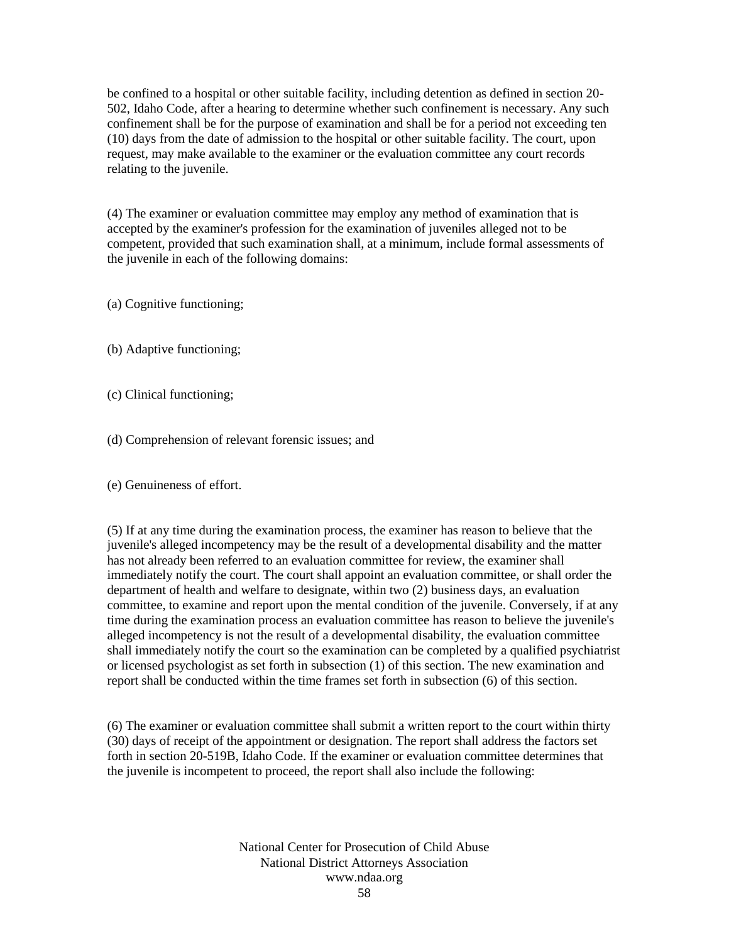be confined to a hospital or other suitable facility, including detention as defined in section 20- 502, Idaho Code, after a hearing to determine whether such confinement is necessary. Any such confinement shall be for the purpose of examination and shall be for a period not exceeding ten (10) days from the date of admission to the hospital or other suitable facility. The court, upon request, may make available to the examiner or the evaluation committee any court records relating to the juvenile.

(4) The examiner or evaluation committee may employ any method of examination that is accepted by the examiner's profession for the examination of juveniles alleged not to be competent, provided that such examination shall, at a minimum, include formal assessments of the juvenile in each of the following domains:

- (a) Cognitive functioning;
- (b) Adaptive functioning;
- (c) Clinical functioning;
- (d) Comprehension of relevant forensic issues; and
- (e) Genuineness of effort.

(5) If at any time during the examination process, the examiner has reason to believe that the juvenile's alleged incompetency may be the result of a developmental disability and the matter has not already been referred to an evaluation committee for review, the examiner shall immediately notify the court. The court shall appoint an evaluation committee, or shall order the department of health and welfare to designate, within two (2) business days, an evaluation committee, to examine and report upon the mental condition of the juvenile. Conversely, if at any time during the examination process an evaluation committee has reason to believe the juvenile's alleged incompetency is not the result of a developmental disability, the evaluation committee shall immediately notify the court so the examination can be completed by a qualified psychiatrist or licensed psychologist as set forth in subsection (1) of this section. The new examination and report shall be conducted within the time frames set forth in subsection (6) of this section.

(6) The examiner or evaluation committee shall submit a written report to the court within thirty (30) days of receipt of the appointment or designation. The report shall address the factors set forth in section 20-519B, Idaho Code. If the examiner or evaluation committee determines that the juvenile is incompetent to proceed, the report shall also include the following: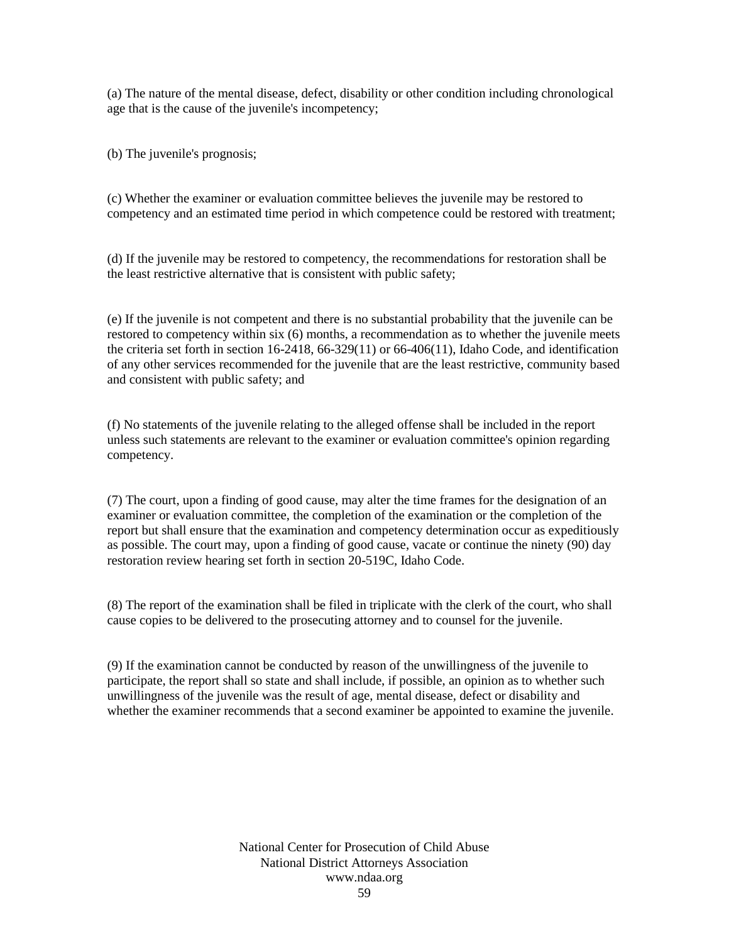(a) The nature of the mental disease, defect, disability or other condition including chronological age that is the cause of the juvenile's incompetency;

(b) The juvenile's prognosis;

(c) Whether the examiner or evaluation committee believes the juvenile may be restored to competency and an estimated time period in which competence could be restored with treatment;

(d) If the juvenile may be restored to competency, the recommendations for restoration shall be the least restrictive alternative that is consistent with public safety;

(e) If the juvenile is not competent and there is no substantial probability that the juvenile can be restored to competency within six (6) months, a recommendation as to whether the juvenile meets the criteria set forth in section 16-2418, 66-329(11) or 66-406(11), Idaho Code, and identification of any other services recommended for the juvenile that are the least restrictive, community based and consistent with public safety; and

(f) No statements of the juvenile relating to the alleged offense shall be included in the report unless such statements are relevant to the examiner or evaluation committee's opinion regarding competency.

(7) The court, upon a finding of good cause, may alter the time frames for the designation of an examiner or evaluation committee, the completion of the examination or the completion of the report but shall ensure that the examination and competency determination occur as expeditiously as possible. The court may, upon a finding of good cause, vacate or continue the ninety (90) day restoration review hearing set forth in section 20-519C, Idaho Code.

(8) The report of the examination shall be filed in triplicate with the clerk of the court, who shall cause copies to be delivered to the prosecuting attorney and to counsel for the juvenile.

(9) If the examination cannot be conducted by reason of the unwillingness of the juvenile to participate, the report shall so state and shall include, if possible, an opinion as to whether such unwillingness of the juvenile was the result of age, mental disease, defect or disability and whether the examiner recommends that a second examiner be appointed to examine the juvenile.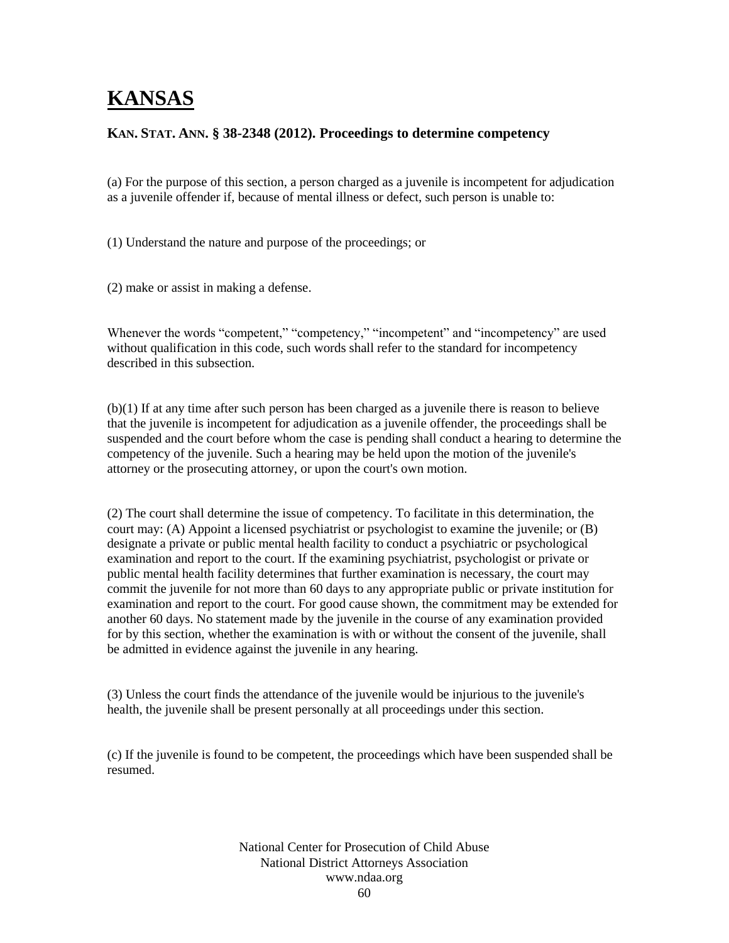# **KANSAS**

# **KAN. STAT. ANN. § 38-2348 (2012). Proceedings to determine competency**

(a) For the purpose of this section, a person charged as a juvenile is incompetent for adjudication as a juvenile offender if, because of mental illness or defect, such person is unable to:

(1) Understand the nature and purpose of the proceedings; or

(2) make or assist in making a defense.

Whenever the words "competent," "competency," "incompetent" and "incompetency" are used without qualification in this code, such words shall refer to the standard for incompetency described in this subsection.

(b)(1) If at any time after such person has been charged as a juvenile there is reason to believe that the juvenile is incompetent for adjudication as a juvenile offender, the proceedings shall be suspended and the court before whom the case is pending shall conduct a hearing to determine the competency of the juvenile. Such a hearing may be held upon the motion of the juvenile's attorney or the prosecuting attorney, or upon the court's own motion.

(2) The court shall determine the issue of competency. To facilitate in this determination, the court may: (A) Appoint a licensed psychiatrist or psychologist to examine the juvenile; or (B) designate a private or public mental health facility to conduct a psychiatric or psychological examination and report to the court. If the examining psychiatrist, psychologist or private or public mental health facility determines that further examination is necessary, the court may commit the juvenile for not more than 60 days to any appropriate public or private institution for examination and report to the court. For good cause shown, the commitment may be extended for another 60 days. No statement made by the juvenile in the course of any examination provided for by this section, whether the examination is with or without the consent of the juvenile, shall be admitted in evidence against the juvenile in any hearing.

(3) Unless the court finds the attendance of the juvenile would be injurious to the juvenile's health, the juvenile shall be present personally at all proceedings under this section.

(c) If the juvenile is found to be competent, the proceedings which have been suspended shall be resumed.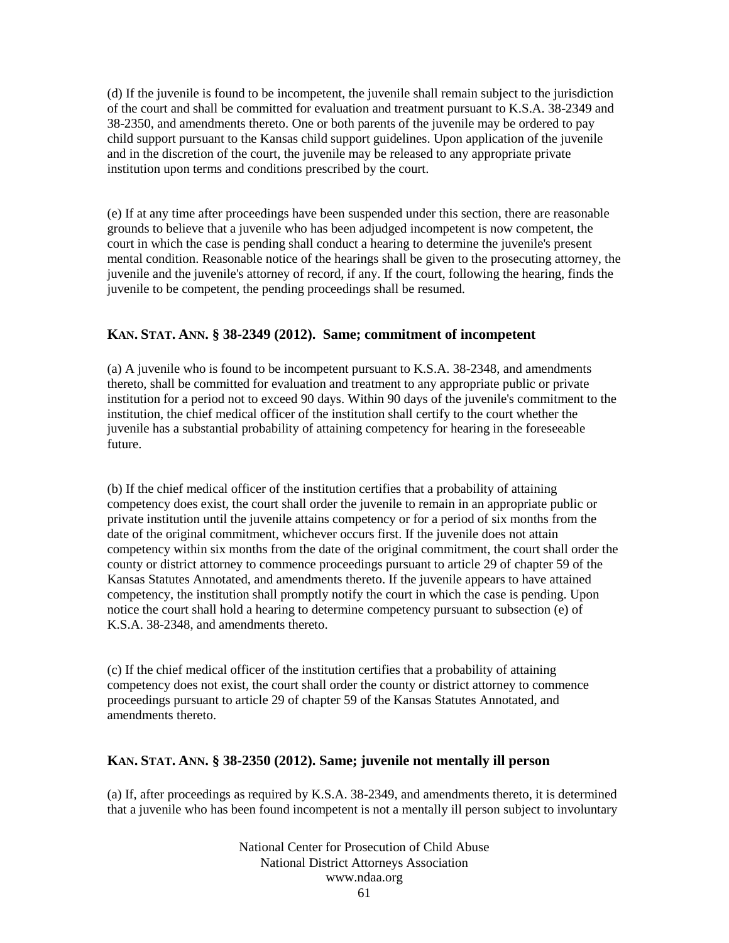(d) If the juvenile is found to be incompetent, the juvenile shall remain subject to the jurisdiction of the court and shall be committed for evaluation and treatment pursuant to K.S.A. 38-2349 and 38-2350, and amendments thereto. One or both parents of the juvenile may be ordered to pay child support pursuant to the Kansas child support guidelines. Upon application of the juvenile and in the discretion of the court, the juvenile may be released to any appropriate private institution upon terms and conditions prescribed by the court.

(e) If at any time after proceedings have been suspended under this section, there are reasonable grounds to believe that a juvenile who has been adjudged incompetent is now competent, the court in which the case is pending shall conduct a hearing to determine the juvenile's present mental condition. Reasonable notice of the hearings shall be given to the prosecuting attorney, the juvenile and the juvenile's attorney of record, if any. If the court, following the hearing, finds the juvenile to be competent, the pending proceedings shall be resumed.

### **KAN. STAT. ANN. § 38-2349 (2012). Same; commitment of incompetent**

(a) A juvenile who is found to be incompetent pursuant to K.S.A. 38-2348, and amendments thereto, shall be committed for evaluation and treatment to any appropriate public or private institution for a period not to exceed 90 days. Within 90 days of the juvenile's commitment to the institution, the chief medical officer of the institution shall certify to the court whether the juvenile has a substantial probability of attaining competency for hearing in the foreseeable future.

(b) If the chief medical officer of the institution certifies that a probability of attaining competency does exist, the court shall order the juvenile to remain in an appropriate public or private institution until the juvenile attains competency or for a period of six months from the date of the original commitment, whichever occurs first. If the juvenile does not attain competency within six months from the date of the original commitment, the court shall order the county or district attorney to commence proceedings pursuant to article 29 of chapter 59 of the Kansas Statutes Annotated, and amendments thereto. If the juvenile appears to have attained competency, the institution shall promptly notify the court in which the case is pending. Upon notice the court shall hold a hearing to determine competency pursuant to subsection (e) of K.S.A. 38-2348, and amendments thereto.

(c) If the chief medical officer of the institution certifies that a probability of attaining competency does not exist, the court shall order the county or district attorney to commence proceedings pursuant to article 29 of chapter 59 of the Kansas Statutes Annotated, and amendments thereto.

## **KAN. STAT. ANN. § 38-2350 (2012). Same; juvenile not mentally ill person**

(a) If, after proceedings as required by K.S.A. 38-2349, and amendments thereto, it is determined that a juvenile who has been found incompetent is not a mentally ill person subject to involuntary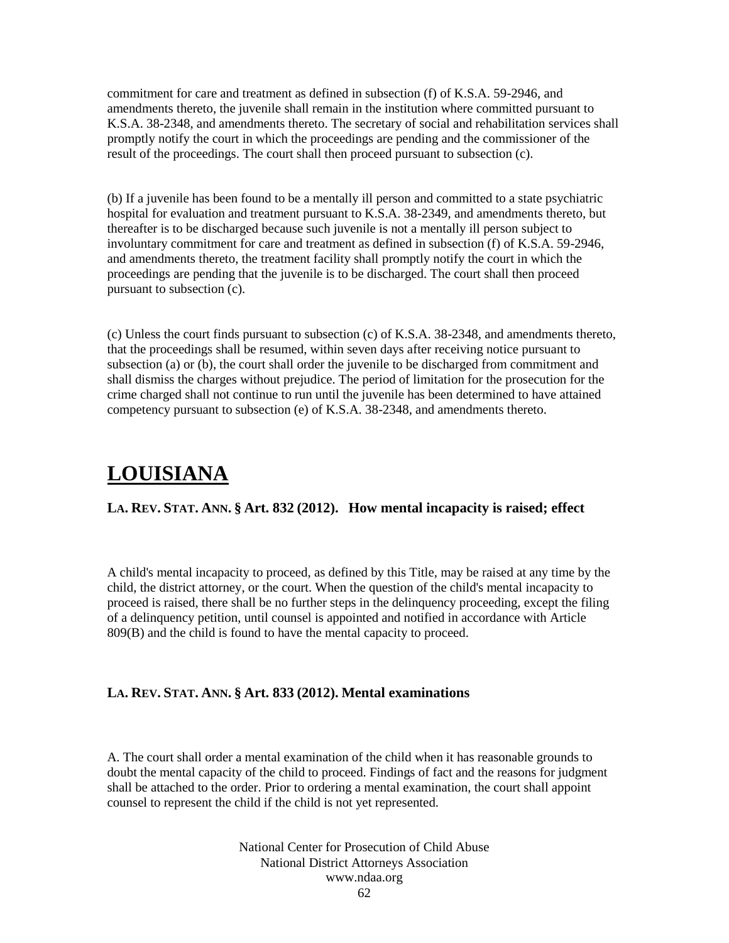commitment for care and treatment as defined in subsection (f) of K.S.A. 59-2946, and amendments thereto, the juvenile shall remain in the institution where committed pursuant to K.S.A. 38-2348, and amendments thereto. The secretary of social and rehabilitation services shall promptly notify the court in which the proceedings are pending and the commissioner of the result of the proceedings. The court shall then proceed pursuant to subsection (c).

(b) If a juvenile has been found to be a mentally ill person and committed to a state psychiatric hospital for evaluation and treatment pursuant to K.S.A. 38-2349, and amendments thereto, but thereafter is to be discharged because such juvenile is not a mentally ill person subject to involuntary commitment for care and treatment as defined in subsection (f) of K.S.A. 59-2946, and amendments thereto, the treatment facility shall promptly notify the court in which the proceedings are pending that the juvenile is to be discharged. The court shall then proceed pursuant to subsection (c).

(c) Unless the court finds pursuant to subsection (c) of K.S.A. 38-2348, and amendments thereto, that the proceedings shall be resumed, within seven days after receiving notice pursuant to subsection (a) or (b), the court shall order the juvenile to be discharged from commitment and shall dismiss the charges without prejudice. The period of limitation for the prosecution for the crime charged shall not continue to run until the juvenile has been determined to have attained competency pursuant to subsection (e) of K.S.A. 38-2348, and amendments thereto.

# **LOUISIANA**

## **LA. REV. STAT. ANN. § Art. 832 (2012). How mental incapacity is raised; effect**

A child's mental incapacity to proceed, as defined by this Title, may be raised at any time by the child, the district attorney, or the court. When the question of the child's mental incapacity to proceed is raised, there shall be no further steps in the delinquency proceeding, except the filing of a delinquency petition, until counsel is appointed and notified in accordance with Article 809(B) and the child is found to have the mental capacity to proceed.

#### **LA. REV. STAT. ANN. § Art. 833 (2012). Mental examinations**

A. The court shall order a mental examination of the child when it has reasonable grounds to doubt the mental capacity of the child to proceed. Findings of fact and the reasons for judgment shall be attached to the order. Prior to ordering a mental examination, the court shall appoint counsel to represent the child if the child is not yet represented.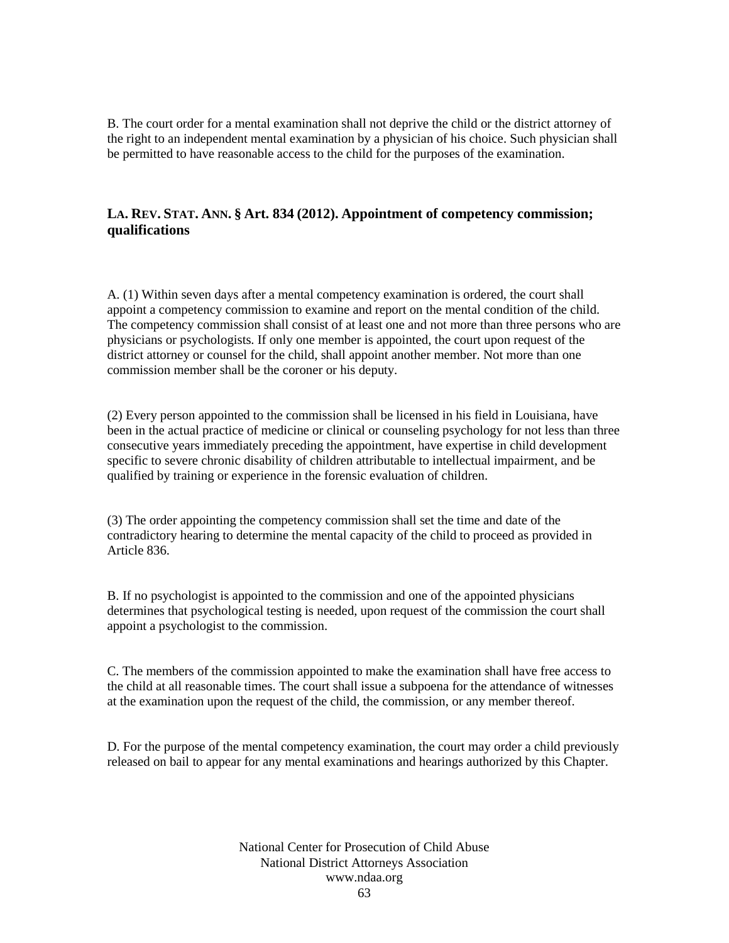B. The court order for a mental examination shall not deprive the child or the district attorney of the right to an independent mental examination by a physician of his choice. Such physician shall be permitted to have reasonable access to the child for the purposes of the examination.

## **LA. REV. STAT. ANN. § Art. 834 (2012). Appointment of competency commission; qualifications**

A. (1) Within seven days after a mental competency examination is ordered, the court shall appoint a competency commission to examine and report on the mental condition of the child. The competency commission shall consist of at least one and not more than three persons who are physicians or psychologists. If only one member is appointed, the court upon request of the district attorney or counsel for the child, shall appoint another member. Not more than one commission member shall be the coroner or his deputy.

(2) Every person appointed to the commission shall be licensed in his field in Louisiana, have been in the actual practice of medicine or clinical or counseling psychology for not less than three consecutive years immediately preceding the appointment, have expertise in child development specific to severe chronic disability of children attributable to intellectual impairment, and be qualified by training or experience in the forensic evaluation of children.

(3) The order appointing the competency commission shall set the time and date of the contradictory hearing to determine the mental capacity of the child to proceed as provided in Article 836.

B. If no psychologist is appointed to the commission and one of the appointed physicians determines that psychological testing is needed, upon request of the commission the court shall appoint a psychologist to the commission.

C. The members of the commission appointed to make the examination shall have free access to the child at all reasonable times. The court shall issue a subpoena for the attendance of witnesses at the examination upon the request of the child, the commission, or any member thereof.

D. For the purpose of the mental competency examination, the court may order a child previously released on bail to appear for any mental examinations and hearings authorized by this Chapter.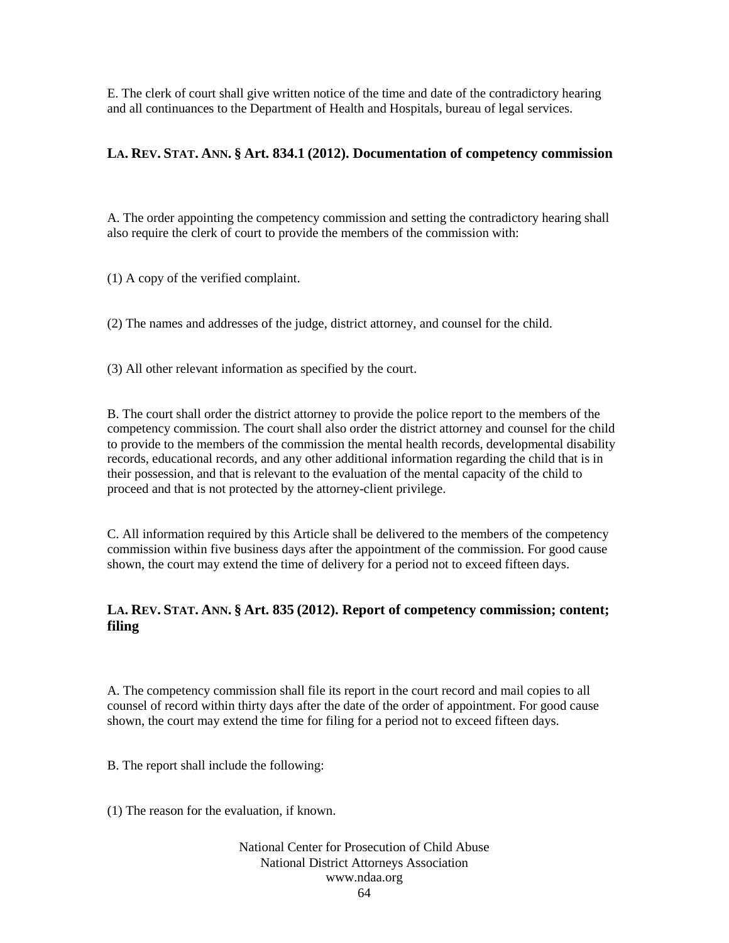E. The clerk of court shall give written notice of the time and date of the contradictory hearing and all continuances to the Department of Health and Hospitals, bureau of legal services.

# **LA. REV. STAT. ANN. § Art. 834.1 (2012). Documentation of competency commission**

A. The order appointing the competency commission and setting the contradictory hearing shall also require the clerk of court to provide the members of the commission with:

(1) A copy of the verified complaint.

(2) The names and addresses of the judge, district attorney, and counsel for the child.

(3) All other relevant information as specified by the court.

B. The court shall order the district attorney to provide the police report to the members of the competency commission. The court shall also order the district attorney and counsel for the child to provide to the members of the commission the mental health records, developmental disability records, educational records, and any other additional information regarding the child that is in their possession, and that is relevant to the evaluation of the mental capacity of the child to proceed and that is not protected by the attorney-client privilege.

C. All information required by this Article shall be delivered to the members of the competency commission within five business days after the appointment of the commission. For good cause shown, the court may extend the time of delivery for a period not to exceed fifteen days.

## **LA. REV. STAT. ANN. § Art. 835 (2012). Report of competency commission; content; filing**

A. The competency commission shall file its report in the court record and mail copies to all counsel of record within thirty days after the date of the order of appointment. For good cause shown, the court may extend the time for filing for a period not to exceed fifteen days.

B. The report shall include the following:

(1) The reason for the evaluation, if known.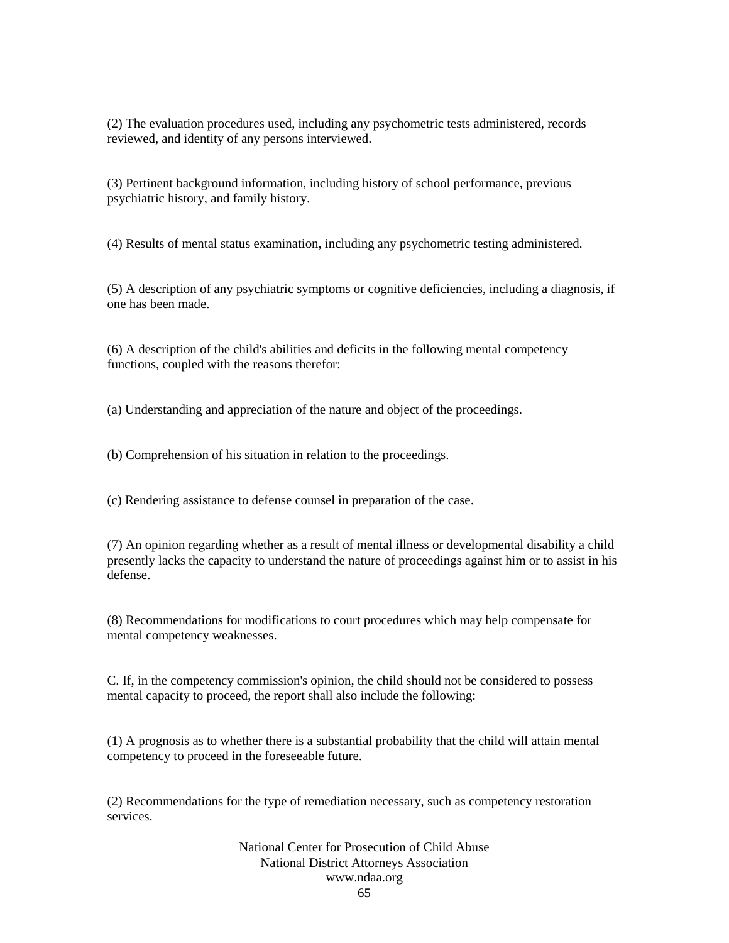(2) The evaluation procedures used, including any psychometric tests administered, records reviewed, and identity of any persons interviewed.

(3) Pertinent background information, including history of school performance, previous psychiatric history, and family history.

(4) Results of mental status examination, including any psychometric testing administered.

(5) A description of any psychiatric symptoms or cognitive deficiencies, including a diagnosis, if one has been made.

(6) A description of the child's abilities and deficits in the following mental competency functions, coupled with the reasons therefor:

(a) Understanding and appreciation of the nature and object of the proceedings.

(b) Comprehension of his situation in relation to the proceedings.

(c) Rendering assistance to defense counsel in preparation of the case.

(7) An opinion regarding whether as a result of mental illness or developmental disability a child presently lacks the capacity to understand the nature of proceedings against him or to assist in his defense.

(8) Recommendations for modifications to court procedures which may help compensate for mental competency weaknesses.

C. If, in the competency commission's opinion, the child should not be considered to possess mental capacity to proceed, the report shall also include the following:

(1) A prognosis as to whether there is a substantial probability that the child will attain mental competency to proceed in the foreseeable future.

(2) Recommendations for the type of remediation necessary, such as competency restoration services.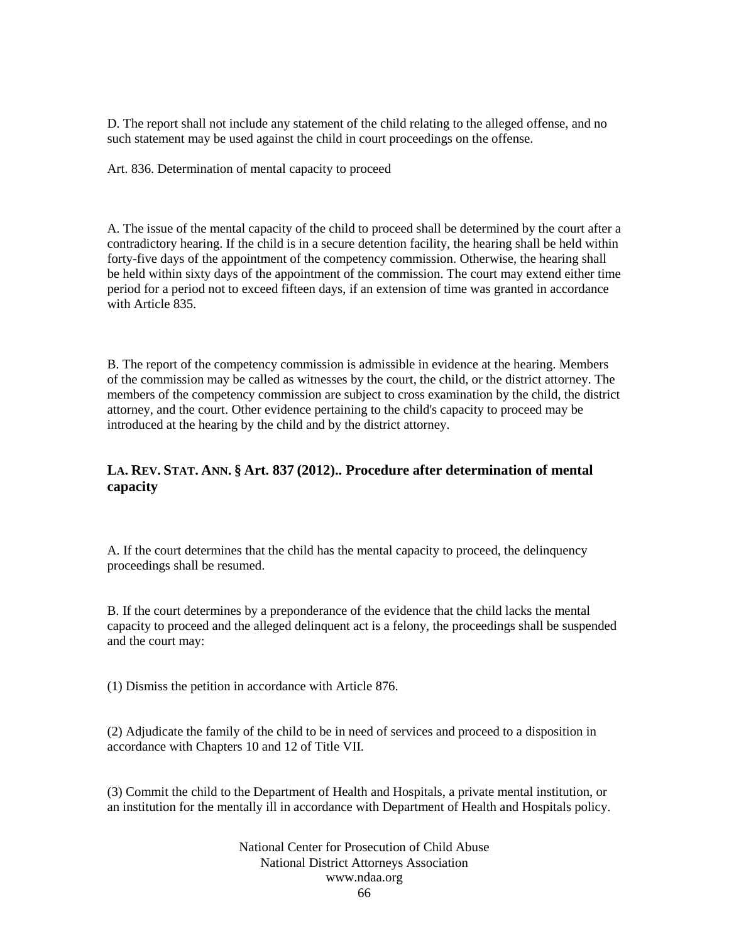D. The report shall not include any statement of the child relating to the alleged offense, and no such statement may be used against the child in court proceedings on the offense.

Art. 836. Determination of mental capacity to proceed

A. The issue of the mental capacity of the child to proceed shall be determined by the court after a contradictory hearing. If the child is in a secure detention facility, the hearing shall be held within forty-five days of the appointment of the competency commission. Otherwise, the hearing shall be held within sixty days of the appointment of the commission. The court may extend either time period for a period not to exceed fifteen days, if an extension of time was granted in accordance with Article 835.

B. The report of the competency commission is admissible in evidence at the hearing. Members of the commission may be called as witnesses by the court, the child, or the district attorney. The members of the competency commission are subject to cross examination by the child, the district attorney, and the court. Other evidence pertaining to the child's capacity to proceed may be introduced at the hearing by the child and by the district attorney.

# **LA. REV. STAT. ANN. § Art. 837 (2012).. Procedure after determination of mental capacity**

A. If the court determines that the child has the mental capacity to proceed, the delinquency proceedings shall be resumed.

B. If the court determines by a preponderance of the evidence that the child lacks the mental capacity to proceed and the alleged delinquent act is a felony, the proceedings shall be suspended and the court may:

(1) Dismiss the petition in accordance with Article 876.

(2) Adjudicate the family of the child to be in need of services and proceed to a disposition in accordance with Chapters 10 and 12 of Title VII.

(3) Commit the child to the Department of Health and Hospitals, a private mental institution, or an institution for the mentally ill in accordance with Department of Health and Hospitals policy.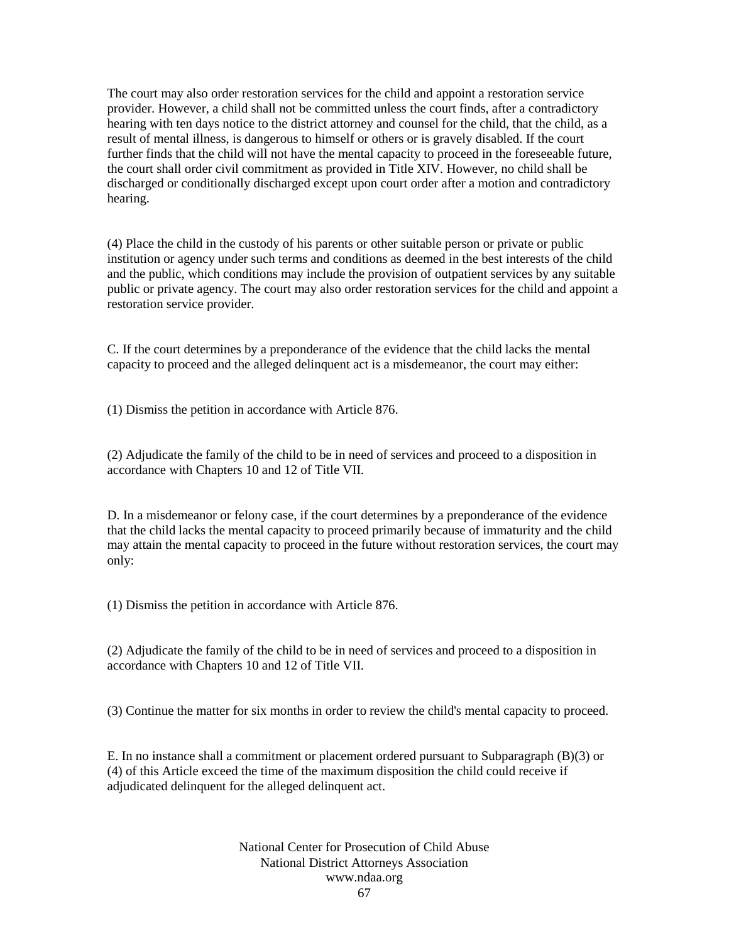The court may also order restoration services for the child and appoint a restoration service provider. However, a child shall not be committed unless the court finds, after a contradictory hearing with ten days notice to the district attorney and counsel for the child, that the child, as a result of mental illness, is dangerous to himself or others or is gravely disabled. If the court further finds that the child will not have the mental capacity to proceed in the foreseeable future, the court shall order civil commitment as provided in Title XIV. However, no child shall be discharged or conditionally discharged except upon court order after a motion and contradictory hearing.

(4) Place the child in the custody of his parents or other suitable person or private or public institution or agency under such terms and conditions as deemed in the best interests of the child and the public, which conditions may include the provision of outpatient services by any suitable public or private agency. The court may also order restoration services for the child and appoint a restoration service provider.

C. If the court determines by a preponderance of the evidence that the child lacks the mental capacity to proceed and the alleged delinquent act is a misdemeanor, the court may either:

(1) Dismiss the petition in accordance with Article 876.

(2) Adjudicate the family of the child to be in need of services and proceed to a disposition in accordance with Chapters 10 and 12 of Title VII.

D. In a misdemeanor or felony case, if the court determines by a preponderance of the evidence that the child lacks the mental capacity to proceed primarily because of immaturity and the child may attain the mental capacity to proceed in the future without restoration services, the court may only:

(1) Dismiss the petition in accordance with Article 876.

(2) Adjudicate the family of the child to be in need of services and proceed to a disposition in accordance with Chapters 10 and 12 of Title VII.

(3) Continue the matter for six months in order to review the child's mental capacity to proceed.

E. In no instance shall a commitment or placement ordered pursuant to Subparagraph (B)(3) or (4) of this Article exceed the time of the maximum disposition the child could receive if adjudicated delinquent for the alleged delinquent act.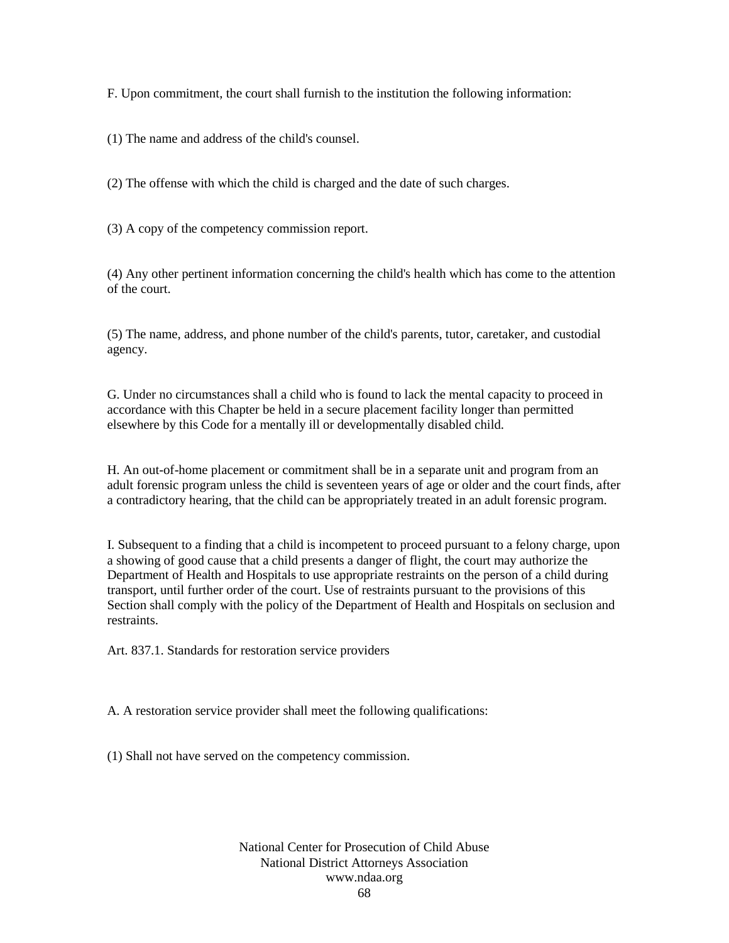F. Upon commitment, the court shall furnish to the institution the following information:

(1) The name and address of the child's counsel.

(2) The offense with which the child is charged and the date of such charges.

(3) A copy of the competency commission report.

(4) Any other pertinent information concerning the child's health which has come to the attention of the court.

(5) The name, address, and phone number of the child's parents, tutor, caretaker, and custodial agency.

G. Under no circumstances shall a child who is found to lack the mental capacity to proceed in accordance with this Chapter be held in a secure placement facility longer than permitted elsewhere by this Code for a mentally ill or developmentally disabled child.

H. An out-of-home placement or commitment shall be in a separate unit and program from an adult forensic program unless the child is seventeen years of age or older and the court finds, after a contradictory hearing, that the child can be appropriately treated in an adult forensic program.

I. Subsequent to a finding that a child is incompetent to proceed pursuant to a felony charge, upon a showing of good cause that a child presents a danger of flight, the court may authorize the Department of Health and Hospitals to use appropriate restraints on the person of a child during transport, until further order of the court. Use of restraints pursuant to the provisions of this Section shall comply with the policy of the Department of Health and Hospitals on seclusion and restraints.

Art. 837.1. Standards for restoration service providers

A. A restoration service provider shall meet the following qualifications:

(1) Shall not have served on the competency commission.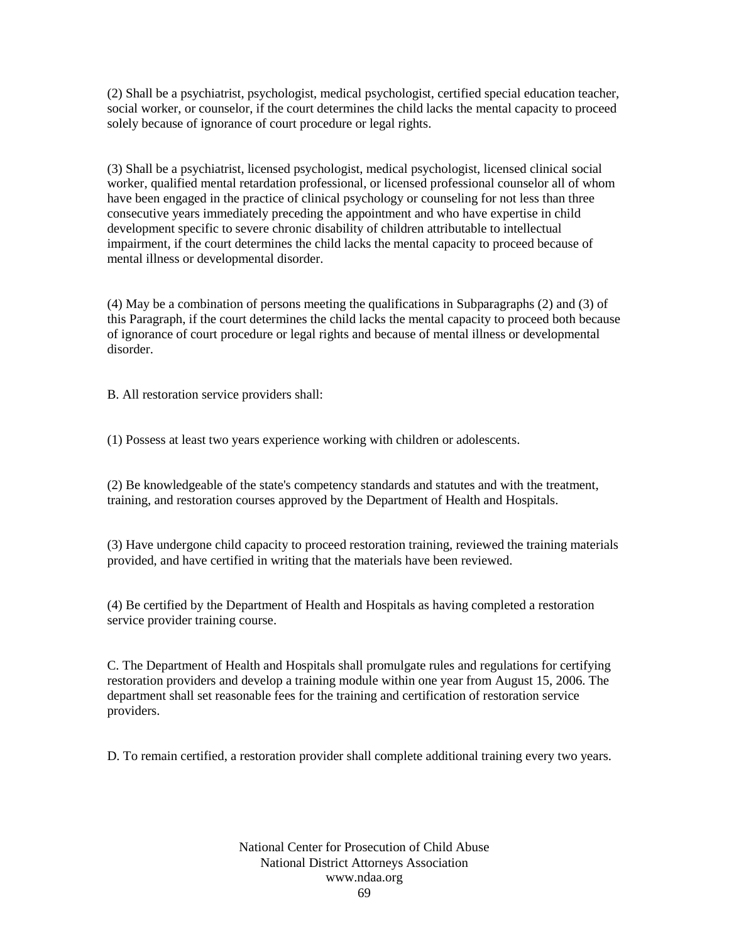(2) Shall be a psychiatrist, psychologist, medical psychologist, certified special education teacher, social worker, or counselor, if the court determines the child lacks the mental capacity to proceed solely because of ignorance of court procedure or legal rights.

(3) Shall be a psychiatrist, licensed psychologist, medical psychologist, licensed clinical social worker, qualified mental retardation professional, or licensed professional counselor all of whom have been engaged in the practice of clinical psychology or counseling for not less than three consecutive years immediately preceding the appointment and who have expertise in child development specific to severe chronic disability of children attributable to intellectual impairment, if the court determines the child lacks the mental capacity to proceed because of mental illness or developmental disorder.

(4) May be a combination of persons meeting the qualifications in Subparagraphs (2) and (3) of this Paragraph, if the court determines the child lacks the mental capacity to proceed both because of ignorance of court procedure or legal rights and because of mental illness or developmental disorder.

B. All restoration service providers shall:

(1) Possess at least two years experience working with children or adolescents.

(2) Be knowledgeable of the state's competency standards and statutes and with the treatment, training, and restoration courses approved by the Department of Health and Hospitals.

(3) Have undergone child capacity to proceed restoration training, reviewed the training materials provided, and have certified in writing that the materials have been reviewed.

(4) Be certified by the Department of Health and Hospitals as having completed a restoration service provider training course.

C. The Department of Health and Hospitals shall promulgate rules and regulations for certifying restoration providers and develop a training module within one year from August 15, 2006. The department shall set reasonable fees for the training and certification of restoration service providers.

D. To remain certified, a restoration provider shall complete additional training every two years.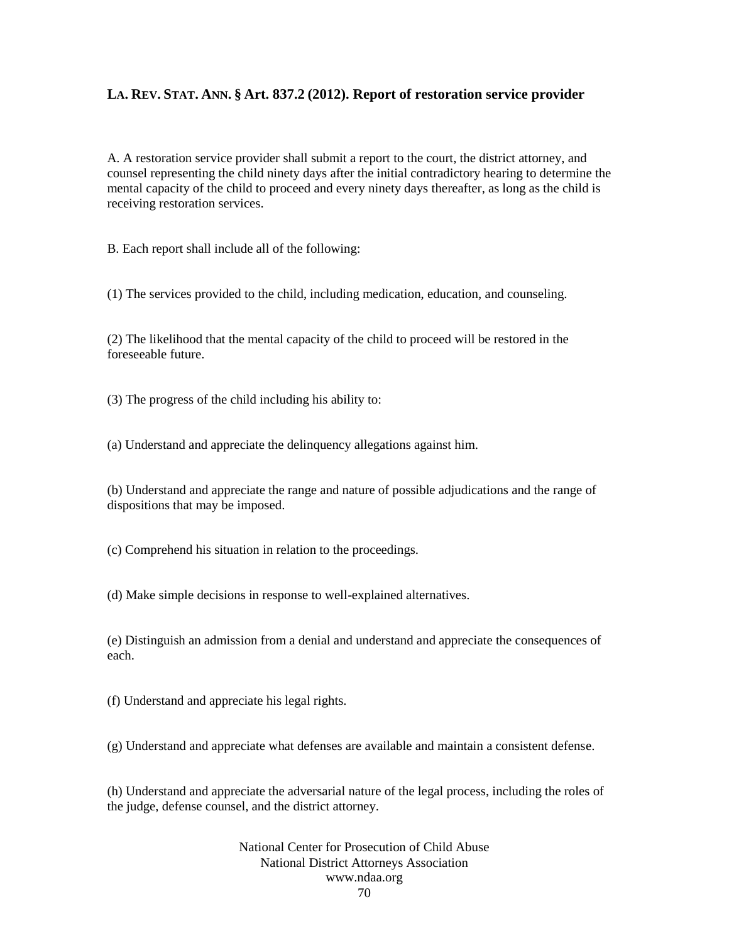## **LA. REV. STAT. ANN. § Art. 837.2 (2012). Report of restoration service provider**

A. A restoration service provider shall submit a report to the court, the district attorney, and counsel representing the child ninety days after the initial contradictory hearing to determine the mental capacity of the child to proceed and every ninety days thereafter, as long as the child is receiving restoration services.

B. Each report shall include all of the following:

(1) The services provided to the child, including medication, education, and counseling.

(2) The likelihood that the mental capacity of the child to proceed will be restored in the foreseeable future.

(3) The progress of the child including his ability to:

(a) Understand and appreciate the delinquency allegations against him.

(b) Understand and appreciate the range and nature of possible adjudications and the range of dispositions that may be imposed.

(c) Comprehend his situation in relation to the proceedings.

(d) Make simple decisions in response to well-explained alternatives.

(e) Distinguish an admission from a denial and understand and appreciate the consequences of each.

(f) Understand and appreciate his legal rights.

(g) Understand and appreciate what defenses are available and maintain a consistent defense.

(h) Understand and appreciate the adversarial nature of the legal process, including the roles of the judge, defense counsel, and the district attorney.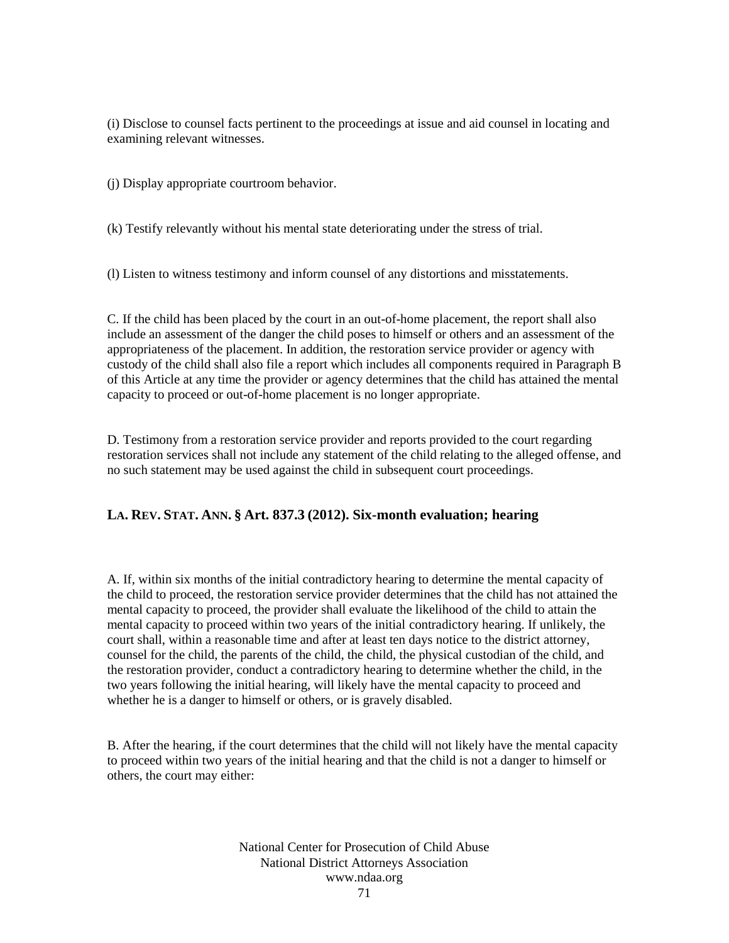(i) Disclose to counsel facts pertinent to the proceedings at issue and aid counsel in locating and examining relevant witnesses.

(j) Display appropriate courtroom behavior.

(k) Testify relevantly without his mental state deteriorating under the stress of trial.

(l) Listen to witness testimony and inform counsel of any distortions and misstatements.

C. If the child has been placed by the court in an out-of-home placement, the report shall also include an assessment of the danger the child poses to himself or others and an assessment of the appropriateness of the placement. In addition, the restoration service provider or agency with custody of the child shall also file a report which includes all components required in Paragraph B of this Article at any time the provider or agency determines that the child has attained the mental capacity to proceed or out-of-home placement is no longer appropriate.

D. Testimony from a restoration service provider and reports provided to the court regarding restoration services shall not include any statement of the child relating to the alleged offense, and no such statement may be used against the child in subsequent court proceedings.

#### **LA. REV. STAT. ANN. § Art. 837.3 (2012). Six-month evaluation; hearing**

A. If, within six months of the initial contradictory hearing to determine the mental capacity of the child to proceed, the restoration service provider determines that the child has not attained the mental capacity to proceed, the provider shall evaluate the likelihood of the child to attain the mental capacity to proceed within two years of the initial contradictory hearing. If unlikely, the court shall, within a reasonable time and after at least ten days notice to the district attorney, counsel for the child, the parents of the child, the child, the physical custodian of the child, and the restoration provider, conduct a contradictory hearing to determine whether the child, in the two years following the initial hearing, will likely have the mental capacity to proceed and whether he is a danger to himself or others, or is gravely disabled.

B. After the hearing, if the court determines that the child will not likely have the mental capacity to proceed within two years of the initial hearing and that the child is not a danger to himself or others, the court may either: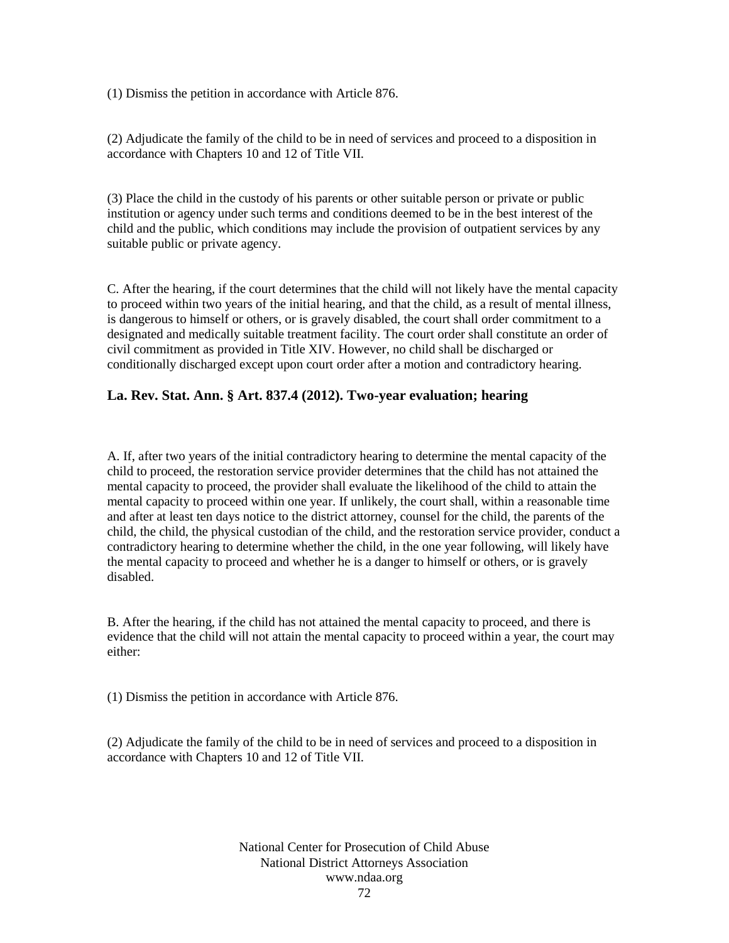(1) Dismiss the petition in accordance with Article 876.

(2) Adjudicate the family of the child to be in need of services and proceed to a disposition in accordance with Chapters 10 and 12 of Title VII.

(3) Place the child in the custody of his parents or other suitable person or private or public institution or agency under such terms and conditions deemed to be in the best interest of the child and the public, which conditions may include the provision of outpatient services by any suitable public or private agency.

C. After the hearing, if the court determines that the child will not likely have the mental capacity to proceed within two years of the initial hearing, and that the child, as a result of mental illness, is dangerous to himself or others, or is gravely disabled, the court shall order commitment to a designated and medically suitable treatment facility. The court order shall constitute an order of civil commitment as provided in Title XIV. However, no child shall be discharged or conditionally discharged except upon court order after a motion and contradictory hearing.

## **La. Rev. Stat. Ann. § Art. 837.4 (2012). Two-year evaluation; hearing**

A. If, after two years of the initial contradictory hearing to determine the mental capacity of the child to proceed, the restoration service provider determines that the child has not attained the mental capacity to proceed, the provider shall evaluate the likelihood of the child to attain the mental capacity to proceed within one year. If unlikely, the court shall, within a reasonable time and after at least ten days notice to the district attorney, counsel for the child, the parents of the child, the child, the physical custodian of the child, and the restoration service provider, conduct a contradictory hearing to determine whether the child, in the one year following, will likely have the mental capacity to proceed and whether he is a danger to himself or others, or is gravely disabled.

B. After the hearing, if the child has not attained the mental capacity to proceed, and there is evidence that the child will not attain the mental capacity to proceed within a year, the court may either:

(1) Dismiss the petition in accordance with Article 876.

(2) Adjudicate the family of the child to be in need of services and proceed to a disposition in accordance with Chapters 10 and 12 of Title VII.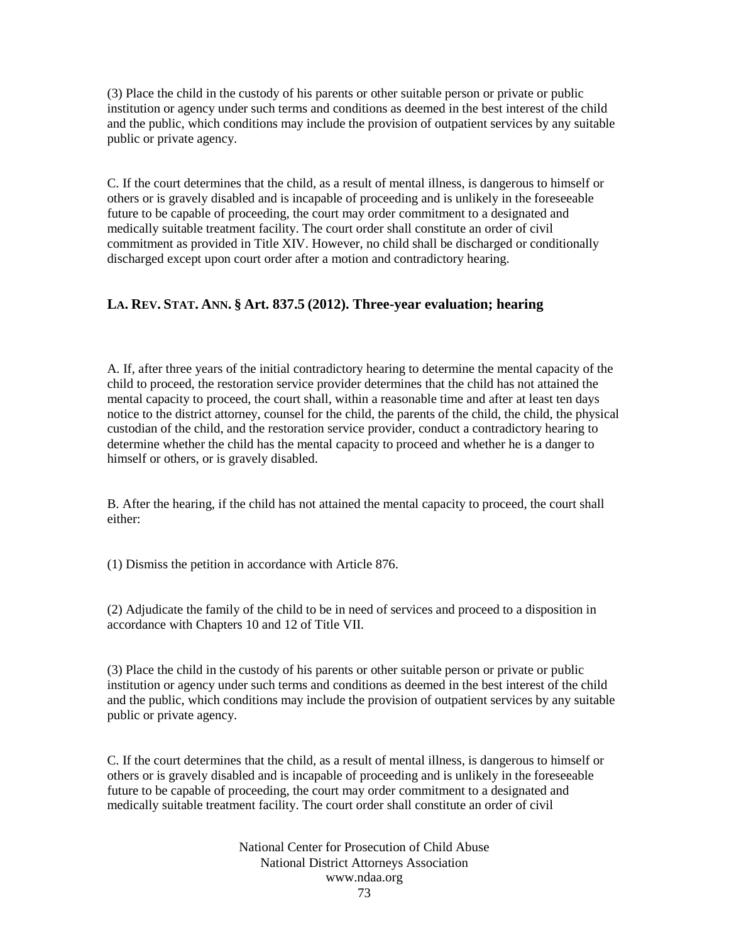(3) Place the child in the custody of his parents or other suitable person or private or public institution or agency under such terms and conditions as deemed in the best interest of the child and the public, which conditions may include the provision of outpatient services by any suitable public or private agency.

C. If the court determines that the child, as a result of mental illness, is dangerous to himself or others or is gravely disabled and is incapable of proceeding and is unlikely in the foreseeable future to be capable of proceeding, the court may order commitment to a designated and medically suitable treatment facility. The court order shall constitute an order of civil commitment as provided in Title XIV. However, no child shall be discharged or conditionally discharged except upon court order after a motion and contradictory hearing.

## **LA. REV. STAT. ANN. § Art. 837.5 (2012). Three-year evaluation; hearing**

A. If, after three years of the initial contradictory hearing to determine the mental capacity of the child to proceed, the restoration service provider determines that the child has not attained the mental capacity to proceed, the court shall, within a reasonable time and after at least ten days notice to the district attorney, counsel for the child, the parents of the child, the child, the physical custodian of the child, and the restoration service provider, conduct a contradictory hearing to determine whether the child has the mental capacity to proceed and whether he is a danger to himself or others, or is gravely disabled.

B. After the hearing, if the child has not attained the mental capacity to proceed, the court shall either:

(1) Dismiss the petition in accordance with Article 876.

(2) Adjudicate the family of the child to be in need of services and proceed to a disposition in accordance with Chapters 10 and 12 of Title VII.

(3) Place the child in the custody of his parents or other suitable person or private or public institution or agency under such terms and conditions as deemed in the best interest of the child and the public, which conditions may include the provision of outpatient services by any suitable public or private agency.

C. If the court determines that the child, as a result of mental illness, is dangerous to himself or others or is gravely disabled and is incapable of proceeding and is unlikely in the foreseeable future to be capable of proceeding, the court may order commitment to a designated and medically suitable treatment facility. The court order shall constitute an order of civil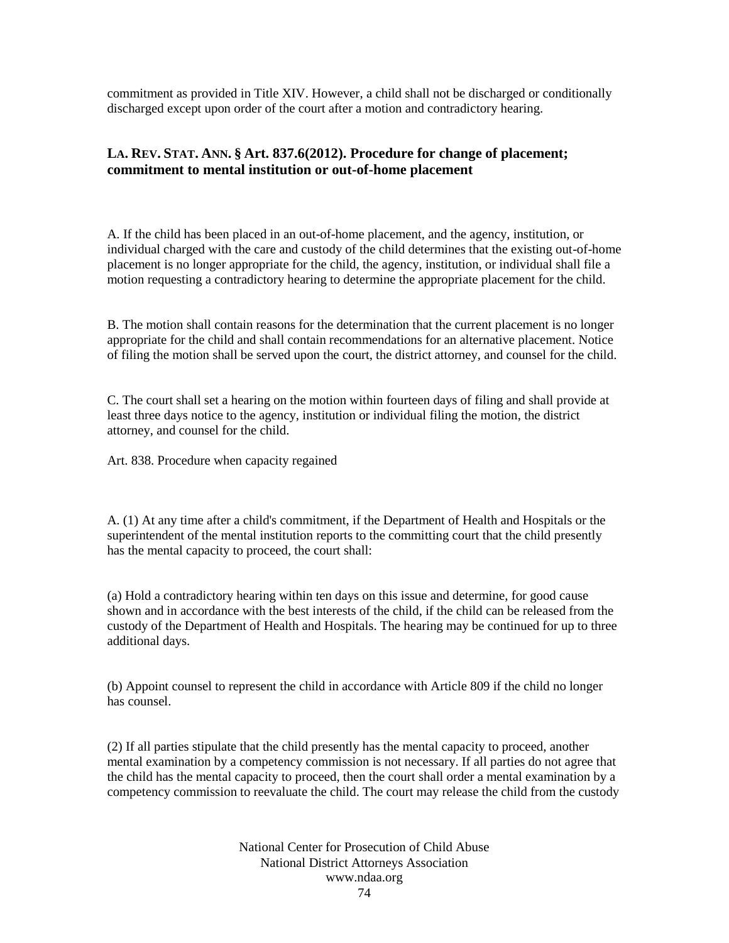commitment as provided in Title XIV. However, a child shall not be discharged or conditionally discharged except upon order of the court after a motion and contradictory hearing.

## **LA. REV. STAT. ANN. § Art. 837.6(2012). Procedure for change of placement; commitment to mental institution or out-of-home placement**

A. If the child has been placed in an out-of-home placement, and the agency, institution, or individual charged with the care and custody of the child determines that the existing out-of-home placement is no longer appropriate for the child, the agency, institution, or individual shall file a motion requesting a contradictory hearing to determine the appropriate placement for the child.

B. The motion shall contain reasons for the determination that the current placement is no longer appropriate for the child and shall contain recommendations for an alternative placement. Notice of filing the motion shall be served upon the court, the district attorney, and counsel for the child.

C. The court shall set a hearing on the motion within fourteen days of filing and shall provide at least three days notice to the agency, institution or individual filing the motion, the district attorney, and counsel for the child.

Art. 838. Procedure when capacity regained

A. (1) At any time after a child's commitment, if the Department of Health and Hospitals or the superintendent of the mental institution reports to the committing court that the child presently has the mental capacity to proceed, the court shall:

(a) Hold a contradictory hearing within ten days on this issue and determine, for good cause shown and in accordance with the best interests of the child, if the child can be released from the custody of the Department of Health and Hospitals. The hearing may be continued for up to three additional days.

(b) Appoint counsel to represent the child in accordance with Article 809 if the child no longer has counsel.

(2) If all parties stipulate that the child presently has the mental capacity to proceed, another mental examination by a competency commission is not necessary. If all parties do not agree that the child has the mental capacity to proceed, then the court shall order a mental examination by a competency commission to reevaluate the child. The court may release the child from the custody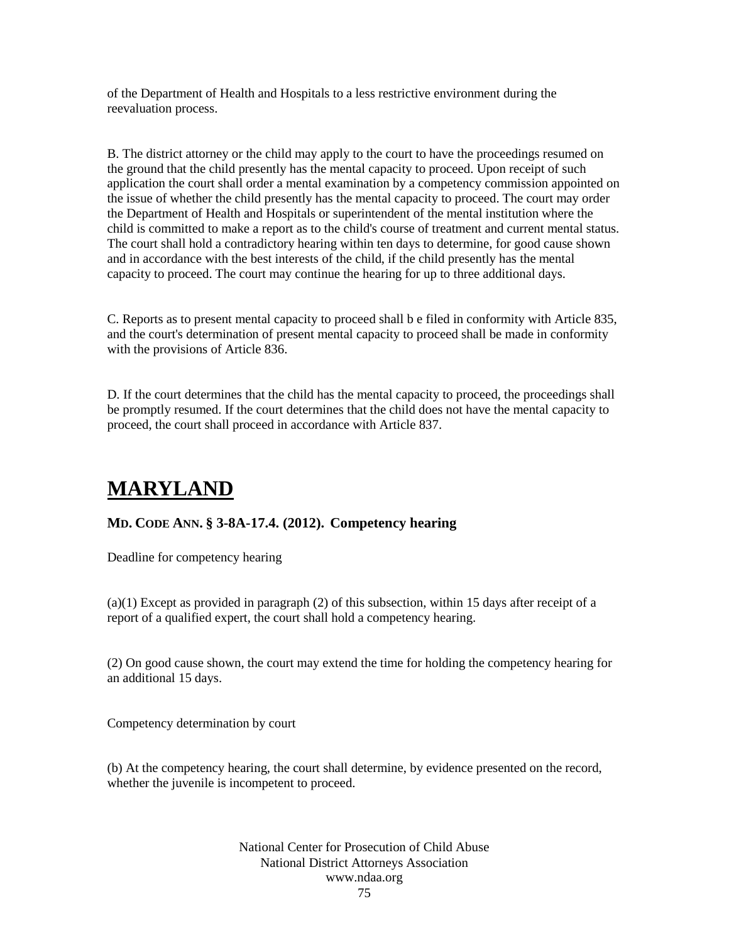of the Department of Health and Hospitals to a less restrictive environment during the reevaluation process.

B. The district attorney or the child may apply to the court to have the proceedings resumed on the ground that the child presently has the mental capacity to proceed. Upon receipt of such application the court shall order a mental examination by a competency commission appointed on the issue of whether the child presently has the mental capacity to proceed. The court may order the Department of Health and Hospitals or superintendent of the mental institution where the child is committed to make a report as to the child's course of treatment and current mental status. The court shall hold a contradictory hearing within ten days to determine, for good cause shown and in accordance with the best interests of the child, if the child presently has the mental capacity to proceed. The court may continue the hearing for up to three additional days.

C. Reports as to present mental capacity to proceed shall b e filed in conformity with Article 835, and the court's determination of present mental capacity to proceed shall be made in conformity with the provisions of Article 836.

D. If the court determines that the child has the mental capacity to proceed, the proceedings shall be promptly resumed. If the court determines that the child does not have the mental capacity to proceed, the court shall proceed in accordance with Article 837.

# **MARYLAND**

## **MD. CODE ANN. § 3-8A-17.4. (2012). Competency hearing**

Deadline for competency hearing

(a)(1) Except as provided in paragraph (2) of this subsection, within 15 days after receipt of a report of a qualified expert, the court shall hold a competency hearing.

(2) On good cause shown, the court may extend the time for holding the competency hearing for an additional 15 days.

Competency determination by court

(b) At the competency hearing, the court shall determine, by evidence presented on the record, whether the juvenile is incompetent to proceed.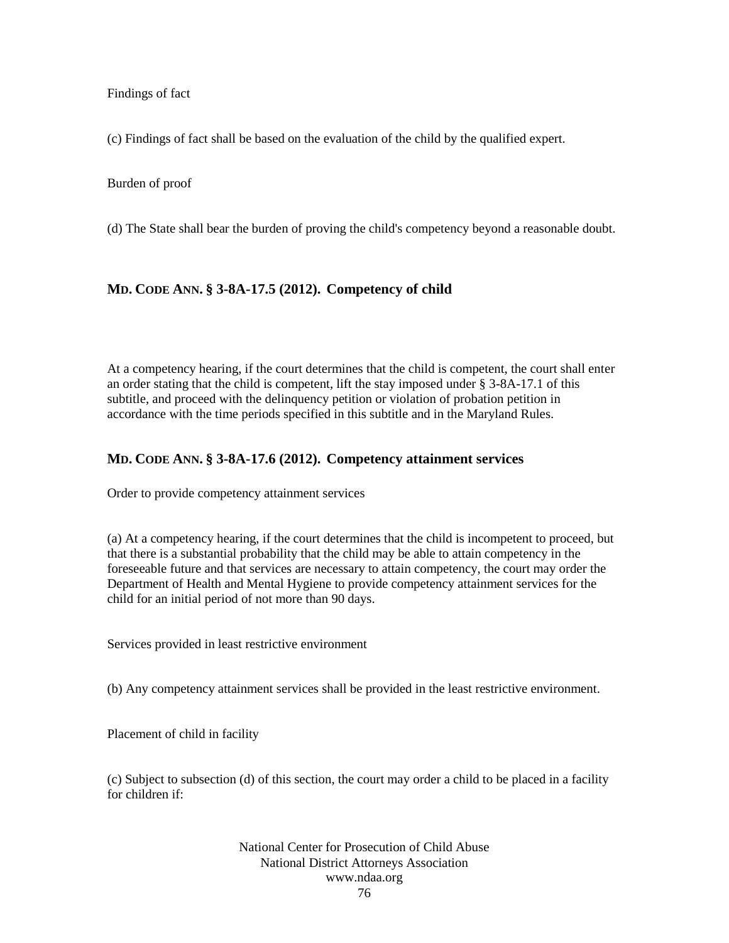Findings of fact

(c) Findings of fact shall be based on the evaluation of the child by the qualified expert.

Burden of proof

(d) The State shall bear the burden of proving the child's competency beyond a reasonable doubt.

## **MD. CODE ANN. § 3-8A-17.5 (2012). Competency of child**

At a competency hearing, if the court determines that the child is competent, the court shall enter an order stating that the child is competent, lift the stay imposed under  $\S 3-8A-17.1$  of this subtitle, and proceed with the delinquency petition or violation of probation petition in accordance with the time periods specified in this subtitle and in the Maryland Rules.

## **MD. CODE ANN. § 3-8A-17.6 (2012). Competency attainment services**

Order to provide competency attainment services

(a) At a competency hearing, if the court determines that the child is incompetent to proceed, but that there is a substantial probability that the child may be able to attain competency in the foreseeable future and that services are necessary to attain competency, the court may order the Department of Health and Mental Hygiene to provide competency attainment services for the child for an initial period of not more than 90 days.

Services provided in least restrictive environment

(b) Any competency attainment services shall be provided in the least restrictive environment.

Placement of child in facility

(c) Subject to subsection (d) of this section, the court may order a child to be placed in a facility for children if: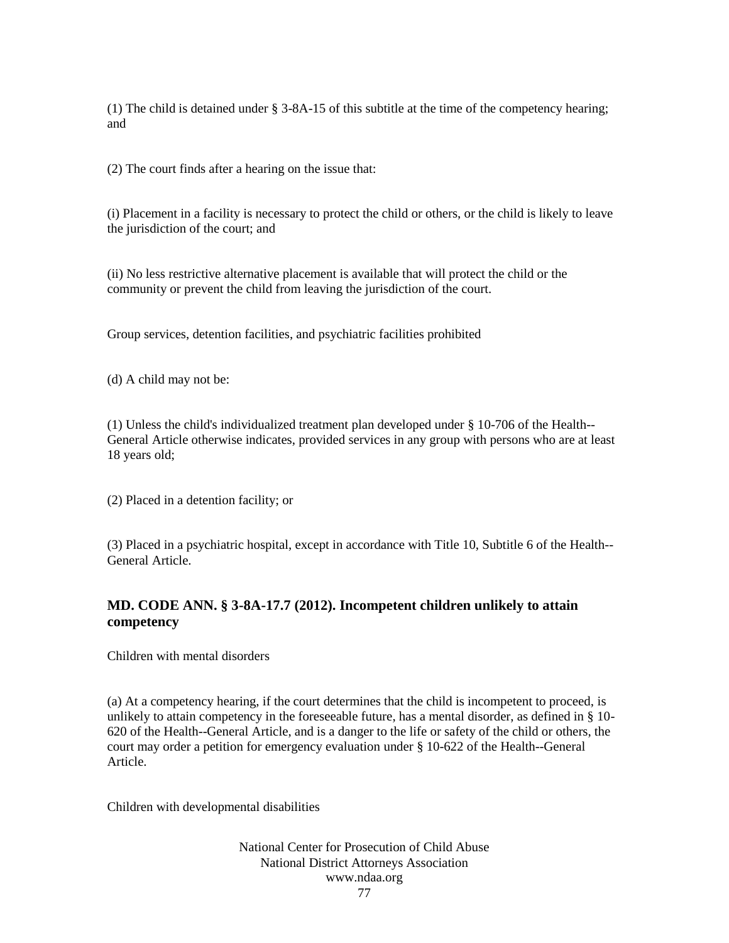(1) The child is detained under § 3-8A-15 of this subtitle at the time of the competency hearing; and

(2) The court finds after a hearing on the issue that:

(i) Placement in a facility is necessary to protect the child or others, or the child is likely to leave the jurisdiction of the court; and

(ii) No less restrictive alternative placement is available that will protect the child or the community or prevent the child from leaving the jurisdiction of the court.

Group services, detention facilities, and psychiatric facilities prohibited

(d) A child may not be:

(1) Unless the child's individualized treatment plan developed under § 10-706 of the Health-- General Article otherwise indicates, provided services in any group with persons who are at least 18 years old;

(2) Placed in a detention facility; or

(3) Placed in a psychiatric hospital, except in accordance with Title 10, Subtitle 6 of the Health-- General Article.

## **MD. CODE ANN. § 3-8A-17.7 (2012). Incompetent children unlikely to attain competency**

Children with mental disorders

(a) At a competency hearing, if the court determines that the child is incompetent to proceed, is unlikely to attain competency in the foreseeable future, has a mental disorder, as defined in § 10- 620 of the Health--General Article, and is a danger to the life or safety of the child or others, the court may order a petition for emergency evaluation under § 10-622 of the Health--General Article.

Children with developmental disabilities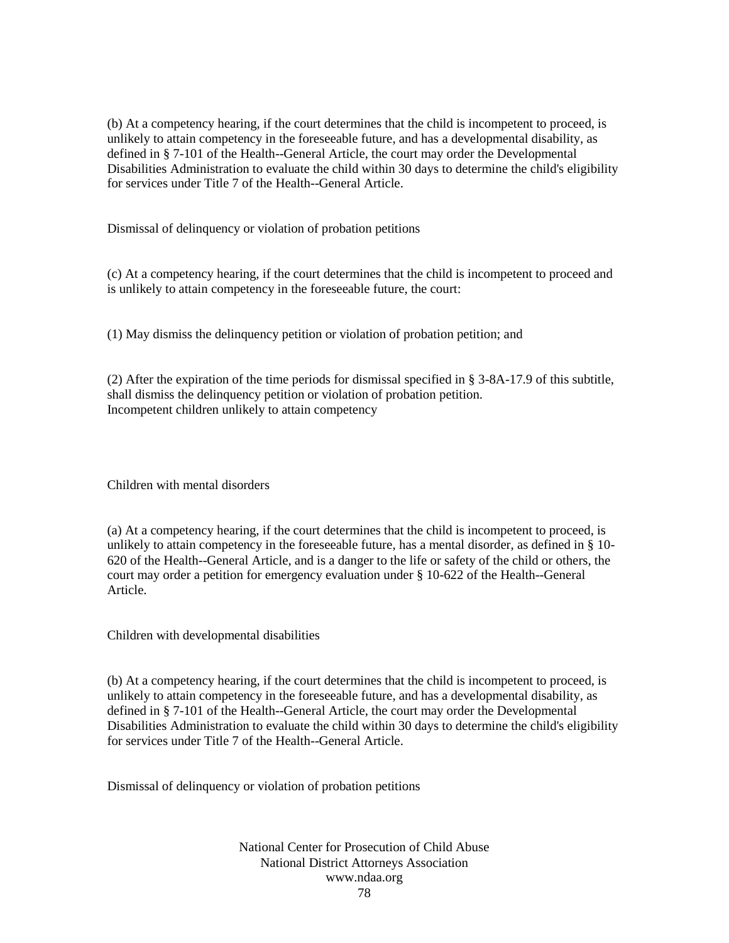(b) At a competency hearing, if the court determines that the child is incompetent to proceed, is unlikely to attain competency in the foreseeable future, and has a developmental disability, as defined in § 7-101 of the Health--General Article, the court may order the Developmental Disabilities Administration to evaluate the child within 30 days to determine the child's eligibility for services under Title 7 of the Health--General Article.

Dismissal of delinquency or violation of probation petitions

(c) At a competency hearing, if the court determines that the child is incompetent to proceed and is unlikely to attain competency in the foreseeable future, the court:

(1) May dismiss the delinquency petition or violation of probation petition; and

(2) After the expiration of the time periods for dismissal specified in § 3-8A-17.9 of this subtitle, shall dismiss the delinquency petition or violation of probation petition. Incompetent children unlikely to attain competency

Children with mental disorders

(a) At a competency hearing, if the court determines that the child is incompetent to proceed, is unlikely to attain competency in the foreseeable future, has a mental disorder, as defined in § 10- 620 of the Health--General Article, and is a danger to the life or safety of the child or others, the court may order a petition for emergency evaluation under § 10-622 of the Health--General Article.

Children with developmental disabilities

(b) At a competency hearing, if the court determines that the child is incompetent to proceed, is unlikely to attain competency in the foreseeable future, and has a developmental disability, as defined in § 7-101 of the Health--General Article, the court may order the Developmental Disabilities Administration to evaluate the child within 30 days to determine the child's eligibility for services under Title 7 of the Health--General Article.

Dismissal of delinquency or violation of probation petitions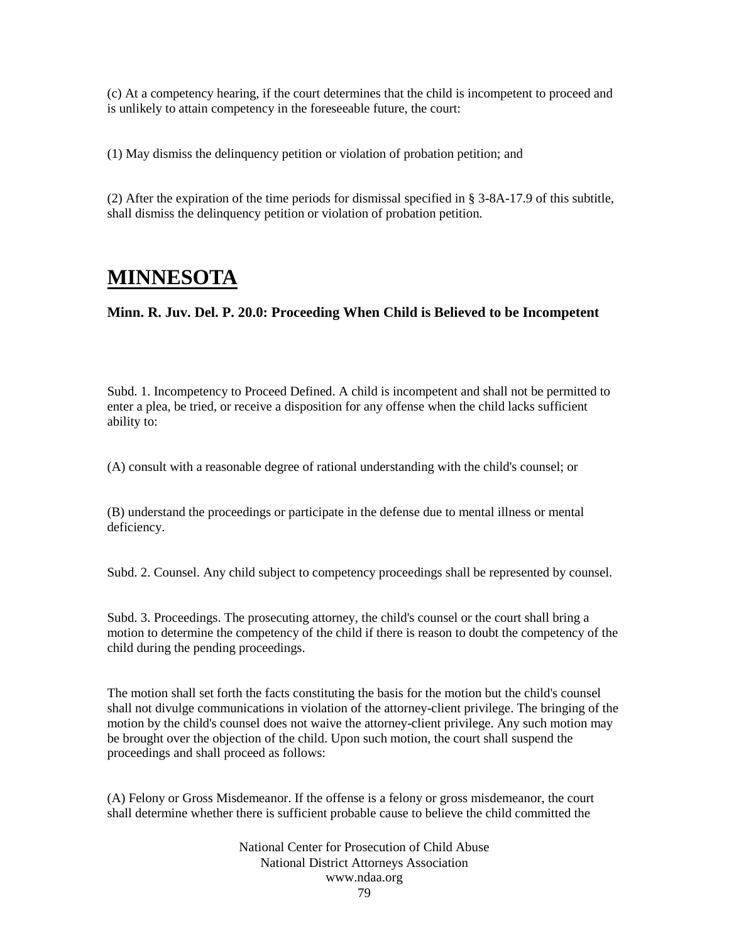(c) At a competency hearing, if the court determines that the child is incompetent to proceed and is unlikely to attain competency in the foreseeable future, the court:

(1) May dismiss the delinquency petition or violation of probation petition; and

(2) After the expiration of the time periods for dismissal specified in § 3-8A-17.9 of this subtitle, shall dismiss the delinquency petition or violation of probation petition.

## **MINNESOTA**

**Minn. R. Juv. Del. P. 20.0: Proceeding When Child is Believed to be Incompetent**

Subd. 1. Incompetency to Proceed Defined. A child is incompetent and shall not be permitted to enter a plea, be tried, or receive a disposition for any offense when the child lacks sufficient ability to:

(A) consult with a reasonable degree of rational understanding with the child's counsel; or

(B) understand the proceedings or participate in the defense due to mental illness or mental deficiency.

Subd. 2. Counsel. Any child subject to competency proceedings shall be represented by counsel.

Subd. 3. Proceedings. The prosecuting attorney, the child's counsel or the court shall bring a motion to determine the competency of the child if there is reason to doubt the competency of the child during the pending proceedings.

The motion shall set forth the facts constituting the basis for the motion but the child's counsel shall not divulge communications in violation of the attorney-client privilege. The bringing of the motion by the child's counsel does not waive the attorney-client privilege. Any such motion may be brought over the objection of the child. Upon such motion, the court shall suspend the proceedings and shall proceed as follows:

(A) Felony or Gross Misdemeanor. If the offense is a felony or gross misdemeanor, the court shall determine whether there is sufficient probable cause to believe the child committed the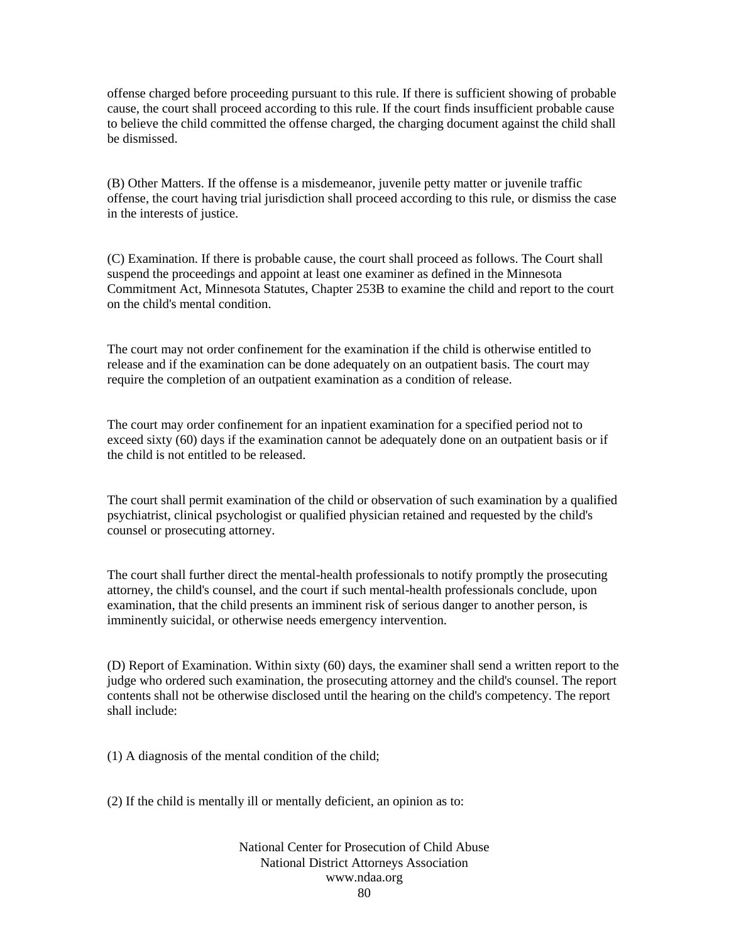offense charged before proceeding pursuant to this rule. If there is sufficient showing of probable cause, the court shall proceed according to this rule. If the court finds insufficient probable cause to believe the child committed the offense charged, the charging document against the child shall be dismissed.

(B) Other Matters. If the offense is a misdemeanor, juvenile petty matter or juvenile traffic offense, the court having trial jurisdiction shall proceed according to this rule, or dismiss the case in the interests of justice.

(C) Examination. If there is probable cause, the court shall proceed as follows. The Court shall suspend the proceedings and appoint at least one examiner as defined in the Minnesota Commitment Act, Minnesota Statutes, Chapter 253B to examine the child and report to the court on the child's mental condition.

The court may not order confinement for the examination if the child is otherwise entitled to release and if the examination can be done adequately on an outpatient basis. The court may require the completion of an outpatient examination as a condition of release.

The court may order confinement for an inpatient examination for a specified period not to exceed sixty (60) days if the examination cannot be adequately done on an outpatient basis or if the child is not entitled to be released.

The court shall permit examination of the child or observation of such examination by a qualified psychiatrist, clinical psychologist or qualified physician retained and requested by the child's counsel or prosecuting attorney.

The court shall further direct the mental-health professionals to notify promptly the prosecuting attorney, the child's counsel, and the court if such mental-health professionals conclude, upon examination, that the child presents an imminent risk of serious danger to another person, is imminently suicidal, or otherwise needs emergency intervention.

(D) Report of Examination. Within sixty (60) days, the examiner shall send a written report to the judge who ordered such examination, the prosecuting attorney and the child's counsel. The report contents shall not be otherwise disclosed until the hearing on the child's competency. The report shall include:

(1) A diagnosis of the mental condition of the child;

(2) If the child is mentally ill or mentally deficient, an opinion as to: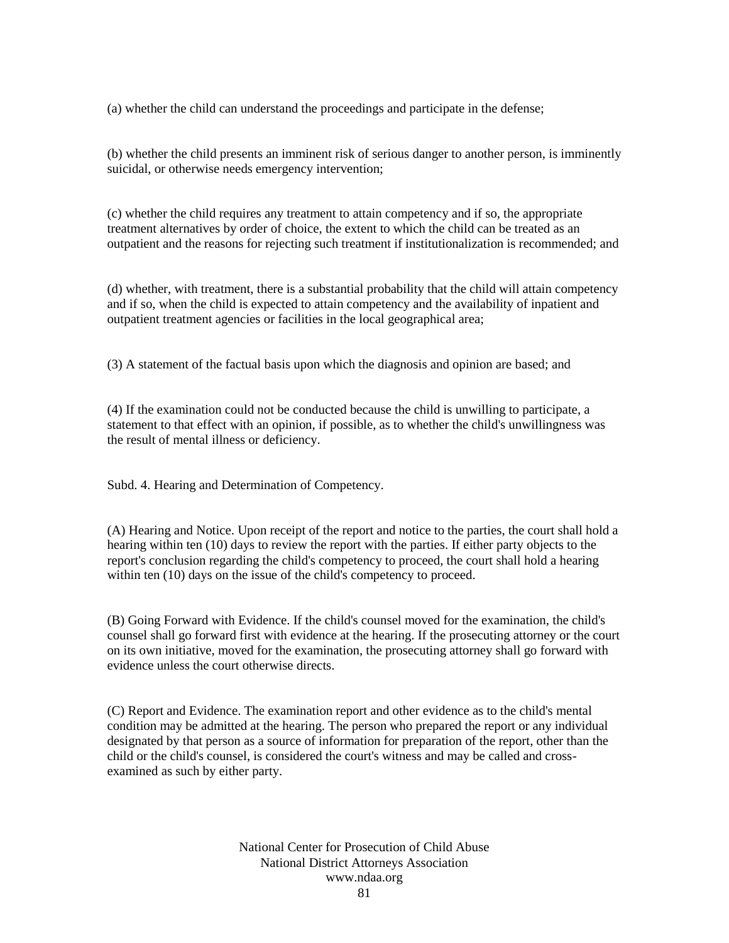(a) whether the child can understand the proceedings and participate in the defense;

(b) whether the child presents an imminent risk of serious danger to another person, is imminently suicidal, or otherwise needs emergency intervention;

(c) whether the child requires any treatment to attain competency and if so, the appropriate treatment alternatives by order of choice, the extent to which the child can be treated as an outpatient and the reasons for rejecting such treatment if institutionalization is recommended; and

(d) whether, with treatment, there is a substantial probability that the child will attain competency and if so, when the child is expected to attain competency and the availability of inpatient and outpatient treatment agencies or facilities in the local geographical area;

(3) A statement of the factual basis upon which the diagnosis and opinion are based; and

(4) If the examination could not be conducted because the child is unwilling to participate, a statement to that effect with an opinion, if possible, as to whether the child's unwillingness was the result of mental illness or deficiency.

Subd. 4. Hearing and Determination of Competency.

(A) Hearing and Notice. Upon receipt of the report and notice to the parties, the court shall hold a hearing within ten (10) days to review the report with the parties. If either party objects to the report's conclusion regarding the child's competency to proceed, the court shall hold a hearing within ten (10) days on the issue of the child's competency to proceed.

(B) Going Forward with Evidence. If the child's counsel moved for the examination, the child's counsel shall go forward first with evidence at the hearing. If the prosecuting attorney or the court on its own initiative, moved for the examination, the prosecuting attorney shall go forward with evidence unless the court otherwise directs.

(C) Report and Evidence. The examination report and other evidence as to the child's mental condition may be admitted at the hearing. The person who prepared the report or any individual designated by that person as a source of information for preparation of the report, other than the child or the child's counsel, is considered the court's witness and may be called and crossexamined as such by either party.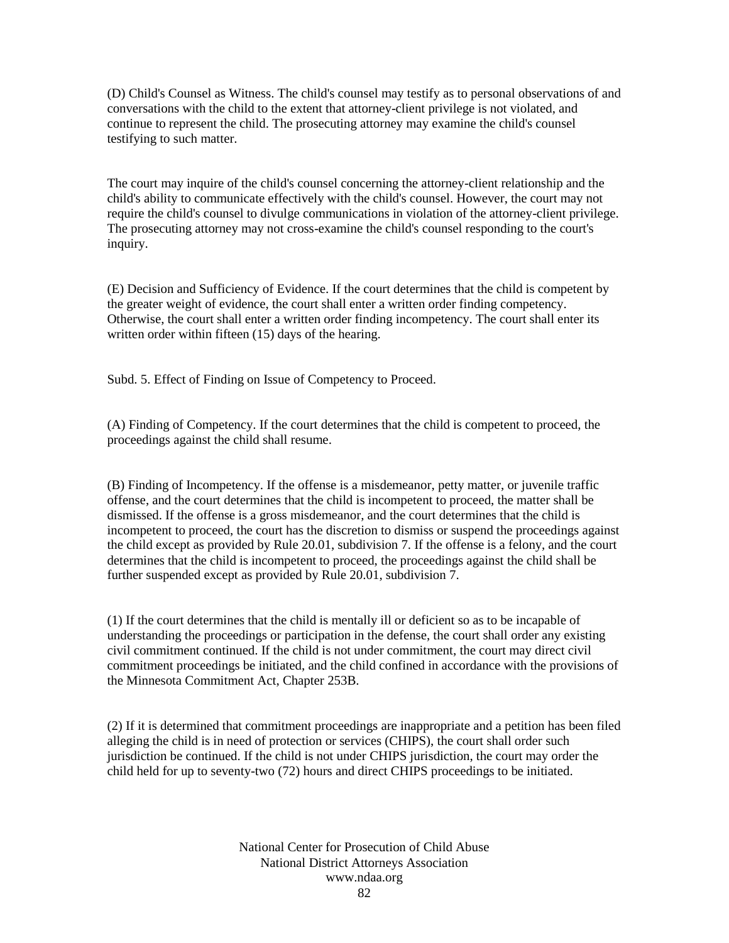(D) Child's Counsel as Witness. The child's counsel may testify as to personal observations of and conversations with the child to the extent that attorney-client privilege is not violated, and continue to represent the child. The prosecuting attorney may examine the child's counsel testifying to such matter.

The court may inquire of the child's counsel concerning the attorney-client relationship and the child's ability to communicate effectively with the child's counsel. However, the court may not require the child's counsel to divulge communications in violation of the attorney-client privilege. The prosecuting attorney may not cross-examine the child's counsel responding to the court's inquiry.

(E) Decision and Sufficiency of Evidence. If the court determines that the child is competent by the greater weight of evidence, the court shall enter a written order finding competency. Otherwise, the court shall enter a written order finding incompetency. The court shall enter its written order within fifteen (15) days of the hearing.

Subd. 5. Effect of Finding on Issue of Competency to Proceed.

(A) Finding of Competency. If the court determines that the child is competent to proceed, the proceedings against the child shall resume.

(B) Finding of Incompetency. If the offense is a misdemeanor, petty matter, or juvenile traffic offense, and the court determines that the child is incompetent to proceed, the matter shall be dismissed. If the offense is a gross misdemeanor, and the court determines that the child is incompetent to proceed, the court has the discretion to dismiss or suspend the proceedings against the child except as provided by Rule 20.01, subdivision 7. If the offense is a felony, and the court determines that the child is incompetent to proceed, the proceedings against the child shall be further suspended except as provided by Rule 20.01, subdivision 7.

(1) If the court determines that the child is mentally ill or deficient so as to be incapable of understanding the proceedings or participation in the defense, the court shall order any existing civil commitment continued. If the child is not under commitment, the court may direct civil commitment proceedings be initiated, and the child confined in accordance with the provisions of the Minnesota Commitment Act, Chapter 253B.

(2) If it is determined that commitment proceedings are inappropriate and a petition has been filed alleging the child is in need of protection or services (CHIPS), the court shall order such jurisdiction be continued. If the child is not under CHIPS jurisdiction, the court may order the child held for up to seventy-two (72) hours and direct CHIPS proceedings to be initiated.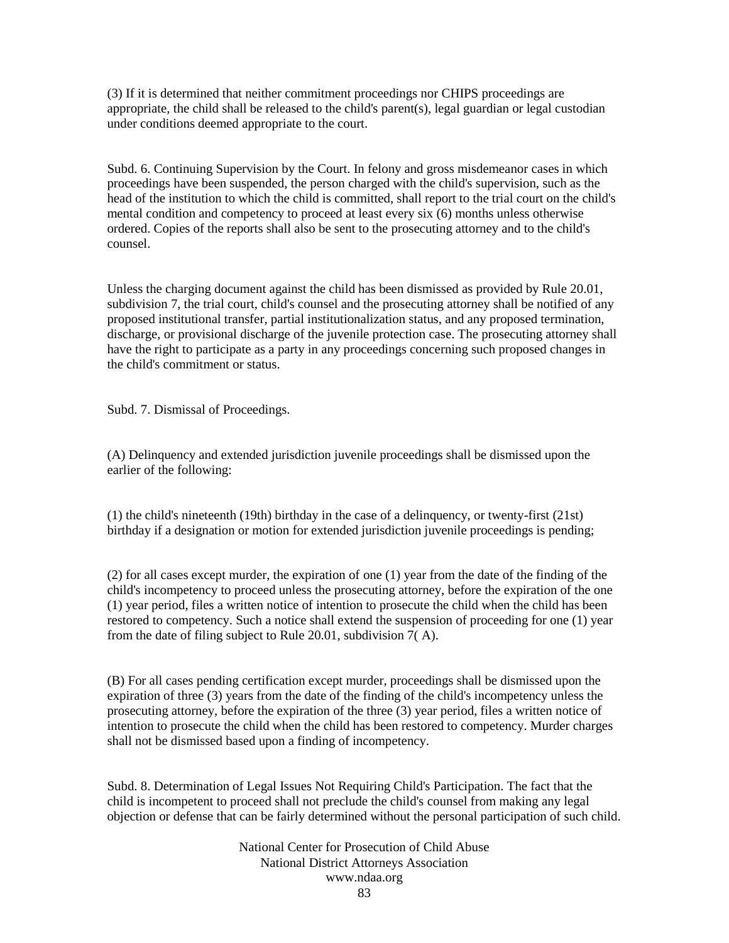(3) If it is determined that neither commitment proceedings nor CHIPS proceedings are appropriate, the child shall be released to the child's parent(s), legal guardian or legal custodian under conditions deemed appropriate to the court.

Subd. 6. Continuing Supervision by the Court. In felony and gross misdemeanor cases in which proceedings have been suspended, the person charged with the child's supervision, such as the head of the institution to which the child is committed, shall report to the trial court on the child's mental condition and competency to proceed at least every six (6) months unless otherwise ordered. Copies of the reports shall also be sent to the prosecuting attorney and to the child's counsel.

Unless the charging document against the child has been dismissed as provided by Rule 20.01, subdivision 7, the trial court, child's counsel and the prosecuting attorney shall be notified of any proposed institutional transfer, partial institutionalization status, and any proposed termination, discharge, or provisional discharge of the juvenile protection case. The prosecuting attorney shall have the right to participate as a party in any proceedings concerning such proposed changes in the child's commitment or status.

Subd. 7. Dismissal of Proceedings.

(A) Delinquency and extended jurisdiction juvenile proceedings shall be dismissed upon the earlier of the following:

(1) the child's nineteenth (19th) birthday in the case of a delinquency, or twenty-first (21st) birthday if a designation or motion for extended jurisdiction juvenile proceedings is pending;

(2) for all cases except murder, the expiration of one (1) year from the date of the finding of the child's incompetency to proceed unless the prosecuting attorney, before the expiration of the one (1) year period, files a written notice of intention to prosecute the child when the child has been restored to competency. Such a notice shall extend the suspension of proceeding for one (1) year from the date of filing subject to Rule 20.01, subdivision 7( A).

(B) For all cases pending certification except murder, proceedings shall be dismissed upon the expiration of three (3) years from the date of the finding of the child's incompetency unless the prosecuting attorney, before the expiration of the three (3) year period, files a written notice of intention to prosecute the child when the child has been restored to competency. Murder charges shall not be dismissed based upon a finding of incompetency.

Subd. 8. Determination of Legal Issues Not Requiring Child's Participation. The fact that the child is incompetent to proceed shall not preclude the child's counsel from making any legal objection or defense that can be fairly determined without the personal participation of such child.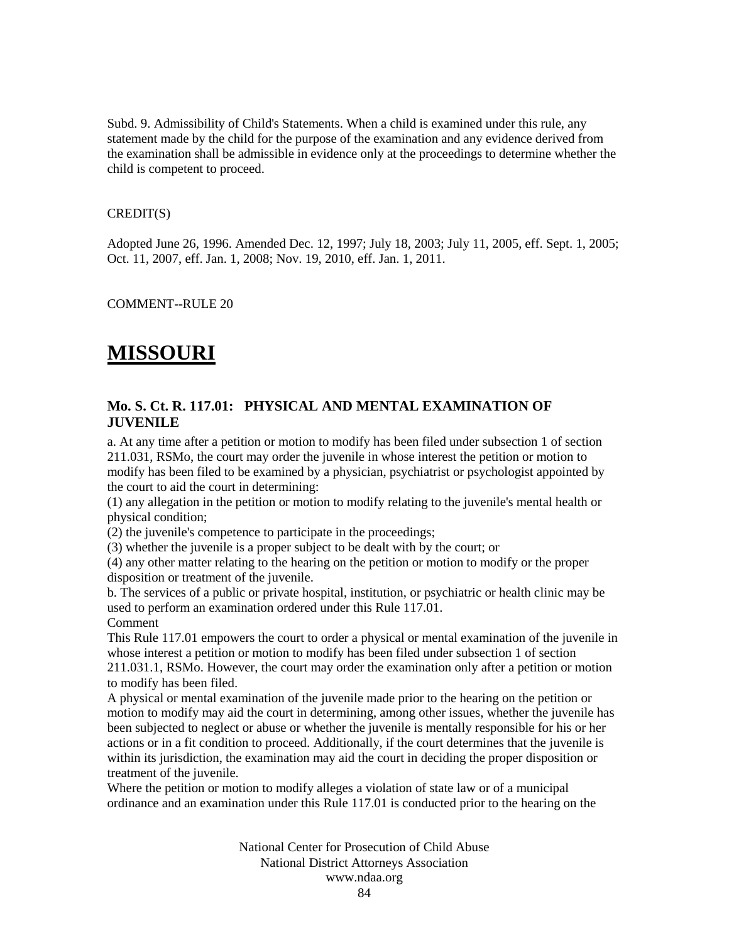Subd. 9. Admissibility of Child's Statements. When a child is examined under this rule, any statement made by the child for the purpose of the examination and any evidence derived from the examination shall be admissible in evidence only at the proceedings to determine whether the child is competent to proceed.

#### CREDIT(S)

Adopted June 26, 1996. Amended Dec. 12, 1997; July 18, 2003; July 11, 2005, eff. Sept. 1, 2005; Oct. 11, 2007, eff. Jan. 1, 2008; Nov. 19, 2010, eff. Jan. 1, 2011.

COMMENT--RULE 20

## **MISSOURI**

#### **Mo. S. Ct. R. 117.01: PHYSICAL AND MENTAL EXAMINATION OF JUVENILE**

a. At any time after a petition or motion to modify has been filed under subsection 1 of section 211.031, RSMo, the court may order the juvenile in whose interest the petition or motion to modify has been filed to be examined by a physician, psychiatrist or psychologist appointed by the court to aid the court in determining:

(1) any allegation in the petition or motion to modify relating to the juvenile's mental health or physical condition;

(2) the juvenile's competence to participate in the proceedings;

(3) whether the juvenile is a proper subject to be dealt with by the court; or

(4) any other matter relating to the hearing on the petition or motion to modify or the proper disposition or treatment of the juvenile.

b. The services of a public or private hospital, institution, or psychiatric or health clinic may be used to perform an examination ordered under this Rule 117.01. Comment

This Rule 117.01 empowers the court to order a physical or mental examination of the juvenile in whose interest a petition or motion to modify has been filed under subsection 1 of section 211.031.1, RSMo. However, the court may order the examination only after a petition or motion to modify has been filed.

A physical or mental examination of the juvenile made prior to the hearing on the petition or motion to modify may aid the court in determining, among other issues, whether the juvenile has been subjected to neglect or abuse or whether the juvenile is mentally responsible for his or her actions or in a fit condition to proceed. Additionally, if the court determines that the juvenile is within its jurisdiction, the examination may aid the court in deciding the proper disposition or treatment of the juvenile.

Where the petition or motion to modify alleges a violation of state law or of a municipal ordinance and an examination under this Rule 117.01 is conducted prior to the hearing on the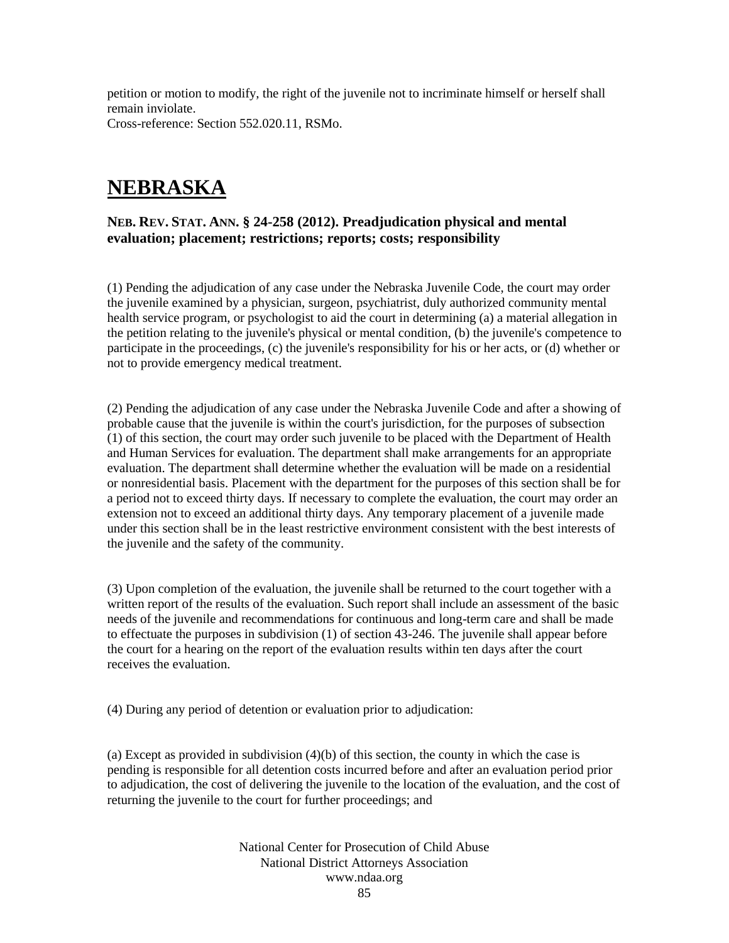petition or motion to modify, the right of the juvenile not to incriminate himself or herself shall remain inviolate.

Cross-reference: Section 552.020.11, RSMo.

# **NEBRASKA**

## **NEB. REV. STAT. ANN. § 24-258 (2012). Preadjudication physical and mental evaluation; placement; restrictions; reports; costs; responsibility**

(1) Pending the adjudication of any case under the Nebraska Juvenile Code, the court may order the juvenile examined by a physician, surgeon, psychiatrist, duly authorized community mental health service program, or psychologist to aid the court in determining (a) a material allegation in the petition relating to the juvenile's physical or mental condition, (b) the juvenile's competence to participate in the proceedings, (c) the juvenile's responsibility for his or her acts, or (d) whether or not to provide emergency medical treatment.

(2) Pending the adjudication of any case under the Nebraska Juvenile Code and after a showing of probable cause that the juvenile is within the court's jurisdiction, for the purposes of subsection (1) of this section, the court may order such juvenile to be placed with the Department of Health and Human Services for evaluation. The department shall make arrangements for an appropriate evaluation. The department shall determine whether the evaluation will be made on a residential or nonresidential basis. Placement with the department for the purposes of this section shall be for a period not to exceed thirty days. If necessary to complete the evaluation, the court may order an extension not to exceed an additional thirty days. Any temporary placement of a juvenile made under this section shall be in the least restrictive environment consistent with the best interests of the juvenile and the safety of the community.

(3) Upon completion of the evaluation, the juvenile shall be returned to the court together with a written report of the results of the evaluation. Such report shall include an assessment of the basic needs of the juvenile and recommendations for continuous and long-term care and shall be made to effectuate the purposes in subdivision (1) of section 43-246. The juvenile shall appear before the court for a hearing on the report of the evaluation results within ten days after the court receives the evaluation.

(4) During any period of detention or evaluation prior to adjudication:

(a) Except as provided in subdivision (4)(b) of this section, the county in which the case is pending is responsible for all detention costs incurred before and after an evaluation period prior to adjudication, the cost of delivering the juvenile to the location of the evaluation, and the cost of returning the juvenile to the court for further proceedings; and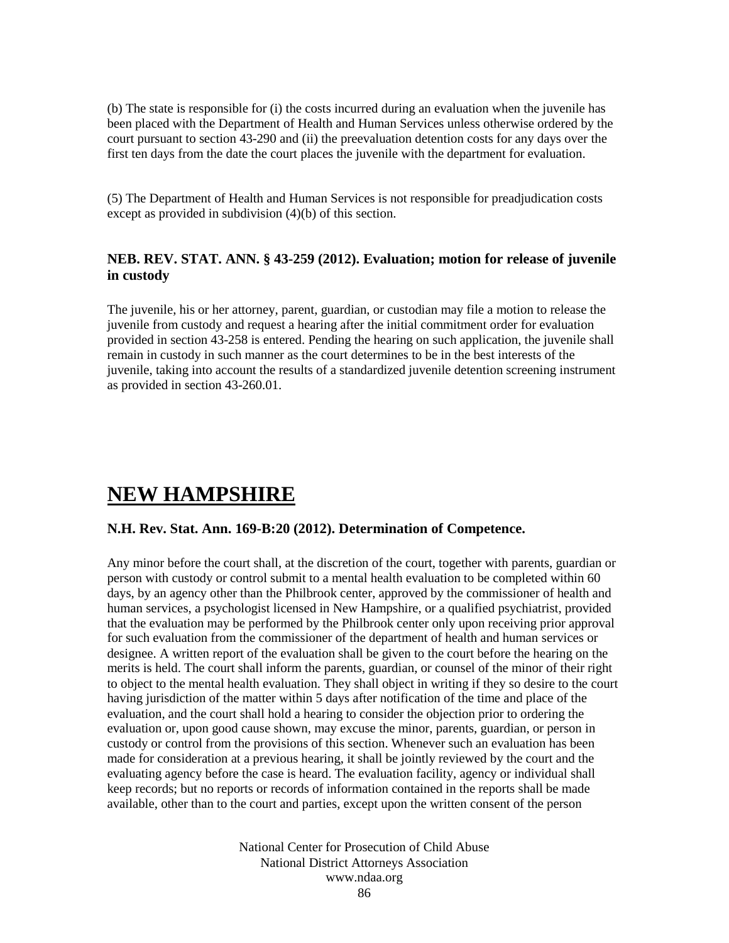(b) The state is responsible for (i) the costs incurred during an evaluation when the juvenile has been placed with the Department of Health and Human Services unless otherwise ordered by the court pursuant to section 43-290 and (ii) the preevaluation detention costs for any days over the first ten days from the date the court places the juvenile with the department for evaluation.

(5) The Department of Health and Human Services is not responsible for preadjudication costs except as provided in subdivision (4)(b) of this section.

## **NEB. REV. STAT. ANN. § 43-259 (2012). Evaluation; motion for release of juvenile in custody**

The juvenile, his or her attorney, parent, guardian, or custodian may file a motion to release the juvenile from custody and request a hearing after the initial commitment order for evaluation provided in section 43-258 is entered. Pending the hearing on such application, the juvenile shall remain in custody in such manner as the court determines to be in the best interests of the juvenile, taking into account the results of a standardized juvenile detention screening instrument as provided in section 43-260.01.

## **NEW HAMPSHIRE**

## **N.H. Rev. Stat. Ann. 169-B:20 (2012). Determination of Competence.**

Any minor before the court shall, at the discretion of the court, together with parents, guardian or person with custody or control submit to a mental health evaluation to be completed within 60 days, by an agency other than the Philbrook center, approved by the commissioner of health and human services, a psychologist licensed in New Hampshire, or a qualified psychiatrist, provided that the evaluation may be performed by the Philbrook center only upon receiving prior approval for such evaluation from the commissioner of the department of health and human services or designee. A written report of the evaluation shall be given to the court before the hearing on the merits is held. The court shall inform the parents, guardian, or counsel of the minor of their right to object to the mental health evaluation. They shall object in writing if they so desire to the court having jurisdiction of the matter within 5 days after notification of the time and place of the evaluation, and the court shall hold a hearing to consider the objection prior to ordering the evaluation or, upon good cause shown, may excuse the minor, parents, guardian, or person in custody or control from the provisions of this section. Whenever such an evaluation has been made for consideration at a previous hearing, it shall be jointly reviewed by the court and the evaluating agency before the case is heard. The evaluation facility, agency or individual shall keep records; but no reports or records of information contained in the reports shall be made available, other than to the court and parties, except upon the written consent of the person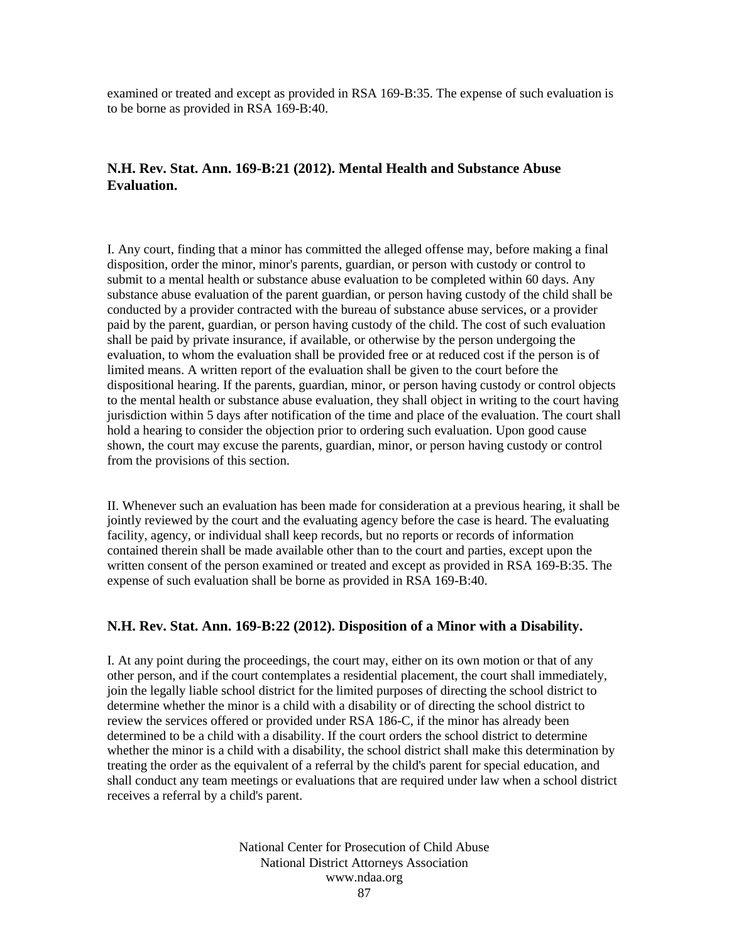examined or treated and except as provided in RSA 169-B:35. The expense of such evaluation is to be borne as provided in RSA 169-B:40.

## **N.H. Rev. Stat. Ann. 169-B:21 (2012). Mental Health and Substance Abuse Evaluation.**

I. Any court, finding that a minor has committed the alleged offense may, before making a final disposition, order the minor, minor's parents, guardian, or person with custody or control to submit to a mental health or substance abuse evaluation to be completed within 60 days. Any substance abuse evaluation of the parent guardian, or person having custody of the child shall be conducted by a provider contracted with the bureau of substance abuse services, or a provider paid by the parent, guardian, or person having custody of the child. The cost of such evaluation shall be paid by private insurance, if available, or otherwise by the person undergoing the evaluation, to whom the evaluation shall be provided free or at reduced cost if the person is of limited means. A written report of the evaluation shall be given to the court before the dispositional hearing. If the parents, guardian, minor, or person having custody or control objects to the mental health or substance abuse evaluation, they shall object in writing to the court having jurisdiction within 5 days after notification of the time and place of the evaluation. The court shall hold a hearing to consider the objection prior to ordering such evaluation. Upon good cause shown, the court may excuse the parents, guardian, minor, or person having custody or control from the provisions of this section.

II. Whenever such an evaluation has been made for consideration at a previous hearing, it shall be jointly reviewed by the court and the evaluating agency before the case is heard. The evaluating facility, agency, or individual shall keep records, but no reports or records of information contained therein shall be made available other than to the court and parties, except upon the written consent of the person examined or treated and except as provided in RSA 169-B:35. The expense of such evaluation shall be borne as provided in RSA 169-B:40.

#### **N.H. Rev. Stat. Ann. 169-B:22 (2012). Disposition of a Minor with a Disability.**

I. At any point during the proceedings, the court may, either on its own motion or that of any other person, and if the court contemplates a residential placement, the court shall immediately, join the legally liable school district for the limited purposes of directing the school district to determine whether the minor is a child with a disability or of directing the school district to review the services offered or provided under RSA 186-C, if the minor has already been determined to be a child with a disability. If the court orders the school district to determine whether the minor is a child with a disability, the school district shall make this determination by treating the order as the equivalent of a referral by the child's parent for special education, and shall conduct any team meetings or evaluations that are required under law when a school district receives a referral by a child's parent.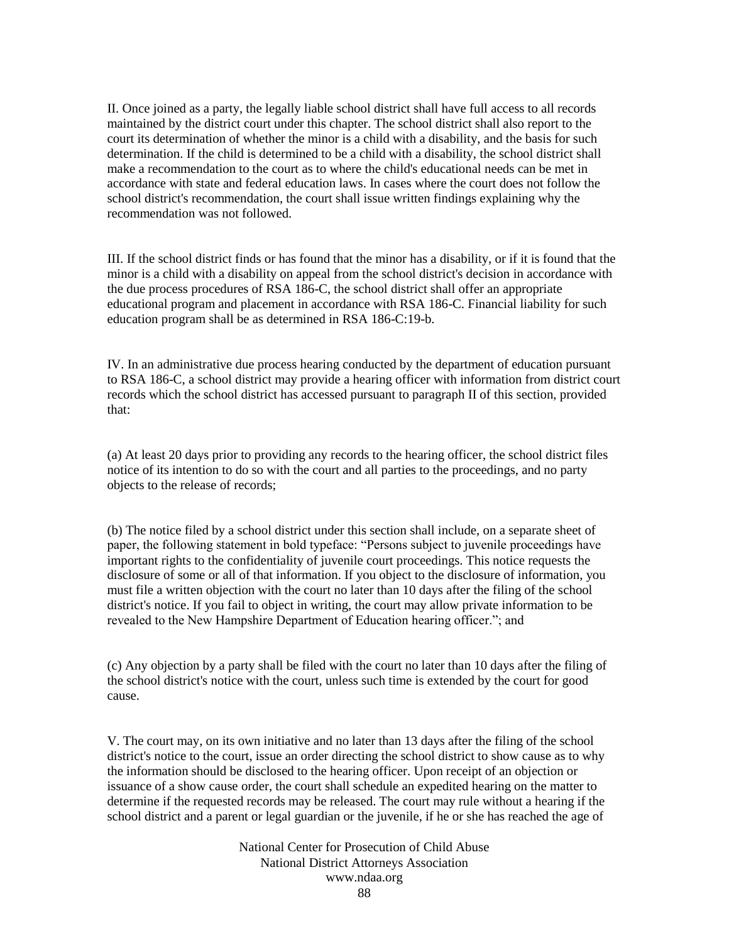II. Once joined as a party, the legally liable school district shall have full access to all records maintained by the district court under this chapter. The school district shall also report to the court its determination of whether the minor is a child with a disability, and the basis for such determination. If the child is determined to be a child with a disability, the school district shall make a recommendation to the court as to where the child's educational needs can be met in accordance with state and federal education laws. In cases where the court does not follow the school district's recommendation, the court shall issue written findings explaining why the recommendation was not followed.

III. If the school district finds or has found that the minor has a disability, or if it is found that the minor is a child with a disability on appeal from the school district's decision in accordance with the due process procedures of RSA 186-C, the school district shall offer an appropriate educational program and placement in accordance with RSA 186-C. Financial liability for such education program shall be as determined in RSA 186-C:19-b.

IV. In an administrative due process hearing conducted by the department of education pursuant to RSA 186-C, a school district may provide a hearing officer with information from district court records which the school district has accessed pursuant to paragraph II of this section, provided that:

(a) At least 20 days prior to providing any records to the hearing officer, the school district files notice of its intention to do so with the court and all parties to the proceedings, and no party objects to the release of records;

(b) The notice filed by a school district under this section shall include, on a separate sheet of paper, the following statement in bold typeface: "Persons subject to juvenile proceedings have important rights to the confidentiality of juvenile court proceedings. This notice requests the disclosure of some or all of that information. If you object to the disclosure of information, you must file a written objection with the court no later than 10 days after the filing of the school district's notice. If you fail to object in writing, the court may allow private information to be revealed to the New Hampshire Department of Education hearing officer."; and

(c) Any objection by a party shall be filed with the court no later than 10 days after the filing of the school district's notice with the court, unless such time is extended by the court for good cause.

V. The court may, on its own initiative and no later than 13 days after the filing of the school district's notice to the court, issue an order directing the school district to show cause as to why the information should be disclosed to the hearing officer. Upon receipt of an objection or issuance of a show cause order, the court shall schedule an expedited hearing on the matter to determine if the requested records may be released. The court may rule without a hearing if the school district and a parent or legal guardian or the juvenile, if he or she has reached the age of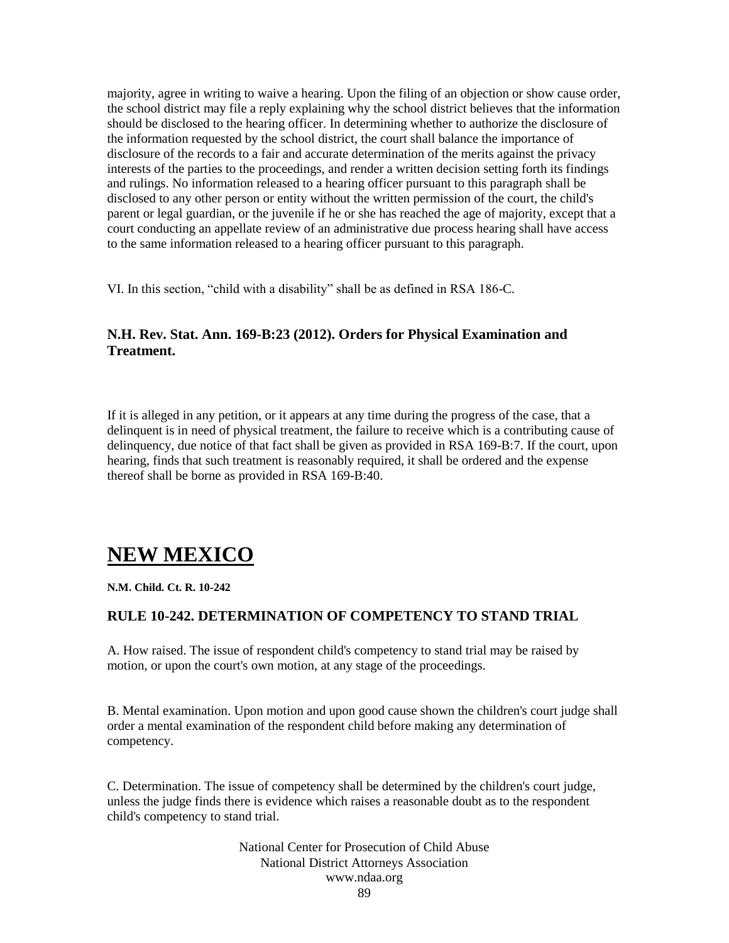majority, agree in writing to waive a hearing. Upon the filing of an objection or show cause order, the school district may file a reply explaining why the school district believes that the information should be disclosed to the hearing officer. In determining whether to authorize the disclosure of the information requested by the school district, the court shall balance the importance of disclosure of the records to a fair and accurate determination of the merits against the privacy interests of the parties to the proceedings, and render a written decision setting forth its findings and rulings. No information released to a hearing officer pursuant to this paragraph shall be disclosed to any other person or entity without the written permission of the court, the child's parent or legal guardian, or the juvenile if he or she has reached the age of majority, except that a court conducting an appellate review of an administrative due process hearing shall have access to the same information released to a hearing officer pursuant to this paragraph.

VI. In this section, "child with a disability" shall be as defined in RSA 186-C.

## **N.H. Rev. Stat. Ann. 169-B:23 (2012). Orders for Physical Examination and Treatment.**

If it is alleged in any petition, or it appears at any time during the progress of the case, that a delinquent is in need of physical treatment, the failure to receive which is a contributing cause of delinquency, due notice of that fact shall be given as provided in RSA 169-B:7. If the court, upon hearing, finds that such treatment is reasonably required, it shall be ordered and the expense thereof shall be borne as provided in RSA 169-B:40.

# **NEW MEXICO**

**N.M. Child. Ct. R. 10-242**

## **RULE 10-242. DETERMINATION OF COMPETENCY TO STAND TRIAL**

A. How raised. The issue of respondent child's competency to stand trial may be raised by motion, or upon the court's own motion, at any stage of the proceedings.

B. Mental examination. Upon motion and upon good cause shown the children's court judge shall order a mental examination of the respondent child before making any determination of competency.

C. Determination. The issue of competency shall be determined by the children's court judge, unless the judge finds there is evidence which raises a reasonable doubt as to the respondent child's competency to stand trial.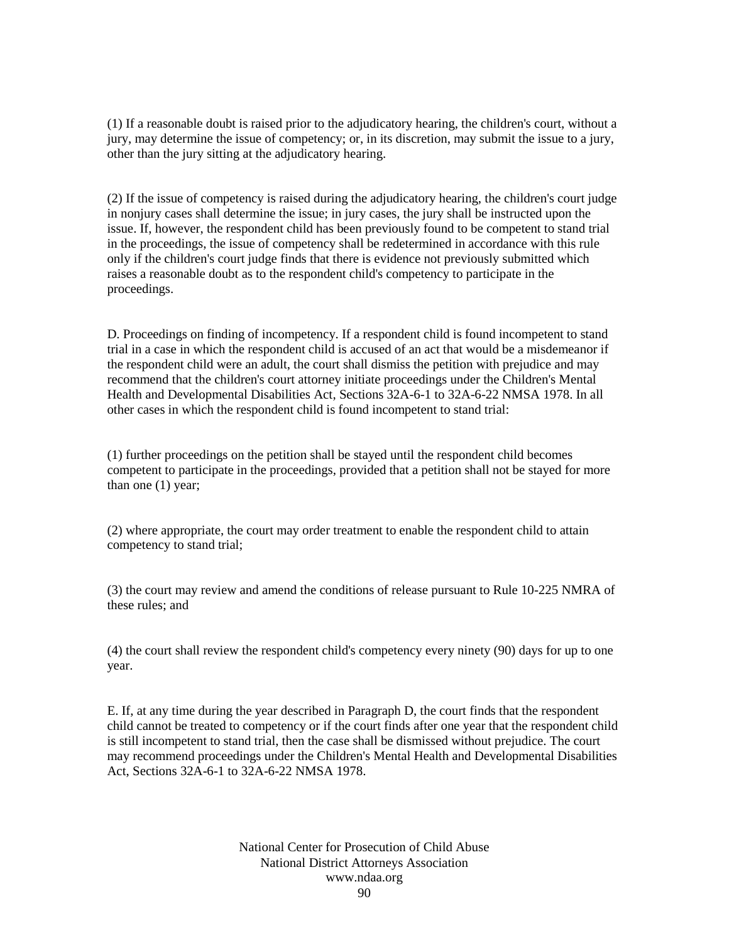(1) If a reasonable doubt is raised prior to the adjudicatory hearing, the children's court, without a jury, may determine the issue of competency; or, in its discretion, may submit the issue to a jury, other than the jury sitting at the adjudicatory hearing.

(2) If the issue of competency is raised during the adjudicatory hearing, the children's court judge in nonjury cases shall determine the issue; in jury cases, the jury shall be instructed upon the issue. If, however, the respondent child has been previously found to be competent to stand trial in the proceedings, the issue of competency shall be redetermined in accordance with this rule only if the children's court judge finds that there is evidence not previously submitted which raises a reasonable doubt as to the respondent child's competency to participate in the proceedings.

D. Proceedings on finding of incompetency. If a respondent child is found incompetent to stand trial in a case in which the respondent child is accused of an act that would be a misdemeanor if the respondent child were an adult, the court shall dismiss the petition with prejudice and may recommend that the children's court attorney initiate proceedings under the Children's Mental Health and Developmental Disabilities Act, Sections 32A-6-1 to 32A-6-22 NMSA 1978. In all other cases in which the respondent child is found incompetent to stand trial:

(1) further proceedings on the petition shall be stayed until the respondent child becomes competent to participate in the proceedings, provided that a petition shall not be stayed for more than one (1) year;

(2) where appropriate, the court may order treatment to enable the respondent child to attain competency to stand trial;

(3) the court may review and amend the conditions of release pursuant to Rule 10-225 NMRA of these rules; and

(4) the court shall review the respondent child's competency every ninety (90) days for up to one year.

E. If, at any time during the year described in Paragraph D, the court finds that the respondent child cannot be treated to competency or if the court finds after one year that the respondent child is still incompetent to stand trial, then the case shall be dismissed without prejudice. The court may recommend proceedings under the Children's Mental Health and Developmental Disabilities Act, Sections 32A-6-1 to 32A-6-22 NMSA 1978.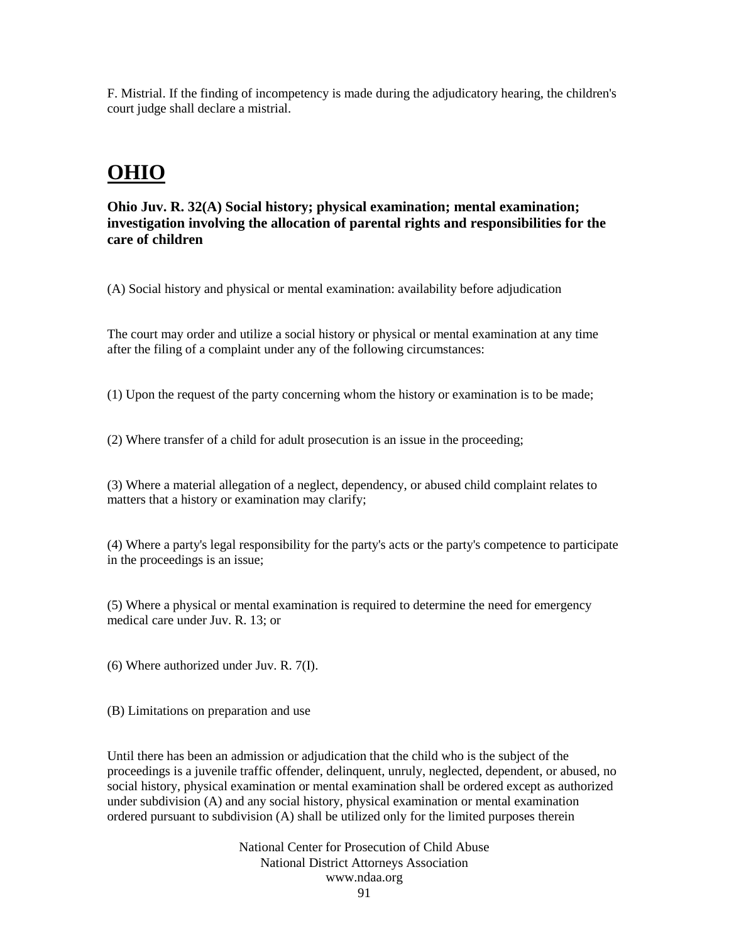F. Mistrial. If the finding of incompetency is made during the adjudicatory hearing, the children's court judge shall declare a mistrial.

# **OHIO**

## **Ohio Juv. R. 32(A) Social history; physical examination; mental examination; investigation involving the allocation of parental rights and responsibilities for the care of children**

(A) Social history and physical or mental examination: availability before adjudication

The court may order and utilize a social history or physical or mental examination at any time after the filing of a complaint under any of the following circumstances:

(1) Upon the request of the party concerning whom the history or examination is to be made;

(2) Where transfer of a child for adult prosecution is an issue in the proceeding;

(3) Where a material allegation of a neglect, dependency, or abused child complaint relates to matters that a history or examination may clarify;

(4) Where a party's legal responsibility for the party's acts or the party's competence to participate in the proceedings is an issue;

(5) Where a physical or mental examination is required to determine the need for emergency medical care under Juv. R. 13; or

(6) Where authorized under Juv. R. 7(I).

(B) Limitations on preparation and use

Until there has been an admission or adjudication that the child who is the subject of the proceedings is a juvenile traffic offender, delinquent, unruly, neglected, dependent, or abused, no social history, physical examination or mental examination shall be ordered except as authorized under subdivision (A) and any social history, physical examination or mental examination ordered pursuant to subdivision (A) shall be utilized only for the limited purposes therein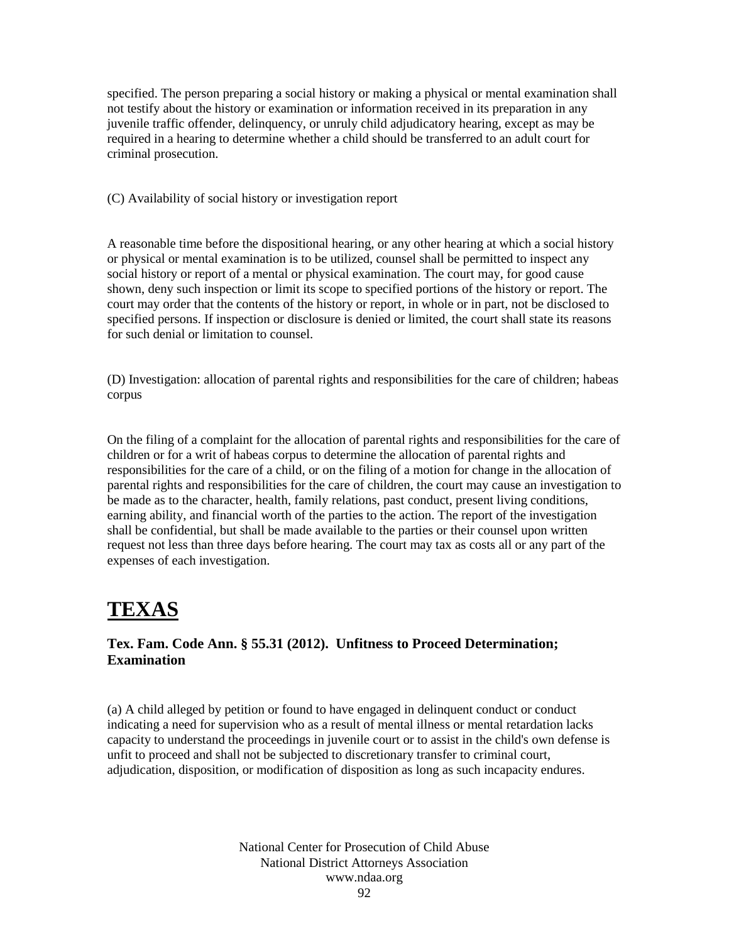specified. The person preparing a social history or making a physical or mental examination shall not testify about the history or examination or information received in its preparation in any juvenile traffic offender, delinquency, or unruly child adjudicatory hearing, except as may be required in a hearing to determine whether a child should be transferred to an adult court for criminal prosecution.

(C) Availability of social history or investigation report

A reasonable time before the dispositional hearing, or any other hearing at which a social history or physical or mental examination is to be utilized, counsel shall be permitted to inspect any social history or report of a mental or physical examination. The court may, for good cause shown, deny such inspection or limit its scope to specified portions of the history or report. The court may order that the contents of the history or report, in whole or in part, not be disclosed to specified persons. If inspection or disclosure is denied or limited, the court shall state its reasons for such denial or limitation to counsel.

(D) Investigation: allocation of parental rights and responsibilities for the care of children; habeas corpus

On the filing of a complaint for the allocation of parental rights and responsibilities for the care of children or for a writ of habeas corpus to determine the allocation of parental rights and responsibilities for the care of a child, or on the filing of a motion for change in the allocation of parental rights and responsibilities for the care of children, the court may cause an investigation to be made as to the character, health, family relations, past conduct, present living conditions, earning ability, and financial worth of the parties to the action. The report of the investigation shall be confidential, but shall be made available to the parties or their counsel upon written request not less than three days before hearing. The court may tax as costs all or any part of the expenses of each investigation.

# **TEXAS**

## **Tex. Fam. Code Ann. § 55.31 (2012). Unfitness to Proceed Determination; Examination**

(a) A child alleged by petition or found to have engaged in delinquent conduct or conduct indicating a need for supervision who as a result of mental illness or mental retardation lacks capacity to understand the proceedings in juvenile court or to assist in the child's own defense is unfit to proceed and shall not be subjected to discretionary transfer to criminal court, adjudication, disposition, or modification of disposition as long as such incapacity endures.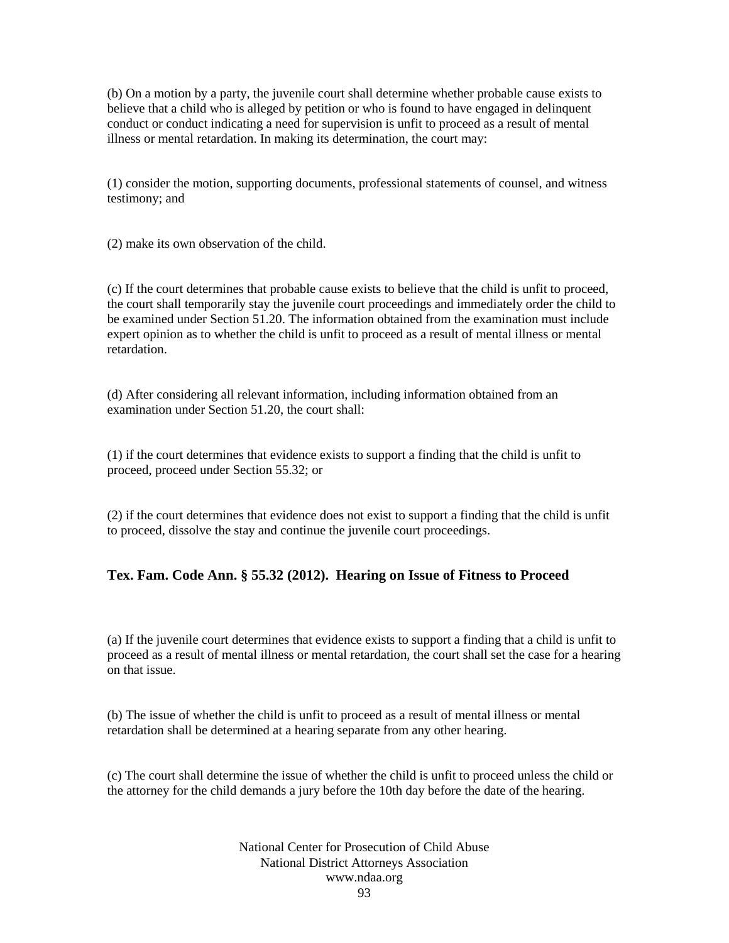(b) On a motion by a party, the juvenile court shall determine whether probable cause exists to believe that a child who is alleged by petition or who is found to have engaged in delinquent conduct or conduct indicating a need for supervision is unfit to proceed as a result of mental illness or mental retardation. In making its determination, the court may:

(1) consider the motion, supporting documents, professional statements of counsel, and witness testimony; and

(2) make its own observation of the child.

(c) If the court determines that probable cause exists to believe that the child is unfit to proceed, the court shall temporarily stay the juvenile court proceedings and immediately order the child to be examined under Section 51.20. The information obtained from the examination must include expert opinion as to whether the child is unfit to proceed as a result of mental illness or mental retardation.

(d) After considering all relevant information, including information obtained from an examination under Section 51.20, the court shall:

(1) if the court determines that evidence exists to support a finding that the child is unfit to proceed, proceed under Section 55.32; or

(2) if the court determines that evidence does not exist to support a finding that the child is unfit to proceed, dissolve the stay and continue the juvenile court proceedings.

## **Tex. Fam. Code Ann. § 55.32 (2012). Hearing on Issue of Fitness to Proceed**

(a) If the juvenile court determines that evidence exists to support a finding that a child is unfit to proceed as a result of mental illness or mental retardation, the court shall set the case for a hearing on that issue.

(b) The issue of whether the child is unfit to proceed as a result of mental illness or mental retardation shall be determined at a hearing separate from any other hearing.

(c) The court shall determine the issue of whether the child is unfit to proceed unless the child or the attorney for the child demands a jury before the 10th day before the date of the hearing.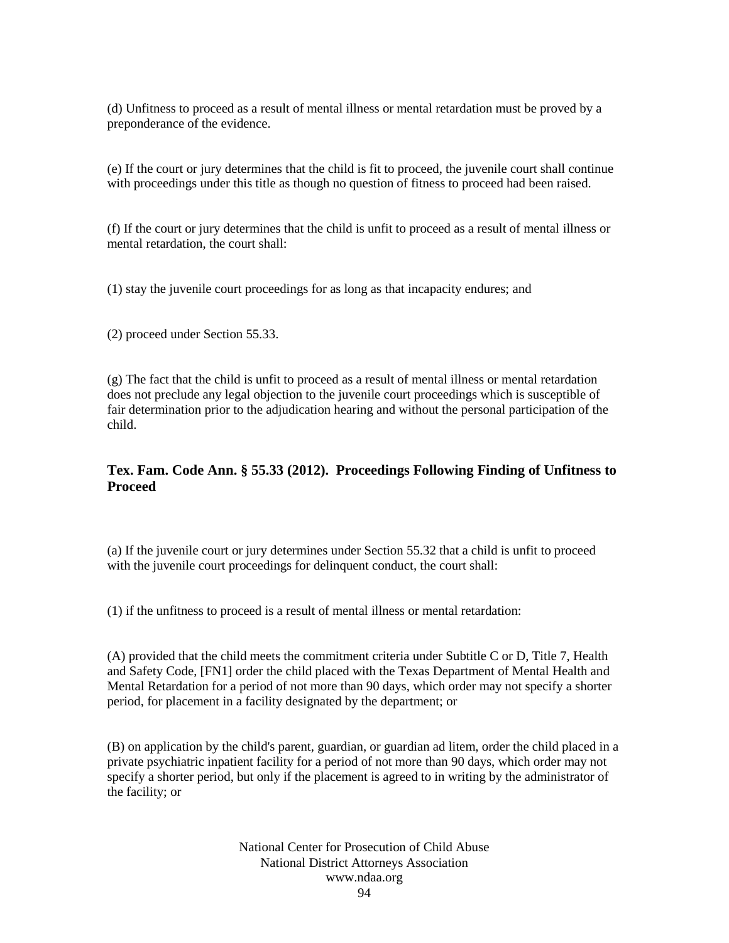(d) Unfitness to proceed as a result of mental illness or mental retardation must be proved by a preponderance of the evidence.

(e) If the court or jury determines that the child is fit to proceed, the juvenile court shall continue with proceedings under this title as though no question of fitness to proceed had been raised.

(f) If the court or jury determines that the child is unfit to proceed as a result of mental illness or mental retardation, the court shall:

(1) stay the juvenile court proceedings for as long as that incapacity endures; and

(2) proceed under Section 55.33.

(g) The fact that the child is unfit to proceed as a result of mental illness or mental retardation does not preclude any legal objection to the juvenile court proceedings which is susceptible of fair determination prior to the adjudication hearing and without the personal participation of the child.

### **Tex. Fam. Code Ann. § 55.33 (2012). Proceedings Following Finding of Unfitness to Proceed**

(a) If the juvenile court or jury determines under Section 55.32 that a child is unfit to proceed with the juvenile court proceedings for delinquent conduct, the court shall:

(1) if the unfitness to proceed is a result of mental illness or mental retardation:

(A) provided that the child meets the commitment criteria under Subtitle C or D, Title 7, Health and Safety Code, [FN1] order the child placed with the Texas Department of Mental Health and Mental Retardation for a period of not more than 90 days, which order may not specify a shorter period, for placement in a facility designated by the department; or

(B) on application by the child's parent, guardian, or guardian ad litem, order the child placed in a private psychiatric inpatient facility for a period of not more than 90 days, which order may not specify a shorter period, but only if the placement is agreed to in writing by the administrator of the facility; or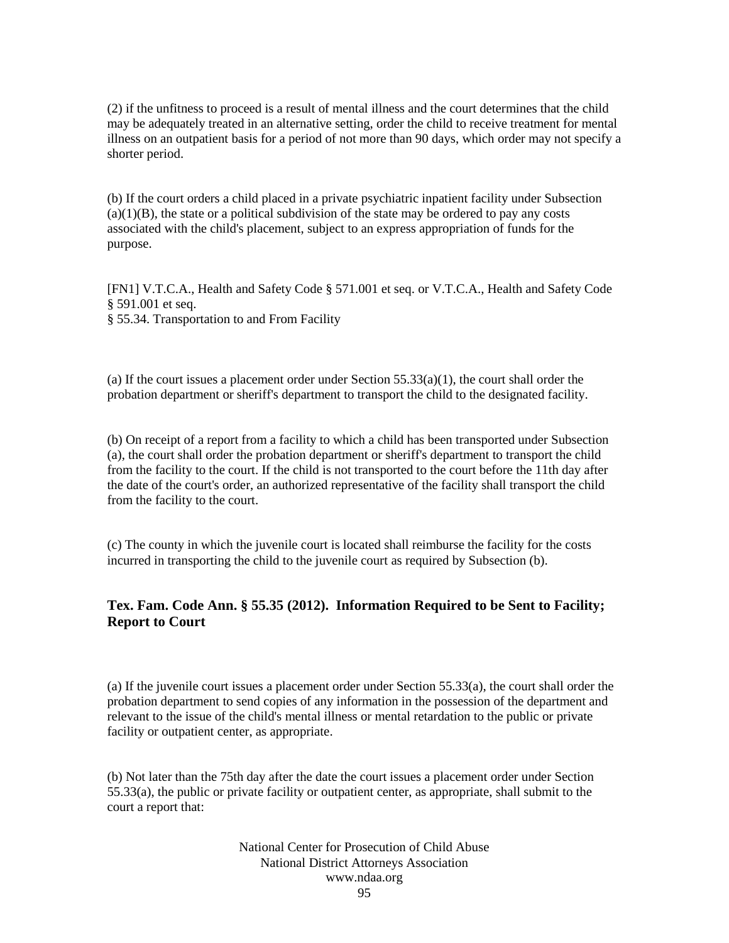(2) if the unfitness to proceed is a result of mental illness and the court determines that the child may be adequately treated in an alternative setting, order the child to receive treatment for mental illness on an outpatient basis for a period of not more than 90 days, which order may not specify a shorter period.

(b) If the court orders a child placed in a private psychiatric inpatient facility under Subsection  $(a)(1)(B)$ , the state or a political subdivision of the state may be ordered to pay any costs associated with the child's placement, subject to an express appropriation of funds for the purpose.

[FN1] V.T.C.A., Health and Safety Code § 571.001 et seq. or V.T.C.A., Health and Safety Code § 591.001 et seq. § 55.34. Transportation to and From Facility

(a) If the court issues a placement order under Section  $55.33(a)(1)$ , the court shall order the probation department or sheriff's department to transport the child to the designated facility.

(b) On receipt of a report from a facility to which a child has been transported under Subsection (a), the court shall order the probation department or sheriff's department to transport the child from the facility to the court. If the child is not transported to the court before the 11th day after the date of the court's order, an authorized representative of the facility shall transport the child from the facility to the court.

(c) The county in which the juvenile court is located shall reimburse the facility for the costs incurred in transporting the child to the juvenile court as required by Subsection (b).

## **Tex. Fam. Code Ann. § 55.35 (2012). Information Required to be Sent to Facility; Report to Court**

(a) If the juvenile court issues a placement order under Section 55.33(a), the court shall order the probation department to send copies of any information in the possession of the department and relevant to the issue of the child's mental illness or mental retardation to the public or private facility or outpatient center, as appropriate.

(b) Not later than the 75th day after the date the court issues a placement order under Section 55.33(a), the public or private facility or outpatient center, as appropriate, shall submit to the court a report that: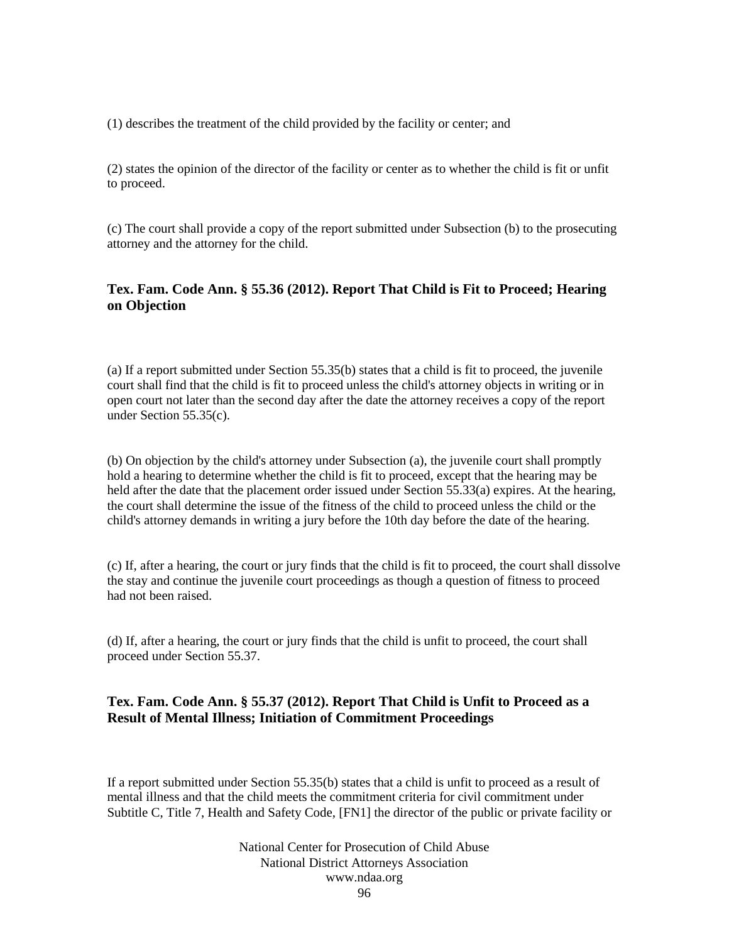(1) describes the treatment of the child provided by the facility or center; and

(2) states the opinion of the director of the facility or center as to whether the child is fit or unfit to proceed.

(c) The court shall provide a copy of the report submitted under Subsection (b) to the prosecuting attorney and the attorney for the child.

## **Tex. Fam. Code Ann. § 55.36 (2012). Report That Child is Fit to Proceed; Hearing on Objection**

(a) If a report submitted under Section 55.35(b) states that a child is fit to proceed, the juvenile court shall find that the child is fit to proceed unless the child's attorney objects in writing or in open court not later than the second day after the date the attorney receives a copy of the report under Section 55.35(c).

(b) On objection by the child's attorney under Subsection (a), the juvenile court shall promptly hold a hearing to determine whether the child is fit to proceed, except that the hearing may be held after the date that the placement order issued under Section 55.33(a) expires. At the hearing, the court shall determine the issue of the fitness of the child to proceed unless the child or the child's attorney demands in writing a jury before the 10th day before the date of the hearing.

(c) If, after a hearing, the court or jury finds that the child is fit to proceed, the court shall dissolve the stay and continue the juvenile court proceedings as though a question of fitness to proceed had not been raised.

(d) If, after a hearing, the court or jury finds that the child is unfit to proceed, the court shall proceed under Section 55.37.

## **Tex. Fam. Code Ann. § 55.37 (2012). Report That Child is Unfit to Proceed as a Result of Mental Illness; Initiation of Commitment Proceedings**

If a report submitted under Section 55.35(b) states that a child is unfit to proceed as a result of mental illness and that the child meets the commitment criteria for civil commitment under Subtitle C, Title 7, Health and Safety Code, [FN1] the director of the public or private facility or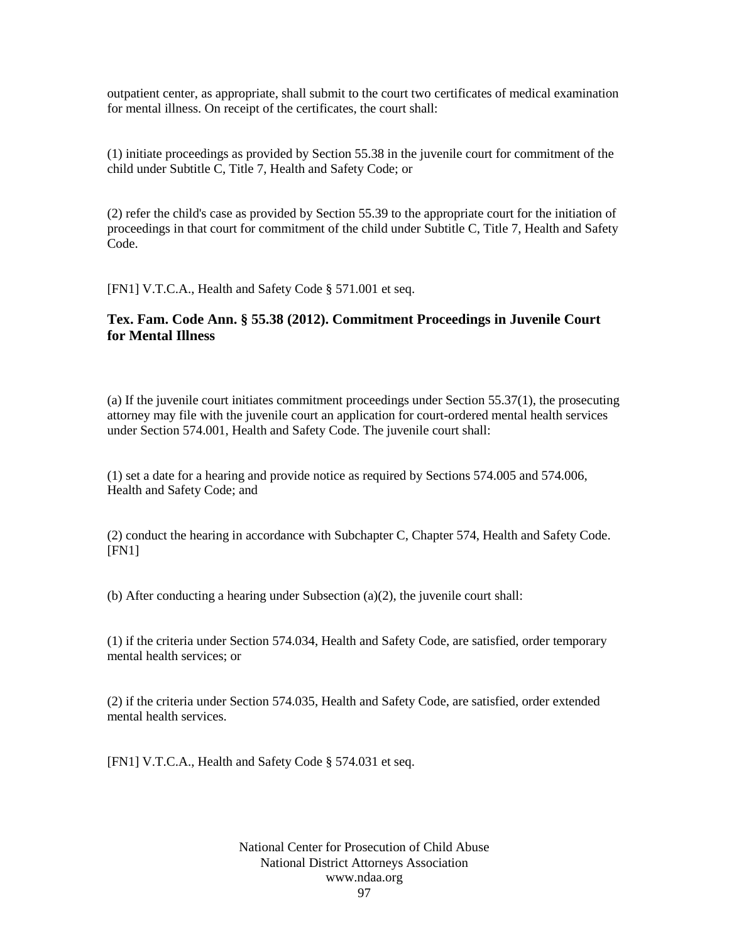outpatient center, as appropriate, shall submit to the court two certificates of medical examination for mental illness. On receipt of the certificates, the court shall:

(1) initiate proceedings as provided by Section 55.38 in the juvenile court for commitment of the child under Subtitle C, Title 7, Health and Safety Code; or

(2) refer the child's case as provided by Section 55.39 to the appropriate court for the initiation of proceedings in that court for commitment of the child under Subtitle C, Title 7, Health and Safety Code.

[FN1] V.T.C.A., Health and Safety Code § 571.001 et seq.

#### **Tex. Fam. Code Ann. § 55.38 (2012). Commitment Proceedings in Juvenile Court for Mental Illness**

(a) If the juvenile court initiates commitment proceedings under Section 55.37(1), the prosecuting attorney may file with the juvenile court an application for court-ordered mental health services under Section 574.001, Health and Safety Code. The juvenile court shall:

(1) set a date for a hearing and provide notice as required by Sections 574.005 and 574.006, Health and Safety Code; and

(2) conduct the hearing in accordance with Subchapter C, Chapter 574, Health and Safety Code. [FN1]

(b) After conducting a hearing under Subsection (a)(2), the juvenile court shall:

(1) if the criteria under Section 574.034, Health and Safety Code, are satisfied, order temporary mental health services; or

(2) if the criteria under Section 574.035, Health and Safety Code, are satisfied, order extended mental health services.

[FN1] V.T.C.A., Health and Safety Code § 574.031 et seq.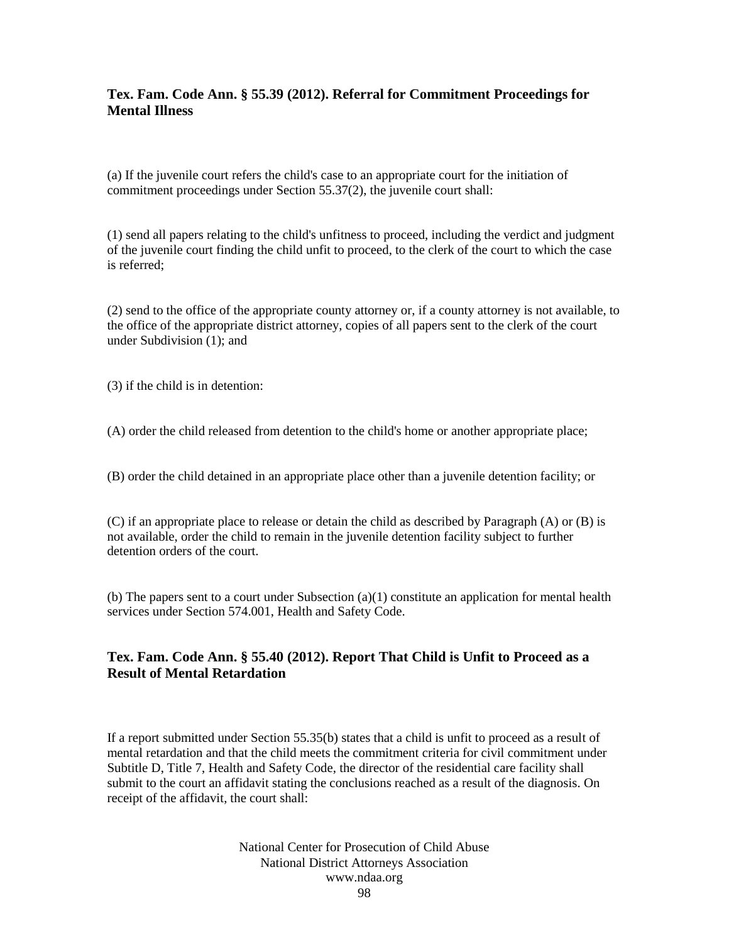## **Tex. Fam. Code Ann. § 55.39 (2012). Referral for Commitment Proceedings for Mental Illness**

(a) If the juvenile court refers the child's case to an appropriate court for the initiation of commitment proceedings under Section 55.37(2), the juvenile court shall:

(1) send all papers relating to the child's unfitness to proceed, including the verdict and judgment of the juvenile court finding the child unfit to proceed, to the clerk of the court to which the case is referred;

(2) send to the office of the appropriate county attorney or, if a county attorney is not available, to the office of the appropriate district attorney, copies of all papers sent to the clerk of the court under Subdivision (1); and

(3) if the child is in detention:

(A) order the child released from detention to the child's home or another appropriate place;

(B) order the child detained in an appropriate place other than a juvenile detention facility; or

(C) if an appropriate place to release or detain the child as described by Paragraph (A) or (B) is not available, order the child to remain in the juvenile detention facility subject to further detention orders of the court.

(b) The papers sent to a court under Subsection (a)(1) constitute an application for mental health services under Section 574.001, Health and Safety Code.

## **Tex. Fam. Code Ann. § 55.40 (2012). Report That Child is Unfit to Proceed as a Result of Mental Retardation**

If a report submitted under Section 55.35(b) states that a child is unfit to proceed as a result of mental retardation and that the child meets the commitment criteria for civil commitment under Subtitle D, Title 7, Health and Safety Code, the director of the residential care facility shall submit to the court an affidavit stating the conclusions reached as a result of the diagnosis. On receipt of the affidavit, the court shall: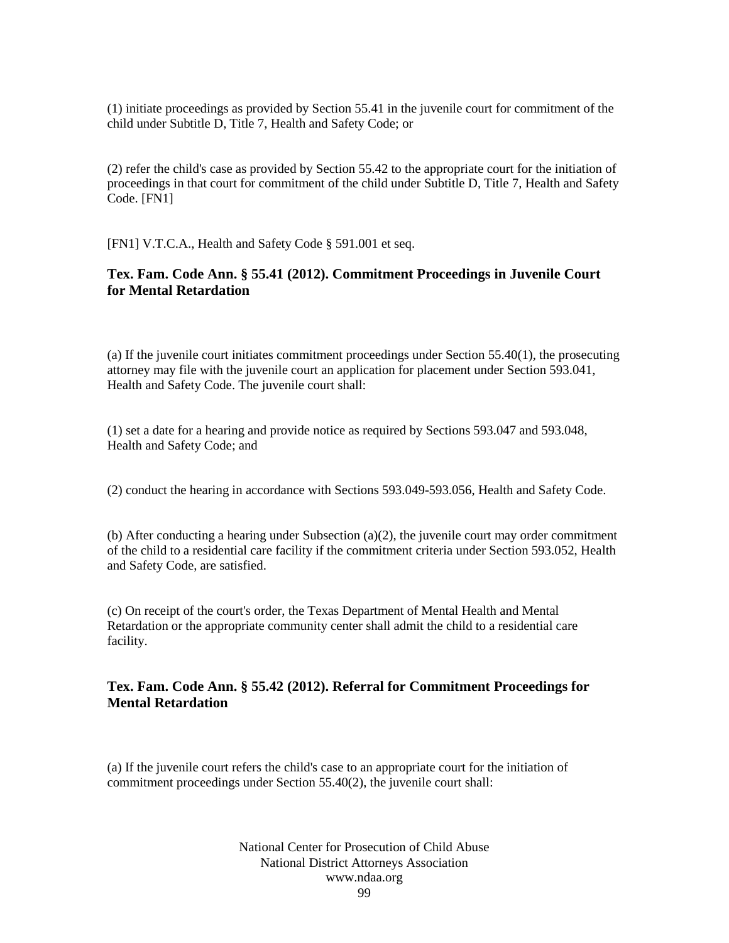(1) initiate proceedings as provided by Section 55.41 in the juvenile court for commitment of the child under Subtitle D, Title 7, Health and Safety Code; or

(2) refer the child's case as provided by Section 55.42 to the appropriate court for the initiation of proceedings in that court for commitment of the child under Subtitle D, Title 7, Health and Safety Code. [FN1]

[FN1] V.T.C.A., Health and Safety Code § 591.001 et seq.

### **Tex. Fam. Code Ann. § 55.41 (2012). Commitment Proceedings in Juvenile Court for Mental Retardation**

(a) If the juvenile court initiates commitment proceedings under Section 55.40(1), the prosecuting attorney may file with the juvenile court an application for placement under Section 593.041, Health and Safety Code. The juvenile court shall:

(1) set a date for a hearing and provide notice as required by Sections 593.047 and 593.048, Health and Safety Code; and

(2) conduct the hearing in accordance with Sections 593.049-593.056, Health and Safety Code.

(b) After conducting a hearing under Subsection (a)(2), the juvenile court may order commitment of the child to a residential care facility if the commitment criteria under Section 593.052, Health and Safety Code, are satisfied.

(c) On receipt of the court's order, the Texas Department of Mental Health and Mental Retardation or the appropriate community center shall admit the child to a residential care facility.

#### **Tex. Fam. Code Ann. § 55.42 (2012). Referral for Commitment Proceedings for Mental Retardation**

(a) If the juvenile court refers the child's case to an appropriate court for the initiation of commitment proceedings under Section 55.40(2), the juvenile court shall: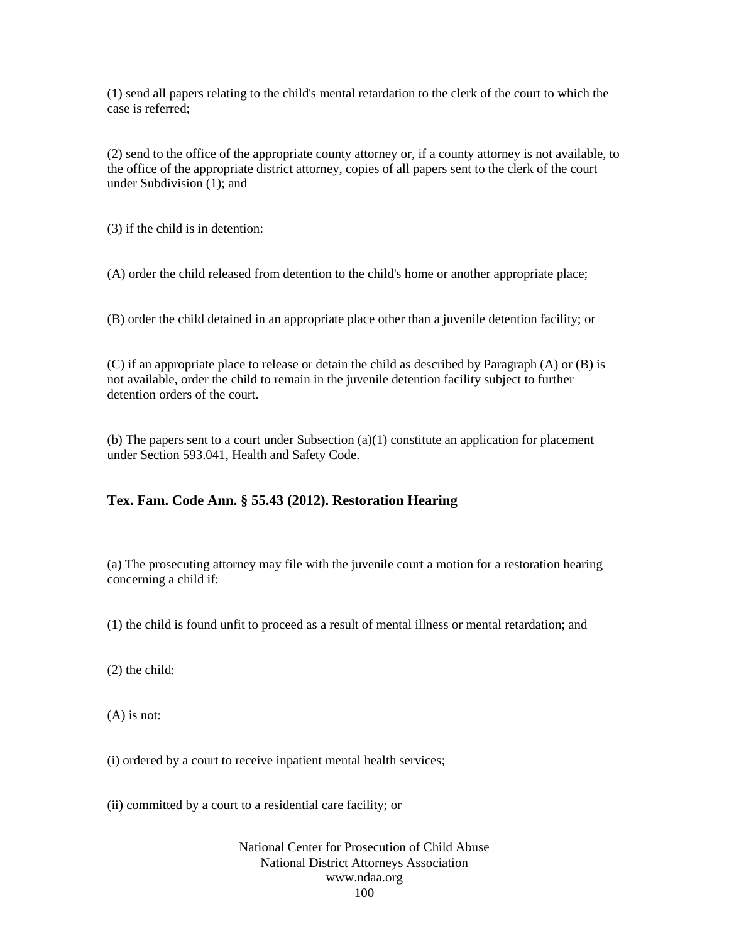(1) send all papers relating to the child's mental retardation to the clerk of the court to which the case is referred;

(2) send to the office of the appropriate county attorney or, if a county attorney is not available, to the office of the appropriate district attorney, copies of all papers sent to the clerk of the court under Subdivision (1); and

(3) if the child is in detention:

(A) order the child released from detention to the child's home or another appropriate place;

(B) order the child detained in an appropriate place other than a juvenile detention facility; or

(C) if an appropriate place to release or detain the child as described by Paragraph (A) or (B) is not available, order the child to remain in the juvenile detention facility subject to further detention orders of the court.

(b) The papers sent to a court under Subsection  $(a)(1)$  constitute an application for placement under Section 593.041, Health and Safety Code.

## **Tex. Fam. Code Ann. § 55.43 (2012). Restoration Hearing**

(a) The prosecuting attorney may file with the juvenile court a motion for a restoration hearing concerning a child if:

(1) the child is found unfit to proceed as a result of mental illness or mental retardation; and

(2) the child:

(A) is not:

(i) ordered by a court to receive inpatient mental health services;

(ii) committed by a court to a residential care facility; or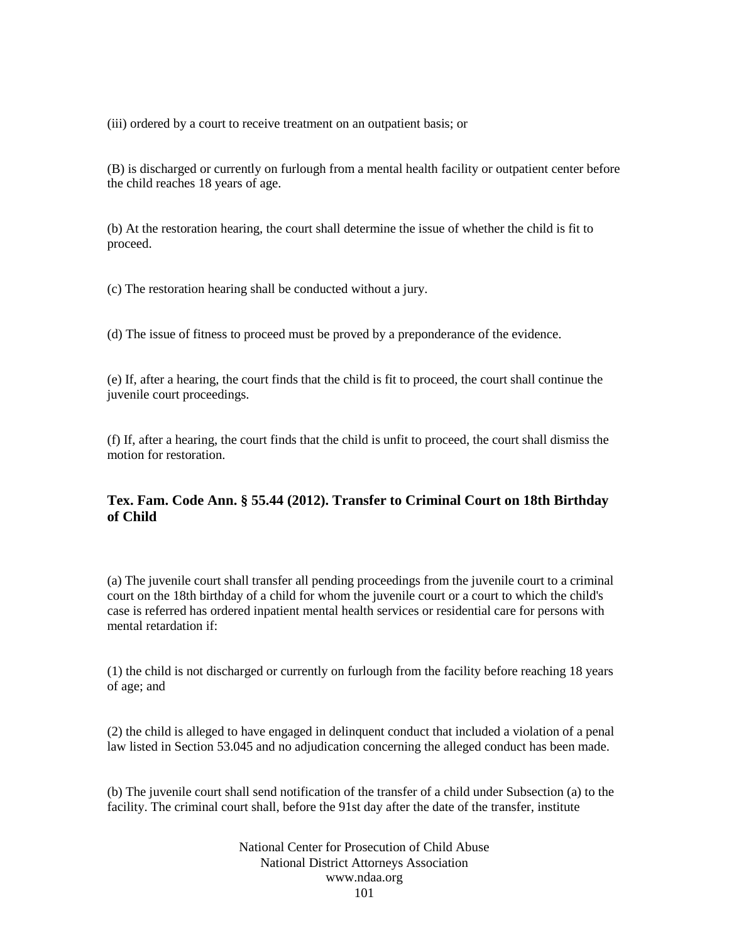(iii) ordered by a court to receive treatment on an outpatient basis; or

(B) is discharged or currently on furlough from a mental health facility or outpatient center before the child reaches 18 years of age.

(b) At the restoration hearing, the court shall determine the issue of whether the child is fit to proceed.

(c) The restoration hearing shall be conducted without a jury.

(d) The issue of fitness to proceed must be proved by a preponderance of the evidence.

(e) If, after a hearing, the court finds that the child is fit to proceed, the court shall continue the juvenile court proceedings.

(f) If, after a hearing, the court finds that the child is unfit to proceed, the court shall dismiss the motion for restoration.

## **Tex. Fam. Code Ann. § 55.44 (2012). Transfer to Criminal Court on 18th Birthday of Child**

(a) The juvenile court shall transfer all pending proceedings from the juvenile court to a criminal court on the 18th birthday of a child for whom the juvenile court or a court to which the child's case is referred has ordered inpatient mental health services or residential care for persons with mental retardation if:

(1) the child is not discharged or currently on furlough from the facility before reaching 18 years of age; and

(2) the child is alleged to have engaged in delinquent conduct that included a violation of a penal law listed in Section 53.045 and no adjudication concerning the alleged conduct has been made.

(b) The juvenile court shall send notification of the transfer of a child under Subsection (a) to the facility. The criminal court shall, before the 91st day after the date of the transfer, institute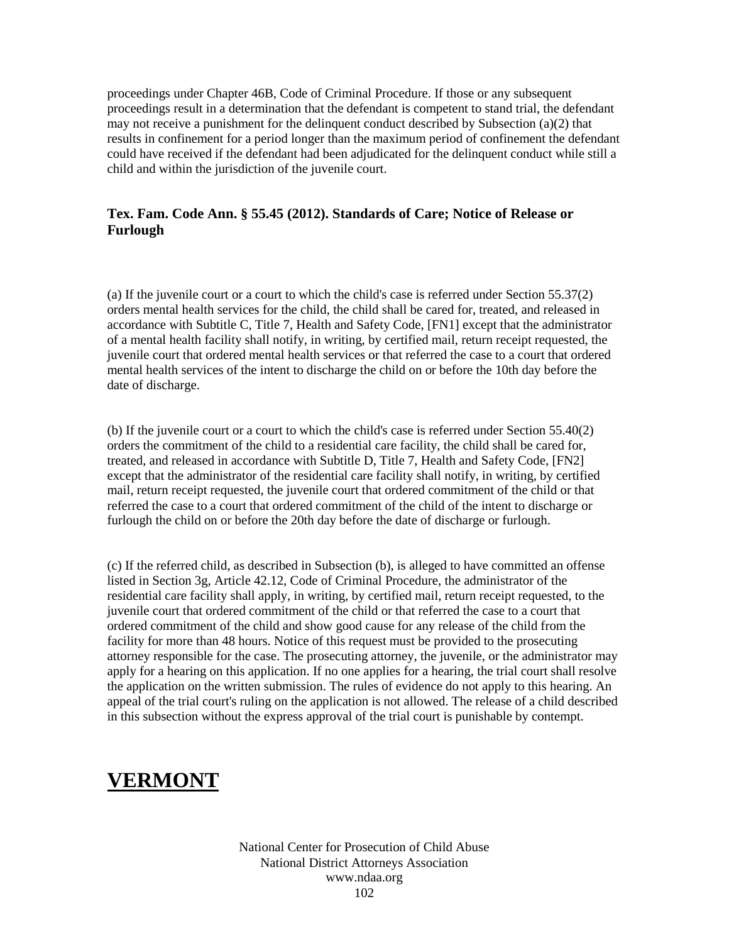proceedings under Chapter 46B, Code of Criminal Procedure. If those or any subsequent proceedings result in a determination that the defendant is competent to stand trial, the defendant may not receive a punishment for the delinquent conduct described by Subsection  $(a)(2)$  that results in confinement for a period longer than the maximum period of confinement the defendant could have received if the defendant had been adjudicated for the delinquent conduct while still a child and within the jurisdiction of the juvenile court.

## **Tex. Fam. Code Ann. § 55.45 (2012). Standards of Care; Notice of Release or Furlough**

(a) If the juvenile court or a court to which the child's case is referred under Section 55.37(2) orders mental health services for the child, the child shall be cared for, treated, and released in accordance with Subtitle C, Title 7, Health and Safety Code, [FN1] except that the administrator of a mental health facility shall notify, in writing, by certified mail, return receipt requested, the juvenile court that ordered mental health services or that referred the case to a court that ordered mental health services of the intent to discharge the child on or before the 10th day before the date of discharge.

(b) If the juvenile court or a court to which the child's case is referred under Section 55.40(2) orders the commitment of the child to a residential care facility, the child shall be cared for, treated, and released in accordance with Subtitle D, Title 7, Health and Safety Code, [FN2] except that the administrator of the residential care facility shall notify, in writing, by certified mail, return receipt requested, the juvenile court that ordered commitment of the child or that referred the case to a court that ordered commitment of the child of the intent to discharge or furlough the child on or before the 20th day before the date of discharge or furlough.

(c) If the referred child, as described in Subsection (b), is alleged to have committed an offense listed in Section 3g, Article 42.12, Code of Criminal Procedure, the administrator of the residential care facility shall apply, in writing, by certified mail, return receipt requested, to the juvenile court that ordered commitment of the child or that referred the case to a court that ordered commitment of the child and show good cause for any release of the child from the facility for more than 48 hours. Notice of this request must be provided to the prosecuting attorney responsible for the case. The prosecuting attorney, the juvenile, or the administrator may apply for a hearing on this application. If no one applies for a hearing, the trial court shall resolve the application on the written submission. The rules of evidence do not apply to this hearing. An appeal of the trial court's ruling on the application is not allowed. The release of a child described in this subsection without the express approval of the trial court is punishable by contempt.

## **VERMONT**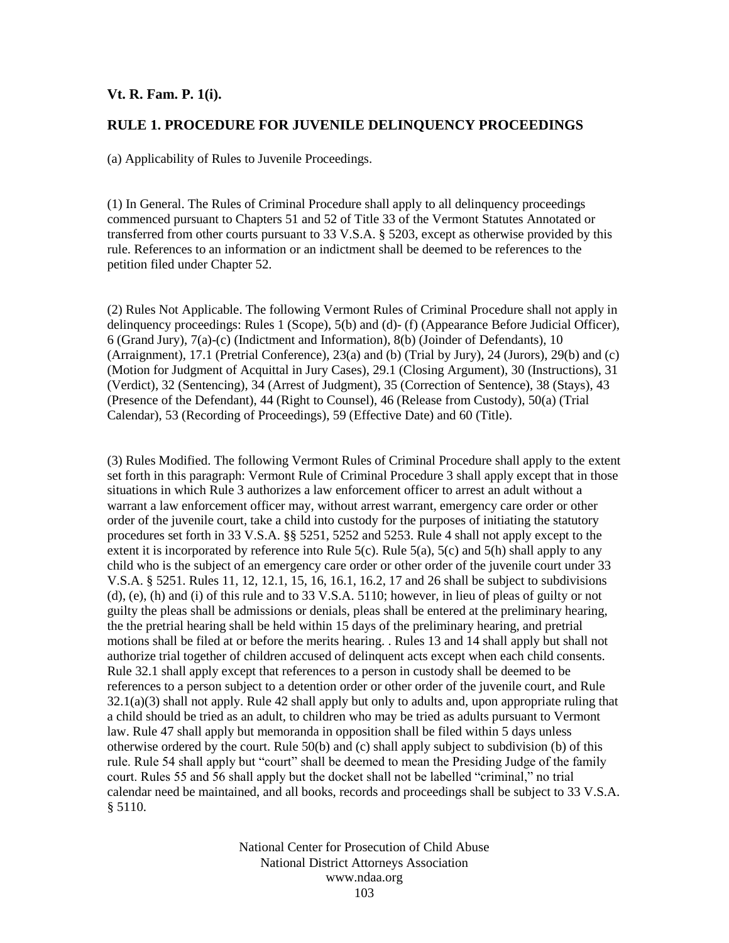#### **Vt. R. Fam. P. 1(i).**

#### **RULE 1. PROCEDURE FOR JUVENILE DELINQUENCY PROCEEDINGS**

(a) Applicability of Rules to Juvenile Proceedings.

(1) In General. The Rules of Criminal Procedure shall apply to all delinquency proceedings commenced pursuant to Chapters 51 and 52 of Title 33 of the Vermont Statutes Annotated or transferred from other courts pursuant to 33 V.S.A. § 5203, except as otherwise provided by this rule. References to an information or an indictment shall be deemed to be references to the petition filed under Chapter 52.

(2) Rules Not Applicable. The following Vermont Rules of Criminal Procedure shall not apply in delinquency proceedings: Rules 1 (Scope), 5(b) and (d)- (f) (Appearance Before Judicial Officer), 6 (Grand Jury), 7(a)-(c) (Indictment and Information), 8(b) (Joinder of Defendants), 10 (Arraignment), 17.1 (Pretrial Conference), 23(a) and (b) (Trial by Jury), 24 (Jurors), 29(b) and (c) (Motion for Judgment of Acquittal in Jury Cases), 29.1 (Closing Argument), 30 (Instructions), 31 (Verdict), 32 (Sentencing), 34 (Arrest of Judgment), 35 (Correction of Sentence), 38 (Stays), 43 (Presence of the Defendant), 44 (Right to Counsel), 46 (Release from Custody), 50(a) (Trial Calendar), 53 (Recording of Proceedings), 59 (Effective Date) and 60 (Title).

(3) Rules Modified. The following Vermont Rules of Criminal Procedure shall apply to the extent set forth in this paragraph: Vermont Rule of Criminal Procedure 3 shall apply except that in those situations in which Rule 3 authorizes a law enforcement officer to arrest an adult without a warrant a law enforcement officer may, without arrest warrant, emergency care order or other order of the juvenile court, take a child into custody for the purposes of initiating the statutory procedures set forth in 33 V.S.A. §§ 5251, 5252 and 5253. Rule 4 shall not apply except to the extent it is incorporated by reference into Rule  $5(c)$ . Rule  $5(a)$ ,  $5(c)$  and  $5(h)$  shall apply to any child who is the subject of an emergency care order or other order of the juvenile court under 33 V.S.A. § 5251. Rules 11, 12, 12.1, 15, 16, 16.1, 16.2, 17 and 26 shall be subject to subdivisions (d), (e), (h) and (i) of this rule and to 33 V.S.A. 5110; however, in lieu of pleas of guilty or not guilty the pleas shall be admissions or denials, pleas shall be entered at the preliminary hearing, the the pretrial hearing shall be held within 15 days of the preliminary hearing, and pretrial motions shall be filed at or before the merits hearing. . Rules 13 and 14 shall apply but shall not authorize trial together of children accused of delinquent acts except when each child consents. Rule 32.1 shall apply except that references to a person in custody shall be deemed to be references to a person subject to a detention order or other order of the juvenile court, and Rule  $32.1(a)(3)$  shall not apply. Rule 42 shall apply but only to adults and, upon appropriate ruling that a child should be tried as an adult, to children who may be tried as adults pursuant to Vermont law. Rule 47 shall apply but memoranda in opposition shall be filed within 5 days unless otherwise ordered by the court. Rule 50(b) and (c) shall apply subject to subdivision (b) of this rule. Rule 54 shall apply but "court" shall be deemed to mean the Presiding Judge of the family court. Rules 55 and 56 shall apply but the docket shall not be labelled "criminal," no trial calendar need be maintained, and all books, records and proceedings shall be subject to 33 V.S.A. § 5110.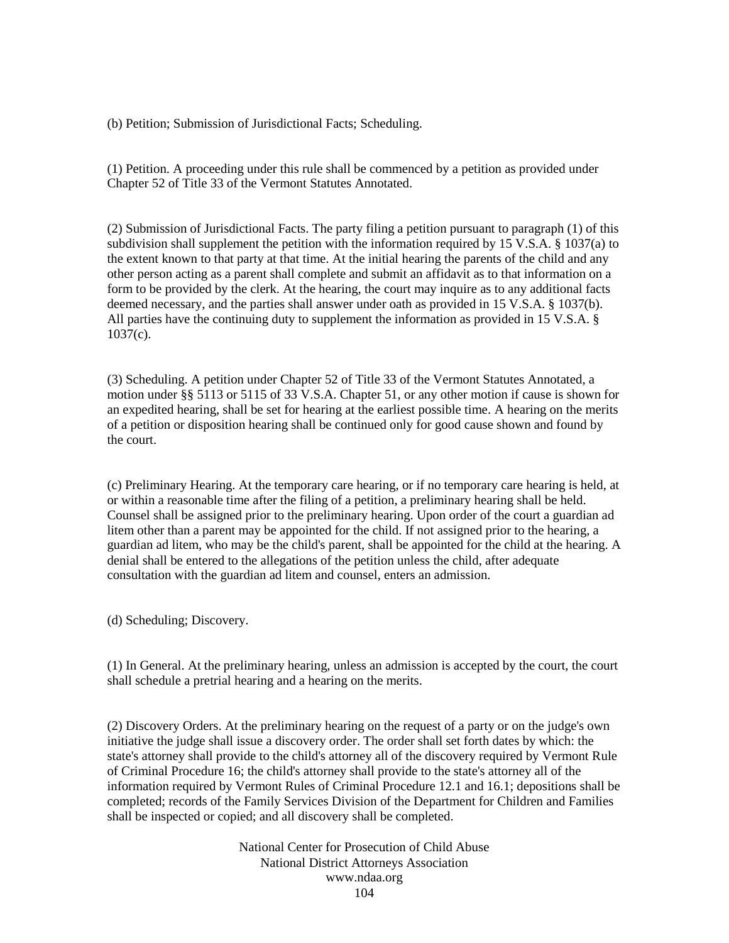(b) Petition; Submission of Jurisdictional Facts; Scheduling.

(1) Petition. A proceeding under this rule shall be commenced by a petition as provided under Chapter 52 of Title 33 of the Vermont Statutes Annotated.

(2) Submission of Jurisdictional Facts. The party filing a petition pursuant to paragraph (1) of this subdivision shall supplement the petition with the information required by 15 V.S.A. § 1037(a) to the extent known to that party at that time. At the initial hearing the parents of the child and any other person acting as a parent shall complete and submit an affidavit as to that information on a form to be provided by the clerk. At the hearing, the court may inquire as to any additional facts deemed necessary, and the parties shall answer under oath as provided in 15 V.S.A. § 1037(b). All parties have the continuing duty to supplement the information as provided in 15 V.S.A. §  $1037(c)$ .

(3) Scheduling. A petition under Chapter 52 of Title 33 of the Vermont Statutes Annotated, a motion under §§ 5113 or 5115 of 33 V.S.A. Chapter 51, or any other motion if cause is shown for an expedited hearing, shall be set for hearing at the earliest possible time. A hearing on the merits of a petition or disposition hearing shall be continued only for good cause shown and found by the court.

(c) Preliminary Hearing. At the temporary care hearing, or if no temporary care hearing is held, at or within a reasonable time after the filing of a petition, a preliminary hearing shall be held. Counsel shall be assigned prior to the preliminary hearing. Upon order of the court a guardian ad litem other than a parent may be appointed for the child. If not assigned prior to the hearing, a guardian ad litem, who may be the child's parent, shall be appointed for the child at the hearing. A denial shall be entered to the allegations of the petition unless the child, after adequate consultation with the guardian ad litem and counsel, enters an admission.

(d) Scheduling; Discovery.

(1) In General. At the preliminary hearing, unless an admission is accepted by the court, the court shall schedule a pretrial hearing and a hearing on the merits.

(2) Discovery Orders. At the preliminary hearing on the request of a party or on the judge's own initiative the judge shall issue a discovery order. The order shall set forth dates by which: the state's attorney shall provide to the child's attorney all of the discovery required by Vermont Rule of Criminal Procedure 16; the child's attorney shall provide to the state's attorney all of the information required by Vermont Rules of Criminal Procedure 12.1 and 16.1; depositions shall be completed; records of the Family Services Division of the Department for Children and Families shall be inspected or copied; and all discovery shall be completed.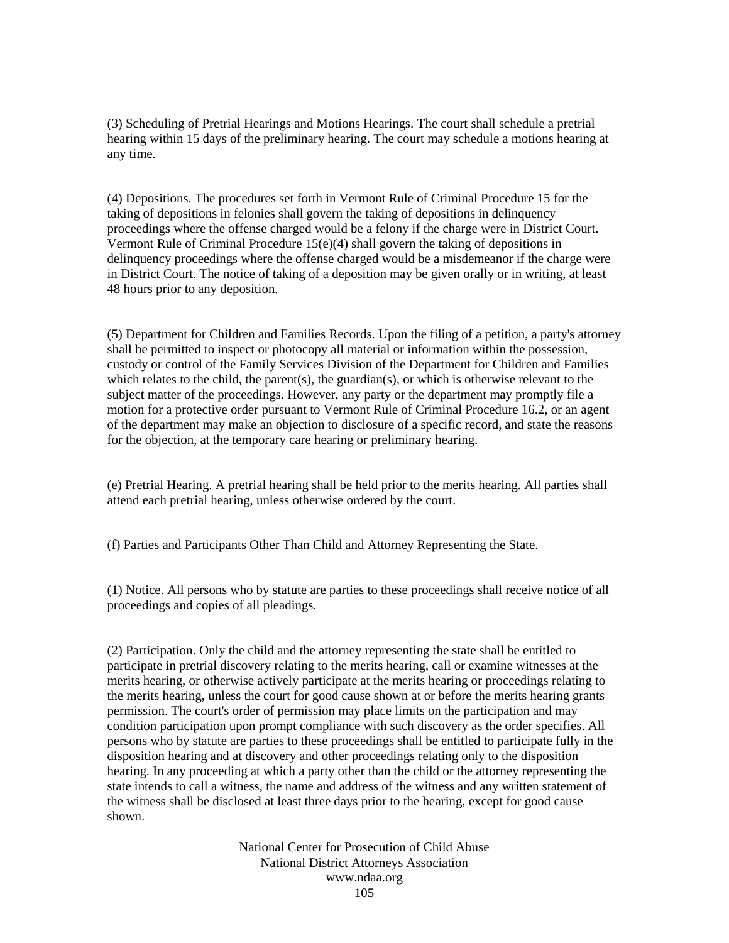(3) Scheduling of Pretrial Hearings and Motions Hearings. The court shall schedule a pretrial hearing within 15 days of the preliminary hearing. The court may schedule a motions hearing at any time.

(4) Depositions. The procedures set forth in Vermont Rule of Criminal Procedure 15 for the taking of depositions in felonies shall govern the taking of depositions in delinquency proceedings where the offense charged would be a felony if the charge were in District Court. Vermont Rule of Criminal Procedure  $15(e)(4)$  shall govern the taking of depositions in delinquency proceedings where the offense charged would be a misdemeanor if the charge were in District Court. The notice of taking of a deposition may be given orally or in writing, at least 48 hours prior to any deposition.

(5) Department for Children and Families Records. Upon the filing of a petition, a party's attorney shall be permitted to inspect or photocopy all material or information within the possession, custody or control of the Family Services Division of the Department for Children and Families which relates to the child, the parent(s), the guardian(s), or which is otherwise relevant to the subject matter of the proceedings. However, any party or the department may promptly file a motion for a protective order pursuant to Vermont Rule of Criminal Procedure 16.2, or an agent of the department may make an objection to disclosure of a specific record, and state the reasons for the objection, at the temporary care hearing or preliminary hearing.

(e) Pretrial Hearing. A pretrial hearing shall be held prior to the merits hearing. All parties shall attend each pretrial hearing, unless otherwise ordered by the court.

(f) Parties and Participants Other Than Child and Attorney Representing the State.

(1) Notice. All persons who by statute are parties to these proceedings shall receive notice of all proceedings and copies of all pleadings.

(2) Participation. Only the child and the attorney representing the state shall be entitled to participate in pretrial discovery relating to the merits hearing, call or examine witnesses at the merits hearing, or otherwise actively participate at the merits hearing or proceedings relating to the merits hearing, unless the court for good cause shown at or before the merits hearing grants permission. The court's order of permission may place limits on the participation and may condition participation upon prompt compliance with such discovery as the order specifies. All persons who by statute are parties to these proceedings shall be entitled to participate fully in the disposition hearing and at discovery and other proceedings relating only to the disposition hearing. In any proceeding at which a party other than the child or the attorney representing the state intends to call a witness, the name and address of the witness and any written statement of the witness shall be disclosed at least three days prior to the hearing, except for good cause shown.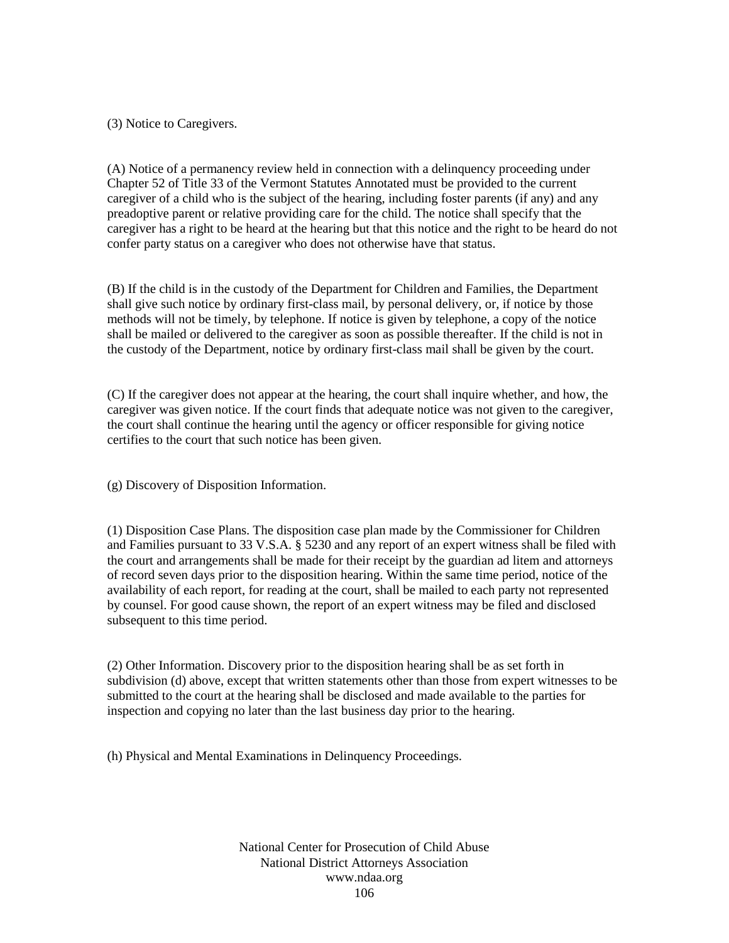(3) Notice to Caregivers.

(A) Notice of a permanency review held in connection with a delinquency proceeding under Chapter 52 of Title 33 of the Vermont Statutes Annotated must be provided to the current caregiver of a child who is the subject of the hearing, including foster parents (if any) and any preadoptive parent or relative providing care for the child. The notice shall specify that the caregiver has a right to be heard at the hearing but that this notice and the right to be heard do not confer party status on a caregiver who does not otherwise have that status.

(B) If the child is in the custody of the Department for Children and Families, the Department shall give such notice by ordinary first-class mail, by personal delivery, or, if notice by those methods will not be timely, by telephone. If notice is given by telephone, a copy of the notice shall be mailed or delivered to the caregiver as soon as possible thereafter. If the child is not in the custody of the Department, notice by ordinary first-class mail shall be given by the court.

(C) If the caregiver does not appear at the hearing, the court shall inquire whether, and how, the caregiver was given notice. If the court finds that adequate notice was not given to the caregiver, the court shall continue the hearing until the agency or officer responsible for giving notice certifies to the court that such notice has been given.

(g) Discovery of Disposition Information.

(1) Disposition Case Plans. The disposition case plan made by the Commissioner for Children and Families pursuant to 33 V.S.A. § 5230 and any report of an expert witness shall be filed with the court and arrangements shall be made for their receipt by the guardian ad litem and attorneys of record seven days prior to the disposition hearing. Within the same time period, notice of the availability of each report, for reading at the court, shall be mailed to each party not represented by counsel. For good cause shown, the report of an expert witness may be filed and disclosed subsequent to this time period.

(2) Other Information. Discovery prior to the disposition hearing shall be as set forth in subdivision (d) above, except that written statements other than those from expert witnesses to be submitted to the court at the hearing shall be disclosed and made available to the parties for inspection and copying no later than the last business day prior to the hearing.

(h) Physical and Mental Examinations in Delinquency Proceedings.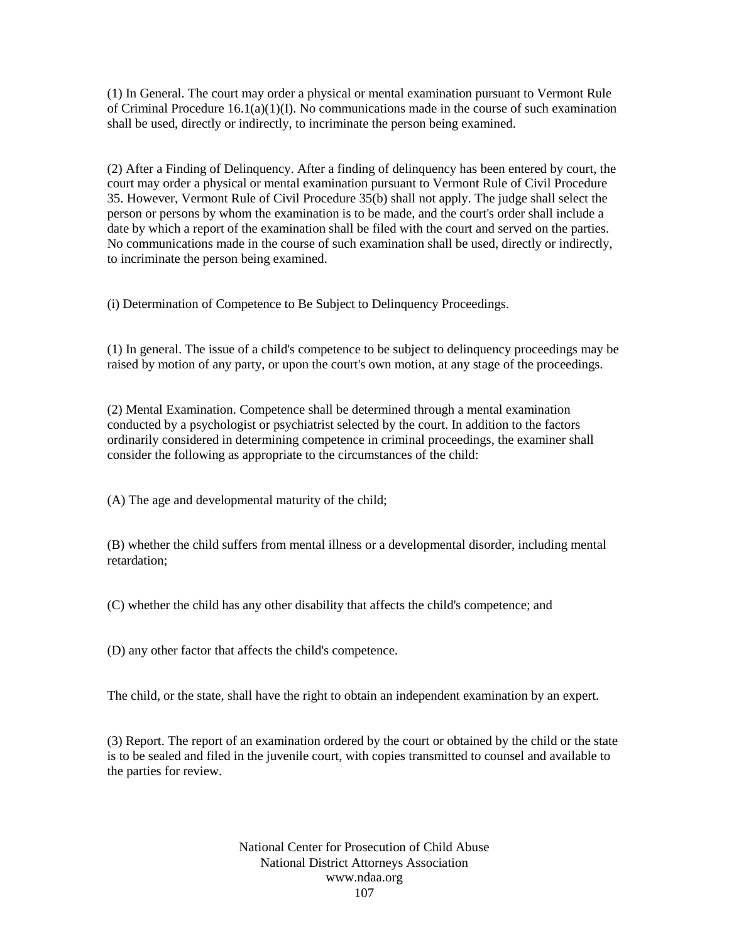(1) In General. The court may order a physical or mental examination pursuant to Vermont Rule of Criminal Procedure  $16.1(a)(1)(I)$ . No communications made in the course of such examination shall be used, directly or indirectly, to incriminate the person being examined.

(2) After a Finding of Delinquency. After a finding of delinquency has been entered by court, the court may order a physical or mental examination pursuant to Vermont Rule of Civil Procedure 35. However, Vermont Rule of Civil Procedure 35(b) shall not apply. The judge shall select the person or persons by whom the examination is to be made, and the court's order shall include a date by which a report of the examination shall be filed with the court and served on the parties. No communications made in the course of such examination shall be used, directly or indirectly, to incriminate the person being examined.

(i) Determination of Competence to Be Subject to Delinquency Proceedings.

(1) In general. The issue of a child's competence to be subject to delinquency proceedings may be raised by motion of any party, or upon the court's own motion, at any stage of the proceedings.

(2) Mental Examination. Competence shall be determined through a mental examination conducted by a psychologist or psychiatrist selected by the court. In addition to the factors ordinarily considered in determining competence in criminal proceedings, the examiner shall consider the following as appropriate to the circumstances of the child:

(A) The age and developmental maturity of the child;

(B) whether the child suffers from mental illness or a developmental disorder, including mental retardation;

(C) whether the child has any other disability that affects the child's competence; and

(D) any other factor that affects the child's competence.

The child, or the state, shall have the right to obtain an independent examination by an expert.

(3) Report. The report of an examination ordered by the court or obtained by the child or the state is to be sealed and filed in the juvenile court, with copies transmitted to counsel and available to the parties for review.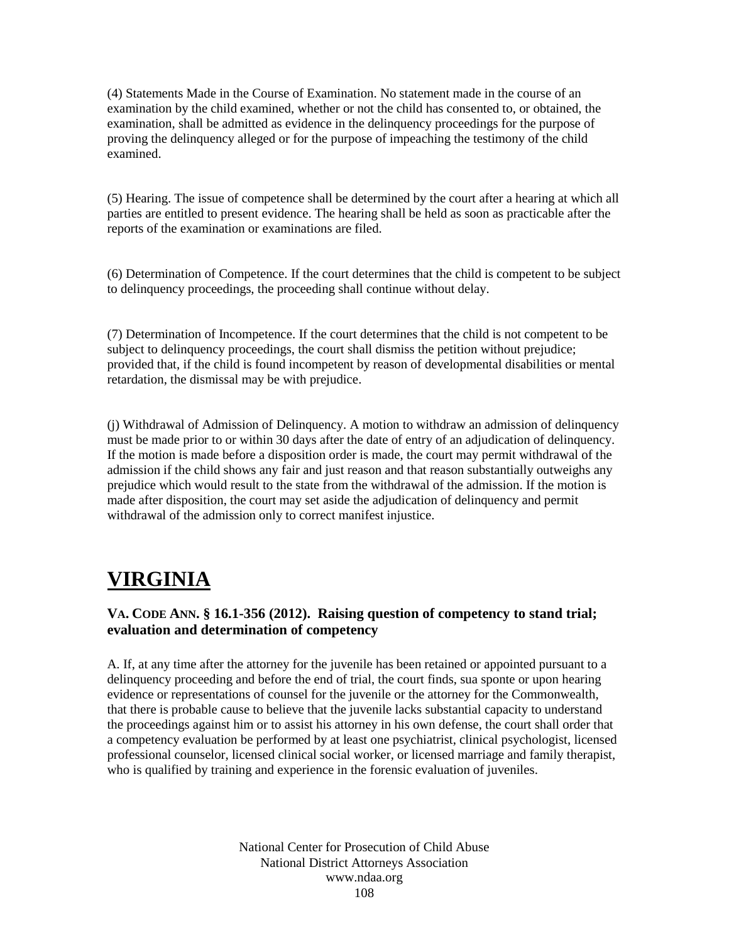(4) Statements Made in the Course of Examination. No statement made in the course of an examination by the child examined, whether or not the child has consented to, or obtained, the examination, shall be admitted as evidence in the delinquency proceedings for the purpose of proving the delinquency alleged or for the purpose of impeaching the testimony of the child examined.

(5) Hearing. The issue of competence shall be determined by the court after a hearing at which all parties are entitled to present evidence. The hearing shall be held as soon as practicable after the reports of the examination or examinations are filed.

(6) Determination of Competence. If the court determines that the child is competent to be subject to delinquency proceedings, the proceeding shall continue without delay.

(7) Determination of Incompetence. If the court determines that the child is not competent to be subject to delinquency proceedings, the court shall dismiss the petition without prejudice; provided that, if the child is found incompetent by reason of developmental disabilities or mental retardation, the dismissal may be with prejudice.

(j) Withdrawal of Admission of Delinquency. A motion to withdraw an admission of delinquency must be made prior to or within 30 days after the date of entry of an adjudication of delinquency. If the motion is made before a disposition order is made, the court may permit withdrawal of the admission if the child shows any fair and just reason and that reason substantially outweighs any prejudice which would result to the state from the withdrawal of the admission. If the motion is made after disposition, the court may set aside the adjudication of delinquency and permit withdrawal of the admission only to correct manifest injustice.

# **VIRGINIA**

## **VA. CODE ANN. § 16.1-356 (2012). Raising question of competency to stand trial; evaluation and determination of competency**

A. If, at any time after the attorney for the juvenile has been retained or appointed pursuant to a delinquency proceeding and before the end of trial, the court finds, sua sponte or upon hearing evidence or representations of counsel for the juvenile or the attorney for the Commonwealth, that there is probable cause to believe that the juvenile lacks substantial capacity to understand the proceedings against him or to assist his attorney in his own defense, the court shall order that a competency evaluation be performed by at least one psychiatrist, clinical psychologist, licensed professional counselor, licensed clinical social worker, or licensed marriage and family therapist, who is qualified by training and experience in the forensic evaluation of juveniles.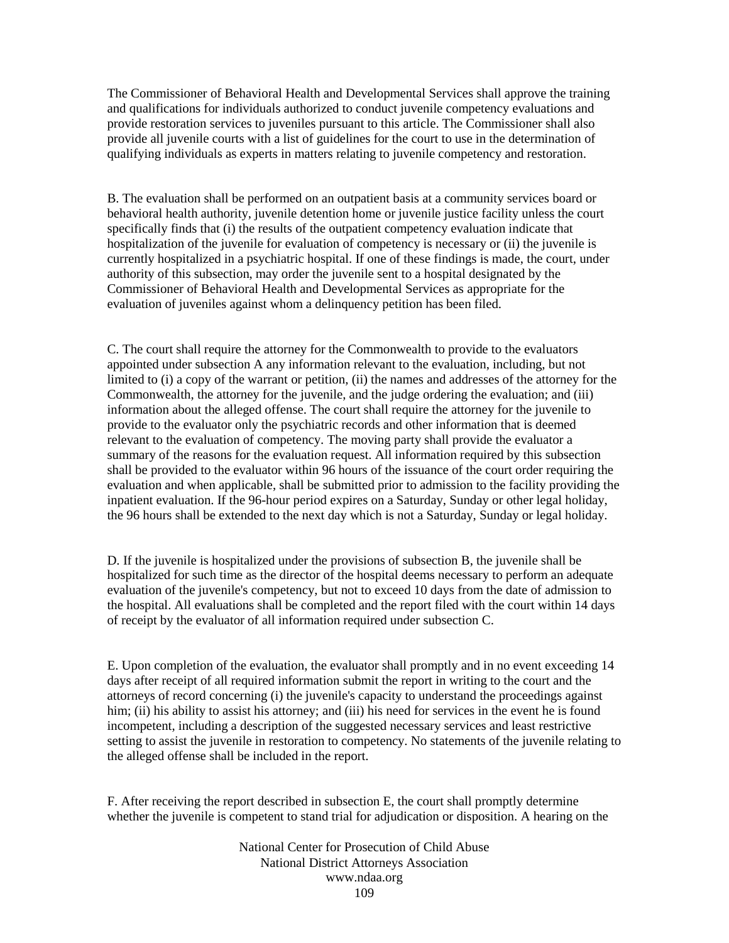The Commissioner of Behavioral Health and Developmental Services shall approve the training and qualifications for individuals authorized to conduct juvenile competency evaluations and provide restoration services to juveniles pursuant to this article. The Commissioner shall also provide all juvenile courts with a list of guidelines for the court to use in the determination of qualifying individuals as experts in matters relating to juvenile competency and restoration.

B. The evaluation shall be performed on an outpatient basis at a community services board or behavioral health authority, juvenile detention home or juvenile justice facility unless the court specifically finds that (i) the results of the outpatient competency evaluation indicate that hospitalization of the juvenile for evaluation of competency is necessary or (ii) the juvenile is currently hospitalized in a psychiatric hospital. If one of these findings is made, the court, under authority of this subsection, may order the juvenile sent to a hospital designated by the Commissioner of Behavioral Health and Developmental Services as appropriate for the evaluation of juveniles against whom a delinquency petition has been filed.

C. The court shall require the attorney for the Commonwealth to provide to the evaluators appointed under subsection A any information relevant to the evaluation, including, but not limited to (i) a copy of the warrant or petition, (ii) the names and addresses of the attorney for the Commonwealth, the attorney for the juvenile, and the judge ordering the evaluation; and (iii) information about the alleged offense. The court shall require the attorney for the juvenile to provide to the evaluator only the psychiatric records and other information that is deemed relevant to the evaluation of competency. The moving party shall provide the evaluator a summary of the reasons for the evaluation request. All information required by this subsection shall be provided to the evaluator within 96 hours of the issuance of the court order requiring the evaluation and when applicable, shall be submitted prior to admission to the facility providing the inpatient evaluation. If the 96-hour period expires on a Saturday, Sunday or other legal holiday, the 96 hours shall be extended to the next day which is not a Saturday, Sunday or legal holiday.

D. If the juvenile is hospitalized under the provisions of subsection B, the juvenile shall be hospitalized for such time as the director of the hospital deems necessary to perform an adequate evaluation of the juvenile's competency, but not to exceed 10 days from the date of admission to the hospital. All evaluations shall be completed and the report filed with the court within 14 days of receipt by the evaluator of all information required under subsection C.

E. Upon completion of the evaluation, the evaluator shall promptly and in no event exceeding 14 days after receipt of all required information submit the report in writing to the court and the attorneys of record concerning (i) the juvenile's capacity to understand the proceedings against him; (ii) his ability to assist his attorney; and (iii) his need for services in the event he is found incompetent, including a description of the suggested necessary services and least restrictive setting to assist the juvenile in restoration to competency. No statements of the juvenile relating to the alleged offense shall be included in the report.

F. After receiving the report described in subsection E, the court shall promptly determine whether the juvenile is competent to stand trial for adjudication or disposition. A hearing on the

> National Center for Prosecution of Child Abuse National District Attorneys Association www.ndaa.org 109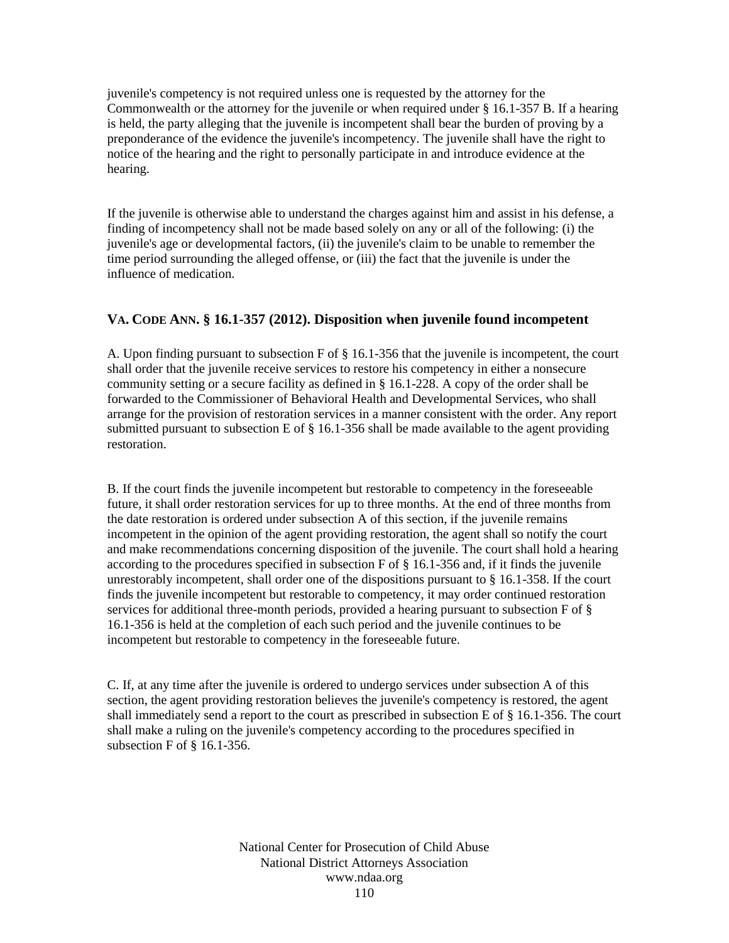juvenile's competency is not required unless one is requested by the attorney for the Commonwealth or the attorney for the juvenile or when required under § 16.1-357 B. If a hearing is held, the party alleging that the juvenile is incompetent shall bear the burden of proving by a preponderance of the evidence the juvenile's incompetency. The juvenile shall have the right to notice of the hearing and the right to personally participate in and introduce evidence at the hearing.

If the juvenile is otherwise able to understand the charges against him and assist in his defense, a finding of incompetency shall not be made based solely on any or all of the following: (i) the juvenile's age or developmental factors, (ii) the juvenile's claim to be unable to remember the time period surrounding the alleged offense, or (iii) the fact that the juvenile is under the influence of medication.

### **VA. CODE ANN. § 16.1-357 (2012). Disposition when juvenile found incompetent**

A. Upon finding pursuant to subsection F of § 16.1-356 that the juvenile is incompetent, the court shall order that the juvenile receive services to restore his competency in either a nonsecure community setting or a secure facility as defined in § 16.1-228. A copy of the order shall be forwarded to the Commissioner of Behavioral Health and Developmental Services, who shall arrange for the provision of restoration services in a manner consistent with the order. Any report submitted pursuant to subsection E of  $\S$  16.1-356 shall be made available to the agent providing restoration.

B. If the court finds the juvenile incompetent but restorable to competency in the foreseeable future, it shall order restoration services for up to three months. At the end of three months from the date restoration is ordered under subsection A of this section, if the juvenile remains incompetent in the opinion of the agent providing restoration, the agent shall so notify the court and make recommendations concerning disposition of the juvenile. The court shall hold a hearing according to the procedures specified in subsection F of § 16.1-356 and, if it finds the juvenile unrestorably incompetent, shall order one of the dispositions pursuant to § 16.1-358. If the court finds the juvenile incompetent but restorable to competency, it may order continued restoration services for additional three-month periods, provided a hearing pursuant to subsection F of § 16.1-356 is held at the completion of each such period and the juvenile continues to be incompetent but restorable to competency in the foreseeable future.

C. If, at any time after the juvenile is ordered to undergo services under subsection A of this section, the agent providing restoration believes the juvenile's competency is restored, the agent shall immediately send a report to the court as prescribed in subsection E of § 16.1-356. The court shall make a ruling on the juvenile's competency according to the procedures specified in subsection F of § 16.1-356.

> National Center for Prosecution of Child Abuse National District Attorneys Association www.ndaa.org 110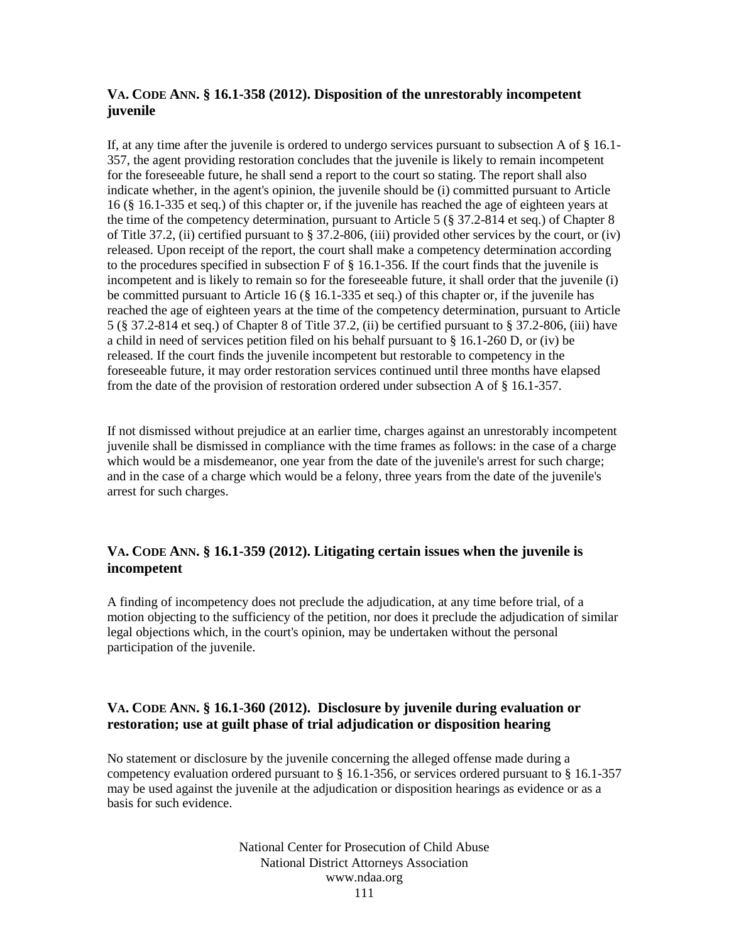## **VA. CODE ANN. § 16.1-358 (2012). Disposition of the unrestorably incompetent juvenile**

If, at any time after the juvenile is ordered to undergo services pursuant to subsection A of § 16.1- 357, the agent providing restoration concludes that the juvenile is likely to remain incompetent for the foreseeable future, he shall send a report to the court so stating. The report shall also indicate whether, in the agent's opinion, the juvenile should be (i) committed pursuant to Article 16 (§ 16.1-335 et seq.) of this chapter or, if the juvenile has reached the age of eighteen years at the time of the competency determination, pursuant to Article 5 (§ 37.2-814 et seq.) of Chapter 8 of Title 37.2, (ii) certified pursuant to § 37.2-806, (iii) provided other services by the court, or (iv) released. Upon receipt of the report, the court shall make a competency determination according to the procedures specified in subsection  $F$  of  $\S$  16.1-356. If the court finds that the juvenile is incompetent and is likely to remain so for the foreseeable future, it shall order that the juvenile (i) be committed pursuant to Article 16 (§ 16.1-335 et seq.) of this chapter or, if the juvenile has reached the age of eighteen years at the time of the competency determination, pursuant to Article 5 (§ 37.2-814 et seq.) of Chapter 8 of Title 37.2, (ii) be certified pursuant to § 37.2-806, (iii) have a child in need of services petition filed on his behalf pursuant to § 16.1-260 D, or (iv) be released. If the court finds the juvenile incompetent but restorable to competency in the foreseeable future, it may order restoration services continued until three months have elapsed from the date of the provision of restoration ordered under subsection A of § 16.1-357.

If not dismissed without prejudice at an earlier time, charges against an unrestorably incompetent juvenile shall be dismissed in compliance with the time frames as follows: in the case of a charge which would be a misdemeanor, one year from the date of the juvenile's arrest for such charge; and in the case of a charge which would be a felony, three years from the date of the juvenile's arrest for such charges.

### **VA. CODE ANN. § 16.1-359 (2012). Litigating certain issues when the juvenile is incompetent**

A finding of incompetency does not preclude the adjudication, at any time before trial, of a motion objecting to the sufficiency of the petition, nor does it preclude the adjudication of similar legal objections which, in the court's opinion, may be undertaken without the personal participation of the juvenile.

# **VA. CODE ANN. § 16.1-360 (2012). Disclosure by juvenile during evaluation or restoration; use at guilt phase of trial adjudication or disposition hearing**

No statement or disclosure by the juvenile concerning the alleged offense made during a competency evaluation ordered pursuant to § 16.1-356, or services ordered pursuant to § 16.1-357 may be used against the juvenile at the adjudication or disposition hearings as evidence or as a basis for such evidence.

> National Center for Prosecution of Child Abuse National District Attorneys Association www.ndaa.org 111